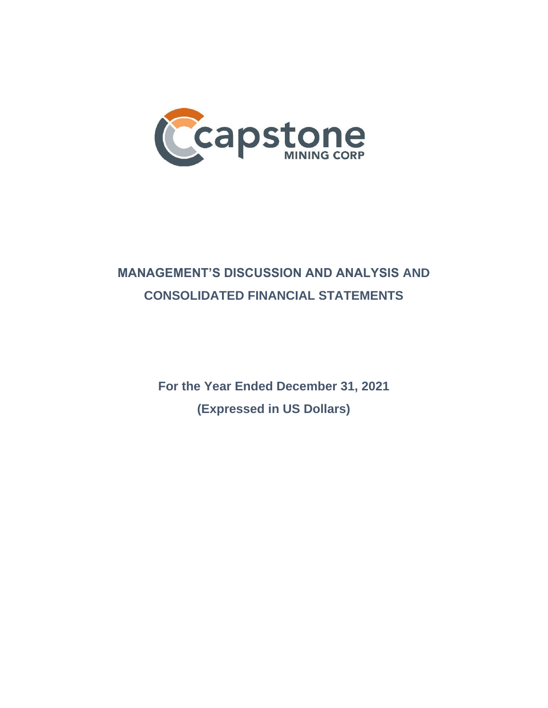

# **MANAGEMENT'S DISCUSSION AND ANALYSIS AND CONSOLIDATED FINANCIAL STATEMENTS**

**For the Year Ended December 31, 2021 (Expressed in US Dollars)**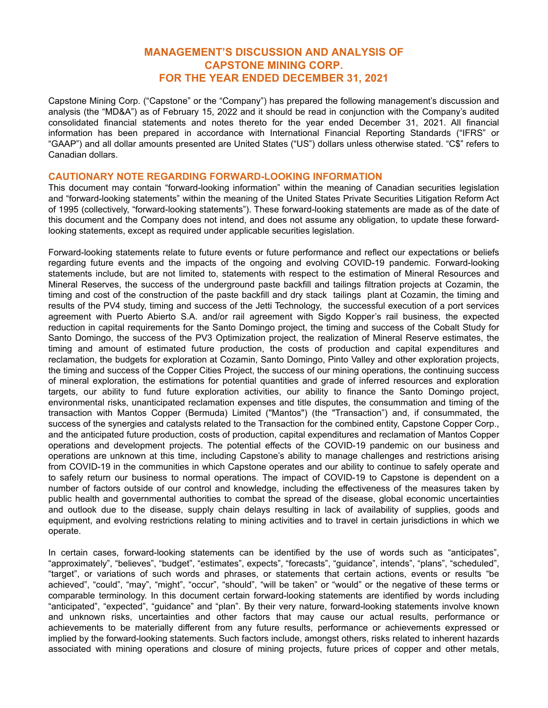# **MANAGEMENT'S DISCUSSION AND ANALYSIS OF CAPSTONE MINING CORP. FOR THE YEAR ENDED DECEMBER 31, 2021**

Capstone Mining Corp. ("Capstone" or the "Company") has prepared the following management's discussion and analysis (the "MD&A") as of February 15, 2022 and it should be read in conjunction with the Company's audited consolidated financial statements and notes thereto for the year ended December 31, 2021. All financial information has been prepared in accordance with International Financial Reporting Standards ("IFRS" or "GAAP") and all dollar amounts presented are United States ("US") dollars unless otherwise stated. "C\$" refers to Canadian dollars.

#### **CAUTIONARY NOTE REGARDING FORWARD-LOOKING INFORMATION**

This document may contain "forward-looking information" within the meaning of Canadian securities legislation and "forward-looking statements" within the meaning of the United States Private Securities Litigation Reform Act of 1995 (collectively, "forward-looking statements"). These forward-looking statements are made as of the date of this document and the Company does not intend, and does not assume any obligation, to update these forwardlooking statements, except as required under applicable securities legislation.

Forward-looking statements relate to future events or future performance and reflect our expectations or beliefs regarding future events and the impacts of the ongoing and evolving COVID-19 pandemic. Forward-looking statements include, but are not limited to, statements with respect to the estimation of Mineral Resources and Mineral Reserves, the success of the underground paste backfill and tailings filtration projects at Cozamin, the timing and cost of the construction of the paste backfill and dry stack tailings plant at Cozamin, the timing and results of the PV4 study, timing and success of the Jetti Technology, the successful execution of a port services agreement with Puerto Abierto S.A. and/or rail agreement with Sigdo Kopper's rail business, the expected reduction in capital requirements for the Santo Domingo project, the timing and success of the Cobalt Study for Santo Domingo, the success of the PV3 Optimization project, the realization of Mineral Reserve estimates, the timing and amount of estimated future production, the costs of production and capital expenditures and reclamation, the budgets for exploration at Cozamin, Santo Domingo, Pinto Valley and other exploration projects, the timing and success of the Copper Cities Project, the success of our mining operations, the continuing success of mineral exploration, the estimations for potential quantities and grade of inferred resources and exploration targets, our ability to fund future exploration activities, our ability to finance the Santo Domingo project, environmental risks, unanticipated reclamation expenses and title disputes, the consummation and timing of the transaction with Mantos Copper (Bermuda) Limited ("Mantos") (the "Transaction") and, if consummated, the success of the synergies and catalysts related to the Transaction for the combined entity, Capstone Copper Corp., and the anticipated future production, costs of production, capital expenditures and reclamation of Mantos Copper operations and development projects. The potential effects of the COVID-19 pandemic on our business and operations are unknown at this time, including Capstone's ability to manage challenges and restrictions arising from COVID-19 in the communities in which Capstone operates and our ability to continue to safely operate and to safely return our business to normal operations. The impact of COVID-19 to Capstone is dependent on a number of factors outside of our control and knowledge, including the effectiveness of the measures taken by public health and governmental authorities to combat the spread of the disease, global economic uncertainties and outlook due to the disease, supply chain delays resulting in lack of availability of supplies, goods and equipment, and evolving restrictions relating to mining activities and to travel in certain jurisdictions in which we operate.

In certain cases, forward-looking statements can be identified by the use of words such as "anticipates", "approximately", "believes", "budget", "estimates", expects", "forecasts", "guidance", intends", "plans", "scheduled", "target", or variations of such words and phrases, or statements that certain actions, events or results "be achieved", "could", "may", "might", "occur", "should", "will be taken" or "would" or the negative of these terms or comparable terminology. In this document certain forward-looking statements are identified by words including "anticipated", "expected", "guidance" and "plan". By their very nature, forward-looking statements involve known and unknown risks, uncertainties and other factors that may cause our actual results, performance or achievements to be materially different from any future results, performance or achievements expressed or implied by the forward-looking statements. Such factors include, amongst others, risks related to inherent hazards associated with mining operations and closure of mining projects, future prices of copper and other metals,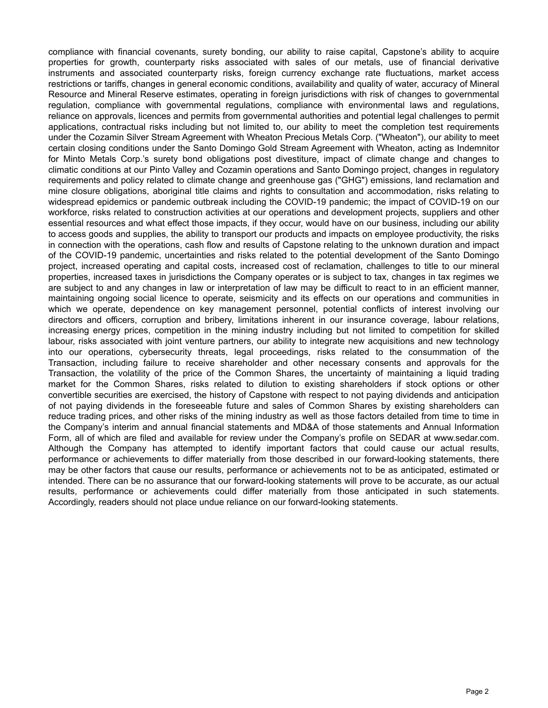compliance with financial covenants, surety bonding, our ability to raise capital, Capstone's ability to acquire properties for growth, counterparty risks associated with sales of our metals, use of financial derivative instruments and associated counterparty risks, foreign currency exchange rate fluctuations, market access restrictions or tariffs, changes in general economic conditions, availability and quality of water, accuracy of Mineral Resource and Mineral Reserve estimates, operating in foreign jurisdictions with risk of changes to governmental regulation, compliance with governmental regulations, compliance with environmental laws and regulations, reliance on approvals, licences and permits from governmental authorities and potential legal challenges to permit applications, contractual risks including but not limited to, our ability to meet the completion test requirements under the Cozamin Silver Stream Agreement with Wheaton Precious Metals Corp. ("Wheaton"), our ability to meet certain closing conditions under the Santo Domingo Gold Stream Agreement with Wheaton, acting as Indemnitor for Minto Metals Corp.'s surety bond obligations post divestiture, impact of climate change and changes to climatic conditions at our Pinto Valley and Cozamin operations and Santo Domingo project, changes in regulatory requirements and policy related to climate change and greenhouse gas ("GHG") emissions, land reclamation and mine closure obligations, aboriginal title claims and rights to consultation and accommodation, risks relating to widespread epidemics or pandemic outbreak including the COVID-19 pandemic; the impact of COVID-19 on our workforce, risks related to construction activities at our operations and development projects, suppliers and other essential resources and what effect those impacts, if they occur, would have on our business, including our ability to access goods and supplies, the ability to transport our products and impacts on employee productivity, the risks in connection with the operations, cash flow and results of Capstone relating to the unknown duration and impact of the COVID-19 pandemic, uncertainties and risks related to the potential development of the Santo Domingo project, increased operating and capital costs, increased cost of reclamation, challenges to title to our mineral properties, increased taxes in jurisdictions the Company operates or is subject to tax, changes in tax regimes we are subject to and any changes in law or interpretation of law may be difficult to react to in an efficient manner, maintaining ongoing social licence to operate, seismicity and its effects on our operations and communities in which we operate, dependence on key management personnel, potential conflicts of interest involving our directors and officers, corruption and bribery, limitations inherent in our insurance coverage, labour relations, increasing energy prices, competition in the mining industry including but not limited to competition for skilled labour, risks associated with joint venture partners, our ability to integrate new acquisitions and new technology into our operations, cybersecurity threats, legal proceedings, risks related to the consummation of the Transaction, including failure to receive shareholder and other necessary consents and approvals for the Transaction, the volatility of the price of the Common Shares, the uncertainty of maintaining a liquid trading market for the Common Shares, risks related to dilution to existing shareholders if stock options or other convertible securities are exercised, the history of Capstone with respect to not paying dividends and anticipation of not paying dividends in the foreseeable future and sales of Common Shares by existing shareholders can reduce trading prices, and other risks of the mining industry as well as those factors detailed from time to time in the Company's interim and annual financial statements and MD&A of those statements and Annual Information Form, all of which are filed and available for review under the Company's profile on SEDAR at www.sedar.com. Although the Company has attempted to identify important factors that could cause our actual results, performance or achievements to differ materially from those described in our forward-looking statements, there may be other factors that cause our results, performance or achievements not to be as anticipated, estimated or intended. There can be no assurance that our forward-looking statements will prove to be accurate, as our actual results, performance or achievements could differ materially from those anticipated in such statements. Accordingly, readers should not place undue reliance on our forward-looking statements.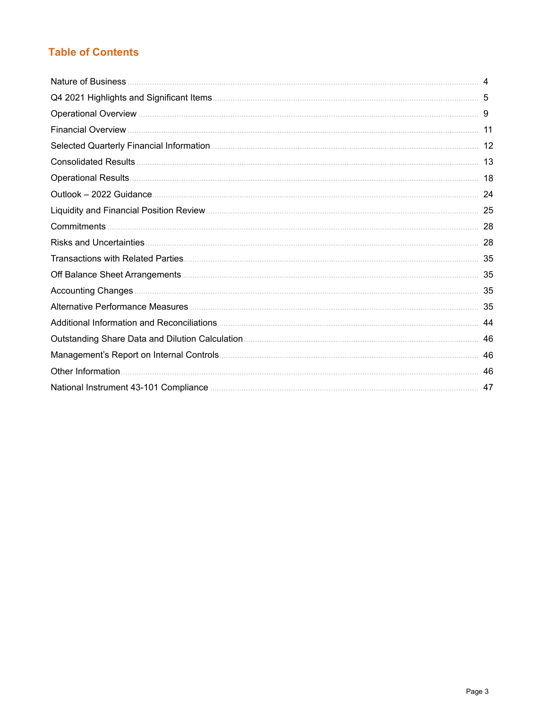# **Table of Contents**

|                                                                                                                       | 4  |
|-----------------------------------------------------------------------------------------------------------------------|----|
|                                                                                                                       | 5  |
|                                                                                                                       | 9  |
|                                                                                                                       | 11 |
|                                                                                                                       | 12 |
|                                                                                                                       | 13 |
|                                                                                                                       | 18 |
|                                                                                                                       | 24 |
|                                                                                                                       | 25 |
|                                                                                                                       | 28 |
|                                                                                                                       | 28 |
|                                                                                                                       | 35 |
|                                                                                                                       | 35 |
|                                                                                                                       | 35 |
|                                                                                                                       | 35 |
|                                                                                                                       | 44 |
| Outstanding Share Data and Dilution Calculation <b>[19] Direction</b> 2014 19:00 and 2014 19:00 and 2014 19:00 and 20 | 46 |
|                                                                                                                       | 46 |
| Other Information.                                                                                                    | 46 |
|                                                                                                                       | 47 |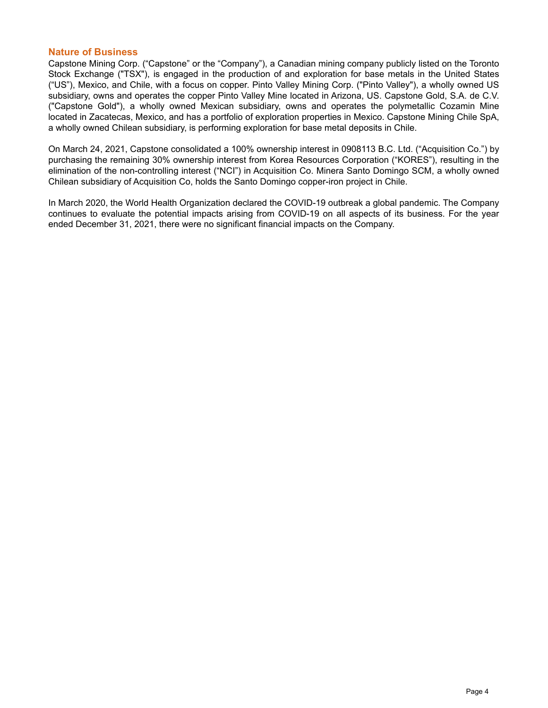#### <span id="page-4-0"></span>**Nature of Business**

Capstone Mining Corp. ("Capstone" or the "Company"), a Canadian mining company publicly listed on the Toronto Stock Exchange ("TSX"), is engaged in the production of and exploration for base metals in the United States ("US"), Mexico, and Chile, with a focus on copper. Pinto Valley Mining Corp. ("Pinto Valley"), a wholly owned US subsidiary, owns and operates the copper Pinto Valley Mine located in Arizona, US. Capstone Gold, S.A. de C.V. ("Capstone Gold"), a wholly owned Mexican subsidiary, owns and operates the polymetallic Cozamin Mine located in Zacatecas, Mexico, and has a portfolio of exploration properties in Mexico. Capstone Mining Chile SpA, a wholly owned Chilean subsidiary, is performing exploration for base metal deposits in Chile.

On March 24, 2021, Capstone consolidated a 100% ownership interest in 0908113 B.C. Ltd. ("Acquisition Co.") by purchasing the remaining 30% ownership interest from Korea Resources Corporation ("KORES"), resulting in the elimination of the non-controlling interest ("NCI") in Acquisition Co. Minera Santo Domingo SCM, a wholly owned Chilean subsidiary of Acquisition Co, holds the Santo Domingo copper-iron project in Chile.

In March 2020, the World Health Organization declared the COVID-19 outbreak a global pandemic. The Company continues to evaluate the potential impacts arising from COVID-19 on all aspects of its business. For the year ended December 31, 2021, there were no significant financial impacts on the Company.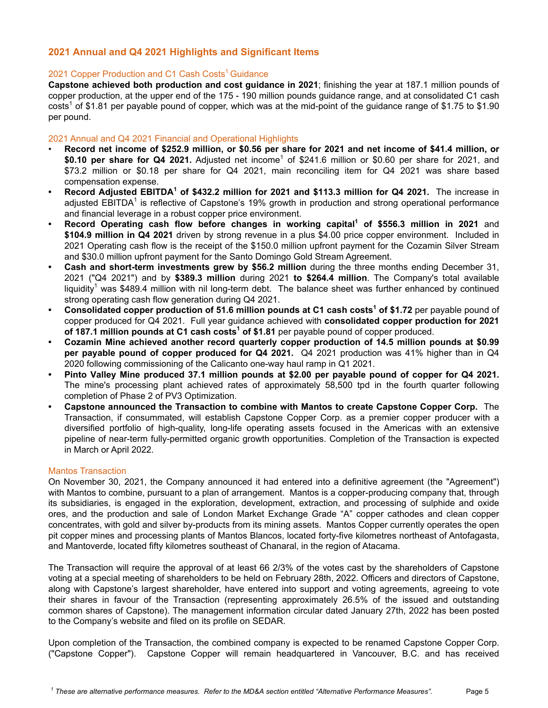# <span id="page-5-0"></span>**2021 Annual and Q4 2021 Highlights and Significant Items**

#### 2021 Copper Production and C1 Cash Costs<sup>1</sup> Guidance

**Capstone achieved both production and cost guidance in 2021**; finishing the year at 187.1 million pounds of copper production, at the upper end of the 175 - 190 million pounds guidance range, and at consolidated C1 cash  $\text{costs}^1$  of \$1.81 per payable pound of copper, which was at the mid-point of the guidance range of \$1.75 to \$1.90 per pound.

#### 2021 Annual and Q4 2021 Financial and Operational Highlights

- **Record net income of \$252.9 million, or \$0.56 per share for 2021 and net income of \$41.4 million, or**  \$0.10 per share for Q4 2021. Adjusted net income<sup>1</sup> of \$241.6 million or \$0.60 per share for 2021, and \$73.2 million or \$0.18 per share for Q4 2021, main reconciling item for Q4 2021 was share based compensation expense.
- **• Record Adjusted EBITDA<sup>1</sup> of \$432.2 million for 2021 and \$113.3 million for Q4 2021.** The increase in adjusted EBITDA<sup>1</sup> is reflective of Capstone's 19% growth in production and strong operational performance and financial leverage in a robust copper price environment.
- **•** Record Operating cash flow before changes in working capital<sup>1</sup> of \$556.3 million in 2021 and **\$104.9 million in Q4 2021** driven by strong revenue in a plus \$4.00 price copper environment. Included in 2021 Operating cash flow is the receipt of the \$150.0 million upfront payment for the Cozamin Silver Stream and \$30.0 million upfront payment for the Santo Domingo Gold Stream Agreement.
- **• Cash and short-term investments grew by \$56.2 million** during the three months ending December 31, 2021 ("Q4 2021") and by **\$389.3 million** during 2021 **to \$264.4 million**. The Company's total available liquidity<sup>1</sup> was \$489.4 million with nil long-term debt. The balance sheet was further enhanced by continued strong operating cash flow generation during Q4 2021.
- **•** Consolidated copper production of 51.6 million pounds at C1 cash costs<sup>1</sup> of \$1.72 per payable pound of copper produced for Q4 2021. Full year guidance achieved with **consolidated copper production for 2021 of 187.1 million pounds at C1 cash costs<sup>1</sup> of \$1.81** per payable pound of copper produced.
- **• Cozamin Mine achieved another record quarterly copper production of 14.5 million pounds at \$0.99 per payable pound of copper produced for Q4 2021.** Q4 2021 production was 41% higher than in Q4 2020 following commissioning of the Calicanto one-way haul ramp in Q1 2021.
- **• Pinto Valley Mine produced 37.1 million pounds at \$2.00 per payable pound of copper for Q4 2021.**  The mine's processing plant achieved rates of approximately 58,500 tpd in the fourth quarter following completion of Phase 2 of PV3 Optimization.
- **• Capstone announced the Transaction to combine with Mantos to create Capstone Copper Corp.** The Transaction, if consummated, will establish Capstone Copper Corp. as a premier copper producer with a diversified portfolio of high-quality, long-life operating assets focused in the Americas with an extensive pipeline of near-term fully-permitted organic growth opportunities. Completion of the Transaction is expected in March or April 2022.

#### Mantos Transaction

On November 30, 2021, the Company announced it had entered into a definitive agreement (the "Agreement") with Mantos to combine, pursuant to a plan of arrangement. Mantos is a copper-producing company that, through its subsidiaries, is engaged in the exploration, development, extraction, and processing of sulphide and oxide ores, and the production and sale of London Market Exchange Grade "A" copper cathodes and clean copper concentrates, with gold and silver by-products from its mining assets. Mantos Copper currently operates the open pit copper mines and processing plants of Mantos Blancos, located forty-five kilometres northeast of Antofagasta, and Mantoverde, located fifty kilometres southeast of Chanaral, in the region of Atacama.

The Transaction will require the approval of at least 66 2/3% of the votes cast by the shareholders of Capstone voting at a special meeting of shareholders to be held on February 28th, 2022. Officers and directors of Capstone, along with Capstone's largest shareholder, have entered into support and voting agreements, agreeing to vote their shares in favour of the Transaction (representing approximately 26.5% of the issued and outstanding common shares of Capstone). The management information circular dated January 27th, 2022 has been posted to the Company's website and filed on its profile on SEDAR.

Upon completion of the Transaction, the combined company is expected to be renamed Capstone Copper Corp. ("Capstone Copper"). Capstone Copper will remain headquartered in Vancouver, B.C. and has received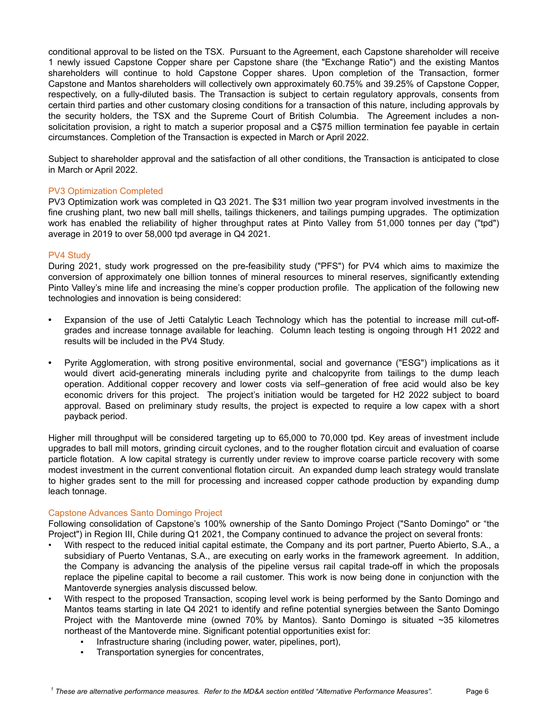conditional approval to be listed on the TSX. Pursuant to the Agreement, each Capstone shareholder will receive 1 newly issued Capstone Copper share per Capstone share (the "Exchange Ratio") and the existing Mantos shareholders will continue to hold Capstone Copper shares. Upon completion of the Transaction, former Capstone and Mantos shareholders will collectively own approximately 60.75% and 39.25% of Capstone Copper, respectively, on a fully-diluted basis. The Transaction is subject to certain regulatory approvals, consents from certain third parties and other customary closing conditions for a transaction of this nature, including approvals by the security holders, the TSX and the Supreme Court of British Columbia. The Agreement includes a nonsolicitation provision, a right to match a superior proposal and a C\$75 million termination fee payable in certain circumstances. Completion of the Transaction is expected in March or April 2022.

Subject to shareholder approval and the satisfaction of all other conditions, the Transaction is anticipated to close in March or April 2022.

#### PV3 Optimization Completed

PV3 Optimization work was completed in Q3 2021. The \$31 million two year program involved investments in the fine crushing plant, two new ball mill shells, tailings thickeners, and tailings pumping upgrades. The optimization work has enabled the reliability of higher throughput rates at Pinto Valley from 51,000 tonnes per day ("tpd") average in 2019 to over 58,000 tpd average in Q4 2021.

#### PV4 Study

During 2021, study work progressed on the pre-feasibility study ("PFS") for PV4 which aims to maximize the conversion of approximately one billion tonnes of mineral resources to mineral reserves, significantly extending Pinto Valley's mine life and increasing the mine's copper production profile. The application of the following new technologies and innovation is being considered:

- **•** Expansion of the use of Jetti Catalytic Leach Technology which has the potential to increase mill cut-offgrades and increase tonnage available for leaching. Column leach testing is ongoing through H1 2022 and results will be included in the PV4 Study.
- **•** Pyrite Agglomeration, with strong positive environmental, social and governance ("ESG") implications as it would divert acid-generating minerals including pyrite and chalcopyrite from tailings to the dump leach operation. Additional copper recovery and lower costs via self–generation of free acid would also be key economic drivers for this project. The project's initiation would be targeted for H2 2022 subject to board approval. Based on preliminary study results, the project is expected to require a low capex with a short payback period.

Higher mill throughput will be considered targeting up to 65,000 to 70,000 tpd. Key areas of investment include upgrades to ball mill motors, grinding circuit cyclones, and to the rougher flotation circuit and evaluation of coarse particle flotation. A low capital strategy is currently under review to improve coarse particle recovery with some modest investment in the current conventional flotation circuit. An expanded dump leach strategy would translate to higher grades sent to the mill for processing and increased copper cathode production by expanding dump leach tonnage.

#### Capstone Advances Santo Domingo Project

Following consolidation of Capstone's 100% ownership of the Santo Domingo Project ("Santo Domingo" or "the Project") in Region III, Chile during Q1 2021, the Company continued to advance the project on several fronts:

- With respect to the reduced initial capital estimate, the Company and its port partner, Puerto Abierto, S.A., a subsidiary of Puerto Ventanas, S.A., are executing on early works in the framework agreement. In addition, the Company is advancing the analysis of the pipeline versus rail capital trade-off in which the proposals replace the pipeline capital to become a rail customer. This work is now being done in conjunction with the Mantoverde synergies analysis discussed below.
- With respect to the proposed Transaction, scoping level work is being performed by the Santo Domingo and Mantos teams starting in late Q4 2021 to identify and refine potential synergies between the Santo Domingo Project with the Mantoverde mine (owned 70% by Mantos). Santo Domingo is situated ~35 kilometres northeast of the Mantoverde mine. Significant potential opportunities exist for:
	- Infrastructure sharing (including power, water, pipelines, port),
	- Transportation synergies for concentrates,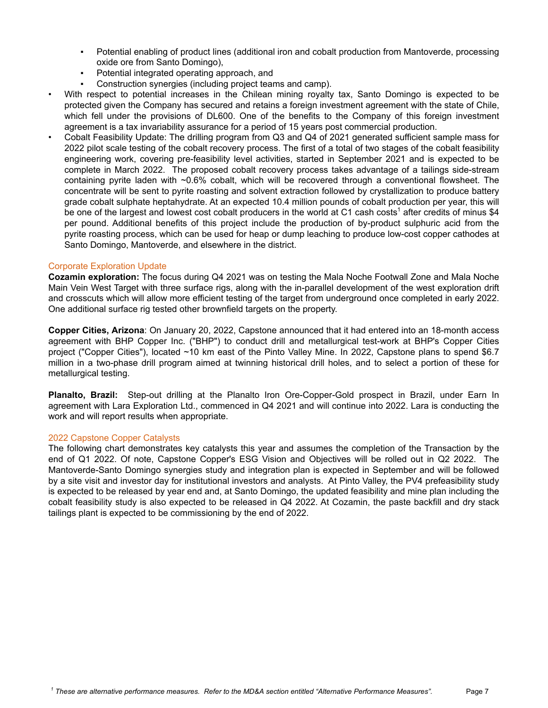- Potential enabling of product lines (additional iron and cobalt production from Mantoverde, processing oxide ore from Santo Domingo),
- Potential integrated operating approach, and
- Construction synergies (including project teams and camp).
- With respect to potential increases in the Chilean mining royalty tax, Santo Domingo is expected to be protected given the Company has secured and retains a foreign investment agreement with the state of Chile, which fell under the provisions of DL600. One of the benefits to the Company of this foreign investment agreement is a tax invariability assurance for a period of 15 years post commercial production.
- Cobalt Feasibility Update: The drilling program from Q3 and Q4 of 2021 generated sufficient sample mass for 2022 pilot scale testing of the cobalt recovery process. The first of a total of two stages of the cobalt feasibility engineering work, covering pre-feasibility level activities, started in September 2021 and is expected to be complete in March 2022. The proposed cobalt recovery process takes advantage of a tailings side-stream containing pyrite laden with ~0.6% cobalt, which will be recovered through a conventional flowsheet. The concentrate will be sent to pyrite roasting and solvent extraction followed by crystallization to produce battery grade cobalt sulphate heptahydrate. At an expected 10.4 million pounds of cobalt production per year, this will be one of the largest and lowest cost cobalt producers in the world at C1 cash costs<sup>1</sup> after credits of minus \$4 per pound. Additional benefits of this project include the production of by-product sulphuric acid from the pyrite roasting process, which can be used for heap or dump leaching to produce low-cost copper cathodes at Santo Domingo, Mantoverde, and elsewhere in the district.

#### Corporate Exploration Update

**Cozamin exploration:** The focus during Q4 2021 was on testing the Mala Noche Footwall Zone and Mala Noche Main Vein West Target with three surface rigs, along with the in-parallel development of the west exploration drift and crosscuts which will allow more efficient testing of the target from underground once completed in early 2022. One additional surface rig tested other brownfield targets on the property.

**Copper Cities, Arizona**: On January 20, 2022, Capstone announced that it had entered into an 18-month access agreement with BHP Copper Inc. ("BHP") to conduct drill and metallurgical test-work at BHP's Copper Cities project ("Copper Cities"), located ~10 km east of the Pinto Valley Mine. In 2022, Capstone plans to spend \$6.7 million in a two-phase drill program aimed at twinning historical drill holes, and to select a portion of these for metallurgical testing.

**Planalto, Brazil:** Step-out drilling at the Planalto Iron Ore-Copper-Gold prospect in Brazil, under Earn In agreement with Lara Exploration Ltd., commenced in Q4 2021 and will continue into 2022. Lara is conducting the work and will report results when appropriate.

#### 2022 Capstone Copper Catalysts

The following chart demonstrates key catalysts this year and assumes the completion of the Transaction by the end of Q1 2022. Of note, Capstone Copper's ESG Vision and Objectives will be rolled out in Q2 2022. The Mantoverde-Santo Domingo synergies study and integration plan is expected in September and will be followed by a site visit and investor day for institutional investors and analysts. At Pinto Valley, the PV4 prefeasibility study is expected to be released by year end and, at Santo Domingo, the updated feasibility and mine plan including the cobalt feasibility study is also expected to be released in Q4 2022. At Cozamin, the paste backfill and dry stack tailings plant is expected to be commissioning by the end of 2022.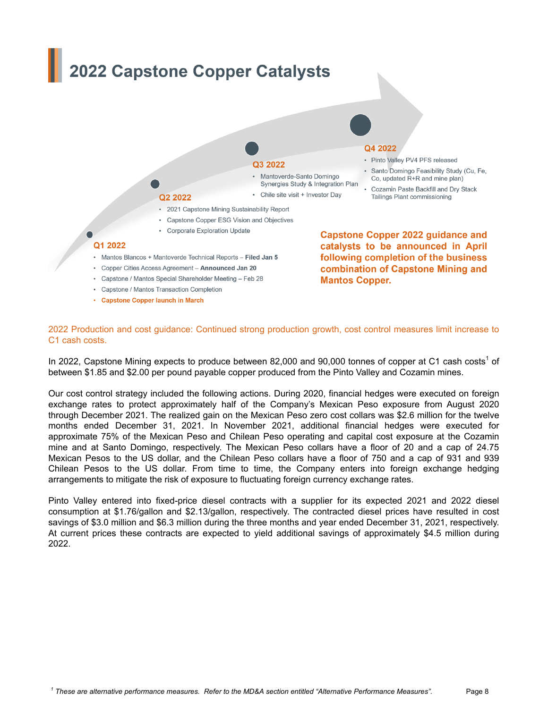

### 2022 Production and cost guidance: Continued strong production growth, cost control measures limit increase to C1 cash costs.

In 2022, Capstone Mining expects to produce between 82,000 and 90,000 tonnes of copper at C1 cash costs<sup>1</sup> of between \$1.85 and \$2.00 per pound payable copper produced from the Pinto Valley and Cozamin mines.

Our cost control strategy included the following actions. During 2020, financial hedges were executed on foreign exchange rates to protect approximately half of the Company's Mexican Peso exposure from August 2020 through December 2021. The realized gain on the Mexican Peso zero cost collars was \$2.6 million for the twelve months ended December 31, 2021. In November 2021, additional financial hedges were executed for approximate 75% of the Mexican Peso and Chilean Peso operating and capital cost exposure at the Cozamin mine and at Santo Domingo, respectively. The Mexican Peso collars have a floor of 20 and a cap of 24.75 Mexican Pesos to the US dollar, and the Chilean Peso collars have a floor of 750 and a cap of 931 and 939 Chilean Pesos to the US dollar. From time to time, the Company enters into foreign exchange hedging arrangements to mitigate the risk of exposure to fluctuating foreign currency exchange rates.

Pinto Valley entered into fixed-price diesel contracts with a supplier for its expected 2021 and 2022 diesel consumption at \$1.76/gallon and \$2.13/gallon, respectively. The contracted diesel prices have resulted in cost savings of \$3.0 million and \$6.3 million during the three months and year ended December 31, 2021, respectively. At current prices these contracts are expected to yield additional savings of approximately \$4.5 million during 2022.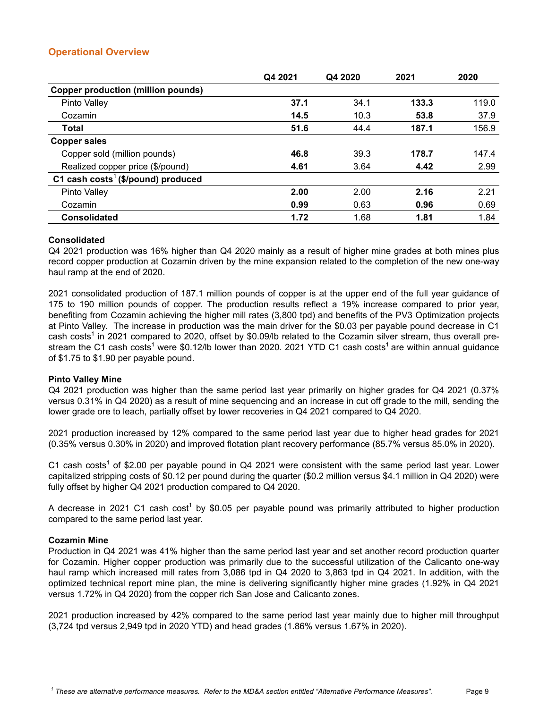# <span id="page-9-0"></span>**Operational Overview**

|                                                | Q4 2021 | Q4 2020 | 2021  | 2020  |
|------------------------------------------------|---------|---------|-------|-------|
| <b>Copper production (million pounds)</b>      |         |         |       |       |
| Pinto Valley                                   | 37.1    | 34.1    | 133.3 | 119.0 |
| Cozamin                                        | 14.5    | 10.3    | 53.8  | 37.9  |
| Total                                          | 51.6    | 44.4    | 187.1 | 156.9 |
| <b>Copper sales</b>                            |         |         |       |       |
| Copper sold (million pounds)                   | 46.8    | 39.3    | 178.7 | 147.4 |
| Realized copper price (\$/pound)               | 4.61    | 3.64    | 4.42  | 2.99  |
| C1 cash costs <sup>1</sup> (\$/pound) produced |         |         |       |       |
| Pinto Valley                                   | 2.00    | 2.00    | 2.16  | 2.21  |
| Cozamin                                        | 0.99    | 0.63    | 0.96  | 0.69  |
| <b>Consolidated</b>                            | 1.72    | 1.68    | 1.81  | 1.84  |

#### **Consolidated**

Q4 2021 production was 16% higher than Q4 2020 mainly as a result of higher mine grades at both mines plus record copper production at Cozamin driven by the mine expansion related to the completion of the new one-way haul ramp at the end of 2020.

2021 consolidated production of 187.1 million pounds of copper is at the upper end of the full year guidance of 175 to 190 million pounds of copper. The production results reflect a 19% increase compared to prior year, benefiting from Cozamin achieving the higher mill rates (3,800 tpd) and benefits of the PV3 Optimization projects at Pinto Valley. The increase in production was the main driver for the \$0.03 per payable pound decrease in C1 cash costs<sup>1</sup> in 2021 compared to 2020, offset by \$0.09/lb related to the Cozamin silver stream, thus overall prestream the C1 cash costs<sup>1</sup> were \$0.12/lb lower than 2020. 2021 YTD C1 cash costs<sup>1</sup> are within annual guidance of \$1.75 to \$1.90 per payable pound.

#### **Pinto Valley Mine**

Q4 2021 production was higher than the same period last year primarily on higher grades for Q4 2021 (0.37% versus 0.31% in Q4 2020) as a result of mine sequencing and an increase in cut off grade to the mill, sending the lower grade ore to leach, partially offset by lower recoveries in Q4 2021 compared to Q4 2020.

2021 production increased by 12% compared to the same period last year due to higher head grades for 2021 (0.35% versus 0.30% in 2020) and improved flotation plant recovery performance (85.7% versus 85.0% in 2020).

C1 cash costs<sup>1</sup> of \$2.00 per payable pound in Q4 2021 were consistent with the same period last year. Lower capitalized stripping costs of \$0.12 per pound during the quarter (\$0.2 million versus \$4.1 million in Q4 2020) were fully offset by higher Q4 2021 production compared to Q4 2020.

A decrease in 2021 C1 cash cost<sup>1</sup> by \$0.05 per payable pound was primarily attributed to higher production compared to the same period last year.

#### **Cozamin Mine**

Production in Q4 2021 was 41% higher than the same period last year and set another record production quarter for Cozamin. Higher copper production was primarily due to the successful utilization of the Calicanto one-way haul ramp which increased mill rates from 3,086 tpd in Q4 2020 to 3,863 tpd in Q4 2021. In addition, with the optimized technical report mine plan, the mine is delivering significantly higher mine grades (1.92% in Q4 2021 versus 1.72% in Q4 2020) from the copper rich San Jose and Calicanto zones.

2021 production increased by 42% compared to the same period last year mainly due to higher mill throughput (3,724 tpd versus 2,949 tpd in 2020 YTD) and head grades (1.86% versus 1.67% in 2020).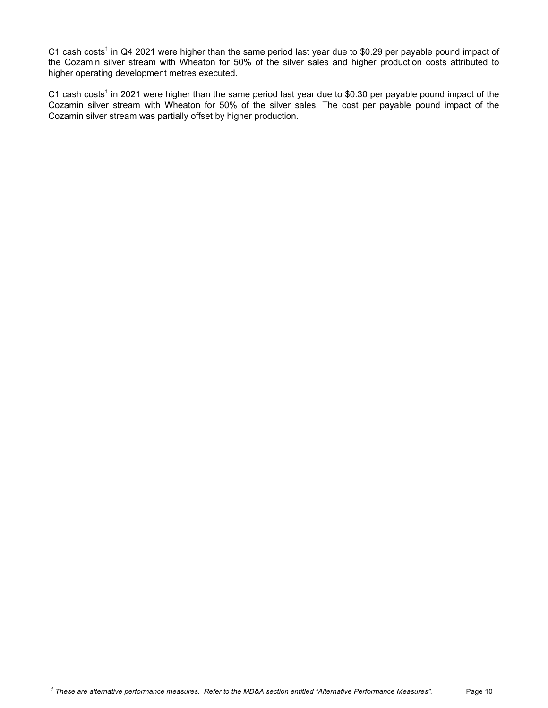C1 cash costs<sup>1</sup> in Q4 2021 were higher than the same period last year due to \$0.29 per payable pound impact of the Cozamin silver stream with Wheaton for 50% of the silver sales and higher production costs attributed to higher operating development metres executed.

C1 cash costs<sup>1</sup> in 2021 were higher than the same period last year due to \$0.30 per payable pound impact of the Cozamin silver stream with Wheaton for 50% of the silver sales. The cost per payable pound impact of the Cozamin silver stream was partially offset by higher production.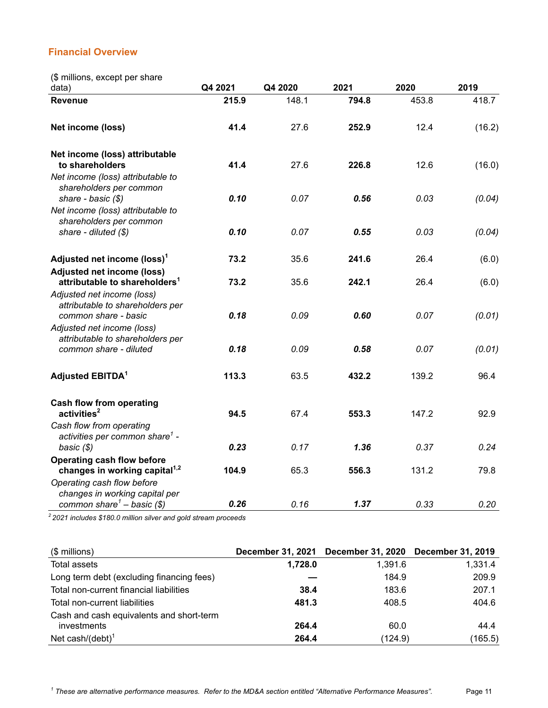# <span id="page-11-0"></span>**Financial Overview**

| (\$ millions, except per share                                                                                       |         |         |       |       |        |
|----------------------------------------------------------------------------------------------------------------------|---------|---------|-------|-------|--------|
| data)                                                                                                                | Q4 2021 | Q4 2020 | 2021  | 2020  | 2019   |
| <b>Revenue</b>                                                                                                       | 215.9   | 148.1   | 794.8 | 453.8 | 418.7  |
| Net income (loss)                                                                                                    | 41.4    | 27.6    | 252.9 | 12.4  | (16.2) |
| Net income (loss) attributable<br>to shareholders<br>Net income (loss) attributable to                               | 41.4    | 27.6    | 226.8 | 12.6  | (16.0) |
| shareholders per common<br>share - basic (\$)<br>Net income (loss) attributable to                                   | 0.10    | 0.07    | 0.56  | 0.03  | (0.04) |
| shareholders per common<br>share - diluted (\$)                                                                      | 0.10    | 0.07    | 0.55  | 0.03  | (0.04) |
| Adjusted net income (loss) <sup>1</sup>                                                                              | 73.2    | 35.6    | 241.6 | 26.4  | (6.0)  |
| Adjusted net income (loss)<br>attributable to shareholders <sup>1</sup>                                              | 73.2    | 35.6    | 242.1 | 26.4  | (6.0)  |
| Adjusted net income (loss)<br>attributable to shareholders per<br>common share - basic<br>Adjusted net income (loss) | 0.18    | 0.09    | 0.60  | 0.07  | (0.01) |
| attributable to shareholders per<br>common share - diluted                                                           | 0.18    | 0.09    | 0.58  | 0.07  | (0.01) |
| Adjusted EBITDA <sup>1</sup>                                                                                         | 113.3   | 63.5    | 432.2 | 139.2 | 96.4   |
| <b>Cash flow from operating</b><br>$\arctivities2$                                                                   | 94.5    | 67.4    | 553.3 | 147.2 | 92.9   |
| Cash flow from operating<br>activities per common share <sup>1</sup> -<br>basic (\$)                                 | 0.23    | 0.17    | 1.36  | 0.37  | 0.24   |
| <b>Operating cash flow before</b>                                                                                    |         |         |       |       |        |
| changes in working capital <sup>1,2</sup>                                                                            | 104.9   | 65.3    | 556.3 | 131.2 | 79.8   |
| Operating cash flow before<br>changes in working capital per<br>common share <sup>1</sup> – basic (\$)               | 0.26    | 0.16    | 1.37  | 0.33  | 0.20   |

*<sup>2</sup>2021 includes \$180.0 million silver and gold stream proceeds*

| (\$ millions)                             |         | December 31, 2021 December 31, 2020 December 31, 2019 |         |
|-------------------------------------------|---------|-------------------------------------------------------|---------|
| Total assets                              | 1,728.0 | 1.391.6                                               | 1,331.4 |
| Long term debt (excluding financing fees) |         | 184.9                                                 | 209.9   |
| Total non-current financial liabilities   | 38.4    | 183.6                                                 | 207.1   |
| Total non-current liabilities             | 481.3   | 408.5                                                 | 404.6   |
| Cash and cash equivalents and short-term  |         |                                                       |         |
| investments                               | 264.4   | 60.0                                                  | 44.4    |
| Net cash/(debt) $1$                       | 264.4   | (124.9)                                               | (165.5) |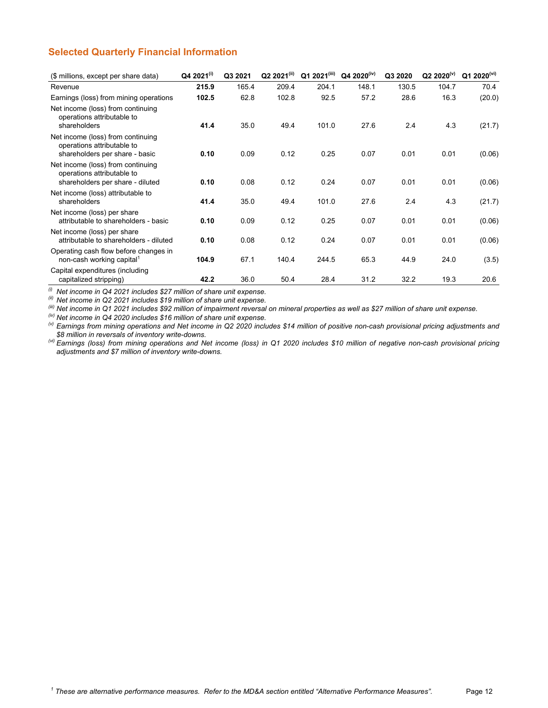# <span id="page-12-0"></span>**Selected Quarterly Financial Information**

| (\$ millions, except per share data)                                                                | $Q42021^{(i)}$ | Q3 2021 | Q2 2021(ii) | Q1 2021(iii) | Q4 2020 <sup>(iv)</sup> | Q3 2020 | $Q22020^{(v)}$ | $Q1 2020^{(vi)}$ |
|-----------------------------------------------------------------------------------------------------|----------------|---------|-------------|--------------|-------------------------|---------|----------------|------------------|
| Revenue                                                                                             | 215.9          | 165.4   | 209.4       | 204.1        | 148.1                   | 130.5   | 104.7          | 70.4             |
| Earnings (loss) from mining operations                                                              | 102.5          | 62.8    | 102.8       | 92.5         | 57.2                    | 28.6    | 16.3           | (20.0)           |
| Net income (loss) from continuing<br>operations attributable to<br>shareholders                     | 41.4           | 35.0    | 49.4        | 101.0        | 27.6                    | 2.4     | 4.3            | (21.7)           |
| Net income (loss) from continuing<br>operations attributable to<br>shareholders per share - basic   | 0.10           | 0.09    | 0.12        | 0.25         | 0.07                    | 0.01    | 0.01           | (0.06)           |
| Net income (loss) from continuing<br>operations attributable to<br>shareholders per share - diluted | 0.10           | 0.08    | 0.12        | 0.24         | 0.07                    | 0.01    | 0.01           | (0.06)           |
| Net income (loss) attributable to<br>shareholders                                                   | 41.4           | 35.0    | 49.4        | 101.0        | 27.6                    | 2.4     | 4.3            | (21.7)           |
| Net income (loss) per share<br>attributable to shareholders - basic                                 | 0.10           | 0.09    | 0.12        | 0.25         | 0.07                    | 0.01    | 0.01           | (0.06)           |
| Net income (loss) per share<br>attributable to shareholders - diluted                               | 0.10           | 0.08    | 0.12        | 0.24         | 0.07                    | 0.01    | 0.01           | (0.06)           |
| Operating cash flow before changes in<br>non-cash working capital                                   | 104.9          | 67.1    | 140.4       | 244.5        | 65.3                    | 44.9    | 24.0           | (3.5)            |
| Capital expenditures (including<br>capitalized stripping)                                           | 42.2           | 36.0    | 50.4        | 28.4         | 31.2                    | 32.2    | 19.3           | 20.6             |

*(i) Net income in Q4 2021 includes \$27 million of share unit expense.* 

*(ii) Net income in Q2 2021 includes \$19 million of share unit expense.* 

*(iii) Net income in Q1 2021 includes \$92 million of impairment reversal on mineral properties as well as \$27 million of share unit expense.*

*(iv) Net income in Q4 2020 includes \$16 million of share unit expense.* 

*(v) Earnings from mining operations and Net income in Q2 2020 includes \$14 million of positive non-cash provisional pricing adjustments and \$8 million in reversals of inventory write-downs.*

*(vi) Earnings (loss) from mining operations and Net income (loss) in Q1 2020 includes \$10 million of negative non-cash provisional pricing adjustments and \$7 million of inventory write-downs.*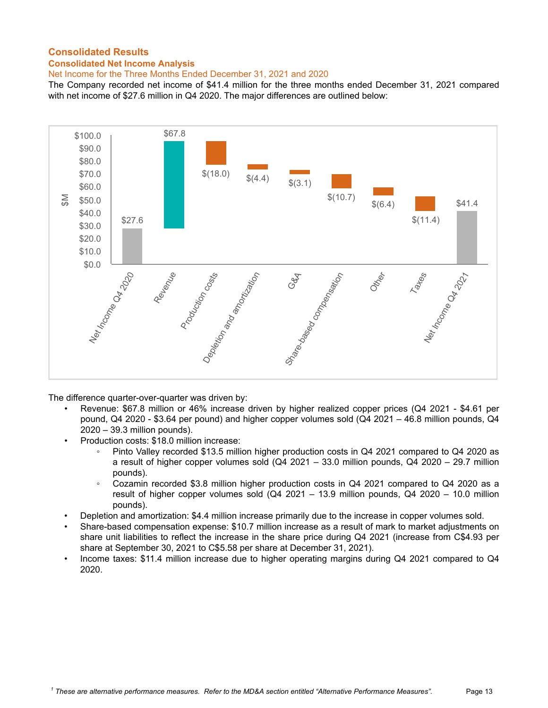# <span id="page-13-0"></span>**Consolidated Results**

#### **Consolidated Net Income Analysis**

#### Net Income for the Three Months Ended December 31, 2021 and 2020

The Company recorded net income of \$41.4 million for the three months ended December 31, 2021 compared with net income of \$27.6 million in Q4 2020. The major differences are outlined below:



The difference quarter-over-quarter was driven by:

- Revenue: \$67.8 million or 46% increase driven by higher realized copper prices (Q4 2021 \$4.61 per pound, Q4 2020 - \$3.64 per pound) and higher copper volumes sold (Q4 2021 – 46.8 million pounds, Q4 2020 – 39.3 million pounds).
- Production costs: \$18.0 million increase:
	- Pinto Valley recorded \$13.5 million higher production costs in Q4 2021 compared to Q4 2020 as a result of higher copper volumes sold (Q4 2021 – 33.0 million pounds, Q4 2020 – 29.7 million pounds).
	- Cozamin recorded \$3.8 million higher production costs in Q4 2021 compared to Q4 2020 as a result of higher copper volumes sold (Q4 2021 – 13.9 million pounds, Q4 2020 – 10.0 million pounds).
- Depletion and amortization: \$4.4 million increase primarily due to the increase in copper volumes sold.
- Share-based compensation expense: \$10.7 million increase as a result of mark to market adjustments on share unit liabilities to reflect the increase in the share price during Q4 2021 (increase from C\$4.93 per share at September 30, 2021 to C\$5.58 per share at December 31, 2021).
- Income taxes: \$11.4 million increase due to higher operating margins during Q4 2021 compared to Q4 2020.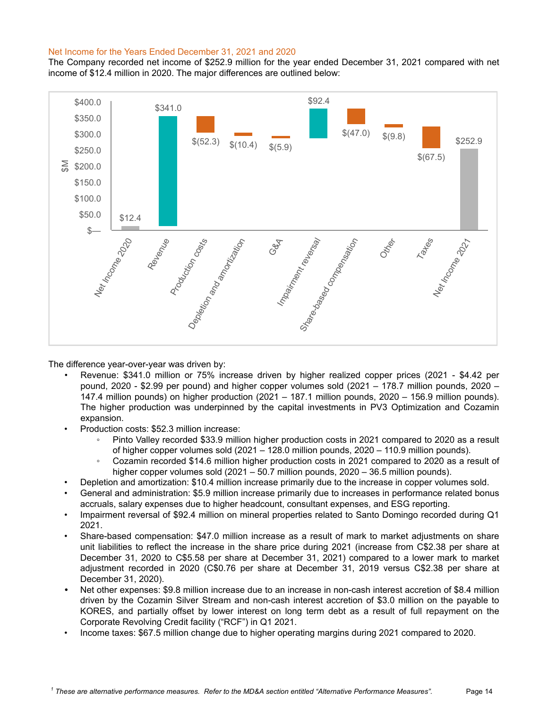#### Net Income for the Years Ended December 31, 2021 and 2020

The Company recorded net income of \$252.9 million for the year ended December 31, 2021 compared with net income of \$12.4 million in 2020. The major differences are outlined below:



The difference year-over-year was driven by:

- Revenue: \$341.0 million or 75% increase driven by higher realized copper prices (2021 \$4.42 per pound, 2020 - \$2.99 per pound) and higher copper volumes sold (2021 – 178.7 million pounds, 2020 – 147.4 million pounds) on higher production (2021 – 187.1 million pounds, 2020 – 156.9 million pounds). The higher production was underpinned by the capital investments in PV3 Optimization and Cozamin expansion.
- Production costs: \$52.3 million increase:
	- Pinto Valley recorded \$33.9 million higher production costs in 2021 compared to 2020 as a result of higher copper volumes sold (2021 – 128.0 million pounds, 2020 – 110.9 million pounds).
	- Cozamin recorded \$14.6 million higher production costs in 2021 compared to 2020 as a result of higher copper volumes sold (2021 – 50.7 million pounds, 2020 – 36.5 million pounds).
	- Depletion and amortization: \$10.4 million increase primarily due to the increase in copper volumes sold.
- General and administration: \$5.9 million increase primarily due to increases in performance related bonus accruals, salary expenses due to higher headcount, consultant expenses, and ESG reporting.
- Impairment reversal of \$92.4 million on mineral properties related to Santo Domingo recorded during Q1 2021.
- Share-based compensation: \$47.0 million increase as a result of mark to market adjustments on share unit liabilities to reflect the increase in the share price during 2021 (increase from C\$2.38 per share at December 31, 2020 to C\$5.58 per share at December 31, 2021) compared to a lower mark to market adjustment recorded in 2020 (C\$0.76 per share at December 31, 2019 versus C\$2.38 per share at December 31, 2020).
- *•* Net other expenses: \$9.8 million increase due to an increase in non-cash interest accretion of \$8.4 million driven by the Cozamin Silver Stream and non-cash interest accretion of \$3.0 million on the payable to KORES, and partially offset by lower interest on long term debt as a result of full repayment on the Corporate Revolving Credit facility ("RCF") in Q1 2021.
- Income taxes: \$67.5 million change due to higher operating margins during 2021 compared to 2020.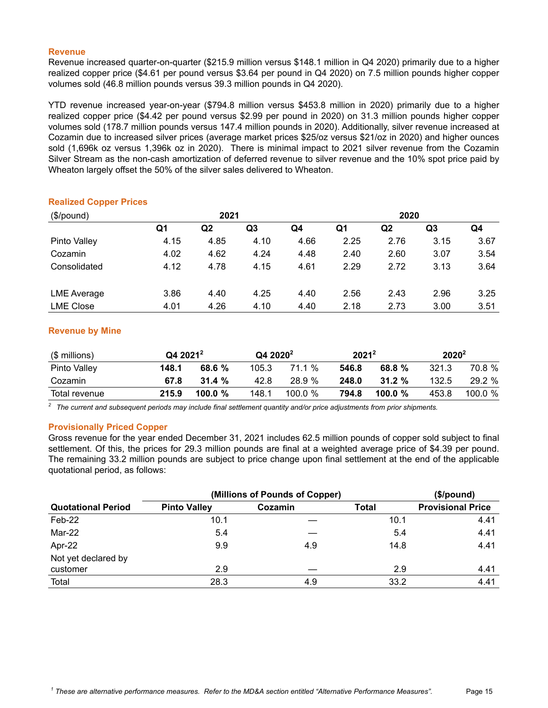#### **Revenue**

Revenue increased quarter-on-quarter (\$215.9 million versus \$148.1 million in Q4 2020) primarily due to a higher realized copper price (\$4.61 per pound versus \$3.64 per pound in Q4 2020) on 7.5 million pounds higher copper volumes sold (46.8 million pounds versus 39.3 million pounds in Q4 2020).

YTD revenue increased year-on-year (\$794.8 million versus \$453.8 million in 2020) primarily due to a higher realized copper price (\$4.42 per pound versus \$2.99 per pound in 2020) on 31.3 million pounds higher copper volumes sold (178.7 million pounds versus 147.4 million pounds in 2020). Additionally, silver revenue increased at Cozamin due to increased silver prices (average market prices \$25/oz versus \$21/oz in 2020) and higher ounces sold (1,696k oz versus 1,396k oz in 2020). There is minimal impact to 2021 silver revenue from the Cozamin Silver Stream as the non-cash amortization of deferred revenue to silver revenue and the 10% spot price paid by Wheaton largely offset the 50% of the silver sales delivered to Wheaton.

| (\$/bound)         |      | 2021 |                |      |      | 2020 |      |      |
|--------------------|------|------|----------------|------|------|------|------|------|
|                    | Q1   | Q2   | Q <sub>3</sub> | Q4   | Q1   | Q2   | Q3   | Q4   |
| Pinto Valley       | 4.15 | 4.85 | 4.10           | 4.66 | 2.25 | 2.76 | 3.15 | 3.67 |
| Cozamin            | 4.02 | 4.62 | 4.24           | 4.48 | 2.40 | 2.60 | 3.07 | 3.54 |
| Consolidated       | 4.12 | 4.78 | 4.15           | 4.61 | 2.29 | 2.72 | 3.13 | 3.64 |
| <b>LME Average</b> | 3.86 | 4.40 | 4.25           | 4.40 | 2.56 | 2.43 | 2.96 | 3.25 |
| <b>LME Close</b>   | 4.01 | 4.26 | 4.10           | 4.40 | 2.18 | 2.73 | 3.00 | 3.51 |

# **Realized Copper Prices**

#### **Revenue by Mine**

| (\$ millions)       | $Q42021^2$ |           | $Q42020^2$ |         | $2021^2$ |           | $2020^2$ |           |
|---------------------|------------|-----------|------------|---------|----------|-----------|----------|-----------|
| <b>Pinto Valley</b> | 148.1      | $68.6 \%$ | 105.3      | 71.1%   | 546.8    | $68.8 \%$ | 321.3    | 70.8 %    |
| Cozamin             | 67.8       | $31.4 \%$ | 42.8       | 28.9%   | 248.0    | $31.2 \%$ | 132.5    | 29.2%     |
| Total revenue       | 215.9      | 100.0 %   | 148.1      | 100.0 % | 794.8    | 100.0 %   | 453.8    | 100.0 $%$ |

*2 The current and subsequent periods may include final settlement quantity and/or price adjustments from prior shipments.* 

#### **Provisionally Priced Copper**

Gross revenue for the year ended December 31, 2021 includes 62.5 million pounds of copper sold subject to final settlement. Of this, the prices for 29.3 million pounds are final at a weighted average price of \$4.39 per pound. The remaining 33.2 million pounds are subject to price change upon final settlement at the end of the applicable quotational period, as follows:

|                           | (Millions of Pounds of Copper) | (\$/bound) |       |                          |
|---------------------------|--------------------------------|------------|-------|--------------------------|
| <b>Quotational Period</b> | <b>Pinto Valley</b>            | Cozamin    | Total | <b>Provisional Price</b> |
| Feb-22                    | 10.1                           |            | 10.1  | 4.41                     |
| Mar-22                    | 5.4                            |            | 5.4   | 4.41                     |
| Apr-22                    | 9.9                            | 4.9        | 14.8  | 4.41                     |
| Not yet declared by       |                                |            |       |                          |
| customer                  | 2.9                            |            | 2.9   | 4.41                     |
| Total                     | 28.3                           | 4.9        | 33.2  | 4.41                     |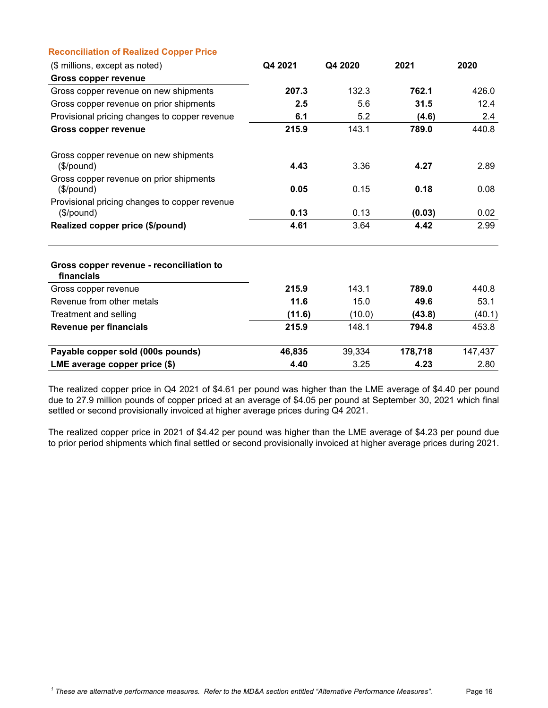| Q4 2021 | Q4 2020 | 2021    | 2020    |
|---------|---------|---------|---------|
|         |         |         |         |
| 207.3   | 132.3   | 762.1   | 426.0   |
| 2.5     | 5.6     | 31.5    | 12.4    |
| 6.1     | 5.2     | (4.6)   | 2.4     |
| 215.9   | 143.1   | 789.0   | 440.8   |
| 4.43    | 3.36    | 4.27    | 2.89    |
| 0.05    | 0.15    | 0.18    | 0.08    |
| 0.13    | 0.13    | (0.03)  | 0.02    |
| 4.61    | 3.64    | 4.42    | 2.99    |
|         |         |         |         |
| 215.9   | 143.1   | 789.0   | 440.8   |
| 11.6    | 15.0    | 49.6    | 53.1    |
| (11.6)  | (10.0)  | (43.8)  | (40.1)  |
| 215.9   | 148.1   | 794.8   | 453.8   |
| 46,835  | 39,334  | 178,718 | 147,437 |
| 4.40    | 3.25    | 4.23    | 2.80    |
|         |         |         |         |

# **Reconciliation of Realized Copper Price**

The realized copper price in Q4 2021 of \$4.61 per pound was higher than the LME average of \$4.40 per pound due to 27.9 million pounds of copper priced at an average of \$4.05 per pound at September 30, 2021 which final settled or second provisionally invoiced at higher average prices during Q4 2021.

The realized copper price in 2021 of \$4.42 per pound was higher than the LME average of \$4.23 per pound due to prior period shipments which final settled or second provisionally invoiced at higher average prices during 2021.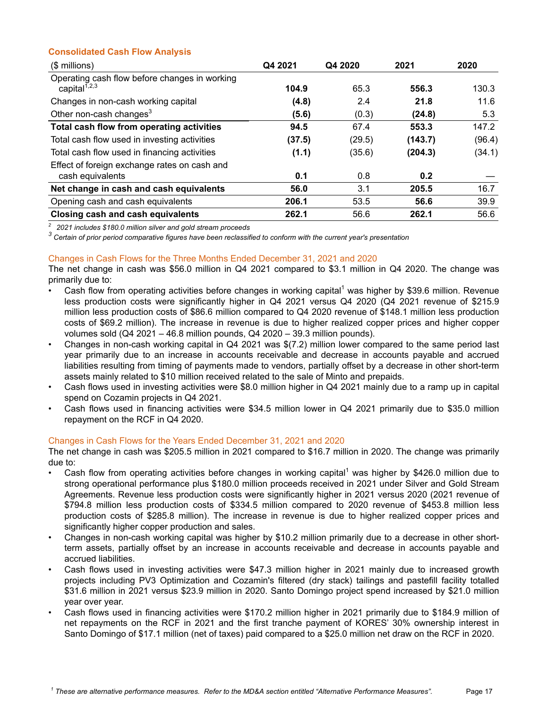| $$$ millions)                                                    | Q4 2021 | Q4 2020 | 2021    | 2020   |
|------------------------------------------------------------------|---------|---------|---------|--------|
| Operating cash flow before changes in working<br>capital $1,2,3$ | 104.9   | 65.3    | 556.3   | 130.3  |
| Changes in non-cash working capital                              | (4.8)   | 2.4     | 21.8    | 11.6   |
| Other non-cash changes <sup>3</sup>                              | (5.6)   | (0.3)   | (24.8)  | 5.3    |
| Total cash flow from operating activities                        | 94.5    | 67.4    | 553.3   | 147.2  |
| Total cash flow used in investing activities                     | (37.5)  | (29.5)  | (143.7) | (96.4) |
| Total cash flow used in financing activities                     | (1.1)   | (35.6)  | (204.3) | (34.1) |
| Effect of foreign exchange rates on cash and                     |         |         |         |        |
| cash equivalents                                                 | 0.1     | 0.8     | 0.2     |        |
| Net change in cash and cash equivalents                          | 56.0    | 3.1     | 205.5   | 16.7   |
| Opening cash and cash equivalents                                | 206.1   | 53.5    | 56.6    | 39.9   |
| Closing cash and cash equivalents                                | 262.1   | 56.6    | 262.1   | 56.6   |

## **Consolidated Cash Flow Analysis**

*<sup>2</sup>2021 includes \$180.0 million silver and gold stream proceeds*

*3 Certain of prior period comparative figures have been reclassified to conform with the current year's presentation*

#### Changes in Cash Flows for the Three Months Ended December 31, 2021 and 2020

The net change in cash was \$56.0 million in Q4 2021 compared to \$3.1 million in Q4 2020. The change was primarily due to:

- Cash flow from operating activities before changes in working capital<sup>1</sup> was higher by \$39.6 million. Revenue less production costs were significantly higher in Q4 2021 versus Q4 2020 (Q4 2021 revenue of \$215.9 million less production costs of \$86.6 million compared to Q4 2020 revenue of \$148.1 million less production costs of \$69.2 million). The increase in revenue is due to higher realized copper prices and higher copper volumes sold (Q4 2021 – 46.8 million pounds, Q4 2020 – 39.3 million pounds).
- Changes in non-cash working capital in Q4 2021 was \$(7.2) million lower compared to the same period last year primarily due to an increase in accounts receivable and decrease in accounts payable and accrued liabilities resulting from timing of payments made to vendors, partially offset by a decrease in other short-term assets mainly related to \$10 million received related to the sale of Minto and prepaids.
- Cash flows used in investing activities were \$8.0 million higher in Q4 2021 mainly due to a ramp up in capital spend on Cozamin projects in Q4 2021.
- Cash flows used in financing activities were \$34.5 million lower in Q4 2021 primarily due to \$35.0 million repayment on the RCF in Q4 2020.

#### Changes in Cash Flows for the Years Ended December 31, 2021 and 2020

The net change in cash was \$205.5 million in 2021 compared to \$16.7 million in 2020. The change was primarily due to:

- Cash flow from operating activities before changes in working capital<sup>1</sup> was higher by \$426.0 million due to strong operational performance plus \$180.0 million proceeds received in 2021 under Silver and Gold Stream Agreements. Revenue less production costs were significantly higher in 2021 versus 2020 (2021 revenue of \$794.8 million less production costs of \$334.5 million compared to 2020 revenue of \$453.8 million less production costs of \$285.8 million). The increase in revenue is due to higher realized copper prices and significantly higher copper production and sales.
- Changes in non-cash working capital was higher by \$10.2 million primarily due to a decrease in other shortterm assets, partially offset by an increase in accounts receivable and decrease in accounts payable and accrued liabilities.
- Cash flows used in investing activities were \$47.3 million higher in 2021 mainly due to increased growth projects including PV3 Optimization and Cozamin's filtered (dry stack) tailings and pastefill facility totalled \$31.6 million in 2021 versus \$23.9 million in 2020. Santo Domingo project spend increased by \$21.0 million year over year.
- Cash flows used in financing activities were \$170.2 million higher in 2021 primarily due to \$184.9 million of net repayments on the RCF in 2021 and the first tranche payment of KORES' 30% ownership interest in Santo Domingo of \$17.1 million (net of taxes) paid compared to a \$25.0 million net draw on the RCF in 2020.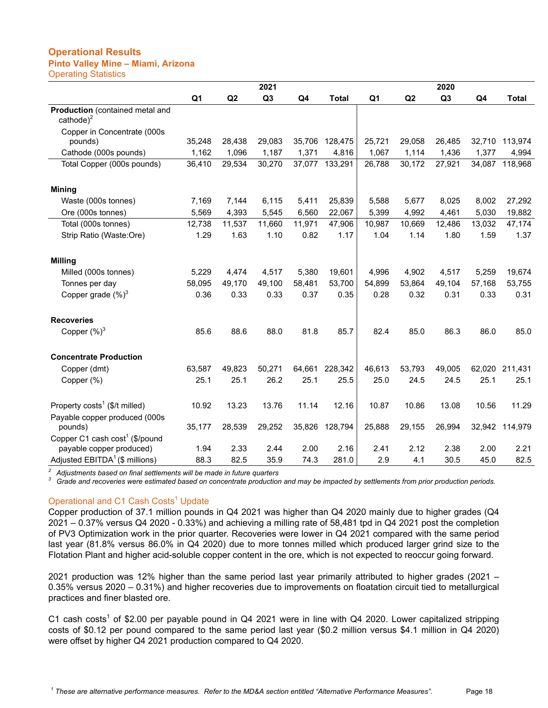# <span id="page-18-0"></span>**Operational Results**

# **Pinto Valley Mine – Miami, Arizona**

Operating Statistics

|                                                  | 2021   |                |                |        |              | 2020           |        |                |        |                |
|--------------------------------------------------|--------|----------------|----------------|--------|--------------|----------------|--------|----------------|--------|----------------|
|                                                  | Q1     | Q <sub>2</sub> | Q <sub>3</sub> | Q4     | <b>Total</b> | Q <sub>1</sub> | Q2     | Q <sub>3</sub> | Q4     | <b>Total</b>   |
| Production (contained metal and<br>cathode $)^2$ |        |                |                |        |              |                |        |                |        |                |
| Copper in Concentrate (000s                      |        |                |                |        |              |                |        |                |        |                |
| pounds)                                          | 35,248 | 28,438         | 29,083         | 35,706 | 128,475      | 25,721         | 29,058 | 26,485         |        | 32,710 113,974 |
| Cathode (000s pounds)                            | 1,162  | 1,096          | 1,187          | 1,371  | 4,816        | 1,067          | 1,114  | 1,436          | 1,377  | 4,994          |
| Total Copper (000s pounds)                       | 36,410 | 29,534         | 30,270         | 37,077 | 133,291      | 26,788         | 30,172 | 27,921         | 34,087 | 118,968        |
| <b>Mining</b>                                    |        |                |                |        |              |                |        |                |        |                |
| Waste (000s tonnes)                              | 7,169  | 7,144          | 6,115          | 5,411  | 25,839       | 5,588          | 5,677  | 8,025          | 8,002  | 27,292         |
| Ore (000s tonnes)                                | 5,569  | 4,393          | 5,545          | 6,560  | 22,067       | 5,399          | 4,992  | 4,461          | 5,030  | 19,882         |
| Total (000s tonnes)                              | 12,738 | 11,537         | 11,660         | 11,971 | 47,906       | 10,987         | 10,669 | 12,486         | 13,032 | 47,174         |
| Strip Ratio (Waste:Ore)                          | 1.29   | 1.63           | 1.10           | 0.82   | 1.17         | 1.04           | 1.14   | 1.80           | 1.59   | 1.37           |
| <b>Milling</b>                                   |        |                |                |        |              |                |        |                |        |                |
| Milled (000s tonnes)                             | 5,229  | 4,474          | 4,517          | 5,380  | 19,601       | 4,996          | 4,902  | 4,517          | 5,259  | 19,674         |
| Tonnes per day                                   | 58,095 | 49,170         | 49,100         | 58,481 | 53,700       | 54,899         | 53,864 | 49,104         | 57,168 | 53,755         |
| Copper grade $(\%)^3$                            | 0.36   | 0.33           | 0.33           | 0.37   | 0.35         | 0.28           | 0.32   | 0.31           | 0.33   | 0.31           |
| <b>Recoveries</b>                                |        |                |                |        |              |                |        |                |        |                |
| Copper $(\%)^3$                                  | 85.6   | 88.6           | 88.0           | 81.8   | 85.7         | 82.4           | 85.0   | 86.3           | 86.0   | 85.0           |
| <b>Concentrate Production</b>                    |        |                |                |        |              |                |        |                |        |                |
| Copper (dmt)                                     | 63,587 | 49,823         | 50,271         | 64,661 | 228,342      | 46,613         | 53,793 | 49,005         | 62,020 | 211,431        |
| Copper (%)                                       | 25.1   | 25.1           | 26.2           | 25.1   | 25.5         | 25.0           | 24.5   | 24.5           | 25.1   | 25.1           |
| Property costs <sup>1</sup> (\$/t milled)        | 10.92  | 13.23          | 13.76          | 11.14  | 12.16        | 10.87          | 10.86  | 13.08          | 10.56  | 11.29          |
| Payable copper produced (000s                    |        |                |                |        |              |                |        |                |        |                |
| pounds)                                          | 35,177 | 28,539         | 29,252         | 35,826 | 128,794      | 25,888         | 29,155 | 26,994         |        | 32,942 114,979 |
| Copper C1 cash cost <sup>1</sup> (\$/pound       |        |                |                |        |              |                |        |                |        |                |
| payable copper produced)                         | 1.94   | 2.33           | 2.44           | 2.00   | 2.16         | 2.41           | 2.12   | 2.38           | 2.00   | 2.21           |
| Adjusted $EBITDA1$ (\$ millions)                 | 88.3   | 82.5           | 35.9           | 74.3   | 281.0        | 2.9            | 4.1    | 30.5           | 45.0   | 82.5           |

*2 Adjustments based on final settlements will be made in future quarters*

*3 Grade and recoveries were estimated based on concentrate production and may be impacted by settlements from prior production periods.*

# Operational and C1 Cash Costs<sup>1</sup> Update

Copper production of 37.1 million pounds in Q4 2021 was higher than Q4 2020 mainly due to higher grades (Q4 2021 – 0.37% versus Q4 2020 - 0.33%) and achieving a milling rate of 58,481 tpd in Q4 2021 post the completion of PV3 Optimization work in the prior quarter. Recoveries were lower in Q4 2021 compared with the same period last year (81.8% versus 86.0% in Q4 2020) due to more tonnes milled which produced larger grind size to the Flotation Plant and higher acid-soluble copper content in the ore, which is not expected to reoccur going forward.

2021 production was 12% higher than the same period last year primarily attributed to higher grades (2021 – 0.35% versus 2020 – 0.31%) and higher recoveries due to improvements on floatation circuit tied to metallurgical practices and finer blasted ore.

C1 cash costs<sup>1</sup> of \$2.00 per payable pound in Q4 2021 were in line with Q4 2020. Lower capitalized stripping costs of \$0.12 per pound compared to the same period last year (\$0.2 million versus \$4.1 million in Q4 2020) were offset by higher Q4 2021 production compared to Q4 2020.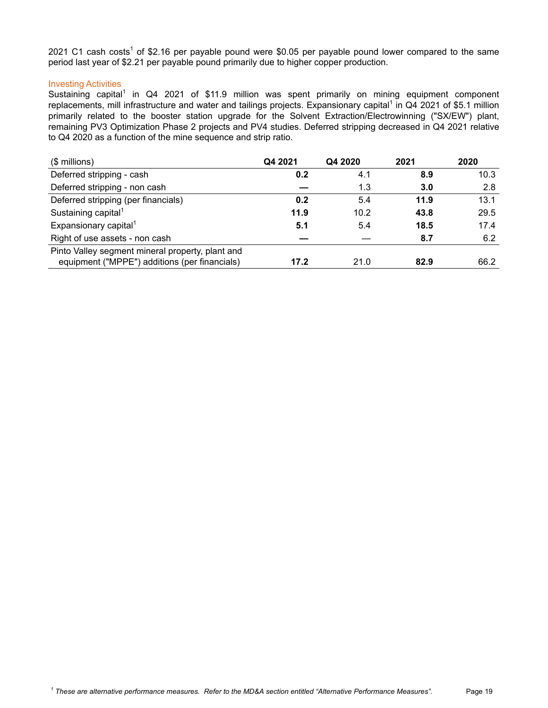2021 C1 cash costs<sup>1</sup> of \$2.16 per payable pound were \$0.05 per payable pound lower compared to the same period last year of \$2.21 per payable pound primarily due to higher copper production.

#### Investing Activities

Sustaining capital<sup>1</sup> in Q4 2021 of \$11.9 million was spent primarily on mining equipment component replacements, mill infrastructure and water and tailings projects. Expansionary capital<sup>1</sup> in Q4 2021 of \$5.1 million primarily related to the booster station upgrade for the Solvent Extraction/Electrowinning ("SX/EW") plant, remaining PV3 Optimization Phase 2 projects and PV4 studies. Deferred stripping decreased in Q4 2021 relative to Q4 2020 as a function of the mine sequence and strip ratio.

| $($$ millions)                                   | Q4 2021 | Q4 2020 | 2021 | 2020 |
|--------------------------------------------------|---------|---------|------|------|
| Deferred stripping - cash                        | 0.2     | 4.1     | 8.9  | 10.3 |
| Deferred stripping - non cash                    |         | 1.3     | 3.0  | 2.8  |
| Deferred stripping (per financials)              | 0.2     | 5.4     | 11.9 | 13.1 |
| Sustaining capital <sup>1</sup>                  | 11.9    | 10.2    | 43.8 | 29.5 |
| Expansionary capital <sup>1</sup>                | 5.1     | 5.4     | 18.5 | 17.4 |
| Right of use assets - non cash                   |         |         | 8.7  | 6.2  |
| Pinto Valley segment mineral property, plant and |         |         |      |      |
| equipment ("MPPE") additions (per financials)    | 17.2    | 21.0    | 82.9 | 66.2 |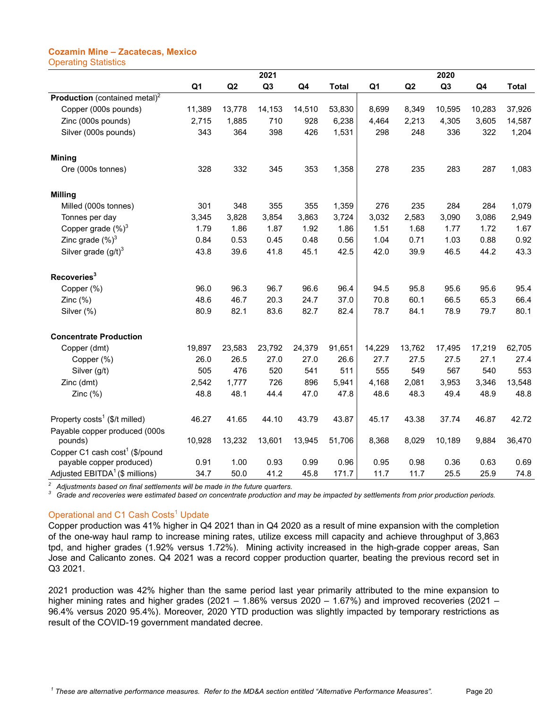#### **Cozamin Mine – Zacatecas, Mexico**

Operating Statistics

|                                                  | 2021           |                |                |        |              | 2020           |        |                |        |              |  |
|--------------------------------------------------|----------------|----------------|----------------|--------|--------------|----------------|--------|----------------|--------|--------------|--|
|                                                  | Q <sub>1</sub> | Q <sub>2</sub> | Q <sub>3</sub> | Q4     | <b>Total</b> | Q <sub>1</sub> | Q2     | Q <sub>3</sub> | Q4     | <b>Total</b> |  |
| <b>Production</b> (contained metal) <sup>2</sup> |                |                |                |        |              |                |        |                |        |              |  |
| Copper (000s pounds)                             | 11,389         | 13,778         | 14,153         | 14,510 | 53,830       | 8,699          | 8,349  | 10,595         | 10,283 | 37,926       |  |
| Zinc (000s pounds)                               | 2,715          | 1,885          | 710            | 928    | 6,238        | 4,464          | 2,213  | 4,305          | 3,605  | 14,587       |  |
| Silver (000s pounds)                             | 343            | 364            | 398            | 426    | 1,531        | 298            | 248    | 336            | 322    | 1,204        |  |
| <b>Mining</b>                                    |                |                |                |        |              |                |        |                |        |              |  |
| Ore (000s tonnes)                                | 328            | 332            | 345            | 353    | 1,358        | 278            | 235    | 283            | 287    | 1,083        |  |
| <b>Milling</b>                                   |                |                |                |        |              |                |        |                |        |              |  |
| Milled (000s tonnes)                             | 301            | 348            | 355            | 355    | 1,359        | 276            | 235    | 284            | 284    | 1,079        |  |
| Tonnes per day                                   | 3,345          | 3,828          | 3,854          | 3,863  | 3,724        | 3,032          | 2,583  | 3,090          | 3,086  | 2,949        |  |
| Copper grade $(\%)^3$                            | 1.79           | 1.86           | 1.87           | 1.92   | 1.86         | 1.51           | 1.68   | 1.77           | 1.72   | 1.67         |  |
| Zinc grade $(\%)^3$                              | 0.84           | 0.53           | 0.45           | 0.48   | 0.56         | 1.04           | 0.71   | 1.03           | 0.88   | 0.92         |  |
| Silver grade $(g/t)^3$                           | 43.8           | 39.6           | 41.8           | 45.1   | 42.5         | 42.0           | 39.9   | 46.5           | 44.2   | 43.3         |  |
| Recoveries <sup>3</sup>                          |                |                |                |        |              |                |        |                |        |              |  |
| Copper (%)                                       | 96.0           | 96.3           | 96.7           | 96.6   | 96.4         | 94.5           | 95.8   | 95.6           | 95.6   | 95.4         |  |
| Zinc $(\%)$                                      | 48.6           | 46.7           | 20.3           | 24.7   | 37.0         | 70.8           | 60.1   | 66.5           | 65.3   | 66.4         |  |
| Silver (%)                                       | 80.9           | 82.1           | 83.6           | 82.7   | 82.4         | 78.7           | 84.1   | 78.9           | 79.7   | 80.1         |  |
| <b>Concentrate Production</b>                    |                |                |                |        |              |                |        |                |        |              |  |
| Copper (dmt)                                     | 19,897         | 23,583         | 23,792         | 24,379 | 91,651       | 14,229         | 13,762 | 17,495         | 17,219 | 62,705       |  |
| Copper (%)                                       | 26.0           | 26.5           | 27.0           | 27.0   | 26.6         | 27.7           | 27.5   | 27.5           | 27.1   | 27.4         |  |
| Silver (g/t)                                     | 505            | 476            | 520            | 541    | 511          | 555            | 549    | 567            | 540    | 553          |  |
| Zinc (dmt)                                       | 2,542          | 1,777          | 726            | 896    | 5,941        | 4,168          | 2,081  | 3,953          | 3,346  | 13,548       |  |
| Zinc $(\%)$                                      | 48.8           | 48.1           | 44.4           | 47.0   | 47.8         | 48.6           | 48.3   | 49.4           | 48.9   | 48.8         |  |
| Property costs <sup>1</sup> (\$/t milled)        | 46.27          | 41.65          | 44.10          | 43.79  | 43.87        | 45.17          | 43.38  | 37.74          | 46.87  | 42.72        |  |
| Payable copper produced (000s<br>pounds)         | 10,928         | 13,232         | 13,601         | 13,945 | 51,706       | 8,368          | 8,029  | 10,189         | 9,884  | 36,470       |  |
| Copper C1 cash cost <sup>1</sup> (\$/pound       |                |                |                |        |              |                |        |                |        |              |  |
| payable copper produced)                         | 0.91           | 1.00           | 0.93           | 0.99   | 0.96         | 0.95           | 0.98   | 0.36           | 0.63   | 0.69         |  |
| Adjusted $EBITDA1$ (\$ millions)                 | 34.7           | 50.0           | 41.2           | 45.8   | 171.7        | 11.7           | 11.7   | 25.5           | 25.9   | 74.8         |  |

*2 Adjustments based on final settlements will be made in the future quarters.*

*3 Grade and recoveries were estimated based on concentrate production and may be impacted by settlements from prior production periods.*

## Operational and C1 Cash Costs<sup>1</sup> Update

Copper production was 41% higher in Q4 2021 than in Q4 2020 as a result of mine expansion with the completion of the one-way haul ramp to increase mining rates, utilize excess mill capacity and achieve throughput of 3,863 tpd, and higher grades (1.92% versus 1.72%). Mining activity increased in the high-grade copper areas, San Jose and Calicanto zones. Q4 2021 was a record copper production quarter, beating the previous record set in Q3 2021.

2021 production was 42% higher than the same period last year primarily attributed to the mine expansion to higher mining rates and higher grades (2021 – 1.86% versus 2020 – 1.67%) and improved recoveries (2021 – 96.4% versus 2020 95.4%). Moreover, 2020 YTD production was slightly impacted by temporary restrictions as result of the COVID-19 government mandated decree.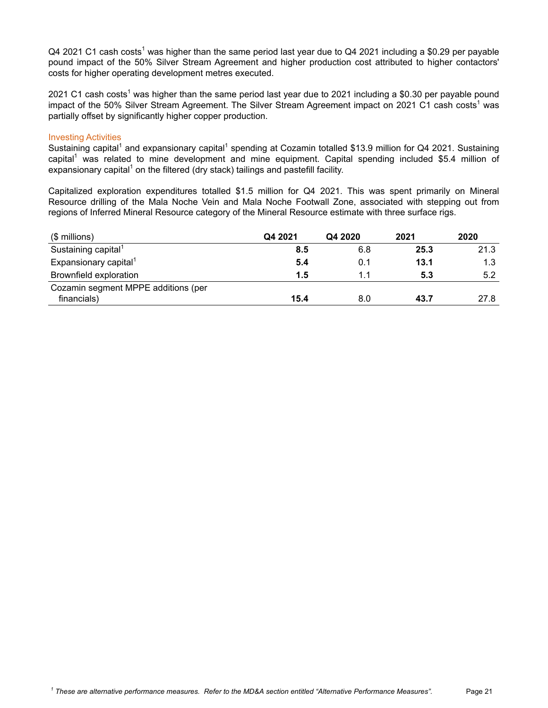Q4 2021 C1 cash costs<sup>1</sup> was higher than the same period last year due to Q4 2021 including a \$0.29 per payable pound impact of the 50% Silver Stream Agreement and higher production cost attributed to higher contactors' costs for higher operating development metres executed.

2021 C1 cash costs<sup>1</sup> was higher than the same period last year due to 2021 including a \$0.30 per payable pound impact of the 50% Silver Stream Agreement. The Silver Stream Agreement impact on 2021 C1 cash costs<sup>1</sup> was partially offset by significantly higher copper production.

#### Investing Activities

Sustaining capital<sup>1</sup> and expansionary capital<sup>1</sup> spending at Cozamin totalled \$13.9 million for Q4 2021. Sustaining capital<sup>1</sup> was related to mine development and mine equipment. Capital spending included \$5.4 million of expansionary capital<sup>1</sup> on the filtered (dry stack) tailings and pastefill facility.

Capitalized exploration expenditures totalled \$1.5 million for Q4 2021. This was spent primarily on Mineral Resource drilling of the Mala Noche Vein and Mala Noche Footwall Zone, associated with stepping out from regions of Inferred Mineral Resource category of the Mineral Resource estimate with three surface rigs.

| $$$ millions)                       | Q4 2021 | Q4 2020 | 2021 | 2020 |
|-------------------------------------|---------|---------|------|------|
| Sustaining capital <sup>1</sup>     | 8.5     | 6.8     | 25.3 | 21.3 |
| Expansionary capital <sup>1</sup>   | 5.4     | 0.1     | 13.1 | 1.3  |
| Brownfield exploration              | 1.5     | 1.1     | 5.3  | 5.2  |
| Cozamin segment MPPE additions (per |         |         |      |      |
| financials)                         | 15.4    | 8.0     | 43.7 | 27.8 |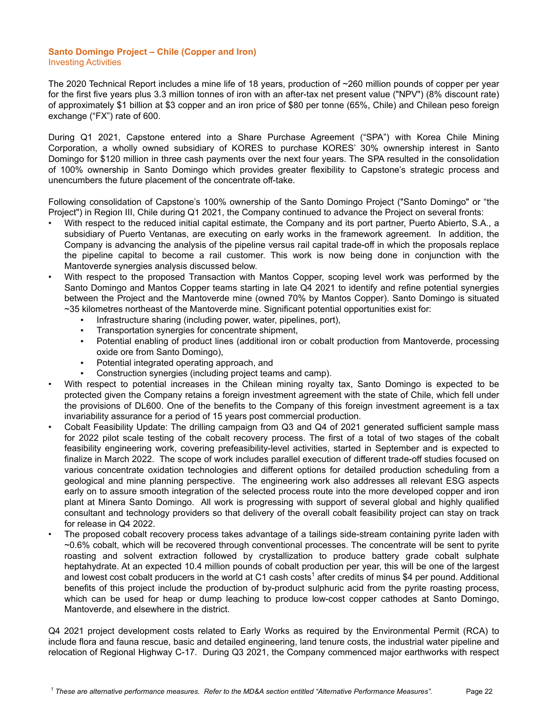#### **Santo Domingo Project – Chile (Copper and Iron)** Investing Activities

The 2020 Technical Report includes a mine life of 18 years, production of ~260 million pounds of copper per year for the first five years plus 3.3 million tonnes of iron with an after-tax net present value ("NPV") (8% discount rate) of approximately \$1 billion at \$3 copper and an iron price of \$80 per tonne (65%, Chile) and Chilean peso foreign exchange ("FX") rate of 600.

During Q1 2021, Capstone entered into a Share Purchase Agreement ("SPA") with Korea Chile Mining Corporation, a wholly owned subsidiary of KORES to purchase KORES' 30% ownership interest in Santo Domingo for \$120 million in three cash payments over the next four years. The SPA resulted in the consolidation of 100% ownership in Santo Domingo which provides greater flexibility to Capstone's strategic process and unencumbers the future placement of the concentrate off-take.

Following consolidation of Capstone's 100% ownership of the Santo Domingo Project ("Santo Domingo" or "the Project") in Region III, Chile during Q1 2021, the Company continued to advance the Project on several fronts:

- With respect to the reduced initial capital estimate, the Company and its port partner, Puerto Abierto, S.A., a subsidiary of Puerto Ventanas, are executing on early works in the framework agreement. In addition, the Company is advancing the analysis of the pipeline versus rail capital trade-off in which the proposals replace the pipeline capital to become a rail customer. This work is now being done in conjunction with the Mantoverde synergies analysis discussed below.
- With respect to the proposed Transaction with Mantos Copper, scoping level work was performed by the Santo Domingo and Mantos Copper teams starting in late Q4 2021 to identify and refine potential synergies between the Project and the Mantoverde mine (owned 70% by Mantos Copper). Santo Domingo is situated ~35 kilometres northeast of the Mantoverde mine. Significant potential opportunities exist for:
	- Infrastructure sharing (including power, water, pipelines, port),
	- Transportation synergies for concentrate shipment,
	- Potential enabling of product lines (additional iron or cobalt production from Mantoverde, processing oxide ore from Santo Domingo),
	- Potential integrated operating approach, and
	- Construction synergies (including project teams and camp).
- With respect to potential increases in the Chilean mining royalty tax, Santo Domingo is expected to be protected given the Company retains a foreign investment agreement with the state of Chile, which fell under the provisions of DL600. One of the benefits to the Company of this foreign investment agreement is a tax invariability assurance for a period of 15 years post commercial production.
- Cobalt Feasibility Update: The drilling campaign from Q3 and Q4 of 2021 generated sufficient sample mass for 2022 pilot scale testing of the cobalt recovery process. The first of a total of two stages of the cobalt feasibility engineering work, covering prefeasibility-level activities, started in September and is expected to finalize in March 2022. The scope of work includes parallel execution of different trade-off studies focused on various concentrate oxidation technologies and different options for detailed production scheduling from a geological and mine planning perspective. The engineering work also addresses all relevant ESG aspects early on to assure smooth integration of the selected process route into the more developed copper and iron plant at Minera Santo Domingo. All work is progressing with support of several global and highly qualified consultant and technology providers so that delivery of the overall cobalt feasibility project can stay on track for release in Q4 2022.
- The proposed cobalt recovery process takes advantage of a tailings side-stream containing pyrite laden with ~0.6% cobalt, which will be recovered through conventional processes. The concentrate will be sent to pyrite roasting and solvent extraction followed by crystallization to produce battery grade cobalt sulphate heptahydrate. At an expected 10.4 million pounds of cobalt production per year, this will be one of the largest and lowest cost cobalt producers in the world at C1 cash costs<sup>1</sup> after credits of minus \$4 per pound. Additional benefits of this project include the production of by-product sulphuric acid from the pyrite roasting process, which can be used for heap or dump leaching to produce low-cost copper cathodes at Santo Domingo, Mantoverde, and elsewhere in the district.

Q4 2021 project development costs related to Early Works as required by the Environmental Permit (RCA) to include flora and fauna rescue, basic and detailed engineering, land tenure costs, the industrial water pipeline and relocation of Regional Highway C-17. During Q3 2021, the Company commenced major earthworks with respect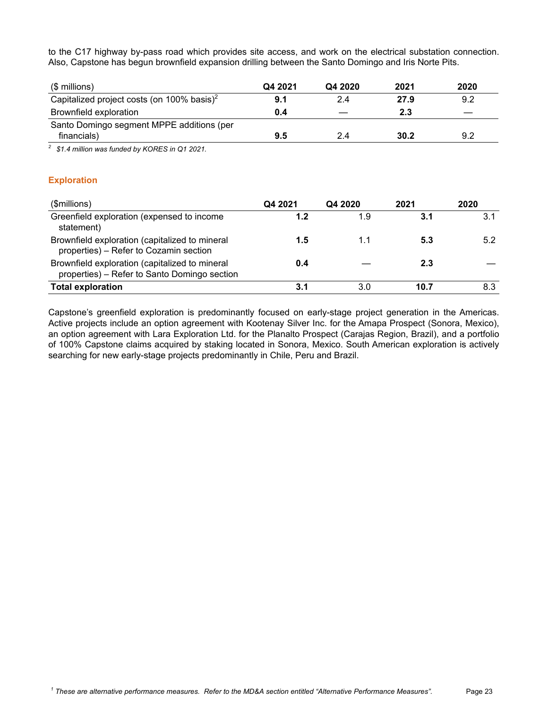|  |  |  |  |  |  |  |                                                                                                       | to the C17 highway by-pass road which provides site access, and work on the electrical substation connection. |
|--|--|--|--|--|--|--|-------------------------------------------------------------------------------------------------------|---------------------------------------------------------------------------------------------------------------|
|  |  |  |  |  |  |  | Also, Capstone has begun brownfield expansion drilling between the Santo Domingo and Iris Norte Pits. |                                                                                                               |

| $$$ millions)                                          | Q4 2021 | Q4 2020 | 2021 | 2020 |
|--------------------------------------------------------|---------|---------|------|------|
| Capitalized project costs (on 100% basis) <sup>2</sup> | 9.1     | 2.4     | 27.9 | 9.2  |
| Brownfield exploration                                 | 0.4     |         | 2.3  |      |
| Santo Domingo segment MPPE additions (per              |         |         |      |      |
| financials)                                            | 9.5     | Ο4      | 30.2 | 9.2  |

*2 \$1.4 million was funded by KORES in Q1 2021.*

# **Exploration**

| (\$millions)                                                                                   | Q4 2021 | Q4 2020 | 2021 | 2020 |
|------------------------------------------------------------------------------------------------|---------|---------|------|------|
| Greenfield exploration (expensed to income<br>statement)                                       | 1.2     | 1.9     | 3.1  | 3.1  |
| Brownfield exploration (capitalized to mineral<br>properties) - Refer to Cozamin section       | $1.5\,$ | 1.1     | 5.3  | 5.2  |
| Brownfield exploration (capitalized to mineral<br>properties) - Refer to Santo Domingo section | 0.4     |         | 2.3  |      |
| <b>Total exploration</b>                                                                       | 3.1     | 3.0     | 10.7 | 8.3  |

Capstone's greenfield exploration is predominantly focused on early-stage project generation in the Americas. Active projects include an option agreement with Kootenay Silver Inc. for the Amapa Prospect (Sonora, Mexico), an option agreement with Lara Exploration Ltd. for the Planalto Prospect (Carajas Region, Brazil), and a portfolio of 100% Capstone claims acquired by staking located in Sonora, Mexico. South American exploration is actively searching for new early-stage projects predominantly in Chile, Peru and Brazil.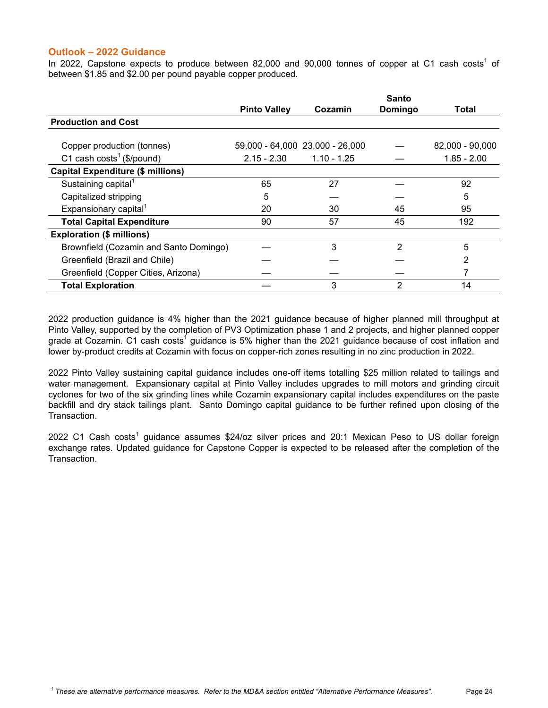#### <span id="page-24-0"></span>**Outlook – 2022 Guidance**

In 2022, Capstone expects to produce between 82,000 and 90,000 tonnes of copper at C1 cash costs<sup>1</sup> of between \$1.85 and \$2.00 per pound payable copper produced.

|                                          |                     |                                 | <b>Santo</b>   |                 |
|------------------------------------------|---------------------|---------------------------------|----------------|-----------------|
|                                          | <b>Pinto Valley</b> | Cozamin                         | <b>Domingo</b> | Total           |
| <b>Production and Cost</b>               |                     |                                 |                |                 |
| Copper production (tonnes)               |                     | 59,000 - 64,000 23,000 - 26,000 |                | 82,000 - 90,000 |
| C1 cash costs <sup>1</sup> (\$/pound)    | $2.15 - 2.30$       | $1.10 - 1.25$                   |                | $1.85 - 2.00$   |
| <b>Capital Expenditure (\$ millions)</b> |                     |                                 |                |                 |
| Sustaining capital <sup>1</sup>          | 65                  | 27                              |                | 92              |
| Capitalized stripping                    | 5                   |                                 |                | 5               |
| Expansionary capital <sup>1</sup>        | 20                  | 30                              | 45             | 95              |
| <b>Total Capital Expenditure</b>         | 90                  | 57                              | 45             | 192             |
| <b>Exploration (\$ millions)</b>         |                     |                                 |                |                 |
| Brownfield (Cozamin and Santo Domingo)   |                     | 3                               | 2              | 5               |
| Greenfield (Brazil and Chile)            |                     |                                 |                | 2               |
| Greenfield (Copper Cities, Arizona)      |                     |                                 |                |                 |
| <b>Total Exploration</b>                 |                     | 3                               | 2              | 14              |

2022 production guidance is 4% higher than the 2021 guidance because of higher planned mill throughput at Pinto Valley, supported by the completion of PV3 Optimization phase 1 and 2 projects, and higher planned copper grade at Cozamin. C1 cash costs<sup>1</sup> guidance is 5% higher than the 2021 guidance because of cost inflation and lower by-product credits at Cozamin with focus on copper-rich zones resulting in no zinc production in 2022.

2022 Pinto Valley sustaining capital guidance includes one-off items totalling \$25 million related to tailings and water management. Expansionary capital at Pinto Valley includes upgrades to mill motors and grinding circuit cyclones for two of the six grinding lines while Cozamin expansionary capital includes expenditures on the paste backfill and dry stack tailings plant. Santo Domingo capital guidance to be further refined upon closing of the Transaction.

2022 C1 Cash costs<sup>1</sup> guidance assumes \$24/oz silver prices and 20:1 Mexican Peso to US dollar foreign exchange rates. Updated guidance for Capstone Copper is expected to be released after the completion of the Transaction.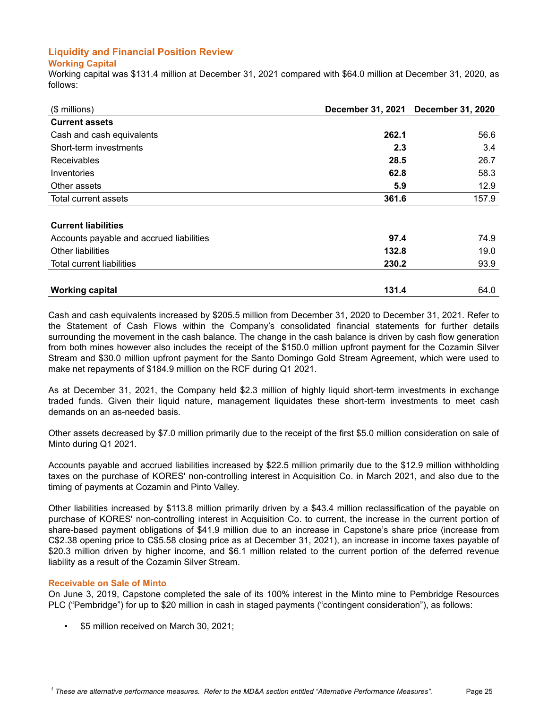# <span id="page-25-0"></span>**Liquidity and Financial Position Review**

## **Working Capital**

Working capital was \$131.4 million at December 31, 2021 compared with \$64.0 million at December 31, 2020, as follows:

| (\$ millions)                            |       | December 31, 2021 December 31, 2020 |
|------------------------------------------|-------|-------------------------------------|
| <b>Current assets</b>                    |       |                                     |
| Cash and cash equivalents                | 262.1 | 56.6                                |
| Short-term investments                   | 2.3   | 3.4                                 |
| Receivables                              | 28.5  | 26.7                                |
| Inventories                              | 62.8  | 58.3                                |
| Other assets                             | 5.9   | 12.9                                |
| Total current assets                     | 361.6 | 157.9                               |
| <b>Current liabilities</b>               |       |                                     |
| Accounts payable and accrued liabilities | 97.4  | 74.9                                |
| Other liabilities                        | 132.8 | 19.0                                |
| Total current liabilities                | 230.2 | 93.9                                |
| <b>Working capital</b>                   | 131.4 | 64.0                                |

Cash and cash equivalents increased by \$205.5 million from December 31, 2020 to December 31, 2021. Refer to the Statement of Cash Flows within the Company's consolidated financial statements for further details surrounding the movement in the cash balance. The change in the cash balance is driven by cash flow generation from both mines however also includes the receipt of the \$150.0 million upfront payment for the Cozamin Silver Stream and \$30.0 million upfront payment for the Santo Domingo Gold Stream Agreement, which were used to make net repayments of \$184.9 million on the RCF during Q1 2021.

As at December 31, 2021, the Company held \$2.3 million of highly liquid short-term investments in exchange traded funds. Given their liquid nature, management liquidates these short-term investments to meet cash demands on an as-needed basis.

Other assets decreased by \$7.0 million primarily due to the receipt of the first \$5.0 million consideration on sale of Minto during Q1 2021.

Accounts payable and accrued liabilities increased by \$22.5 million primarily due to the \$12.9 million withholding taxes on the purchase of KORES' non-controlling interest in Acquisition Co. in March 2021, and also due to the timing of payments at Cozamin and Pinto Valley.

Other liabilities increased by \$113.8 million primarily driven by a \$43.4 million reclassification of the payable on purchase of KORES' non-controlling interest in Acquisition Co. to current, the increase in the current portion of share-based payment obligations of \$41.9 million due to an increase in Capstone's share price (increase from C\$2.38 opening price to C\$5.58 closing price as at December 31, 2021), an increase in income taxes payable of \$20.3 million driven by higher income, and \$6.1 million related to the current portion of the deferred revenue liability as a result of the Cozamin Silver Stream.

#### **Receivable on Sale of Minto**

On June 3, 2019, Capstone completed the sale of its 100% interest in the Minto mine to Pembridge Resources PLC ("Pembridge") for up to \$20 million in cash in staged payments ("contingent consideration"), as follows:

• \$5 million received on March 30, 2021;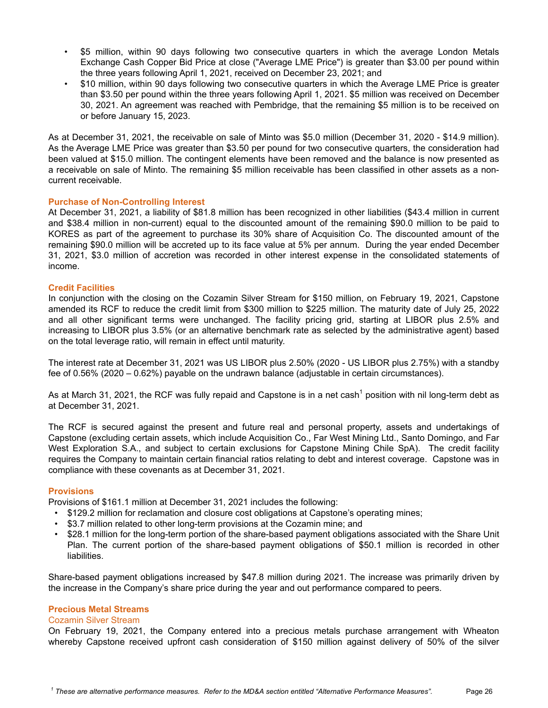- \$5 million, within 90 days following two consecutive quarters in which the average London Metals Exchange Cash Copper Bid Price at close ("Average LME Price") is greater than \$3.00 per pound within the three years following April 1, 2021, received on December 23, 2021; and
- \$10 million, within 90 days following two consecutive quarters in which the Average LME Price is greater than \$3.50 per pound within the three years following April 1, 2021. \$5 million was received on December 30, 2021. An agreement was reached with Pembridge, that the remaining \$5 million is to be received on or before January 15, 2023.

As at December 31, 2021, the receivable on sale of Minto was \$5.0 million (December 31, 2020 - \$14.9 million). As the Average LME Price was greater than \$3.50 per pound for two consecutive quarters, the consideration had been valued at \$15.0 million. The contingent elements have been removed and the balance is now presented as a receivable on sale of Minto. The remaining \$5 million receivable has been classified in other assets as a noncurrent receivable.

#### **Purchase of Non-Controlling Interest**

At December 31, 2021, a liability of \$81.8 million has been recognized in other liabilities (\$43.4 million in current and \$38.4 million in non-current) equal to the discounted amount of the remaining \$90.0 million to be paid to KORES as part of the agreement to purchase its 30% share of Acquisition Co. The discounted amount of the remaining \$90.0 million will be accreted up to its face value at 5% per annum. During the year ended December 31, 2021, \$3.0 million of accretion was recorded in other interest expense in the consolidated statements of income.

#### **Credit Facilities**

In conjunction with the closing on the Cozamin Silver Stream for \$150 million, on February 19, 2021, Capstone amended its RCF to reduce the credit limit from \$300 million to \$225 million. The maturity date of July 25, 2022 and all other significant terms were unchanged. The facility pricing grid, starting at LIBOR plus 2.5% and increasing to LIBOR plus 3.5% (or an alternative benchmark rate as selected by the administrative agent) based on the total leverage ratio, will remain in effect until maturity.

The interest rate at December 31, 2021 was US LIBOR plus 2.50% (2020 - US LIBOR plus 2.75%) with a standby fee of 0.56% (2020 – 0.62%) payable on the undrawn balance (adjustable in certain circumstances).

As at March 31, 2021, the RCF was fully repaid and Capstone is in a net cash<sup>1</sup> position with nil long-term debt as at December 31, 2021.

The RCF is secured against the present and future real and personal property, assets and undertakings of Capstone (excluding certain assets, which include Acquisition Co., Far West Mining Ltd., Santo Domingo, and Far West Exploration S.A., and subject to certain exclusions for Capstone Mining Chile SpA). The credit facility requires the Company to maintain certain financial ratios relating to debt and interest coverage. Capstone was in compliance with these covenants as at December 31, 2021.

#### **Provisions**

Provisions of \$161.1 million at December 31, 2021 includes the following:

- \$129.2 million for reclamation and closure cost obligations at Capstone's operating mines;
- \$3.7 million related to other long-term provisions at the Cozamin mine; and
- \$28.1 million for the long-term portion of the share-based payment obligations associated with the Share Unit Plan. The current portion of the share-based payment obligations of \$50.1 million is recorded in other liabilities.

Share-based payment obligations increased by \$47.8 million during 2021. The increase was primarily driven by the increase in the Company's share price during the year and out performance compared to peers.

#### **Precious Metal Streams**

#### Cozamin Silver Stream

On February 19, 2021, the Company entered into a precious metals purchase arrangement with Wheaton whereby Capstone received upfront cash consideration of \$150 million against delivery of 50% of the silver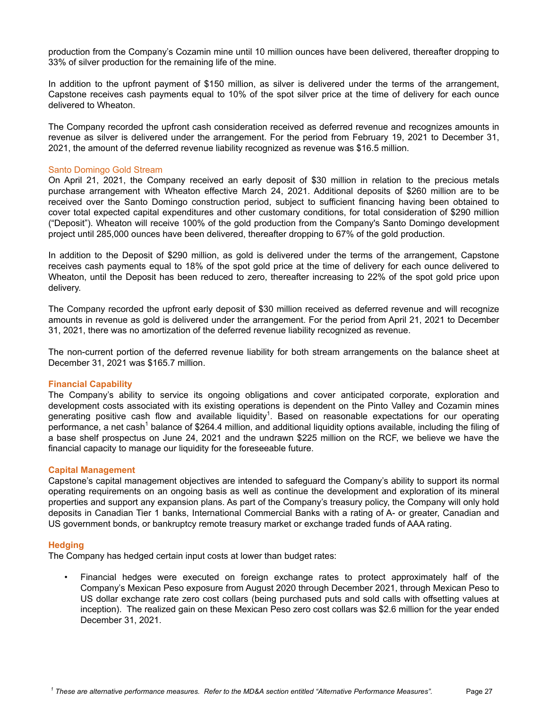production from the Company's Cozamin mine until 10 million ounces have been delivered, thereafter dropping to 33% of silver production for the remaining life of the mine.

In addition to the upfront payment of \$150 million, as silver is delivered under the terms of the arrangement, Capstone receives cash payments equal to 10% of the spot silver price at the time of delivery for each ounce delivered to Wheaton.

The Company recorded the upfront cash consideration received as deferred revenue and recognizes amounts in revenue as silver is delivered under the arrangement. For the period from February 19, 2021 to December 31, 2021, the amount of the deferred revenue liability recognized as revenue was \$16.5 million.

#### Santo Domingo Gold Stream

On April 21, 2021, the Company received an early deposit of \$30 million in relation to the precious metals purchase arrangement with Wheaton effective March 24, 2021. Additional deposits of \$260 million are to be received over the Santo Domingo construction period, subject to sufficient financing having been obtained to cover total expected capital expenditures and other customary conditions, for total consideration of \$290 million ("Deposit"). Wheaton will receive 100% of the gold production from the Company's Santo Domingo development project until 285,000 ounces have been delivered, thereafter dropping to 67% of the gold production.

In addition to the Deposit of \$290 million, as gold is delivered under the terms of the arrangement, Capstone receives cash payments equal to 18% of the spot gold price at the time of delivery for each ounce delivered to Wheaton, until the Deposit has been reduced to zero, thereafter increasing to 22% of the spot gold price upon delivery.

The Company recorded the upfront early deposit of \$30 million received as deferred revenue and will recognize amounts in revenue as gold is delivered under the arrangement. For the period from April 21, 2021 to December 31, 2021, there was no amortization of the deferred revenue liability recognized as revenue.

The non-current portion of the deferred revenue liability for both stream arrangements on the balance sheet at December 31, 2021 was \$165.7 million.

#### **Financial Capability**

The Company's ability to service its ongoing obligations and cover anticipated corporate, exploration and development costs associated with its existing operations is dependent on the Pinto Valley and Cozamin mines generating positive cash flow and available liquidity<sup>1</sup>. Based on reasonable expectations for our operating performance, a net cash<sup>1</sup> balance of \$264.4 million, and additional liquidity options available, including the filing of a base shelf prospectus on June 24, 2021 and the undrawn \$225 million on the RCF, we believe we have the financial capacity to manage our liquidity for the foreseeable future.

#### **Capital Management**

Capstone's capital management objectives are intended to safeguard the Company's ability to support its normal operating requirements on an ongoing basis as well as continue the development and exploration of its mineral properties and support any expansion plans. As part of the Company's treasury policy, the Company will only hold deposits in Canadian Tier 1 banks, International Commercial Banks with a rating of A- or greater, Canadian and US government bonds, or bankruptcy remote treasury market or exchange traded funds of AAA rating.

#### **Hedging**

The Company has hedged certain input costs at lower than budget rates:

• Financial hedges were executed on foreign exchange rates to protect approximately half of the Company's Mexican Peso exposure from August 2020 through December 2021, through Mexican Peso to US dollar exchange rate zero cost collars (being purchased puts and sold calls with offsetting values at inception). The realized gain on these Mexican Peso zero cost collars was \$2.6 million for the year ended December 31, 2021.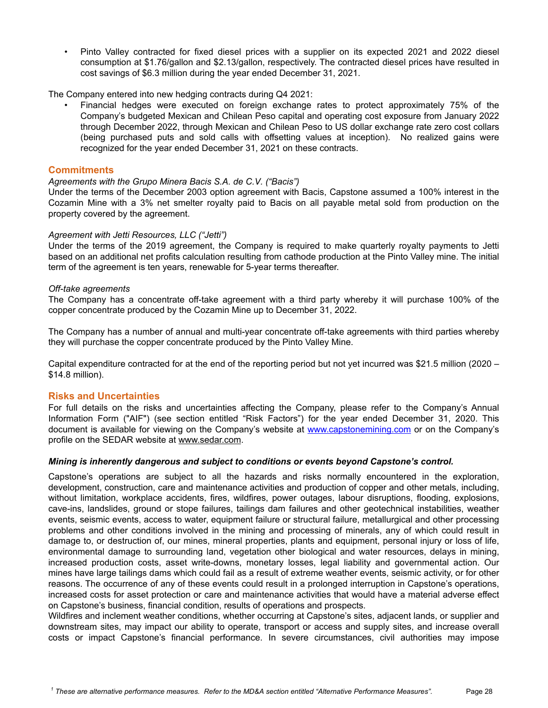<span id="page-28-0"></span>• Pinto Valley contracted for fixed diesel prices with a supplier on its expected 2021 and 2022 diesel consumption at \$1.76/gallon and \$2.13/gallon, respectively. The contracted diesel prices have resulted in cost savings of \$6.3 million during the year ended December 31, 2021.

The Company entered into new hedging contracts during Q4 2021:

• Financial hedges were executed on foreign exchange rates to protect approximately 75% of the Company's budgeted Mexican and Chilean Peso capital and operating cost exposure from January 2022 through December 2022, through Mexican and Chilean Peso to US dollar exchange rate zero cost collars (being purchased puts and sold calls with offsetting values at inception). No realized gains were recognized for the year ended December 31, 2021 on these contracts.

#### **Commitments**

#### *Agreements with the Grupo Minera Bacis S.A. de C.V. ("Bacis")*

Under the terms of the December 2003 option agreement with Bacis, Capstone assumed a 100% interest in the Cozamin Mine with a 3% net smelter royalty paid to Bacis on all payable metal sold from production on the property covered by the agreement.

#### *Agreement with Jetti Resources, LLC ("Jetti")*

Under the terms of the 2019 agreement, the Company is required to make quarterly royalty payments to Jetti based on an additional net profits calculation resulting from cathode production at the Pinto Valley mine. The initial term of the agreement is ten years, renewable for 5-year terms thereafter.

#### *Off-take agreements*

The Company has a concentrate off-take agreement with a third party whereby it will purchase 100% of the copper concentrate produced by the Cozamin Mine up to December 31, 2022.

The Company has a number of annual and multi-year concentrate off-take agreements with third parties whereby they will purchase the copper concentrate produced by the Pinto Valley Mine.

Capital expenditure contracted for at the end of the reporting period but not yet incurred was \$21.5 million (2020 – \$14.8 million).

#### **Risks and Uncertainties**

For full details on the risks and uncertainties affecting the Company, please refer to the Company's Annual Information Form ("AIF") (see section entitled "Risk Factors") for the year ended December 31, 2020. This document is available for viewing on the Company's website at [www.capstonemining.com](http://www.capstonemining.com) or on the Company's profile on the SEDAR website at www.sedar.com.

#### *Mining is inherently dangerous and subject to conditions or events beyond Capstone's control.*

Capstone's operations are subject to all the hazards and risks normally encountered in the exploration, development, construction, care and maintenance activities and production of copper and other metals, including, without limitation, workplace accidents, fires, wildfires, power outages, labour disruptions, flooding, explosions, cave-ins, landslides, ground or stope failures, tailings dam failures and other geotechnical instabilities, weather events, seismic events, access to water, equipment failure or structural failure, metallurgical and other processing problems and other conditions involved in the mining and processing of minerals, any of which could result in damage to, or destruction of, our mines, mineral properties, plants and equipment, personal injury or loss of life, environmental damage to surrounding land, vegetation other biological and water resources, delays in mining, increased production costs, asset write-downs, monetary losses, legal liability and governmental action. Our mines have large tailings dams which could fail as a result of extreme weather events, seismic activity, or for other reasons. The occurrence of any of these events could result in a prolonged interruption in Capstone's operations, increased costs for asset protection or care and maintenance activities that would have a material adverse effect on Capstone's business, financial condition, results of operations and prospects.

Wildfires and inclement weather conditions, whether occurring at Capstone's sites, adjacent lands, or supplier and downstream sites, may impact our ability to operate, transport or access and supply sites, and increase overall costs or impact Capstone's financial performance. In severe circumstances, civil authorities may impose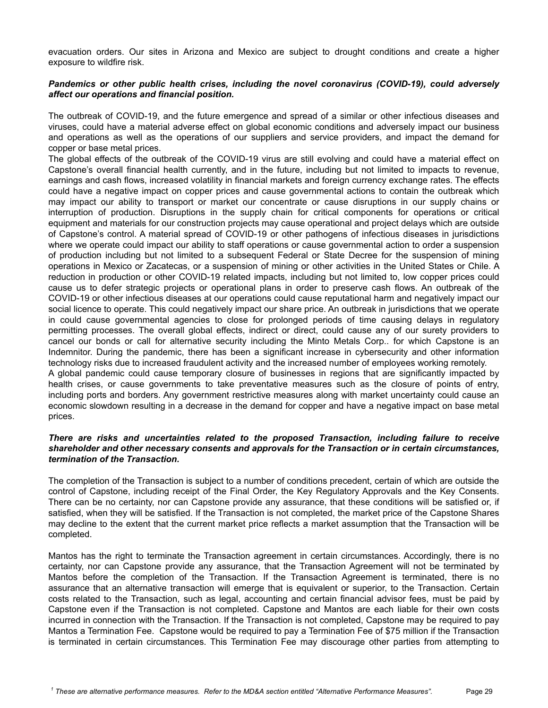evacuation orders. Our sites in Arizona and Mexico are subject to drought conditions and create a higher exposure to wildfire risk.

#### *Pandemics or other public health crises, including the novel coronavirus (COVID-19), could adversely affect our operations and financial position.*

The outbreak of COVID-19, and the future emergence and spread of a similar or other infectious diseases and viruses, could have a material adverse effect on global economic conditions and adversely impact our business and operations as well as the operations of our suppliers and service providers, and impact the demand for copper or base metal prices.

The global effects of the outbreak of the COVID-19 virus are still evolving and could have a material effect on Capstone's overall financial health currently, and in the future, including but not limited to impacts to revenue, earnings and cash flows, increased volatility in financial markets and foreign currency exchange rates. The effects could have a negative impact on copper prices and cause governmental actions to contain the outbreak which may impact our ability to transport or market our concentrate or cause disruptions in our supply chains or interruption of production. Disruptions in the supply chain for critical components for operations or critical equipment and materials for our construction projects may cause operational and project delays which are outside of Capstone's control. A material spread of COVID-19 or other pathogens of infectious diseases in jurisdictions where we operate could impact our ability to staff operations or cause governmental action to order a suspension of production including but not limited to a subsequent Federal or State Decree for the suspension of mining operations in Mexico or Zacatecas, or a suspension of mining or other activities in the United States or Chile. A reduction in production or other COVID-19 related impacts, including but not limited to, low copper prices could cause us to defer strategic projects or operational plans in order to preserve cash flows. An outbreak of the COVID-19 or other infectious diseases at our operations could cause reputational harm and negatively impact our social licence to operate. This could negatively impact our share price. An outbreak in jurisdictions that we operate in could cause governmental agencies to close for prolonged periods of time causing delays in regulatory permitting processes. The overall global effects, indirect or direct, could cause any of our surety providers to cancel our bonds or call for alternative security including the Minto Metals Corp.. for which Capstone is an Indemnitor. During the pandemic, there has been a significant increase in cybersecurity and other information technology risks due to increased fraudulent activity and the increased number of employees working remotely.

A global pandemic could cause temporary closure of businesses in regions that are significantly impacted by health crises, or cause governments to take preventative measures such as the closure of points of entry, including ports and borders. Any government restrictive measures along with market uncertainty could cause an economic slowdown resulting in a decrease in the demand for copper and have a negative impact on base metal prices.

#### *There are risks and uncertainties related to the proposed Transaction, including failure to receive shareholder and other necessary consents and approvals for the Transaction or in certain circumstances, termination of the Transaction.*

The completion of the Transaction is subject to a number of conditions precedent, certain of which are outside the control of Capstone, including receipt of the Final Order, the Key Regulatory Approvals and the Key Consents. There can be no certainty, nor can Capstone provide any assurance, that these conditions will be satisfied or, if satisfied, when they will be satisfied. If the Transaction is not completed, the market price of the Capstone Shares may decline to the extent that the current market price reflects a market assumption that the Transaction will be completed.

Mantos has the right to terminate the Transaction agreement in certain circumstances. Accordingly, there is no certainty, nor can Capstone provide any assurance, that the Transaction Agreement will not be terminated by Mantos before the completion of the Transaction. If the Transaction Agreement is terminated, there is no assurance that an alternative transaction will emerge that is equivalent or superior, to the Transaction. Certain costs related to the Transaction, such as legal, accounting and certain financial advisor fees, must be paid by Capstone even if the Transaction is not completed. Capstone and Mantos are each liable for their own costs incurred in connection with the Transaction. If the Transaction is not completed, Capstone may be required to pay Mantos a Termination Fee. Capstone would be required to pay a Termination Fee of \$75 million if the Transaction is terminated in certain circumstances. This Termination Fee may discourage other parties from attempting to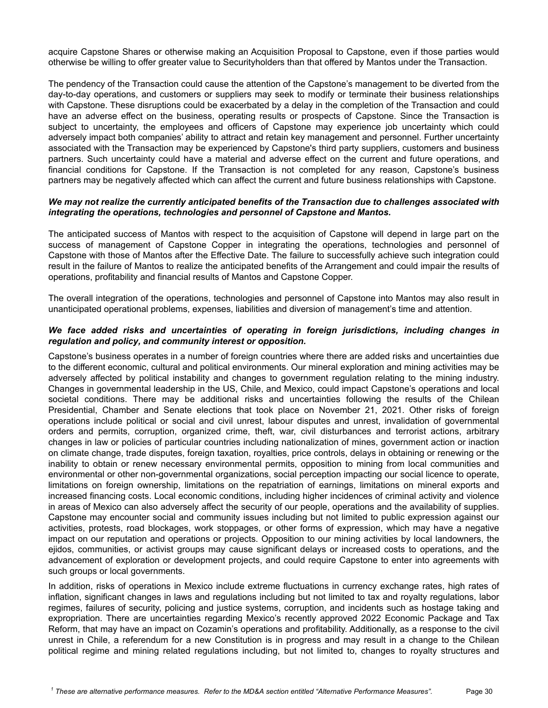acquire Capstone Shares or otherwise making an Acquisition Proposal to Capstone, even if those parties would otherwise be willing to offer greater value to Securityholders than that offered by Mantos under the Transaction.

The pendency of the Transaction could cause the attention of the Capstone's management to be diverted from the day-to-day operations, and customers or suppliers may seek to modify or terminate their business relationships with Capstone. These disruptions could be exacerbated by a delay in the completion of the Transaction and could have an adverse effect on the business, operating results or prospects of Capstone. Since the Transaction is subject to uncertainty, the employees and officers of Capstone may experience job uncertainty which could adversely impact both companies' ability to attract and retain key management and personnel. Further uncertainty associated with the Transaction may be experienced by Capstone's third party suppliers, customers and business partners. Such uncertainty could have a material and adverse effect on the current and future operations, and financial conditions for Capstone. If the Transaction is not completed for any reason, Capstone's business partners may be negatively affected which can affect the current and future business relationships with Capstone.

#### *We may not realize the currently anticipated benefits of the Transaction due to challenges associated with integrating the operations, technologies and personnel of Capstone and Mantos.*

The anticipated success of Mantos with respect to the acquisition of Capstone will depend in large part on the success of management of Capstone Copper in integrating the operations, technologies and personnel of Capstone with those of Mantos after the Effective Date. The failure to successfully achieve such integration could result in the failure of Mantos to realize the anticipated benefits of the Arrangement and could impair the results of operations, profitability and financial results of Mantos and Capstone Copper.

The overall integration of the operations, technologies and personnel of Capstone into Mantos may also result in unanticipated operational problems, expenses, liabilities and diversion of management's time and attention.

#### *We face added risks and uncertainties of operating in foreign jurisdictions, including changes in regulation and policy, and community interest or opposition.*

Capstone's business operates in a number of foreign countries where there are added risks and uncertainties due to the different economic, cultural and political environments. Our mineral exploration and mining activities may be adversely affected by political instability and changes to government regulation relating to the mining industry. Changes in governmental leadership in the US, Chile, and Mexico, could impact Capstone's operations and local societal conditions. There may be additional risks and uncertainties following the results of the Chilean Presidential, Chamber and Senate elections that took place on November 21, 2021. Other risks of foreign operations include political or social and civil unrest, labour disputes and unrest, invalidation of governmental orders and permits, corruption, organized crime, theft, war, civil disturbances and terrorist actions, arbitrary changes in law or policies of particular countries including nationalization of mines, government action or inaction on climate change, trade disputes, foreign taxation, royalties, price controls, delays in obtaining or renewing or the inability to obtain or renew necessary environmental permits, opposition to mining from local communities and environmental or other non-governmental organizations, social perception impacting our social licence to operate, limitations on foreign ownership, limitations on the repatriation of earnings, limitations on mineral exports and increased financing costs. Local economic conditions, including higher incidences of criminal activity and violence in areas of Mexico can also adversely affect the security of our people, operations and the availability of supplies. Capstone may encounter social and community issues including but not limited to public expression against our activities, protests, road blockages, work stoppages, or other forms of expression, which may have a negative impact on our reputation and operations or projects. Opposition to our mining activities by local landowners, the ejidos, communities, or activist groups may cause significant delays or increased costs to operations, and the advancement of exploration or development projects, and could require Capstone to enter into agreements with such groups or local governments.

In addition, risks of operations in Mexico include extreme fluctuations in currency exchange rates, high rates of inflation, significant changes in laws and regulations including but not limited to tax and royalty regulations, labor regimes, failures of security, policing and justice systems, corruption, and incidents such as hostage taking and expropriation. There are uncertainties regarding Mexico's recently approved 2022 Economic Package and Tax Reform, that may have an impact on Cozamin's operations and profitability. Additionally, as a response to the civil unrest in Chile, a referendum for a new Constitution is in progress and may result in a change to the Chilean political regime and mining related regulations including, but not limited to, changes to royalty structures and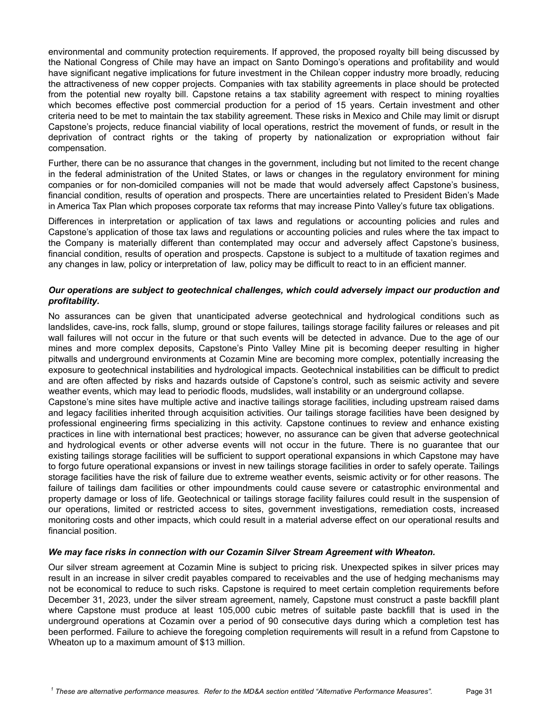environmental and community protection requirements. If approved, the proposed royalty bill being discussed by the National Congress of Chile may have an impact on Santo Domingo's operations and profitability and would have significant negative implications for future investment in the Chilean copper industry more broadly, reducing the attractiveness of new copper projects. Companies with tax stability agreements in place should be protected from the potential new royalty bill. Capstone retains a tax stability agreement with respect to mining royalties which becomes effective post commercial production for a period of 15 years. Certain investment and other criteria need to be met to maintain the tax stability agreement. These risks in Mexico and Chile may limit or disrupt Capstone's projects, reduce financial viability of local operations, restrict the movement of funds, or result in the deprivation of contract rights or the taking of property by nationalization or expropriation without fair compensation.

Further, there can be no assurance that changes in the government, including but not limited to the recent change in the federal administration of the United States, or laws or changes in the regulatory environment for mining companies or for non-domiciled companies will not be made that would adversely affect Capstone's business, financial condition, results of operation and prospects. There are uncertainties related to President Biden's Made in America Tax Plan which proposes corporate tax reforms that may increase Pinto Valley's future tax obligations.

Differences in interpretation or application of tax laws and regulations or accounting policies and rules and Capstone's application of those tax laws and regulations or accounting policies and rules where the tax impact to the Company is materially different than contemplated may occur and adversely affect Capstone's business, financial condition, results of operation and prospects. Capstone is subject to a multitude of taxation regimes and any changes in law, policy or interpretation of law, policy may be difficult to react to in an efficient manner.

#### *Our operations are subject to geotechnical challenges, which could adversely impact our production and profitability.*

No assurances can be given that unanticipated adverse geotechnical and hydrological conditions such as landslides, cave-ins, rock falls, slump, ground or stope failures, tailings storage facility failures or releases and pit wall failures will not occur in the future or that such events will be detected in advance. Due to the age of our mines and more complex deposits, Capstone's Pinto Valley Mine pit is becoming deeper resulting in higher pitwalls and underground environments at Cozamin Mine are becoming more complex, potentially increasing the exposure to geotechnical instabilities and hydrological impacts. Geotechnical instabilities can be difficult to predict and are often affected by risks and hazards outside of Capstone's control, such as seismic activity and severe weather events, which may lead to periodic floods, mudslides, wall instability or an underground collapse.

Capstone's mine sites have multiple active and inactive tailings storage facilities, including upstream raised dams and legacy facilities inherited through acquisition activities. Our tailings storage facilities have been designed by professional engineering firms specializing in this activity. Capstone continues to review and enhance existing practices in line with international best practices; however, no assurance can be given that adverse geotechnical and hydrological events or other adverse events will not occur in the future. There is no guarantee that our existing tailings storage facilities will be sufficient to support operational expansions in which Capstone may have to forgo future operational expansions or invest in new tailings storage facilities in order to safely operate. Tailings storage facilities have the risk of failure due to extreme weather events, seismic activity or for other reasons. The failure of tailings dam facilities or other impoundments could cause severe or catastrophic environmental and property damage or loss of life. Geotechnical or tailings storage facility failures could result in the suspension of our operations, limited or restricted access to sites, government investigations, remediation costs, increased monitoring costs and other impacts, which could result in a material adverse effect on our operational results and financial position.

#### *We may face risks in connection with our Cozamin Silver Stream Agreement with Wheaton.*

Our silver stream agreement at Cozamin Mine is subject to pricing risk. Unexpected spikes in silver prices may result in an increase in silver credit payables compared to receivables and the use of hedging mechanisms may not be economical to reduce to such risks. Capstone is required to meet certain completion requirements before December 31, 2023, under the silver stream agreement, namely, Capstone must construct a paste backfill plant where Capstone must produce at least 105,000 cubic metres of suitable paste backfill that is used in the underground operations at Cozamin over a period of 90 consecutive days during which a completion test has been performed. Failure to achieve the foregoing completion requirements will result in a refund from Capstone to Wheaton up to a maximum amount of \$13 million.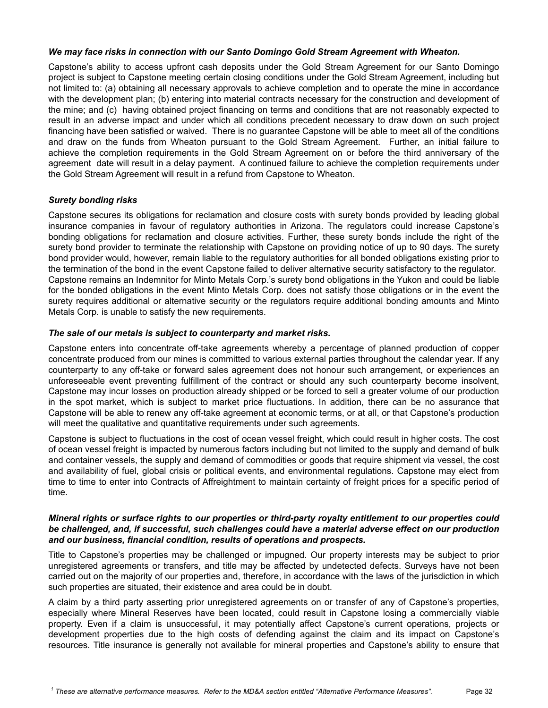#### *We may face risks in connection with our Santo Domingo Gold Stream Agreement with Wheaton.*

Capstone's ability to access upfront cash deposits under the Gold Stream Agreement for our Santo Domingo project is subject to Capstone meeting certain closing conditions under the Gold Stream Agreement, including but not limited to: (a) obtaining all necessary approvals to achieve completion and to operate the mine in accordance with the development plan; (b) entering into material contracts necessary for the construction and development of the mine; and (c) having obtained project financing on terms and conditions that are not reasonably expected to result in an adverse impact and under which all conditions precedent necessary to draw down on such project financing have been satisfied or waived. There is no guarantee Capstone will be able to meet all of the conditions and draw on the funds from Wheaton pursuant to the Gold Stream Agreement. Further, an initial failure to achieve the completion requirements in the Gold Stream Agreement on or before the third anniversary of the agreement date will result in a delay payment. A continued failure to achieve the completion requirements under the Gold Stream Agreement will result in a refund from Capstone to Wheaton.

#### *Surety bonding risks*

Capstone secures its obligations for reclamation and closure costs with surety bonds provided by leading global insurance companies in favour of regulatory authorities in Arizona. The regulators could increase Capstone's bonding obligations for reclamation and closure activities. Further, these surety bonds include the right of the surety bond provider to terminate the relationship with Capstone on providing notice of up to 90 days. The surety bond provider would, however, remain liable to the regulatory authorities for all bonded obligations existing prior to the termination of the bond in the event Capstone failed to deliver alternative security satisfactory to the regulator. Capstone remains an Indemnitor for Minto Metals Corp.'s surety bond obligations in the Yukon and could be liable for the bonded obligations in the event Minto Metals Corp. does not satisfy those obligations or in the event the surety requires additional or alternative security or the regulators require additional bonding amounts and Minto Metals Corp. is unable to satisfy the new requirements.

#### *The sale of our metals is subject to counterparty and market risks.*

Capstone enters into concentrate off-take agreements whereby a percentage of planned production of copper concentrate produced from our mines is committed to various external parties throughout the calendar year. If any counterparty to any off-take or forward sales agreement does not honour such arrangement, or experiences an unforeseeable event preventing fulfillment of the contract or should any such counterparty become insolvent, Capstone may incur losses on production already shipped or be forced to sell a greater volume of our production in the spot market, which is subject to market price fluctuations. In addition, there can be no assurance that Capstone will be able to renew any off-take agreement at economic terms, or at all, or that Capstone's production will meet the qualitative and quantitative requirements under such agreements.

Capstone is subject to fluctuations in the cost of ocean vessel freight, which could result in higher costs. The cost of ocean vessel freight is impacted by numerous factors including but not limited to the supply and demand of bulk and container vessels, the supply and demand of commodities or goods that require shipment via vessel, the cost and availability of fuel, global crisis or political events, and environmental regulations. Capstone may elect from time to time to enter into Contracts of Affreightment to maintain certainty of freight prices for a specific period of time.

#### *Mineral rights or surface rights to our properties or third-party royalty entitlement to our properties could be challenged, and, if successful, such challenges could have a material adverse effect on our production and our business, financial condition, results of operations and prospects.*

Title to Capstone's properties may be challenged or impugned. Our property interests may be subject to prior unregistered agreements or transfers, and title may be affected by undetected defects. Surveys have not been carried out on the majority of our properties and, therefore, in accordance with the laws of the jurisdiction in which such properties are situated, their existence and area could be in doubt.

A claim by a third party asserting prior unregistered agreements on or transfer of any of Capstone's properties, especially where Mineral Reserves have been located, could result in Capstone losing a commercially viable property. Even if a claim is unsuccessful, it may potentially affect Capstone's current operations, projects or development properties due to the high costs of defending against the claim and its impact on Capstone's resources. Title insurance is generally not available for mineral properties and Capstone's ability to ensure that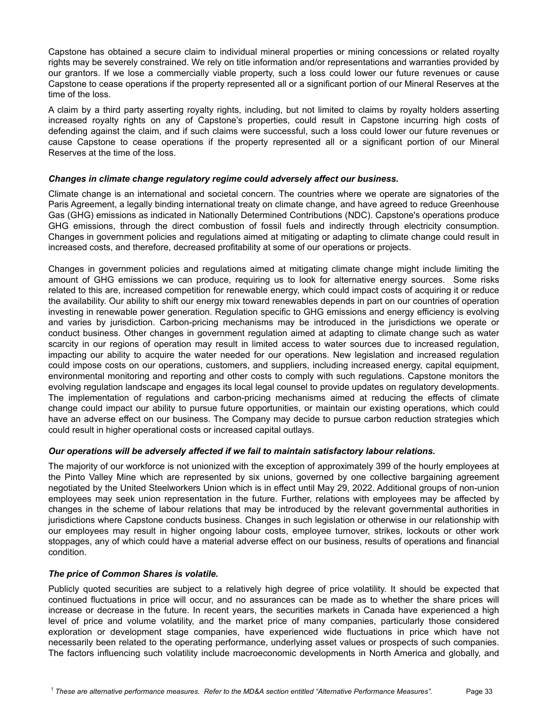Capstone has obtained a secure claim to individual mineral properties or mining concessions or related royalty rights may be severely constrained. We rely on title information and/or representations and warranties provided by our grantors. If we lose a commercially viable property, such a loss could lower our future revenues or cause Capstone to cease operations if the property represented all or a significant portion of our Mineral Reserves at the time of the loss.

A claim by a third party asserting royalty rights, including, but not limited to claims by royalty holders asserting increased royalty rights on any of Capstone's properties, could result in Capstone incurring high costs of defending against the claim, and if such claims were successful, such a loss could lower our future revenues or cause Capstone to cease operations if the property represented all or a significant portion of our Mineral Reserves at the time of the loss.

#### *Changes in climate change regulatory regime could adversely affect our business.*

Climate change is an international and societal concern. The countries where we operate are signatories of the Paris Agreement, a legally binding international treaty on climate change, and have agreed to reduce Greenhouse Gas (GHG) emissions as indicated in Nationally Determined Contributions (NDC). Capstone's operations produce GHG emissions, through the direct combustion of fossil fuels and indirectly through electricity consumption. Changes in government policies and regulations aimed at mitigating or adapting to climate change could result in increased costs, and therefore, decreased profitability at some of our operations or projects.

Changes in government policies and regulations aimed at mitigating climate change might include limiting the amount of GHG emissions we can produce, requiring us to look for alternative energy sources. Some risks related to this are, increased competition for renewable energy, which could impact costs of acquiring it or reduce the availability. Our ability to shift our energy mix toward renewables depends in part on our countries of operation investing in renewable power generation. Regulation specific to GHG emissions and energy efficiency is evolving and varies by jurisdiction. Carbon-pricing mechanisms may be introduced in the jurisdictions we operate or conduct business. Other changes in government regulation aimed at adapting to climate change such as water scarcity in our regions of operation may result in limited access to water sources due to increased regulation, impacting our ability to acquire the water needed for our operations. New legislation and increased regulation could impose costs on our operations, customers, and suppliers, including increased energy, capital equipment, environmental monitoring and reporting and other costs to comply with such regulations. Capstone monitors the evolving regulation landscape and engages its local legal counsel to provide updates on regulatory developments. The implementation of regulations and carbon-pricing mechanisms aimed at reducing the effects of climate change could impact our ability to pursue future opportunities, or maintain our existing operations, which could have an adverse effect on our business. The Company may decide to pursue carbon reduction strategies which could result in higher operational costs or increased capital outlays.

#### *Our operations will be adversely affected if we fail to maintain satisfactory labour relations.*

The majority of our workforce is not unionized with the exception of approximately 399 of the hourly employees at the Pinto Valley Mine which are represented by six unions, governed by one collective bargaining agreement negotiated by the United Steelworkers Union which is in effect until May 29, 2022. Additional groups of non-union employees may seek union representation in the future. Further, relations with employees may be affected by changes in the scheme of labour relations that may be introduced by the relevant governmental authorities in jurisdictions where Capstone conducts business. Changes in such legislation or otherwise in our relationship with our employees may result in higher ongoing labour costs, employee turnover, strikes, lockouts or other work stoppages, any of which could have a material adverse effect on our business, results of operations and financial condition.

#### *The price of Common Shares is volatile.*

Publicly quoted securities are subject to a relatively high degree of price volatility. It should be expected that continued fluctuations in price will occur, and no assurances can be made as to whether the share prices will increase or decrease in the future. In recent years, the securities markets in Canada have experienced a high level of price and volume volatility, and the market price of many companies, particularly those considered exploration or development stage companies, have experienced wide fluctuations in price which have not necessarily been related to the operating performance, underlying asset values or prospects of such companies. The factors influencing such volatility include macroeconomic developments in North America and globally, and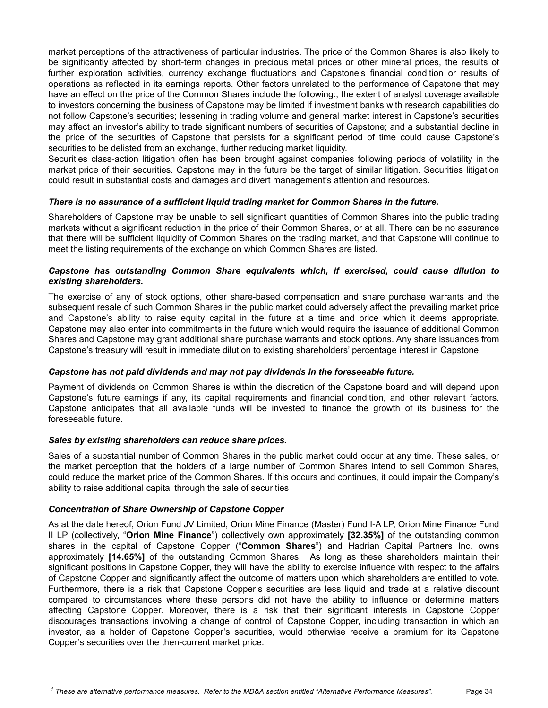market perceptions of the attractiveness of particular industries. The price of the Common Shares is also likely to be significantly affected by short-term changes in precious metal prices or other mineral prices, the results of further exploration activities, currency exchange fluctuations and Capstone's financial condition or results of operations as reflected in its earnings reports. Other factors unrelated to the performance of Capstone that may have an effect on the price of the Common Shares include the following:, the extent of analyst coverage available to investors concerning the business of Capstone may be limited if investment banks with research capabilities do not follow Capstone's securities; lessening in trading volume and general market interest in Capstone's securities may affect an investor's ability to trade significant numbers of securities of Capstone; and a substantial decline in the price of the securities of Capstone that persists for a significant period of time could cause Capstone's securities to be delisted from an exchange, further reducing market liquidity.

Securities class-action litigation often has been brought against companies following periods of volatility in the market price of their securities. Capstone may in the future be the target of similar litigation. Securities litigation could result in substantial costs and damages and divert management's attention and resources.

#### *There is no assurance of a sufficient liquid trading market for Common Shares in the future.*

Shareholders of Capstone may be unable to sell significant quantities of Common Shares into the public trading markets without a significant reduction in the price of their Common Shares, or at all. There can be no assurance that there will be sufficient liquidity of Common Shares on the trading market, and that Capstone will continue to meet the listing requirements of the exchange on which Common Shares are listed.

#### *Capstone has outstanding Common Share equivalents which, if exercised, could cause dilution to existing shareholders.*

The exercise of any of stock options, other share-based compensation and share purchase warrants and the subsequent resale of such Common Shares in the public market could adversely affect the prevailing market price and Capstone's ability to raise equity capital in the future at a time and price which it deems appropriate. Capstone may also enter into commitments in the future which would require the issuance of additional Common Shares and Capstone may grant additional share purchase warrants and stock options. Any share issuances from Capstone's treasury will result in immediate dilution to existing shareholders' percentage interest in Capstone.

#### *Capstone has not paid dividends and may not pay dividends in the foreseeable future.*

Payment of dividends on Common Shares is within the discretion of the Capstone board and will depend upon Capstone's future earnings if any, its capital requirements and financial condition, and other relevant factors. Capstone anticipates that all available funds will be invested to finance the growth of its business for the foreseeable future.

#### *Sales by existing shareholders can reduce share prices.*

Sales of a substantial number of Common Shares in the public market could occur at any time. These sales, or the market perception that the holders of a large number of Common Shares intend to sell Common Shares, could reduce the market price of the Common Shares. If this occurs and continues, it could impair the Company's ability to raise additional capital through the sale of securities

#### *Concentration of Share Ownership of Capstone Copper*

As at the date hereof, Orion Fund JV Limited, Orion Mine Finance (Master) Fund I-A LP, Orion Mine Finance Fund II LP (collectively, "**Orion Mine Finance**") collectively own approximately **[32.35%]** of the outstanding common shares in the capital of Capstone Copper ("**Common Shares**") and Hadrian Capital Partners Inc. owns approximately **[14.65%]** of the outstanding Common Shares. As long as these shareholders maintain their significant positions in Capstone Copper, they will have the ability to exercise influence with respect to the affairs of Capstone Copper and significantly affect the outcome of matters upon which shareholders are entitled to vote. Furthermore, there is a risk that Capstone Copper's securities are less liquid and trade at a relative discount compared to circumstances where these persons did not have the ability to influence or determine matters affecting Capstone Copper. Moreover, there is a risk that their significant interests in Capstone Copper discourages transactions involving a change of control of Capstone Copper, including transaction in which an investor, as a holder of Capstone Copper's securities, would otherwise receive a premium for its Capstone Copper's securities over the then-current market price.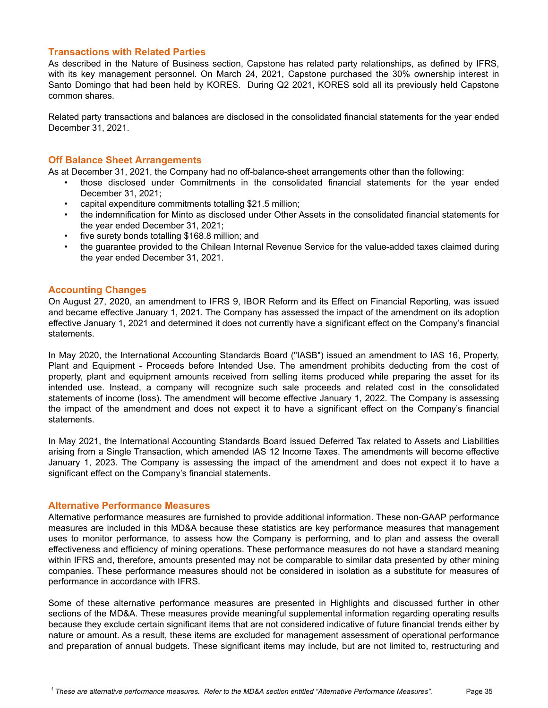#### <span id="page-35-0"></span>**Transactions with Related Parties**

As described in the Nature of Business section, Capstone has related party relationships, as defined by IFRS, with its key management personnel. On March 24, 2021, Capstone purchased the 30% ownership interest in Santo Domingo that had been held by KORES. During Q2 2021, KORES sold all its previously held Capstone common shares.

Related party transactions and balances are disclosed in the consolidated financial statements for the year ended December 31, 2021.

#### **Off Balance Sheet Arrangements**

As at December 31, 2021, the Company had no off-balance-sheet arrangements other than the following:

- those disclosed under Commitments in the consolidated financial statements for the year ended December 31, 2021;
- capital expenditure commitments totalling \$21.5 million;
- the indemnification for Minto as disclosed under Other Assets in the consolidated financial statements for the year ended December 31, 2021;
- five surety bonds totalling \$168.8 million; and
- the guarantee provided to the Chilean Internal Revenue Service for the value-added taxes claimed during the year ended December 31, 2021.

#### **Accounting Changes**

On August 27, 2020, an amendment to IFRS 9, IBOR Reform and its Effect on Financial Reporting, was issued and became effective January 1, 2021. The Company has assessed the impact of the amendment on its adoption effective January 1, 2021 and determined it does not currently have a significant effect on the Company's financial statements.

In May 2020, the International Accounting Standards Board ("IASB") issued an amendment to IAS 16, Property, Plant and Equipment - Proceeds before Intended Use. The amendment prohibits deducting from the cost of property, plant and equipment amounts received from selling items produced while preparing the asset for its intended use. Instead, a company will recognize such sale proceeds and related cost in the consolidated statements of income (loss). The amendment will become effective January 1, 2022. The Company is assessing the impact of the amendment and does not expect it to have a significant effect on the Company's financial statements.

In May 2021, the International Accounting Standards Board issued Deferred Tax related to Assets and Liabilities arising from a Single Transaction, which amended IAS 12 Income Taxes. The amendments will become effective January 1, 2023. The Company is assessing the impact of the amendment and does not expect it to have a significant effect on the Company's financial statements.

#### **Alternative Performance Measures**

Alternative performance measures are furnished to provide additional information. These non-GAAP performance measures are included in this MD&A because these statistics are key performance measures that management uses to monitor performance, to assess how the Company is performing, and to plan and assess the overall effectiveness and efficiency of mining operations. These performance measures do not have a standard meaning within IFRS and, therefore, amounts presented may not be comparable to similar data presented by other mining companies. These performance measures should not be considered in isolation as a substitute for measures of performance in accordance with IFRS.

Some of these alternative performance measures are presented in Highlights and discussed further in other sections of the MD&A. These measures provide meaningful supplemental information regarding operating results because they exclude certain significant items that are not considered indicative of future financial trends either by nature or amount. As a result, these items are excluded for management assessment of operational performance and preparation of annual budgets. These significant items may include, but are not limited to, restructuring and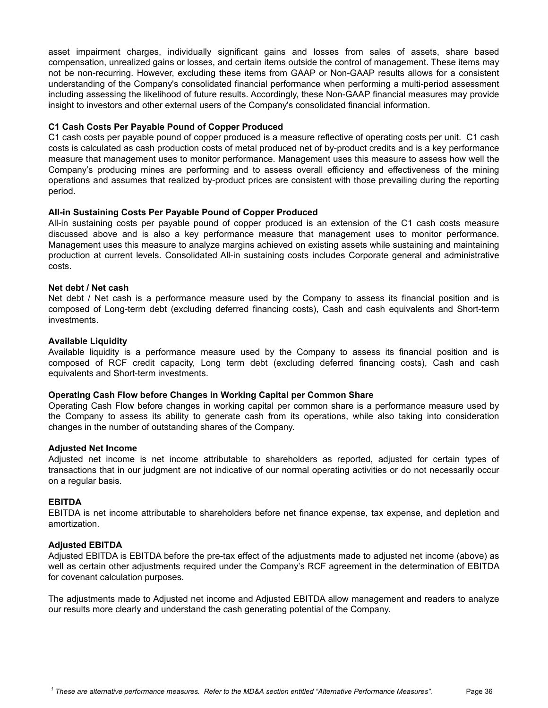asset impairment charges, individually significant gains and losses from sales of assets, share based compensation, unrealized gains or losses, and certain items outside the control of management. These items may not be non-recurring. However, excluding these items from GAAP or Non-GAAP results allows for a consistent understanding of the Company's consolidated financial performance when performing a multi-period assessment including assessing the likelihood of future results. Accordingly, these Non-GAAP financial measures may provide insight to investors and other external users of the Company's consolidated financial information.

#### **C1 Cash Costs Per Payable Pound of Copper Produced**

C1 cash costs per payable pound of copper produced is a measure reflective of operating costs per unit. C1 cash costs is calculated as cash production costs of metal produced net of by-product credits and is a key performance measure that management uses to monitor performance. Management uses this measure to assess how well the Company's producing mines are performing and to assess overall efficiency and effectiveness of the mining operations and assumes that realized by-product prices are consistent with those prevailing during the reporting period.

#### **All-in Sustaining Costs Per Payable Pound of Copper Produced**

All-in sustaining costs per payable pound of copper produced is an extension of the C1 cash costs measure discussed above and is also a key performance measure that management uses to monitor performance. Management uses this measure to analyze margins achieved on existing assets while sustaining and maintaining production at current levels. Consolidated All-in sustaining costs includes Corporate general and administrative costs.

#### **Net debt / Net cash**

Net debt / Net cash is a performance measure used by the Company to assess its financial position and is composed of Long-term debt (excluding deferred financing costs), Cash and cash equivalents and Short-term investments.

#### **Available Liquidity**

Available liquidity is a performance measure used by the Company to assess its financial position and is composed of RCF credit capacity, Long term debt (excluding deferred financing costs), Cash and cash equivalents and Short-term investments.

#### **Operating Cash Flow before Changes in Working Capital per Common Share**

Operating Cash Flow before changes in working capital per common share is a performance measure used by the Company to assess its ability to generate cash from its operations, while also taking into consideration changes in the number of outstanding shares of the Company.

#### **Adjusted Net Income**

Adjusted net income is net income attributable to shareholders as reported, adjusted for certain types of transactions that in our judgment are not indicative of our normal operating activities or do not necessarily occur on a regular basis.

#### **EBITDA**

EBITDA is net income attributable to shareholders before net finance expense, tax expense, and depletion and amortization.

#### **Adjusted EBITDA**

Adjusted EBITDA is EBITDA before the pre-tax effect of the adjustments made to adjusted net income (above) as well as certain other adjustments required under the Company's RCF agreement in the determination of EBITDA for covenant calculation purposes.

The adjustments made to Adjusted net income and Adjusted EBITDA allow management and readers to analyze our results more clearly and understand the cash generating potential of the Company.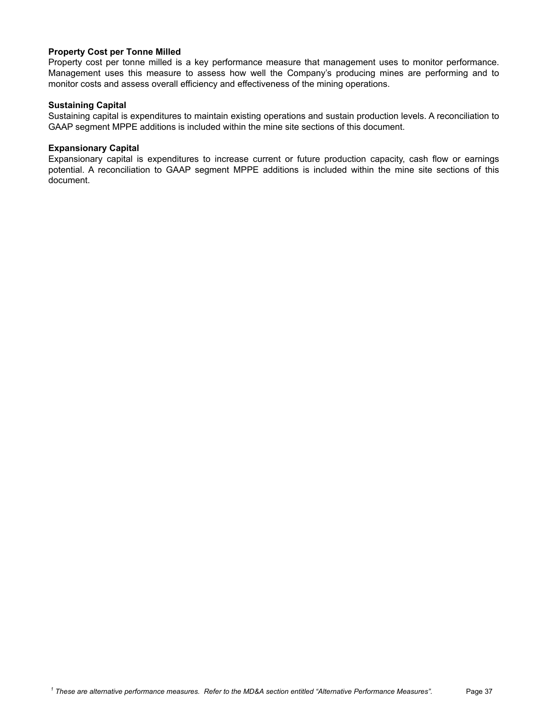#### **Property Cost per Tonne Milled**

Property cost per tonne milled is a key performance measure that management uses to monitor performance. Management uses this measure to assess how well the Company's producing mines are performing and to monitor costs and assess overall efficiency and effectiveness of the mining operations.

#### **Sustaining Capital**

Sustaining capital is expenditures to maintain existing operations and sustain production levels. A reconciliation to GAAP segment MPPE additions is included within the mine site sections of this document.

#### **Expansionary Capital**

Expansionary capital is expenditures to increase current or future production capacity, cash flow or earnings potential. A reconciliation to GAAP segment MPPE additions is included within the mine site sections of this document.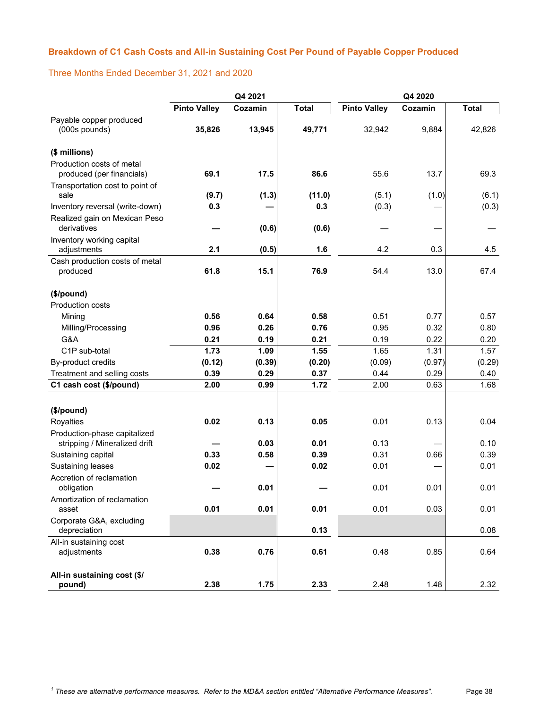## **Breakdown of C1 Cash Costs and All-in Sustaining Cost Per Pound of Payable Copper Produced**

## Three Months Ended December 31, 2021 and 2020

|                                                        | Q4 2021             |         |              | Q4 2020             |         |              |
|--------------------------------------------------------|---------------------|---------|--------------|---------------------|---------|--------------|
|                                                        | <b>Pinto Valley</b> | Cozamin | <b>Total</b> | <b>Pinto Valley</b> | Cozamin | <b>Total</b> |
| Payable copper produced<br>(000s pounds)               | 35,826              | 13,945  | 49,771       | 32,942              | 9,884   | 42,826       |
| (\$ millions)                                          |                     |         |              |                     |         |              |
| Production costs of metal<br>produced (per financials) | 69.1                | 17.5    | 86.6         | 55.6                | 13.7    | 69.3         |
| Transportation cost to point of<br>sale                | (9.7)               | (1.3)   | (11.0)       | (5.1)               | (1.0)   | (6.1)        |
| Inventory reversal (write-down)                        | 0.3                 |         | 0.3          | (0.3)               |         | (0.3)        |
| Realized gain on Mexican Peso<br>derivatives           |                     | (0.6)   | (0.6)        |                     |         |              |
| Inventory working capital                              |                     |         |              |                     |         |              |
| adjustments                                            | 2.1                 | (0.5)   | 1.6          | 4.2                 | 0.3     | 4.5          |
| Cash production costs of metal                         |                     |         |              |                     |         |              |
| produced                                               | 61.8                | 15.1    | 76.9         | 54.4                | 13.0    | 67.4         |
| (\$/pound)                                             |                     |         |              |                     |         |              |
| <b>Production costs</b>                                |                     |         |              |                     |         |              |
| Mining                                                 | 0.56                | 0.64    | 0.58         | 0.51                | 0.77    | 0.57         |
| Milling/Processing                                     | 0.96                | 0.26    | 0.76         | 0.95                | 0.32    | 0.80         |
| G&A                                                    | 0.21                | 0.19    | 0.21         | 0.19                | 0.22    | 0.20         |
| C <sub>1</sub> P sub-total                             | 1.73                | 1.09    | 1.55         | 1.65                | 1.31    | 1.57         |
| By-product credits                                     | (0.12)              | (0.39)  | (0.20)       | (0.09)              | (0.97)  | (0.29)       |
| Treatment and selling costs                            | 0.39                | 0.29    | 0.37         | 0.44                | 0.29    | 0.40         |
| C1 cash cost (\$/pound)                                | 2.00                | 0.99    | 1.72         | 2.00                | 0.63    | 1.68         |
| (\$/pound)                                             |                     |         |              |                     |         |              |
| Royalties                                              | 0.02                | 0.13    | 0.05         | 0.01                | 0.13    | 0.04         |
| Production-phase capitalized                           |                     |         |              |                     |         |              |
| stripping / Mineralized drift                          |                     | 0.03    | 0.01         | 0.13                |         | 0.10         |
| Sustaining capital                                     | 0.33                | 0.58    | 0.39         | 0.31                | 0.66    | 0.39         |
| Sustaining leases                                      | 0.02                |         | 0.02         | 0.01                |         | 0.01         |
| Accretion of reclamation<br>obligation                 |                     | 0.01    |              | 0.01                | 0.01    | 0.01         |
| Amortization of reclamation<br>asset                   | 0.01                | 0.01    | 0.01         | 0.01                | 0.03    | 0.01         |
| Corporate G&A, excluding<br>depreciation               |                     |         | 0.13         |                     |         | 0.08         |
| All-in sustaining cost<br>adjustments                  | 0.38                | 0.76    | 0.61         | 0.48                | 0.85    | 0.64         |
| All-in sustaining cost (\$/<br>pound)                  | 2.38                | 1.75    | 2.33         | 2.48                | 1.48    | 2.32         |
|                                                        |                     |         |              |                     |         |              |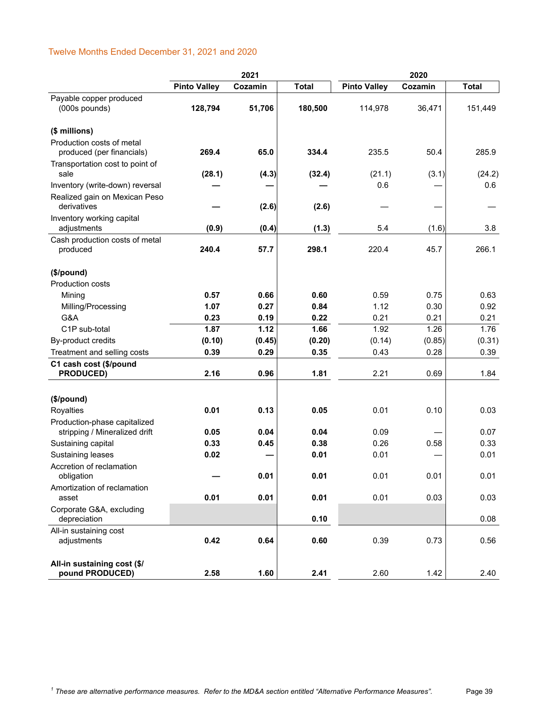## Twelve Months Ended December 31, 2021 and 2020

|                                                        |                     | 2021    |              |                     | 2020    |              |  |
|--------------------------------------------------------|---------------------|---------|--------------|---------------------|---------|--------------|--|
|                                                        | <b>Pinto Valley</b> | Cozamin | <b>Total</b> | <b>Pinto Valley</b> | Cozamin | <b>Total</b> |  |
| Payable copper produced<br>(000s pounds)               | 128,794             | 51,706  | 180,500      | 114,978             | 36,471  | 151,449      |  |
| $$$ millions)                                          |                     |         |              |                     |         |              |  |
| Production costs of metal<br>produced (per financials) | 269.4               | 65.0    | 334.4        | 235.5               | 50.4    | 285.9        |  |
| Transportation cost to point of<br>sale                | (28.1)              | (4.3)   | (32.4)       | (21.1)              | (3.1)   | (24.2)       |  |
| Inventory (write-down) reversal                        |                     |         |              | 0.6                 |         | 0.6          |  |
| Realized gain on Mexican Peso<br>derivatives           |                     | (2.6)   | (2.6)        |                     |         |              |  |
| Inventory working capital<br>adjustments               | (0.9)               | (0.4)   | (1.3)        | 5.4                 | (1.6)   | 3.8          |  |
| Cash production costs of metal<br>produced             | 240.4               | 57.7    | 298.1        | 220.4               | 45.7    | 266.1        |  |
| (\$/pound)                                             |                     |         |              |                     |         |              |  |
| <b>Production costs</b>                                |                     |         |              |                     |         |              |  |
| Mining                                                 | 0.57                | 0.66    | 0.60         | 0.59                | 0.75    | 0.63         |  |
| Milling/Processing                                     | 1.07                | 0.27    | 0.84         | 1.12                | 0.30    | 0.92         |  |
| G&A                                                    | 0.23                | 0.19    | 0.22         | 0.21                | 0.21    | 0.21         |  |
| C <sub>1</sub> P sub-total                             | 1.87                | 1.12    | 1.66         | 1.92                | 1.26    | 1.76         |  |
| By-product credits                                     | (0.10)              | (0.45)  | (0.20)       | (0.14)              | (0.85)  | (0.31)       |  |
| Treatment and selling costs                            | 0.39                | 0.29    | 0.35         | 0.43                | 0.28    | 0.39         |  |
| C1 cash cost (\$/pound                                 |                     |         |              |                     |         |              |  |
| <b>PRODUCED)</b>                                       | 2.16                | 0.96    | 1.81         | 2.21                | 0.69    | 1.84         |  |
| (\$/pound)                                             |                     |         |              |                     |         |              |  |
| Royalties                                              | 0.01                | 0.13    | 0.05         | 0.01                | 0.10    | 0.03         |  |
| Production-phase capitalized                           |                     |         |              |                     |         |              |  |
| stripping / Mineralized drift                          | 0.05                | 0.04    | 0.04         | 0.09                |         | 0.07         |  |
| Sustaining capital                                     | 0.33                | 0.45    | 0.38         | 0.26                | 0.58    | 0.33         |  |
| Sustaining leases                                      | 0.02                |         | 0.01         | 0.01                |         | 0.01         |  |
| Accretion of reclamation<br>obligation                 |                     | 0.01    | 0.01         | 0.01                | 0.01    | 0.01         |  |
| Amortization of reclamation<br>asset                   | 0.01                | 0.01    | 0.01         | 0.01                | 0.03    | 0.03         |  |
| Corporate G&A, excluding<br>depreciation               |                     |         | 0.10         |                     |         | 0.08         |  |
| All-in sustaining cost<br>adjustments                  | 0.42                | 0.64    | 0.60         | 0.39                | 0.73    | 0.56         |  |
| All-in sustaining cost (\$/<br>pound PRODUCED)         | 2.58                | 1.60    | 2.41         | 2.60                | 1.42    | 2.40         |  |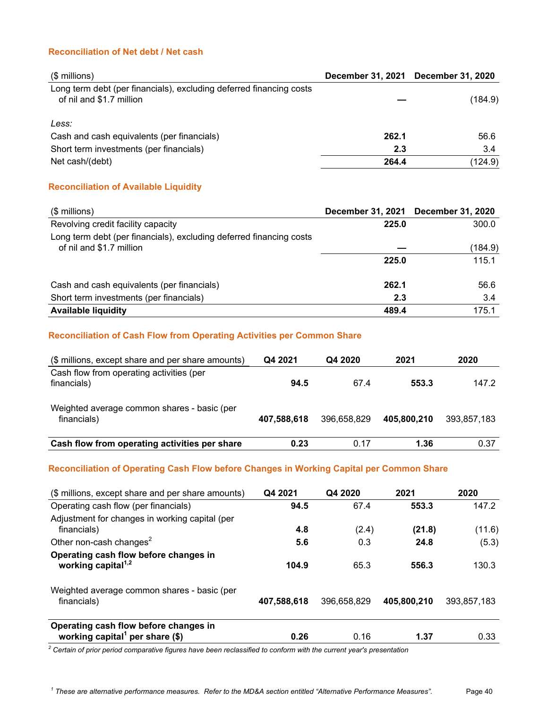## **Reconciliation of Net debt / Net cash**

| $$$ millions)                                                                                   |       | December 31, 2021 December 31, 2020 |
|-------------------------------------------------------------------------------------------------|-------|-------------------------------------|
| Long term debt (per financials), excluding deferred financing costs<br>of nil and \$1.7 million |       | (184.9)                             |
| Less:                                                                                           |       |                                     |
| Cash and cash equivalents (per financials)                                                      | 262.1 | 56.6                                |
| Short term investments (per financials)                                                         | 2.3   | 3.4                                 |
| Net cash/(debt)                                                                                 | 264.4 | (124.9)                             |

#### **Reconciliation of Available Liquidity**

| $$$ millions)                                                       |       | December 31, 2021 December 31, 2020 |
|---------------------------------------------------------------------|-------|-------------------------------------|
| Revolving credit facility capacity                                  | 225.0 | 300.0                               |
| Long term debt (per financials), excluding deferred financing costs |       |                                     |
| of nil and \$1.7 million                                            |       | (184.9)                             |
|                                                                     | 225.0 | 115.1                               |
| Cash and cash equivalents (per financials)                          | 262.1 | 56.6                                |
| Short term investments (per financials)                             | 2.3   | 3.4                                 |
| <b>Available liquidity</b>                                          | 489.4 | 175.1                               |

## **Reconciliation of Cash Flow from Operating Activities per Common Share**

| (\$ millions, except share and per share amounts)          | Q4 2021     | Q4 2020     | 2021        | 2020        |
|------------------------------------------------------------|-------------|-------------|-------------|-------------|
| Cash flow from operating activities (per<br>financials)    | 94.5        | 67.4        | 553.3       | 147.2       |
| Weighted average common shares - basic (per<br>financials) | 407.588.618 | 396.658.829 | 405,800,210 | 393.857.183 |
| Cash flow from operating activities per share              | 0.23        | 0.17        | 1.36        | 0.37        |

#### **Reconciliation of Operating Cash Flow before Changes in Working Capital per Common Share**

| (\$ millions, except share and per share amounts)                                      | Q4 2021     | Q4 2020     | 2021        | 2020        |
|----------------------------------------------------------------------------------------|-------------|-------------|-------------|-------------|
| Operating cash flow (per financials)                                                   | 94.5        | 67.4        | 553.3       | 147.2       |
| Adjustment for changes in working capital (per<br>financials)                          | 4.8         | (2.4)       | (21.8)      | (11.6)      |
| Other non-cash changes <sup>2</sup>                                                    | 5.6         | 0.3         | 24.8        | (5.3)       |
| Operating cash flow before changes in<br>working capital $1,2$                         | 104.9       | 65.3        | 556.3       | 130.3       |
| Weighted average common shares - basic (per<br>financials)                             | 407,588,618 | 396,658,829 | 405,800,210 | 393,857,183 |
| Operating cash flow before changes in<br>working capital <sup>1</sup> per share $(\$)$ | 0.26        | 0.16        | 1.37        | 0.33        |

*2 Certain of prior period comparative figures have been reclassified to conform with the current year's presentation*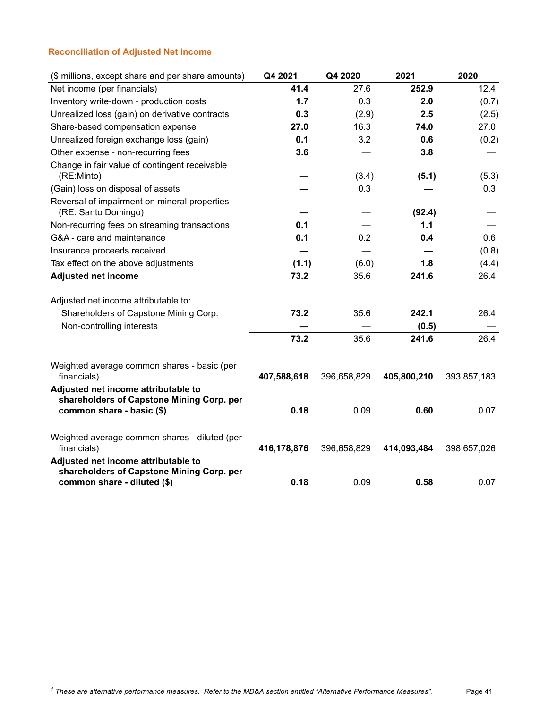## **Reconciliation of Adjusted Net Income**

| (\$ millions, except share and per share amounts)                                | Q4 2021     | Q4 2020     | 2021        | 2020        |
|----------------------------------------------------------------------------------|-------------|-------------|-------------|-------------|
| Net income (per financials)                                                      | 41.4        | 27.6        | 252.9       | 12.4        |
| Inventory write-down - production costs                                          | 1.7         | 0.3         | 2.0         | (0.7)       |
| Unrealized loss (gain) on derivative contracts                                   | 0.3         | (2.9)       | 2.5         | (2.5)       |
| Share-based compensation expense                                                 | 27.0        | 16.3        | 74.0        | 27.0        |
| Unrealized foreign exchange loss (gain)                                          | 0.1         | 3.2         | 0.6         | (0.2)       |
| Other expense - non-recurring fees                                               | 3.6         |             | 3.8         |             |
| Change in fair value of contingent receivable<br>(RE:Minto)                      |             | (3.4)       | (5.1)       | (5.3)       |
| (Gain) loss on disposal of assets                                                |             | 0.3         |             | 0.3         |
| Reversal of impairment on mineral properties<br>(RE: Santo Domingo)              |             |             | (92.4)      |             |
| Non-recurring fees on streaming transactions                                     | 0.1         |             | 1.1         |             |
| G&A - care and maintenance                                                       | 0.1         | 0.2         | 0.4         | 0.6         |
| Insurance proceeds received                                                      |             |             |             | (0.8)       |
| Tax effect on the above adjustments                                              | (1.1)       | (6.0)       | 1.8         | (4.4)       |
| <b>Adjusted net income</b>                                                       | 73.2        | 35.6        | 241.6       | 26.4        |
|                                                                                  |             |             |             |             |
| Adjusted net income attributable to:                                             |             |             |             |             |
| Shareholders of Capstone Mining Corp.                                            | 73.2        | 35.6        | 242.1       | 26.4        |
| Non-controlling interests                                                        |             |             | (0.5)       |             |
|                                                                                  | 73.2        | 35.6        | 241.6       | 26.4        |
| Weighted average common shares - basic (per                                      |             |             |             |             |
| financials)                                                                      | 407,588,618 | 396,658,829 | 405,800,210 | 393,857,183 |
| Adjusted net income attributable to<br>shareholders of Capstone Mining Corp. per |             |             |             |             |
| common share - basic (\$)                                                        | 0.18        | 0.09        | 0.60        | 0.07        |
| Weighted average common shares - diluted (per<br>financials)                     | 416,178,876 | 396,658,829 | 414,093,484 | 398,657,026 |
| Adjusted net income attributable to<br>shareholders of Capstone Mining Corp. per |             |             |             |             |
| common share - diluted (\$)                                                      | 0.18        | 0.09        | 0.58        | 0.07        |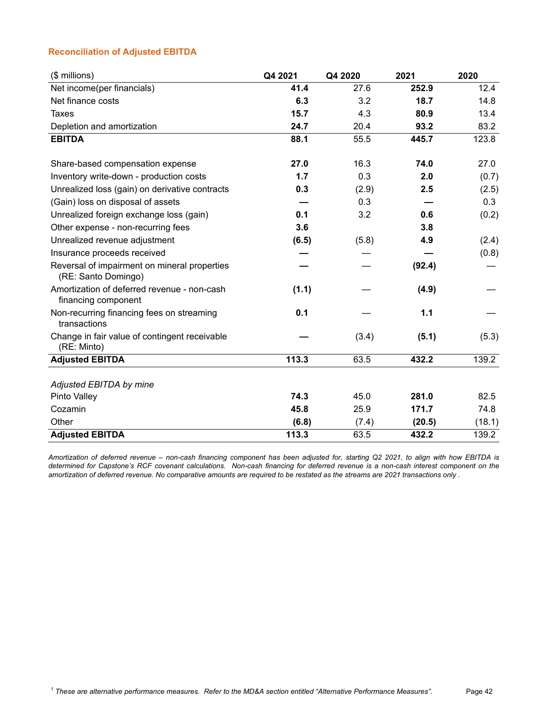#### **Reconciliation of Adjusted EBITDA**

| (\$ millions)                                                       | Q4 2021 | Q4 2020 | 2021   | 2020   |
|---------------------------------------------------------------------|---------|---------|--------|--------|
| Net income(per financials)                                          | 41.4    | 27.6    | 252.9  | 12.4   |
| Net finance costs                                                   | 6.3     | 3.2     | 18.7   | 14.8   |
| <b>Taxes</b>                                                        | 15.7    | 4.3     | 80.9   | 13.4   |
| Depletion and amortization                                          | 24.7    | 20.4    | 93.2   | 83.2   |
| <b>EBITDA</b>                                                       | 88.1    | 55.5    | 445.7  | 123.8  |
| Share-based compensation expense                                    | 27.0    | 16.3    | 74.0   | 27.0   |
| Inventory write-down - production costs                             | 1.7     | 0.3     | 2.0    | (0.7)  |
| Unrealized loss (gain) on derivative contracts                      | 0.3     | (2.9)   | 2.5    | (2.5)  |
| (Gain) loss on disposal of assets                                   |         | 0.3     |        | 0.3    |
| Unrealized foreign exchange loss (gain)                             | 0.1     | 3.2     | 0.6    | (0.2)  |
| Other expense - non-recurring fees                                  | 3.6     |         | 3.8    |        |
| Unrealized revenue adjustment                                       | (6.5)   | (5.8)   | 4.9    | (2.4)  |
| Insurance proceeds received                                         |         |         |        | (0.8)  |
| Reversal of impairment on mineral properties<br>(RE: Santo Domingo) |         |         | (92.4) |        |
| Amortization of deferred revenue - non-cash<br>financing component  | (1.1)   |         | (4.9)  |        |
| Non-recurring financing fees on streaming<br>transactions           | 0.1     |         | 1.1    |        |
| Change in fair value of contingent receivable<br>(RE: Minto)        |         | (3.4)   | (5.1)  | (5.3)  |
| <b>Adjusted EBITDA</b>                                              | 113.3   | 63.5    | 432.2  | 139.2  |
| Adjusted EBITDA by mine                                             |         |         |        |        |
| Pinto Valley                                                        | 74.3    | 45.0    | 281.0  | 82.5   |
| Cozamin                                                             | 45.8    | 25.9    | 171.7  | 74.8   |
| Other                                                               | (6.8)   | (7.4)   | (20.5) | (18.1) |
| <b>Adjusted EBITDA</b>                                              | 113.3   | 63.5    | 432.2  | 139.2  |

*Amortization of deferred revenue – non-cash financing component has been adjusted for, starting Q2 2021, to align with how EBITDA is determined for Capstone's RCF covenant calculations. Non-cash financing for deferred revenue is a non-cash interest component on the amortization of deferred revenue. No comparative amounts are required to be restated as the streams are 2021 transactions only .*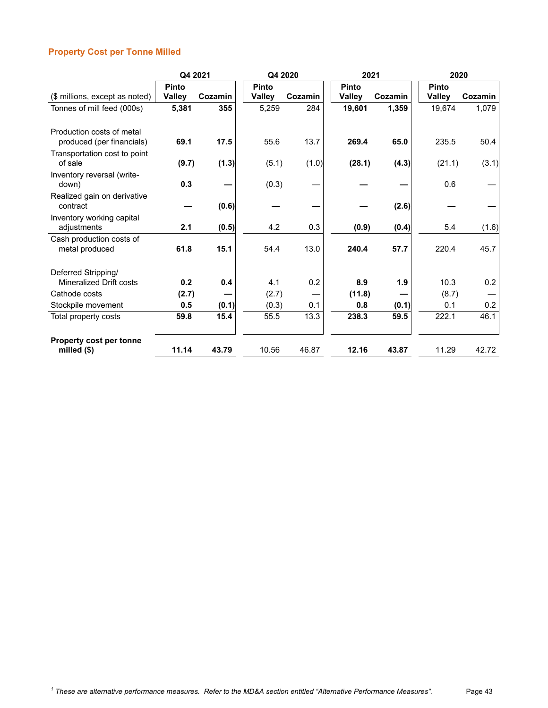## **Property Cost per Tonne Milled**

|                                                        | Q4 2021 |         | Q4 2020 |         | 2021   |         | 2020          |         |
|--------------------------------------------------------|---------|---------|---------|---------|--------|---------|---------------|---------|
|                                                        | Pinto   |         | Pinto   |         | Pinto  |         | Pinto         |         |
| (\$ millions, except as noted)                         | Valley  | Cozamin | Valley  | Cozamin | Valley | Cozamin | <b>Valley</b> | Cozamin |
| Tonnes of mill feed (000s)                             | 5,381   | 355     | 5,259   | 284     | 19,601 | 1,359   | 19,674        | 1,079   |
| Production costs of metal<br>produced (per financials) | 69.1    | 17.5    | 55.6    | 13.7    | 269.4  | 65.0    | 235.5         | 50.4    |
| Transportation cost to point<br>of sale                | (9.7)   | (1.3)   | (5.1)   | (1.0)   | (28.1) | (4.3)   | (21.1)        | (3.1)   |
| Inventory reversal (write-<br>down)                    | 0.3     |         | (0.3)   |         |        |         | 0.6           |         |
| Realized gain on derivative<br>contract                |         | (0.6)   |         |         |        | (2.6)   |               |         |
| Inventory working capital<br>adjustments               | 2.1     | (0.5)   | 4.2     | 0.3     | (0.9)  | (0.4)   | 5.4           | (1.6)   |
| Cash production costs of<br>metal produced             | 61.8    | 15.1    | 54.4    | 13.0    | 240.4  | 57.7    | 220.4         | 45.7    |
| Deferred Stripping/<br><b>Mineralized Drift costs</b>  | 0.2     | 0.4     | 4.1     | 0.2     | 8.9    | 1.9     | 10.3          | 0.2     |
| Cathode costs                                          | (2.7)   |         | (2.7)   |         | (11.8) |         | (8.7)         |         |
| Stockpile movement                                     | 0.5     | (0.1)   | (0.3)   | 0.1     | 0.8    | (0.1)   | 0.1           | 0.2     |
| Total property costs                                   | 59.8    | 15.4    | 55.5    | 13.3    | 238.3  | 59.5    | 222.1         | 46.1    |
| <b>Property cost per tonne</b><br>milled $($)$         | 11.14   | 43.79   | 10.56   | 46.87   | 12.16  | 43.87   | 11.29         | 42.72   |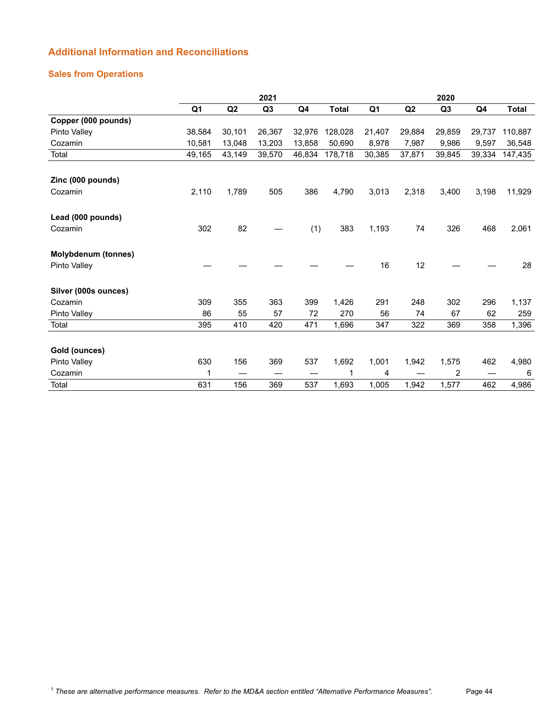## **Additional Information and Reconciliations**

## **Sales from Operations**

|                            | 2021           |        |        |        | 2020         |                |        |                |        |              |
|----------------------------|----------------|--------|--------|--------|--------------|----------------|--------|----------------|--------|--------------|
|                            | Q <sub>1</sub> | Q2     | Q3     | Q4     | <b>Total</b> | Q <sub>1</sub> | Q2     | Q <sub>3</sub> | Q4     | <b>Total</b> |
| Copper (000 pounds)        |                |        |        |        |              |                |        |                |        |              |
| Pinto Valley               | 38,584         | 30,101 | 26,367 | 32,976 | 128,028      | 21,407         | 29,884 | 29,859         | 29,737 | 110,887      |
| Cozamin                    | 10,581         | 13,048 | 13,203 | 13,858 | 50,690       | 8,978          | 7,987  | 9,986          | 9,597  | 36,548       |
| Total                      | 49,165         | 43,149 | 39,570 | 46,834 | 178,718      | 30,385         | 37,871 | 39,845         | 39,334 | 147,435      |
| Zinc (000 pounds)          |                |        |        |        |              |                |        |                |        |              |
| Cozamin                    | 2,110          | 1,789  | 505    | 386    | 4,790        | 3,013          | 2,318  | 3,400          | 3,198  | 11,929       |
| Lead (000 pounds)          |                |        |        |        |              |                |        |                |        |              |
| Cozamin                    | 302            | 82     |        | (1)    | 383          | 1,193          | 74     | 326            | 468    | 2,061        |
| <b>Molybdenum (tonnes)</b> |                |        |        |        |              |                |        |                |        |              |
| Pinto Valley               |                |        |        |        |              | 16             | 12     |                |        | 28           |
| Silver (000s ounces)       |                |        |        |        |              |                |        |                |        |              |
| Cozamin                    | 309            | 355    | 363    | 399    | 1,426        | 291            | 248    | 302            | 296    | 1,137        |
| Pinto Valley               | 86             | 55     | 57     | 72     | 270          | 56             | 74     | 67             | 62     | 259          |
| Total                      | 395            | 410    | 420    | 471    | 1,696        | 347            | 322    | 369            | 358    | 1,396        |
| Gold (ounces)              |                |        |        |        |              |                |        |                |        |              |
| Pinto Valley               | 630            | 156    | 369    | 537    | 1,692        | 1,001          | 1,942  | 1,575          | 462    | 4,980        |
| Cozamin                    | 1              |        |        |        | 1            | 4              |        | 2              |        | 6            |
| Total                      | 631            | 156    | 369    | 537    | 1,693        | 1,005          | 1,942  | 1,577          | 462    | 4,986        |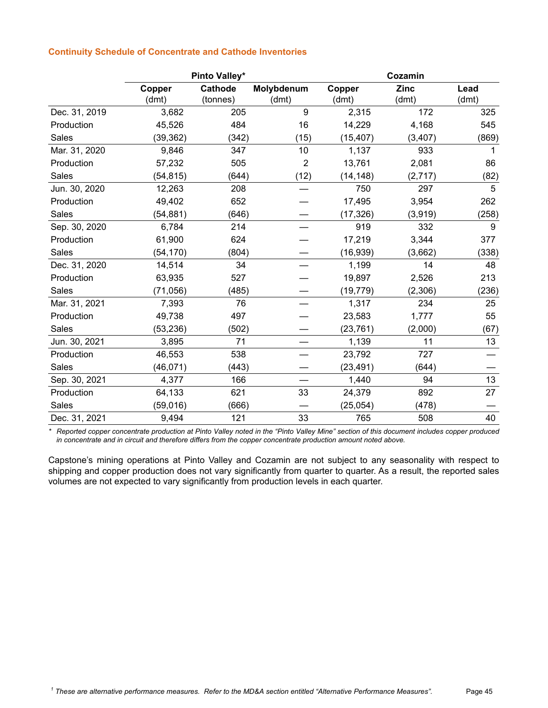#### **Continuity Schedule of Concentrate and Cathode Inventories**

|               | Pinto Valley* |                |                |           | Cozamin     |       |
|---------------|---------------|----------------|----------------|-----------|-------------|-------|
|               | Copper        | <b>Cathode</b> | Molybdenum     | Copper    | <b>Zinc</b> | Lead  |
|               | (dmt)         | (tonnes)       | (dmt)          | (dmt)     | (dmt)       | (dmt) |
| Dec. 31, 2019 | 3,682         | 205            | 9              | 2,315     | 172         | 325   |
| Production    | 45,526        | 484            | 16             | 14,229    | 4,168       | 545   |
| Sales         | (39, 362)     | (342)          | (15)           | (15, 407) | (3, 407)    | (869) |
| Mar. 31, 2020 | 9,846         | 347            | 10             | 1,137     | 933         | 1     |
| Production    | 57,232        | 505            | $\overline{2}$ | 13,761    | 2,081       | 86    |
| Sales         | (54, 815)     | (644)          | (12)           | (14, 148) | (2,717)     | (82)  |
| Jun. 30, 2020 | 12,263        | 208            |                | 750       | 297         | 5     |
| Production    | 49,402        | 652            |                | 17,495    | 3,954       | 262   |
| Sales         | (54, 881)     | (646)          |                | (17, 326) | (3,919)     | (258) |
| Sep. 30, 2020 | 6,784         | 214            |                | 919       | 332         | 9     |
| Production    | 61,900        | 624            |                | 17,219    | 3,344       | 377   |
| Sales         | (54, 170)     | (804)          |                | (16, 939) | (3,662)     | (338) |
| Dec. 31, 2020 | 14,514        | 34             |                | 1,199     | 14          | 48    |
| Production    | 63,935        | 527            |                | 19,897    | 2,526       | 213   |
| Sales         | (71, 056)     | (485)          |                | (19, 779) | (2,306)     | (236) |
| Mar. 31, 2021 | 7,393         | 76             |                | 1,317     | 234         | 25    |
| Production    | 49,738        | 497            |                | 23,583    | 1,777       | 55    |
| <b>Sales</b>  | (53, 236)     | (502)          |                | (23, 761) | (2,000)     | (67)  |
| Jun. 30, 2021 | 3,895         | 71             |                | 1,139     | 11          | 13    |
| Production    | 46,553        | 538            |                | 23,792    | 727         |       |
| Sales         | (46, 071)     | (443)          |                | (23, 491) | (644)       |       |
| Sep. 30, 2021 | 4,377         | 166            |                | 1,440     | 94          | 13    |
| Production    | 64,133        | 621            | 33             | 24,379    | 892         | 27    |
| Sales         | (59,016)      | (666)          |                | (25, 054) | (478)       |       |
| Dec. 31, 2021 | 9,494         | 121            | 33             | 765       | 508         | 40    |

*\* Reported copper concentrate production at Pinto Valley noted in the "Pinto Valley Mine" section of this document includes copper produced in concentrate and in circuit and therefore differs from the copper concentrate production amount noted above.*

Capstone's mining operations at Pinto Valley and Cozamin are not subject to any seasonality with respect to shipping and copper production does not vary significantly from quarter to quarter. As a result, the reported sales volumes are not expected to vary significantly from production levels in each quarter.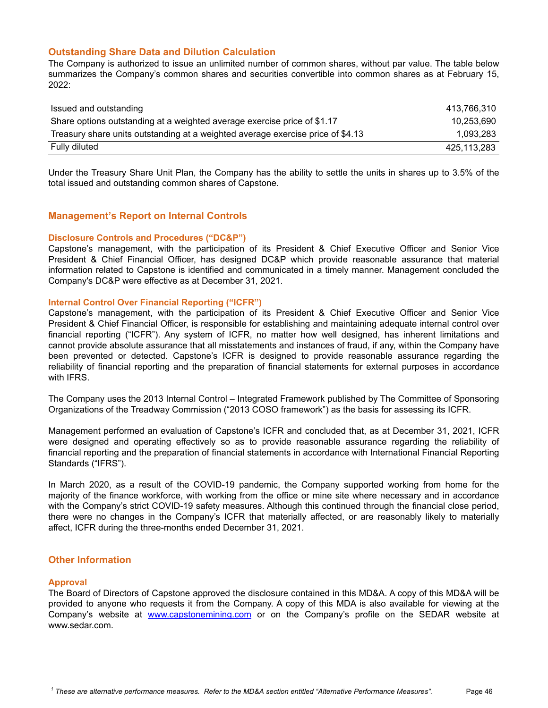#### **Outstanding Share Data and Dilution Calculation**

The Company is authorized to issue an unlimited number of common shares, without par value. The table below summarizes the Company's common shares and securities convertible into common shares as at February 15, 2022:

| Issued and outstanding                                                          | 413.766.310 |
|---------------------------------------------------------------------------------|-------------|
| Share options outstanding at a weighted average exercise price of \$1.17        | 10.253.690  |
| Treasury share units outstanding at a weighted average exercise price of \$4.13 | 1.093.283   |
| Fully diluted                                                                   | 425.113.283 |

Under the Treasury Share Unit Plan, the Company has the ability to settle the units in shares up to 3.5% of the total issued and outstanding common shares of Capstone.

#### **Management's Report on Internal Controls**

#### **Disclosure Controls and Procedures ("DC&P")**

Capstone's management, with the participation of its President & Chief Executive Officer and Senior Vice President & Chief Financial Officer, has designed DC&P which provide reasonable assurance that material information related to Capstone is identified and communicated in a timely manner. Management concluded the Company's DC&P were effective as at December 31, 2021.

#### **Internal Control Over Financial Reporting ("ICFR")**

Capstone's management, with the participation of its President & Chief Executive Officer and Senior Vice President & Chief Financial Officer, is responsible for establishing and maintaining adequate internal control over financial reporting ("ICFR"). Any system of ICFR, no matter how well designed, has inherent limitations and cannot provide absolute assurance that all misstatements and instances of fraud, if any, within the Company have been prevented or detected. Capstone's ICFR is designed to provide reasonable assurance regarding the reliability of financial reporting and the preparation of financial statements for external purposes in accordance with IFRS.

The Company uses the 2013 Internal Control – Integrated Framework published by The Committee of Sponsoring Organizations of the Treadway Commission ("2013 COSO framework") as the basis for assessing its ICFR.

Management performed an evaluation of Capstone's ICFR and concluded that, as at December 31, 2021, ICFR were designed and operating effectively so as to provide reasonable assurance regarding the reliability of financial reporting and the preparation of financial statements in accordance with International Financial Reporting Standards ("IFRS").

In March 2020, as a result of the COVID-19 pandemic, the Company supported working from home for the majority of the finance workforce, with working from the office or mine site where necessary and in accordance with the Company's strict COVID-19 safety measures. Although this continued through the financial close period, there were no changes in the Company's ICFR that materially affected, or are reasonably likely to materially affect, ICFR during the three-months ended December 31, 2021.

#### **Other Information**

#### **Approval**

The Board of Directors of Capstone approved the disclosure contained in this MD&A. A copy of this MD&A will be provided to anyone who requests it from the Company. A copy of this MDA is also available for viewing at the Company's website at [www.capstonemining.com](http://www.capstonemining.com) or on the Company's profile on the SEDAR website at www.sedar.com.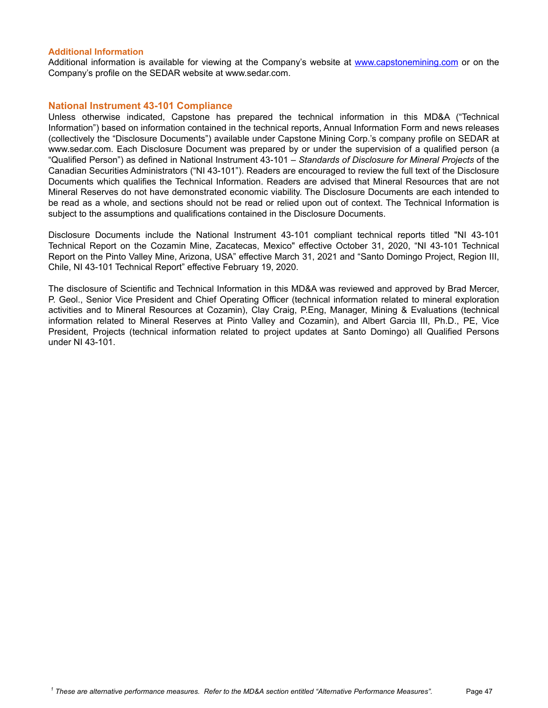#### **Additional Information**

Additional information is available for viewing at the Company's website at [www.capstonemining.com](http://www.capstonemining.com) or on the Company's profile on the SEDAR website at www.sedar.com.

#### **National Instrument 43-101 Compliance**

Unless otherwise indicated, Capstone has prepared the technical information in this MD&A ("Technical Information") based on information contained in the technical reports, Annual Information Form and news releases (collectively the "Disclosure Documents") available under Capstone Mining Corp.'s company profile on SEDAR at www.sedar.com. Each Disclosure Document was prepared by or under the supervision of a qualified person (a "Qualified Person") as defined in National Instrument 43-101 – *Standards of Disclosure for Mineral Projects* of the Canadian Securities Administrators ("NI 43-101"). Readers are encouraged to review the full text of the Disclosure Documents which qualifies the Technical Information. Readers are advised that Mineral Resources that are not Mineral Reserves do not have demonstrated economic viability. The Disclosure Documents are each intended to be read as a whole, and sections should not be read or relied upon out of context. The Technical Information is subject to the assumptions and qualifications contained in the Disclosure Documents.

Disclosure Documents include the National Instrument 43-101 compliant technical reports titled "NI 43-101 Technical Report on the Cozamin Mine, Zacatecas, Mexico" effective October 31, 2020, "NI 43-101 Technical Report on the Pinto Valley Mine, Arizona, USA" effective March 31, 2021 and "Santo Domingo Project, Region III, Chile, NI 43-101 Technical Report" effective February 19, 2020.

The disclosure of Scientific and Technical Information in this MD&A was reviewed and approved by Brad Mercer, P. Geol., Senior Vice President and Chief Operating Officer (technical information related to mineral exploration activities and to Mineral Resources at Cozamin), Clay Craig, P.Eng, Manager, Mining & Evaluations (technical information related to Mineral Reserves at Pinto Valley and Cozamin), and Albert Garcia III, Ph.D., PE, Vice President, Projects (technical information related to project updates at Santo Domingo) all Qualified Persons under NI 43-101.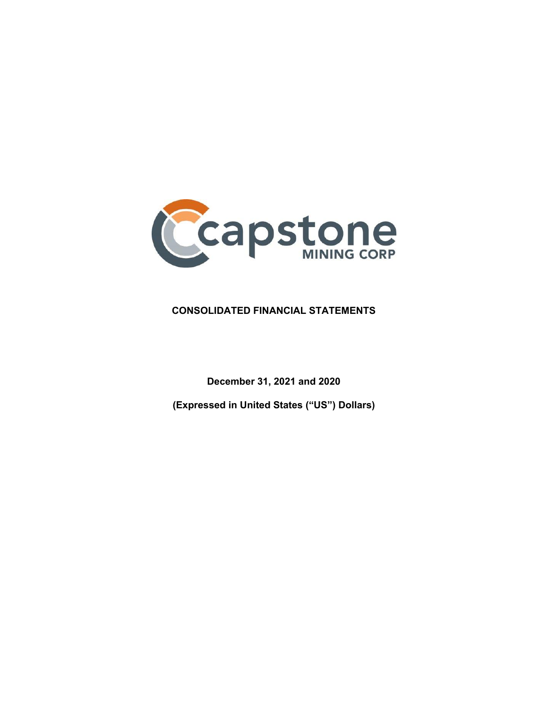

## **CONSOLIDATED FINANCIAL STATEMENTS**

**December 31, 2021 and 2020**

**(Expressed in United States ("US") Dollars)**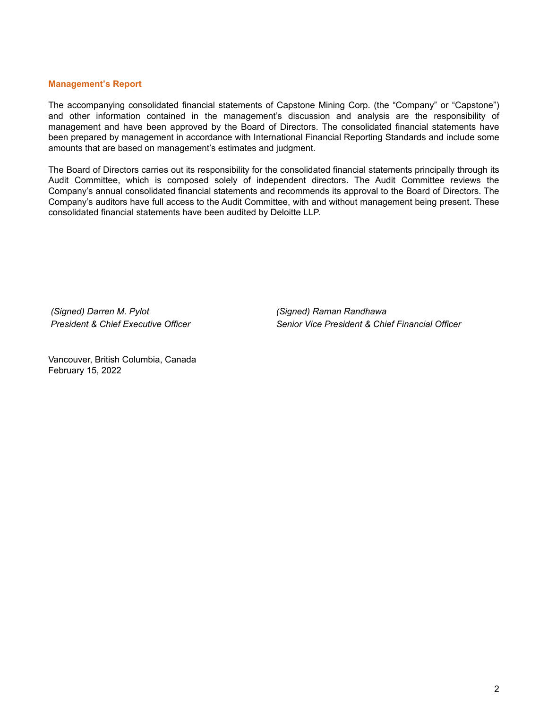#### **Management's Report**

The accompanying consolidated financial statements of Capstone Mining Corp. (the "Company" or "Capstone") and other information contained in the management's discussion and analysis are the responsibility of management and have been approved by the Board of Directors. The consolidated financial statements have been prepared by management in accordance with International Financial Reporting Standards and include some amounts that are based on management's estimates and judgment.

The Board of Directors carries out its responsibility for the consolidated financial statements principally through its Audit Committee, which is composed solely of independent directors. The Audit Committee reviews the Company's annual consolidated financial statements and recommends its approval to the Board of Directors. The Company's auditors have full access to the Audit Committee, with and without management being present. These consolidated financial statements have been audited by Deloitte LLP.

*(Signed) Darren M. Pylot (Signed) Raman Randhawa*

*President & Chief Executive Officer Senior Vice President & Chief Financial Officer*

Vancouver, British Columbia, Canada February 15, 2022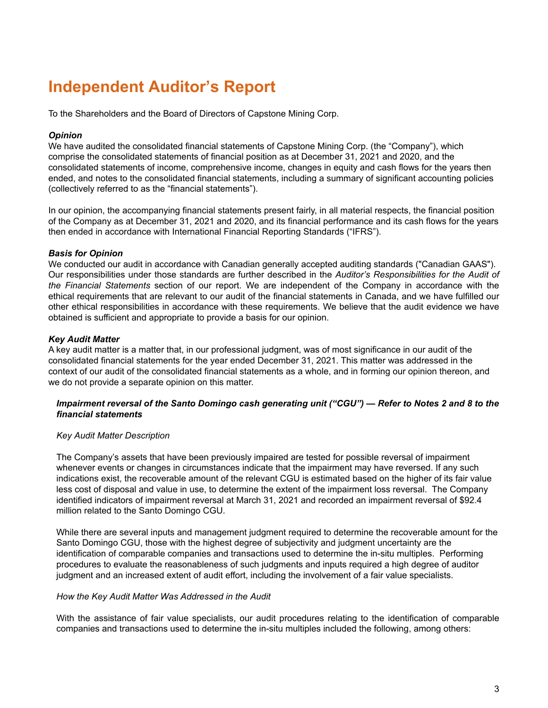# **Independent Auditor's Report**

To the Shareholders and the Board of Directors of Capstone Mining Corp.

#### *Opinion*

We have audited the consolidated financial statements of Capstone Mining Corp. (the "Company"), which comprise the consolidated statements of financial position as at December 31, 2021 and 2020, and the consolidated statements of income, comprehensive income, changes in equity and cash flows for the years then ended, and notes to the consolidated financial statements, including a summary of significant accounting policies (collectively referred to as the "financial statements").

In our opinion, the accompanying financial statements present fairly, in all material respects, the financial position of the Company as at December 31, 2021 and 2020, and its financial performance and its cash flows for the years then ended in accordance with International Financial Reporting Standards ("IFRS").

#### *Basis for Opinion*

We conducted our audit in accordance with Canadian generally accepted auditing standards ("Canadian GAAS"). Our responsibilities under those standards are further described in the *Auditor's Responsibilities for the Audit of the Financial Statements* section of our report. We are independent of the Company in accordance with the ethical requirements that are relevant to our audit of the financial statements in Canada, and we have fulfilled our other ethical responsibilities in accordance with these requirements. We believe that the audit evidence we have obtained is sufficient and appropriate to provide a basis for our opinion.

#### *Key Audit Matter*

A key audit matter is a matter that, in our professional judgment, was of most significance in our audit of the consolidated financial statements for the year ended December 31, 2021. This matter was addressed in the context of our audit of the consolidated financial statements as a whole, and in forming our opinion thereon, and we do not provide a separate opinion on this matter.

#### *Impairment reversal of the Santo Domingo cash generating unit ("CGU") — Refer to Notes 2 and 8 to the financial statements*

#### *Key Audit Matter Description*

The Company's assets that have been previously impaired are tested for possible reversal of impairment whenever events or changes in circumstances indicate that the impairment may have reversed. If any such indications exist, the recoverable amount of the relevant CGU is estimated based on the higher of its fair value less cost of disposal and value in use, to determine the extent of the impairment loss reversal. The Company identified indicators of impairment reversal at March 31, 2021 and recorded an impairment reversal of \$92.4 million related to the Santo Domingo CGU.

While there are several inputs and management judgment required to determine the recoverable amount for the Santo Domingo CGU, those with the highest degree of subjectivity and judgment uncertainty are the identification of comparable companies and transactions used to determine the in-situ multiples. Performing procedures to evaluate the reasonableness of such judgments and inputs required a high degree of auditor judgment and an increased extent of audit effort, including the involvement of a fair value specialists.

#### *How the Key Audit Matter Was Addressed in the Audit*

With the assistance of fair value specialists, our audit procedures relating to the identification of comparable companies and transactions used to determine the in-situ multiples included the following, among others: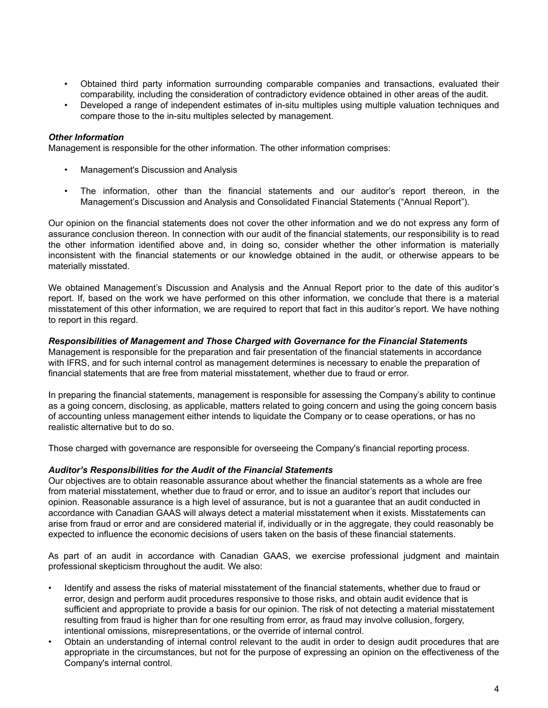- Obtained third party information surrounding comparable companies and transactions, evaluated their comparability, including the consideration of contradictory evidence obtained in other areas of the audit.
- Developed a range of independent estimates of in-situ multiples using multiple valuation techniques and compare those to the in-situ multiples selected by management.

#### *Other Information*

Management is responsible for the other information. The other information comprises:

- Management's Discussion and Analysis
- The information, other than the financial statements and our auditor's report thereon, in the Management's Discussion and Analysis and Consolidated Financial Statements ("Annual Report").

Our opinion on the financial statements does not cover the other information and we do not express any form of assurance conclusion thereon. In connection with our audit of the financial statements, our responsibility is to read the other information identified above and, in doing so, consider whether the other information is materially inconsistent with the financial statements or our knowledge obtained in the audit, or otherwise appears to be materially misstated.

We obtained Management's Discussion and Analysis and the Annual Report prior to the date of this auditor's report. If, based on the work we have performed on this other information, we conclude that there is a material misstatement of this other information, we are required to report that fact in this auditor's report. We have nothing to report in this regard.

#### *Responsibilities of Management and Those Charged with Governance for the Financial Statements*

Management is responsible for the preparation and fair presentation of the financial statements in accordance with IFRS, and for such internal control as management determines is necessary to enable the preparation of financial statements that are free from material misstatement, whether due to fraud or error.

In preparing the financial statements, management is responsible for assessing the Company's ability to continue as a going concern, disclosing, as applicable, matters related to going concern and using the going concern basis of accounting unless management either intends to liquidate the Company or to cease operations, or has no realistic alternative but to do so.

Those charged with governance are responsible for overseeing the Company's financial reporting process.

#### *Auditor's Responsibilities for the Audit of the Financial Statements*

Our objectives are to obtain reasonable assurance about whether the financial statements as a whole are free from material misstatement, whether due to fraud or error, and to issue an auditor's report that includes our opinion. Reasonable assurance is a high level of assurance, but is not a guarantee that an audit conducted in accordance with Canadian GAAS will always detect a material misstatement when it exists. Misstatements can arise from fraud or error and are considered material if, individually or in the aggregate, they could reasonably be expected to influence the economic decisions of users taken on the basis of these financial statements.

As part of an audit in accordance with Canadian GAAS, we exercise professional judgment and maintain professional skepticism throughout the audit. We also:

- Identify and assess the risks of material misstatement of the financial statements, whether due to fraud or error, design and perform audit procedures responsive to those risks, and obtain audit evidence that is sufficient and appropriate to provide a basis for our opinion. The risk of not detecting a material misstatement resulting from fraud is higher than for one resulting from error, as fraud may involve collusion, forgery, intentional omissions, misrepresentations, or the override of internal control.
- Obtain an understanding of internal control relevant to the audit in order to design audit procedures that are appropriate in the circumstances, but not for the purpose of expressing an opinion on the effectiveness of the Company's internal control.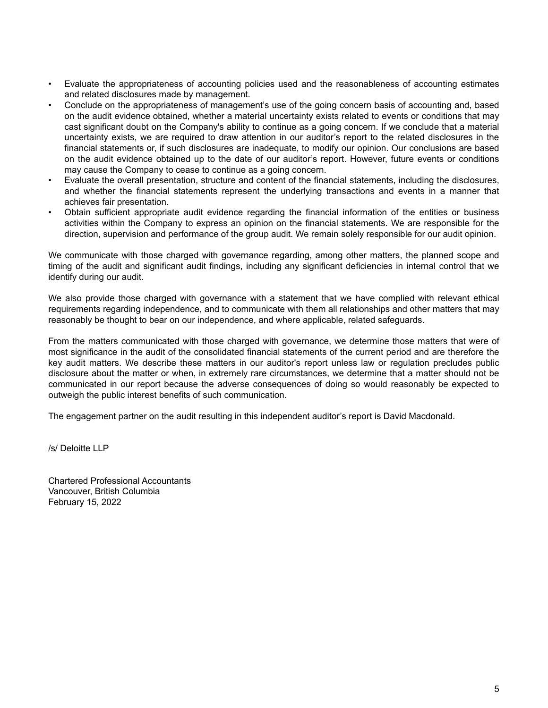- Evaluate the appropriateness of accounting policies used and the reasonableness of accounting estimates and related disclosures made by management.
- Conclude on the appropriateness of management's use of the going concern basis of accounting and, based on the audit evidence obtained, whether a material uncertainty exists related to events or conditions that may cast significant doubt on the Company's ability to continue as a going concern. If we conclude that a material uncertainty exists, we are required to draw attention in our auditor's report to the related disclosures in the financial statements or, if such disclosures are inadequate, to modify our opinion. Our conclusions are based on the audit evidence obtained up to the date of our auditor's report. However, future events or conditions may cause the Company to cease to continue as a going concern.
- Evaluate the overall presentation, structure and content of the financial statements, including the disclosures, and whether the financial statements represent the underlying transactions and events in a manner that achieves fair presentation.
- Obtain sufficient appropriate audit evidence regarding the financial information of the entities or business activities within the Company to express an opinion on the financial statements. We are responsible for the direction, supervision and performance of the group audit. We remain solely responsible for our audit opinion.

We communicate with those charged with governance regarding, among other matters, the planned scope and timing of the audit and significant audit findings, including any significant deficiencies in internal control that we identify during our audit.

We also provide those charged with governance with a statement that we have complied with relevant ethical requirements regarding independence, and to communicate with them all relationships and other matters that may reasonably be thought to bear on our independence, and where applicable, related safeguards.

From the matters communicated with those charged with governance, we determine those matters that were of most significance in the audit of the consolidated financial statements of the current period and are therefore the key audit matters. We describe these matters in our auditor's report unless law or regulation precludes public disclosure about the matter or when, in extremely rare circumstances, we determine that a matter should not be communicated in our report because the adverse consequences of doing so would reasonably be expected to outweigh the public interest benefits of such communication.

The engagement partner on the audit resulting in this independent auditor's report is David Macdonald.

/s/ Deloitte LLP

Chartered Professional Accountants Vancouver, British Columbia February 15, 2022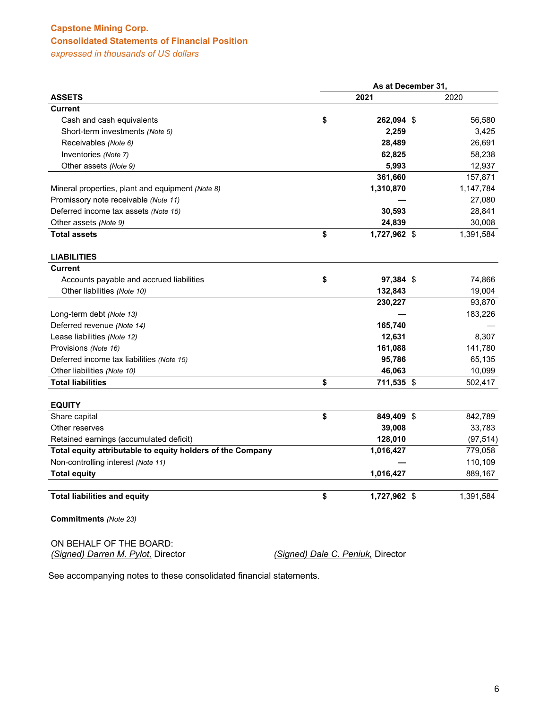## **Capstone Mining Corp. Consolidated Statements of Financial Position**

*expressed in thousands of US dollars*

|                                                            | As at December 31, |              |  |           |  |  |  |
|------------------------------------------------------------|--------------------|--------------|--|-----------|--|--|--|
| <b>ASSETS</b>                                              |                    | 2021         |  | 2020      |  |  |  |
| <b>Current</b>                                             |                    |              |  |           |  |  |  |
| Cash and cash equivalents                                  | \$                 | 262,094 \$   |  | 56,580    |  |  |  |
| Short-term investments (Note 5)                            |                    | 2,259        |  | 3,425     |  |  |  |
| Receivables (Note 6)                                       |                    | 28,489       |  | 26,691    |  |  |  |
| Inventories (Note 7)                                       |                    | 62,825       |  | 58,238    |  |  |  |
| Other assets (Note 9)                                      |                    | 5,993        |  | 12,937    |  |  |  |
|                                                            |                    | 361,660      |  | 157,871   |  |  |  |
| Mineral properties, plant and equipment (Note 8)           |                    | 1,310,870    |  | 1,147,784 |  |  |  |
| Promissory note receivable (Note 11)                       |                    |              |  | 27,080    |  |  |  |
| Deferred income tax assets (Note 15)                       |                    | 30,593       |  | 28,841    |  |  |  |
| Other assets (Note 9)                                      |                    | 24,839       |  | 30,008    |  |  |  |
| <b>Total assets</b>                                        | \$                 | 1,727,962 \$ |  | 1,391,584 |  |  |  |
| <b>LIABILITIES</b>                                         |                    |              |  |           |  |  |  |
| <b>Current</b>                                             |                    |              |  |           |  |  |  |
| Accounts payable and accrued liabilities                   | \$                 | 97,384 \$    |  | 74,866    |  |  |  |
| Other liabilities (Note 10)                                |                    | 132,843      |  | 19,004    |  |  |  |
|                                                            |                    | 230,227      |  | 93,870    |  |  |  |
| Long-term debt (Note 13)                                   |                    |              |  | 183,226   |  |  |  |
| Deferred revenue (Note 14)                                 |                    | 165,740      |  |           |  |  |  |
| Lease liabilities (Note 12)                                |                    | 12,631       |  | 8,307     |  |  |  |
| Provisions (Note 16)                                       |                    | 161,088      |  | 141,780   |  |  |  |
| Deferred income tax liabilities (Note 15)                  |                    | 95,786       |  | 65,135    |  |  |  |
| Other liabilities (Note 10)                                |                    | 46,063       |  | 10,099    |  |  |  |
| <b>Total liabilities</b>                                   | \$                 | 711,535 \$   |  | 502,417   |  |  |  |
| <b>EQUITY</b>                                              |                    |              |  |           |  |  |  |
| Share capital                                              | \$                 | 849,409 \$   |  | 842,789   |  |  |  |
| Other reserves                                             |                    | 39,008       |  | 33,783    |  |  |  |
| Retained earnings (accumulated deficit)                    |                    | 128,010      |  | (97, 514) |  |  |  |
| Total equity attributable to equity holders of the Company |                    | 1,016,427    |  | 779,058   |  |  |  |
| Non-controlling interest (Note 11)                         |                    |              |  | 110,109   |  |  |  |
| <b>Total equity</b>                                        |                    | 1,016,427    |  | 889,167   |  |  |  |
| <b>Total liabilities and equity</b>                        | \$                 | 1,727,962 \$ |  | 1,391,584 |  |  |  |

**Commitments** *(Note 23)*

 ON BEHALF OF THE BOARD: *(Signed) Darren M. Pylot,* Director *(Signed) Dale C. Peniuk,* Director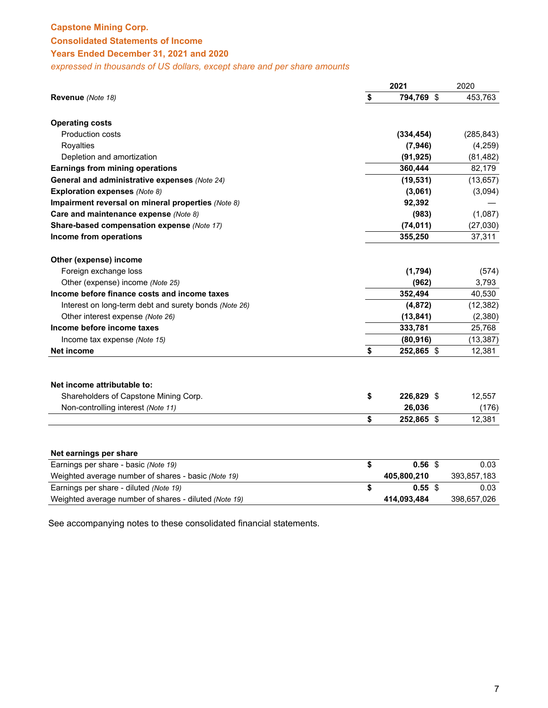## **Capstone Mining Corp. Consolidated Statements of Income**

## **Years Ended December 31, 2021 and 2020**

*expressed in thousands of US dollars, except share and per share amounts*

|                                                       |    | 2020        |             |
|-------------------------------------------------------|----|-------------|-------------|
| <b>Revenue</b> (Note 18)                              | \$ | 794,769 \$  | 453,763     |
| <b>Operating costs</b>                                |    |             |             |
| <b>Production costs</b>                               |    | (334, 454)  | (285, 843)  |
| Royalties                                             |    | (7, 946)    | (4,259)     |
| Depletion and amortization                            |    | (91, 925)   | (81, 482)   |
| <b>Earnings from mining operations</b>                |    | 360,444     | 82,179      |
| General and administrative expenses (Note 24)         |    | (19, 531)   | (13, 657)   |
| <b>Exploration expenses (Note 8)</b>                  |    | (3,061)     | (3,094)     |
| Impairment reversal on mineral properties (Note 8)    |    | 92,392      |             |
| Care and maintenance expense (Note 8)                 |    | (983)       | (1,087)     |
| Share-based compensation expense (Note 17)            |    | (74, 011)   | (27,030)    |
| Income from operations                                |    | 355,250     | 37,311      |
| Other (expense) income                                |    |             |             |
| Foreign exchange loss                                 |    | (1,794)     | (574)       |
| Other (expense) income (Note 25)                      |    | (962)       | 3,793       |
| Income before finance costs and income taxes          |    | 352,494     | 40,530      |
| Interest on long-term debt and surety bonds (Note 26) |    | (4, 872)    | (12, 382)   |
| Other interest expense (Note 26)                      |    | (13, 841)   | (2, 380)    |
| Income before income taxes                            |    | 333,781     | 25,768      |
| Income tax expense (Note 15)                          |    | (80, 916)   | (13, 387)   |
| Net income                                            | \$ | 252,865 \$  | 12,381      |
| Net income attributable to:                           |    |             |             |
| Shareholders of Capstone Mining Corp.                 | \$ | 226,829 \$  | 12,557      |
| Non-controlling interest (Note 11)                    |    | 26,036      | (176)       |
|                                                       | \$ | 252,865 \$  | 12,381      |
| Net earnings per share                                |    |             |             |
| Earnings per share - basic (Note 19)                  | \$ | $0.56$ \$   | 0.03        |
| Weighted average number of shares - basic (Note 19)   |    | 405,800,210 | 393,857,183 |
| Earnings per share - diluted (Note 19)                | \$ | $0.55$ \$   | 0.03        |
| Weighted average number of shares - diluted (Note 19) |    | 414,093,484 | 398,657,026 |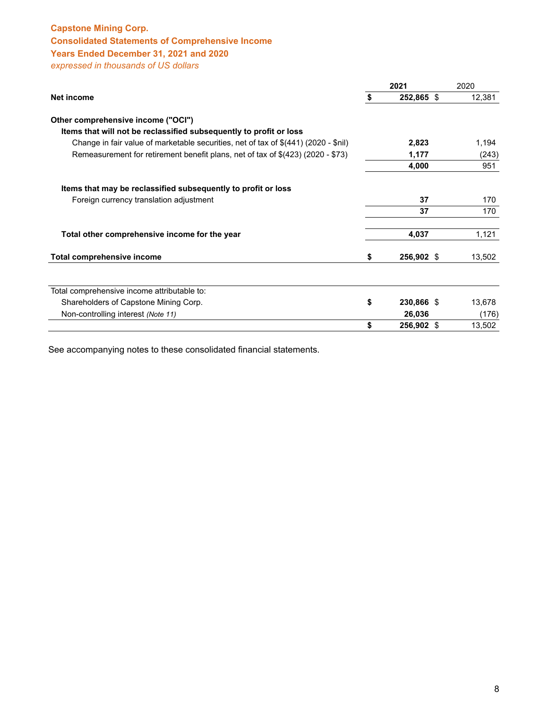## **Capstone Mining Corp. Consolidated Statements of Comprehensive Income Years Ended December 31, 2021 and 2020**

*expressed in thousands of US dollars*

|                                                                                     | 2021             | 2020   |  |
|-------------------------------------------------------------------------------------|------------------|--------|--|
| Net income                                                                          | 252,865 \$       | 12,381 |  |
| Other comprehensive income ("OCI")                                                  |                  |        |  |
| Items that will not be reclassified subsequently to profit or loss                  |                  |        |  |
| Change in fair value of marketable securities, net of tax of \$(441) (2020 - \$nil) | 2,823            | 1,194  |  |
| Remeasurement for retirement benefit plans, net of tax of \$(423) (2020 - \$73)     | 1,177            | (243)  |  |
|                                                                                     | 4,000            | 951    |  |
| Items that may be reclassified subsequently to profit or loss                       |                  |        |  |
| Foreign currency translation adjustment                                             | 37               | 170    |  |
|                                                                                     | 37               | 170    |  |
| Total other comprehensive income for the year                                       | 4,037            | 1,121  |  |
| <b>Total comprehensive income</b>                                                   | \$<br>256,902 \$ | 13,502 |  |
|                                                                                     |                  |        |  |
| Total comprehensive income attributable to:                                         |                  |        |  |
| Shareholders of Capstone Mining Corp.                                               | \$<br>230,866 \$ | 13,678 |  |
| Non-controlling interest (Note 11)                                                  | 26,036           | (176)  |  |
|                                                                                     | \$<br>256,902 \$ | 13,502 |  |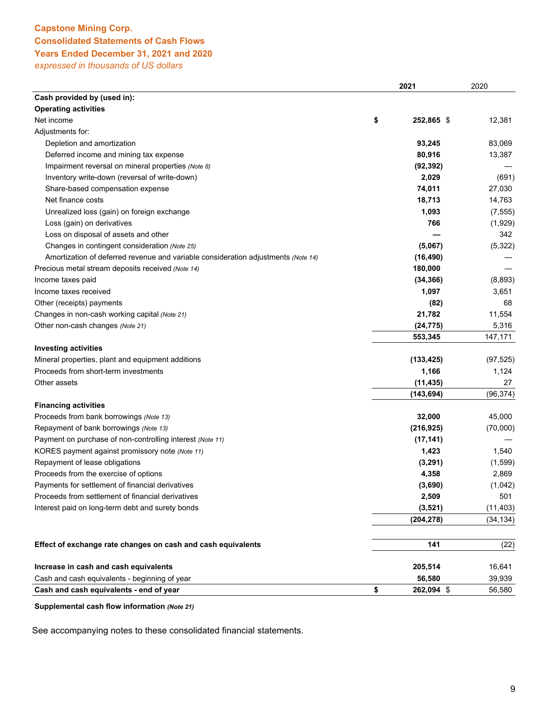## **Capstone Mining Corp. Consolidated Statements of Cash Flows Years Ended December 31, 2021 and 2020** *expressed in thousands of US dollars*

|                                                                                   | 2021             | 2020      |
|-----------------------------------------------------------------------------------|------------------|-----------|
| Cash provided by (used in):                                                       |                  |           |
| <b>Operating activities</b>                                                       |                  |           |
| Net income                                                                        | \$<br>252,865 \$ | 12,381    |
| Adjustments for:                                                                  |                  |           |
| Depletion and amortization                                                        | 93,245           | 83,069    |
| Deferred income and mining tax expense                                            | 80,916           | 13,387    |
| Impairment reversal on mineral properties (Note 8)                                | (92, 392)        |           |
| Inventory write-down (reversal of write-down)                                     | 2,029            | (691)     |
| Share-based compensation expense                                                  | 74,011           | 27,030    |
| Net finance costs                                                                 | 18,713           | 14,763    |
| Unrealized loss (gain) on foreign exchange                                        | 1,093            | (7, 555)  |
| Loss (gain) on derivatives                                                        | 766              | (1,929)   |
| Loss on disposal of assets and other                                              |                  | 342       |
| Changes in contingent consideration (Note 25)                                     | (5,067)          | (5,322)   |
| Amortization of deferred revenue and variable consideration adjustments (Note 14) | (16, 490)        |           |
| Precious metal stream deposits received (Note 14)                                 | 180,000          |           |
| Income taxes paid                                                                 | (34, 366)        | (8,893)   |
| Income taxes received                                                             | 1,097            | 3,651     |
| Other (receipts) payments                                                         | (82)             | 68        |
| Changes in non-cash working capital (Note 21)                                     | 21,782           | 11,554    |
| Other non-cash changes (Note 21)                                                  | (24, 775)        | 5,316     |
|                                                                                   | 553,345          | 147,171   |
| <b>Investing activities</b>                                                       |                  |           |
| Mineral properties, plant and equipment additions                                 | (133, 425)       | (97, 525) |
| Proceeds from short-term investments                                              | 1,166            | 1,124     |
| Other assets                                                                      | (11, 435)        | 27        |
|                                                                                   | (143, 694)       | (96, 374) |
| <b>Financing activities</b>                                                       |                  |           |
| Proceeds from bank borrowings (Note 13)                                           | 32,000           | 45,000    |
| Repayment of bank borrowings (Note 13)                                            | (216, 925)       | (70,000)  |
| Payment on purchase of non-controlling interest (Note 11)                         | (17, 141)        |           |
| KORES payment against promissory note (Note 11)                                   | 1,423            | 1,540     |
| Repayment of lease obligations                                                    | (3,291)          | (1,599)   |
| Proceeds from the exercise of options                                             | 4,358            | 2,869     |
| Payments for settlement of financial derivatives                                  | (3,690)          | (1,042)   |
| Proceeds from settlement of financial derivatives                                 | 2,509            | 501       |
| Interest paid on long-term debt and surety bonds                                  | (3, 521)         | (11, 403) |
|                                                                                   | (204, 278)       | (34, 134) |
|                                                                                   |                  |           |
| Effect of exchange rate changes on cash and cash equivalents                      | 141              | (22)      |
| Increase in cash and cash equivalents                                             | 205,514          | 16,641    |
| Cash and cash equivalents - beginning of year                                     | 56,580           | 39,939    |
| Cash and cash equivalents - end of year                                           | \$<br>262,094 \$ | 56,580    |

**Supplemental cash flow information** *(Note 21)*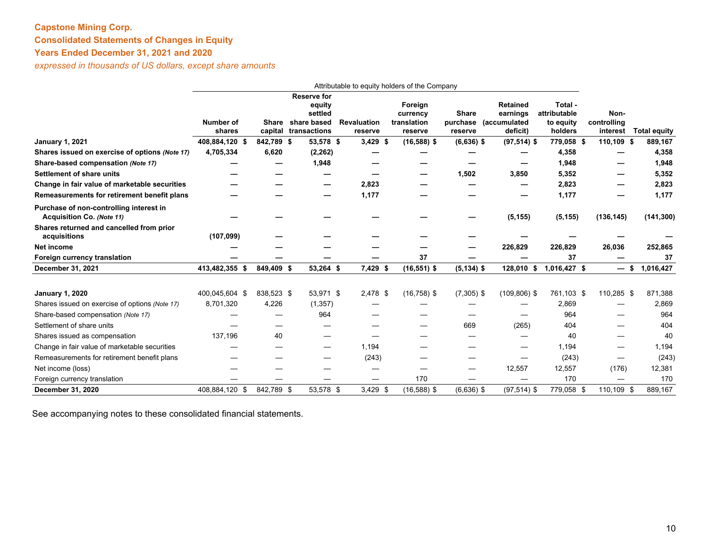## **Consolidated Statements of Changes in Equity**

## **Years Ended December 31, 2021 and 2020**

*expressed in thousands of US dollars, except share amounts*

|                                                                      |                            |            |                                                                                      |                               | Attributable to equity holders of the Company |                                     |                                                         |                                                 |                                 |                     |
|----------------------------------------------------------------------|----------------------------|------------|--------------------------------------------------------------------------------------|-------------------------------|-----------------------------------------------|-------------------------------------|---------------------------------------------------------|-------------------------------------------------|---------------------------------|---------------------|
|                                                                      | <b>Number of</b><br>shares |            | <b>Reserve for</b><br>equity<br>settled<br>Share share based<br>capital transactions | <b>Revaluation</b><br>reserve | Foreign<br>currency<br>translation<br>reserve | <b>Share</b><br>purchase<br>reserve | <b>Retained</b><br>earnings<br>(accumulated<br>deficit) | Total -<br>attributable<br>to equity<br>holders | Non-<br>controlling<br>interest | <b>Total equity</b> |
| <b>January 1, 2021</b>                                               | 408,884,120 \$             | 842,789 \$ | 53,578 \$                                                                            | $3,429$ \$                    | $(16,588)$ \$                                 | $(6,636)$ \$                        | $(97, 514)$ \$                                          | 779,058 \$                                      | 110,109 \$                      | 889,167             |
| Shares issued on exercise of options (Note 17)                       | 4,705,334                  | 6,620      | (2, 262)                                                                             |                               |                                               |                                     |                                                         | 4,358                                           |                                 | 4,358               |
| Share-based compensation (Note 17)                                   |                            |            | 1,948                                                                                |                               |                                               |                                     |                                                         | 1,948                                           |                                 | 1,948               |
| Settlement of share units                                            |                            |            |                                                                                      |                               |                                               | 1,502                               | 3,850                                                   | 5,352                                           |                                 | 5,352               |
| Change in fair value of marketable securities                        |                            |            |                                                                                      | 2,823                         |                                               |                                     |                                                         | 2,823                                           |                                 | 2,823               |
| Remeasurements for retirement benefit plans                          |                            |            |                                                                                      | 1,177                         |                                               |                                     |                                                         | 1,177                                           |                                 | 1,177               |
| Purchase of non-controlling interest in<br>Acquisition Co. (Note 11) |                            |            |                                                                                      |                               |                                               |                                     | (5, 155)                                                | (5, 155)                                        | (136, 145)                      | (141, 300)          |
| Shares returned and cancelled from prior<br>acquisitions             | (107, 099)                 |            |                                                                                      |                               |                                               |                                     |                                                         |                                                 |                                 |                     |
| Net income                                                           |                            |            |                                                                                      |                               |                                               |                                     | 226,829                                                 | 226,829                                         | 26,036                          | 252,865             |
| Foreign currency translation                                         |                            |            |                                                                                      |                               | 37                                            |                                     |                                                         | 37                                              |                                 | 37                  |
| December 31, 2021                                                    | 413,482,355 \$             | 849,409 \$ | 53,264 \$                                                                            | 7,429 \$                      | $(16, 551)$ \$                                | $(5, 134)$ \$                       | 128,010 \$                                              | 1,016,427 \$                                    | $\overline{\phantom{0}}$        | 1,016,427<br>- \$   |
|                                                                      |                            |            |                                                                                      |                               |                                               |                                     |                                                         |                                                 |                                 |                     |
| <b>January 1, 2020</b>                                               | 400,045,604 \$             | 838,523 \$ | 53,971 \$                                                                            | 2,478 \$                      | $(16,758)$ \$                                 | $(7,305)$ \$                        | $(109, 806)$ \$                                         | 761,103 \$                                      | 110,285 \$                      | 871,388             |
| Shares issued on exercise of options (Note 17)                       | 8,701,320                  | 4,226      | (1, 357)                                                                             |                               |                                               |                                     |                                                         | 2,869                                           |                                 | 2,869               |
| Share-based compensation (Note 17)                                   |                            |            | 964                                                                                  |                               |                                               |                                     |                                                         | 964                                             |                                 | 964                 |
| Settlement of share units                                            |                            |            |                                                                                      |                               |                                               | 669                                 | (265)                                                   | 404                                             |                                 | 404                 |
| Shares issued as compensation                                        | 137,196                    | 40         |                                                                                      |                               |                                               |                                     |                                                         | 40                                              |                                 | 40                  |
| Change in fair value of marketable securities                        |                            |            |                                                                                      | 1.194                         |                                               |                                     |                                                         | 1,194                                           |                                 | 1,194               |
| Remeasurements for retirement benefit plans                          |                            |            |                                                                                      | (243)                         |                                               |                                     |                                                         | (243)                                           |                                 | (243)               |
| Net income (loss)                                                    |                            |            |                                                                                      |                               |                                               |                                     | 12,557                                                  | 12,557                                          | (176)                           | 12,381              |
| Foreign currency translation                                         |                            |            |                                                                                      |                               | 170                                           |                                     |                                                         | 170                                             |                                 | 170                 |
| December 31, 2020                                                    | 408,884,120 \$             | 842,789 \$ | 53,578 \$                                                                            | $3,429$ \$                    | $(16,588)$ \$                                 | $(6,636)$ \$                        | $(97, 514)$ \$                                          | 779.058 \$                                      | 110.109 \$                      | 889,167             |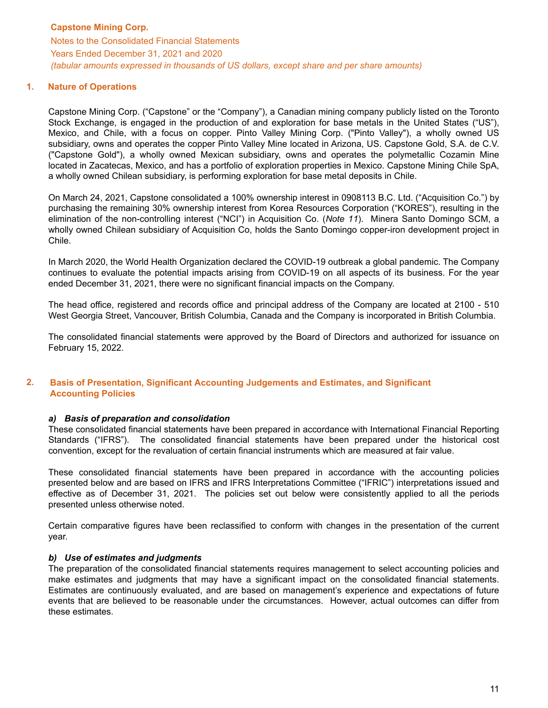Notes to the Consolidated Financial Statements Years Ended December 31, 2021 and 2020 *(tabular amounts expressed in thousands of US dollars, except share and per share amounts)*

#### **1. Nature of Operations**

Capstone Mining Corp. ("Capstone" or the "Company"), a Canadian mining company publicly listed on the Toronto Stock Exchange, is engaged in the production of and exploration for base metals in the United States ("US"), Mexico, and Chile, with a focus on copper. Pinto Valley Mining Corp. ("Pinto Valley"), a wholly owned US subsidiary, owns and operates the copper Pinto Valley Mine located in Arizona, US. Capstone Gold, S.A. de C.V. ("Capstone Gold"), a wholly owned Mexican subsidiary, owns and operates the polymetallic Cozamin Mine located in Zacatecas, Mexico, and has a portfolio of exploration properties in Mexico. Capstone Mining Chile SpA, a wholly owned Chilean subsidiary, is performing exploration for base metal deposits in Chile.

On March 24, 2021, Capstone consolidated a 100% ownership interest in 0908113 B.C. Ltd. ("Acquisition Co.") by purchasing the remaining 30% ownership interest from Korea Resources Corporation ("KORES"), resulting in the elimination of the non-controlling interest ("NCI") in Acquisition Co. (*Note 11*). Minera Santo Domingo SCM, a wholly owned Chilean subsidiary of Acquisition Co, holds the Santo Domingo copper-iron development project in Chile.

In March 2020, the World Health Organization declared the COVID-19 outbreak a global pandemic. The Company continues to evaluate the potential impacts arising from COVID-19 on all aspects of its business. For the year ended December 31, 2021, there were no significant financial impacts on the Company.

The head office, registered and records office and principal address of the Company are located at 2100 - 510 West Georgia Street, Vancouver, British Columbia, Canada and the Company is incorporated in British Columbia.

The consolidated financial statements were approved by the Board of Directors and authorized for issuance on February 15, 2022.

#### **2. Basis of Presentation, Significant Accounting Judgements and Estimates, and Significant Accounting Policies**

#### *a) Basis of preparation and consolidation*

These consolidated financial statements have been prepared in accordance with International Financial Reporting Standards ("IFRS"). The consolidated financial statements have been prepared under the historical cost convention, except for the revaluation of certain financial instruments which are measured at fair value.

These consolidated financial statements have been prepared in accordance with the accounting policies presented below and are based on IFRS and IFRS Interpretations Committee ("IFRIC") interpretations issued and effective as of December 31, 2021. The policies set out below were consistently applied to all the periods presented unless otherwise noted.

Certain comparative figures have been reclassified to conform with changes in the presentation of the current year.

#### *b) Use of estimates and judgments*

The preparation of the consolidated financial statements requires management to select accounting policies and make estimates and judgments that may have a significant impact on the consolidated financial statements. Estimates are continuously evaluated, and are based on management's experience and expectations of future events that are believed to be reasonable under the circumstances. However, actual outcomes can differ from these estimates.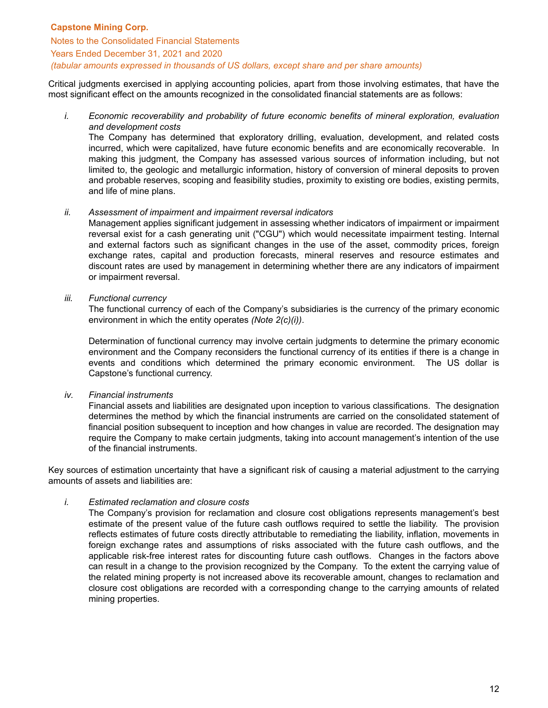## **Capstone Mining Corp.**  Notes to the Consolidated Financial Statements Years Ended December 31, 2021 and 2020 *(tabular amounts expressed in thousands of US dollars, except share and per share amounts)*

Critical judgments exercised in applying accounting policies, apart from those involving estimates, that have the most significant effect on the amounts recognized in the consolidated financial statements are as follows:

*i. Economic recoverability and probability of future economic benefits of mineral exploration, evaluation and development costs*

The Company has determined that exploratory drilling, evaluation, development, and related costs incurred, which were capitalized, have future economic benefits and are economically recoverable. In making this judgment, the Company has assessed various sources of information including, but not limited to, the geologic and metallurgic information, history of conversion of mineral deposits to proven and probable reserves, scoping and feasibility studies, proximity to existing ore bodies, existing permits, and life of mine plans.

#### *ii. Assessment of impairment and impairment reversal indicators*

Management applies significant judgement in assessing whether indicators of impairment or impairment reversal exist for a cash generating unit ("CGU") which would necessitate impairment testing. Internal and external factors such as significant changes in the use of the asset, commodity prices, foreign exchange rates, capital and production forecasts, mineral reserves and resource estimates and discount rates are used by management in determining whether there are any indicators of impairment or impairment reversal.

*iii. Functional currency*

The functional currency of each of the Company's subsidiaries is the currency of the primary economic environment in which the entity operates *(Note 2(c)(i))*.

Determination of functional currency may involve certain judgments to determine the primary economic environment and the Company reconsiders the functional currency of its entities if there is a change in events and conditions which determined the primary economic environment. The US dollar is Capstone's functional currency.

*iv. Financial instruments*

Financial assets and liabilities are designated upon inception to various classifications. The designation determines the method by which the financial instruments are carried on the consolidated statement of financial position subsequent to inception and how changes in value are recorded. The designation may require the Company to make certain judgments, taking into account management's intention of the use of the financial instruments.

Key sources of estimation uncertainty that have a significant risk of causing a material adjustment to the carrying amounts of assets and liabilities are:

#### *i. Estimated reclamation and closure costs*

The Company's provision for reclamation and closure cost obligations represents management's best estimate of the present value of the future cash outflows required to settle the liability. The provision reflects estimates of future costs directly attributable to remediating the liability, inflation, movements in foreign exchange rates and assumptions of risks associated with the future cash outflows, and the applicable risk-free interest rates for discounting future cash outflows. Changes in the factors above can result in a change to the provision recognized by the Company. To the extent the carrying value of the related mining property is not increased above its recoverable amount, changes to reclamation and closure cost obligations are recorded with a corresponding change to the carrying amounts of related mining properties.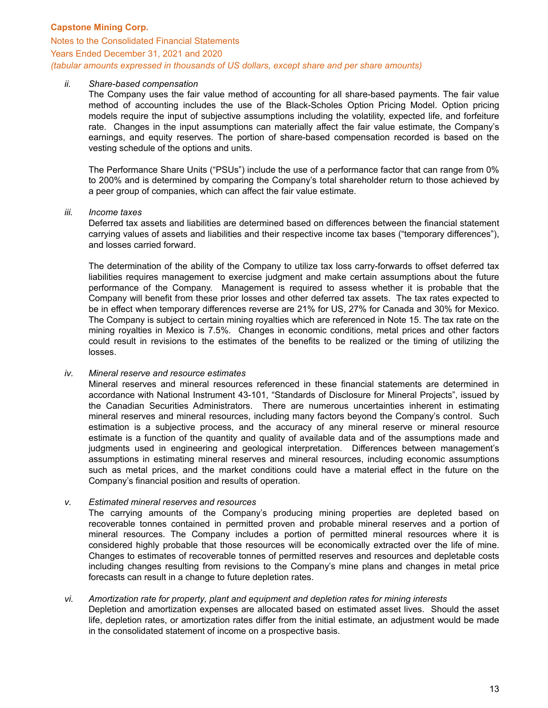## Notes to the Consolidated Financial Statements Years Ended December 31, 2021 and 2020 *(tabular amounts expressed in thousands of US dollars, except share and per share amounts)*

#### *ii. Share-based compensation*

The Company uses the fair value method of accounting for all share-based payments. The fair value method of accounting includes the use of the Black-Scholes Option Pricing Model. Option pricing models require the input of subjective assumptions including the volatility, expected life, and forfeiture rate. Changes in the input assumptions can materially affect the fair value estimate, the Company's earnings, and equity reserves. The portion of share-based compensation recorded is based on the vesting schedule of the options and units.

The Performance Share Units ("PSUs") include the use of a performance factor that can range from 0% to 200% and is determined by comparing the Company's total shareholder return to those achieved by a peer group of companies, which can affect the fair value estimate.

#### *iii. Income taxes*

Deferred tax assets and liabilities are determined based on differences between the financial statement carrying values of assets and liabilities and their respective income tax bases ("temporary differences"), and losses carried forward.

The determination of the ability of the Company to utilize tax loss carry-forwards to offset deferred tax liabilities requires management to exercise judgment and make certain assumptions about the future performance of the Company. Management is required to assess whether it is probable that the Company will benefit from these prior losses and other deferred tax assets. The tax rates expected to be in effect when temporary differences reverse are 21% for US, 27% for Canada and 30% for Mexico. The Company is subject to certain mining royalties which are referenced in Note 15. The tax rate on the mining royalties in Mexico is 7.5%. Changes in economic conditions, metal prices and other factors could result in revisions to the estimates of the benefits to be realized or the timing of utilizing the losses.

#### *iv. Mineral reserve and resource estimates*

Mineral reserves and mineral resources referenced in these financial statements are determined in accordance with National Instrument 43-101, "Standards of Disclosure for Mineral Projects", issued by the Canadian Securities Administrators. There are numerous uncertainties inherent in estimating mineral reserves and mineral resources, including many factors beyond the Company's control. Such estimation is a subjective process, and the accuracy of any mineral reserve or mineral resource estimate is a function of the quantity and quality of available data and of the assumptions made and judgments used in engineering and geological interpretation. Differences between management's assumptions in estimating mineral reserves and mineral resources, including economic assumptions such as metal prices, and the market conditions could have a material effect in the future on the Company's financial position and results of operation.

#### *v. Estimated mineral reserves and resources*

The carrying amounts of the Company's producing mining properties are depleted based on recoverable tonnes contained in permitted proven and probable mineral reserves and a portion of mineral resources. The Company includes a portion of permitted mineral resources where it is considered highly probable that those resources will be economically extracted over the life of mine. Changes to estimates of recoverable tonnes of permitted reserves and resources and depletable costs including changes resulting from revisions to the Company's mine plans and changes in metal price forecasts can result in a change to future depletion rates.

*vi. Amortization rate for property, plant and equipment and depletion rates for mining interests* Depletion and amortization expenses are allocated based on estimated asset lives. Should the asset life, depletion rates, or amortization rates differ from the initial estimate, an adjustment would be made in the consolidated statement of income on a prospective basis.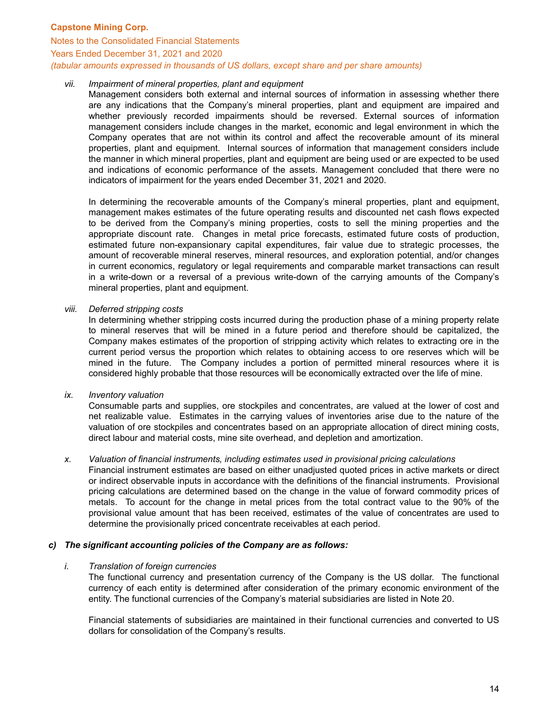## Notes to the Consolidated Financial Statements Years Ended December 31, 2021 and 2020 *(tabular amounts expressed in thousands of US dollars, except share and per share amounts)*

#### *vii. Impairment of mineral properties, plant and equipment*

Management considers both external and internal sources of information in assessing whether there are any indications that the Company's mineral properties, plant and equipment are impaired and whether previously recorded impairments should be reversed. External sources of information management considers include changes in the market, economic and legal environment in which the Company operates that are not within its control and affect the recoverable amount of its mineral properties, plant and equipment. Internal sources of information that management considers include the manner in which mineral properties, plant and equipment are being used or are expected to be used and indications of economic performance of the assets. Management concluded that there were no indicators of impairment for the years ended December 31, 2021 and 2020.

In determining the recoverable amounts of the Company's mineral properties, plant and equipment, management makes estimates of the future operating results and discounted net cash flows expected to be derived from the Company's mining properties, costs to sell the mining properties and the appropriate discount rate. Changes in metal price forecasts, estimated future costs of production, estimated future non-expansionary capital expenditures, fair value due to strategic processes, the amount of recoverable mineral reserves, mineral resources, and exploration potential, and/or changes in current economics, regulatory or legal requirements and comparable market transactions can result in a write-down or a reversal of a previous write-down of the carrying amounts of the Company's mineral properties, plant and equipment.

#### *viii. Deferred stripping costs*

In determining whether stripping costs incurred during the production phase of a mining property relate to mineral reserves that will be mined in a future period and therefore should be capitalized, the Company makes estimates of the proportion of stripping activity which relates to extracting ore in the current period versus the proportion which relates to obtaining access to ore reserves which will be mined in the future. The Company includes a portion of permitted mineral resources where it is considered highly probable that those resources will be economically extracted over the life of mine.

#### *ix. Inventory valuation*

Consumable parts and supplies, ore stockpiles and concentrates, are valued at the lower of cost and net realizable value. Estimates in the carrying values of inventories arise due to the nature of the valuation of ore stockpiles and concentrates based on an appropriate allocation of direct mining costs, direct labour and material costs, mine site overhead, and depletion and amortization.

#### *x. Valuation of financial instruments, including estimates used in provisional pricing calculations*

Financial instrument estimates are based on either unadjusted quoted prices in active markets or direct or indirect observable inputs in accordance with the definitions of the financial instruments. Provisional pricing calculations are determined based on the change in the value of forward commodity prices of metals. To account for the change in metal prices from the total contract value to the 90% of the provisional value amount that has been received, estimates of the value of concentrates are used to determine the provisionally priced concentrate receivables at each period.

#### *c) The significant accounting policies of the Company are as follows:*

#### *i. Translation of foreign currencies*

The functional currency and presentation currency of the Company is the US dollar. The functional currency of each entity is determined after consideration of the primary economic environment of the entity. The functional currencies of the Company's material subsidiaries are listed in Note 20.

Financial statements of subsidiaries are maintained in their functional currencies and converted to US dollars for consolidation of the Company's results.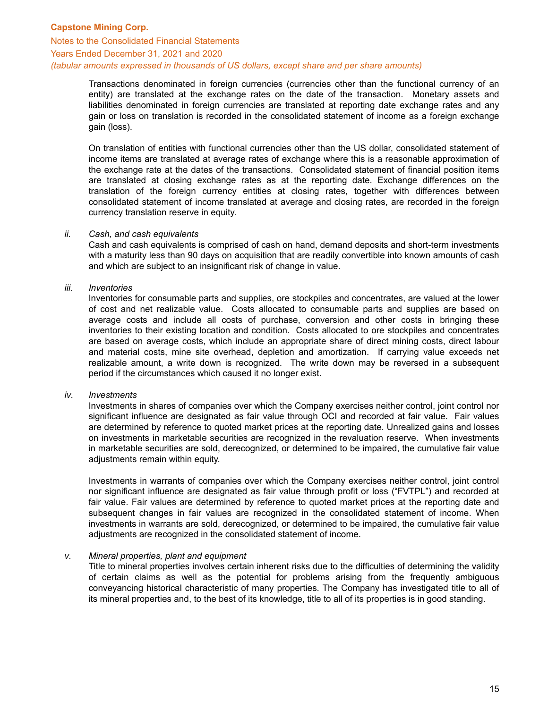## **Capstone Mining Corp.**  Notes to the Consolidated Financial Statements Years Ended December 31, 2021 and 2020 *(tabular amounts expressed in thousands of US dollars, except share and per share amounts)*

Transactions denominated in foreign currencies (currencies other than the functional currency of an entity) are translated at the exchange rates on the date of the transaction. Monetary assets and liabilities denominated in foreign currencies are translated at reporting date exchange rates and any gain or loss on translation is recorded in the consolidated statement of income as a foreign exchange gain (loss).

On translation of entities with functional currencies other than the US dollar, consolidated statement of income items are translated at average rates of exchange where this is a reasonable approximation of the exchange rate at the dates of the transactions. Consolidated statement of financial position items are translated at closing exchange rates as at the reporting date. Exchange differences on the translation of the foreign currency entities at closing rates, together with differences between consolidated statement of income translated at average and closing rates, are recorded in the foreign currency translation reserve in equity.

#### *ii. Cash, and cash equivalents*

Cash and cash equivalents is comprised of cash on hand, demand deposits and short-term investments with a maturity less than 90 days on acquisition that are readily convertible into known amounts of cash and which are subject to an insignificant risk of change in value.

#### *iii. Inventories*

Inventories for consumable parts and supplies, ore stockpiles and concentrates, are valued at the lower of cost and net realizable value. Costs allocated to consumable parts and supplies are based on average costs and include all costs of purchase, conversion and other costs in bringing these inventories to their existing location and condition. Costs allocated to ore stockpiles and concentrates are based on average costs, which include an appropriate share of direct mining costs, direct labour and material costs, mine site overhead, depletion and amortization. If carrying value exceeds net realizable amount, a write down is recognized. The write down may be reversed in a subsequent period if the circumstances which caused it no longer exist.

#### *iv. Investments*

Investments in shares of companies over which the Company exercises neither control, joint control nor significant influence are designated as fair value through OCI and recorded at fair value. Fair values are determined by reference to quoted market prices at the reporting date. Unrealized gains and losses on investments in marketable securities are recognized in the revaluation reserve. When investments in marketable securities are sold, derecognized, or determined to be impaired, the cumulative fair value adjustments remain within equity.

Investments in warrants of companies over which the Company exercises neither control, joint control nor significant influence are designated as fair value through profit or loss ("FVTPL") and recorded at fair value. Fair values are determined by reference to quoted market prices at the reporting date and subsequent changes in fair values are recognized in the consolidated statement of income. When investments in warrants are sold, derecognized, or determined to be impaired, the cumulative fair value adjustments are recognized in the consolidated statement of income.

#### *v. Mineral properties, plant and equipment*

Title to mineral properties involves certain inherent risks due to the difficulties of determining the validity of certain claims as well as the potential for problems arising from the frequently ambiguous conveyancing historical characteristic of many properties. The Company has investigated title to all of its mineral properties and, to the best of its knowledge, title to all of its properties is in good standing.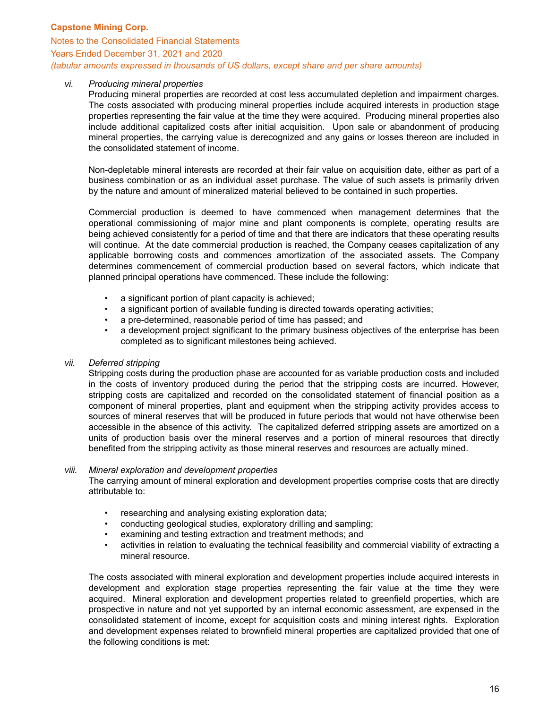## Notes to the Consolidated Financial Statements Years Ended December 31, 2021 and 2020 *(tabular amounts expressed in thousands of US dollars, except share and per share amounts)*

#### *vi. Producing mineral properties*

Producing mineral properties are recorded at cost less accumulated depletion and impairment charges. The costs associated with producing mineral properties include acquired interests in production stage properties representing the fair value at the time they were acquired. Producing mineral properties also include additional capitalized costs after initial acquisition. Upon sale or abandonment of producing mineral properties, the carrying value is derecognized and any gains or losses thereon are included in the consolidated statement of income.

Non-depletable mineral interests are recorded at their fair value on acquisition date, either as part of a business combination or as an individual asset purchase. The value of such assets is primarily driven by the nature and amount of mineralized material believed to be contained in such properties.

Commercial production is deemed to have commenced when management determines that the operational commissioning of major mine and plant components is complete, operating results are being achieved consistently for a period of time and that there are indicators that these operating results will continue. At the date commercial production is reached, the Company ceases capitalization of any applicable borrowing costs and commences amortization of the associated assets. The Company determines commencement of commercial production based on several factors, which indicate that planned principal operations have commenced. These include the following:

- a significant portion of plant capacity is achieved;
- a significant portion of available funding is directed towards operating activities;
- a pre-determined, reasonable period of time has passed; and
- a development project significant to the primary business objectives of the enterprise has been completed as to significant milestones being achieved.

#### *vii. Deferred stripping*

Stripping costs during the production phase are accounted for as variable production costs and included in the costs of inventory produced during the period that the stripping costs are incurred. However, stripping costs are capitalized and recorded on the consolidated statement of financial position as a component of mineral properties, plant and equipment when the stripping activity provides access to sources of mineral reserves that will be produced in future periods that would not have otherwise been accessible in the absence of this activity. The capitalized deferred stripping assets are amortized on a units of production basis over the mineral reserves and a portion of mineral resources that directly benefited from the stripping activity as those mineral reserves and resources are actually mined.

#### *viii. Mineral exploration and development properties*

The carrying amount of mineral exploration and development properties comprise costs that are directly attributable to:

- researching and analysing existing exploration data;
- conducting geological studies, exploratory drilling and sampling;
- examining and testing extraction and treatment methods; and
- activities in relation to evaluating the technical feasibility and commercial viability of extracting a mineral resource.

The costs associated with mineral exploration and development properties include acquired interests in development and exploration stage properties representing the fair value at the time they were acquired. Mineral exploration and development properties related to greenfield properties, which are prospective in nature and not yet supported by an internal economic assessment, are expensed in the consolidated statement of income, except for acquisition costs and mining interest rights. Exploration and development expenses related to brownfield mineral properties are capitalized provided that one of the following conditions is met: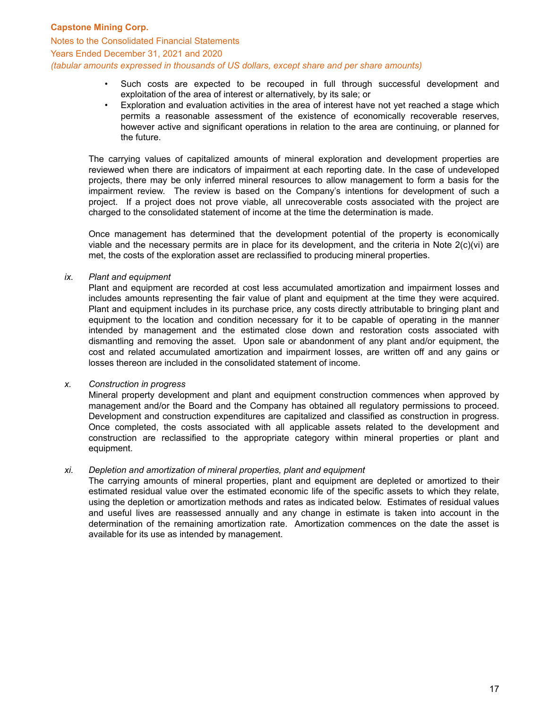## Notes to the Consolidated Financial Statements Years Ended December 31, 2021 and 2020 *(tabular amounts expressed in thousands of US dollars, except share and per share amounts)*

- Such costs are expected to be recouped in full through successful development and exploitation of the area of interest or alternatively, by its sale; or
- Exploration and evaluation activities in the area of interest have not yet reached a stage which permits a reasonable assessment of the existence of economically recoverable reserves, however active and significant operations in relation to the area are continuing, or planned for the future.

The carrying values of capitalized amounts of mineral exploration and development properties are reviewed when there are indicators of impairment at each reporting date. In the case of undeveloped projects, there may be only inferred mineral resources to allow management to form a basis for the impairment review. The review is based on the Company's intentions for development of such a project. If a project does not prove viable, all unrecoverable costs associated with the project are charged to the consolidated statement of income at the time the determination is made.

Once management has determined that the development potential of the property is economically viable and the necessary permits are in place for its development, and the criteria in Note 2(c)(vi) are met, the costs of the exploration asset are reclassified to producing mineral properties.

*ix. Plant and equipment*

Plant and equipment are recorded at cost less accumulated amortization and impairment losses and includes amounts representing the fair value of plant and equipment at the time they were acquired. Plant and equipment includes in its purchase price, any costs directly attributable to bringing plant and equipment to the location and condition necessary for it to be capable of operating in the manner intended by management and the estimated close down and restoration costs associated with dismantling and removing the asset. Upon sale or abandonment of any plant and/or equipment, the cost and related accumulated amortization and impairment losses, are written off and any gains or losses thereon are included in the consolidated statement of income.

#### *x. Construction in progress*

Mineral property development and plant and equipment construction commences when approved by management and/or the Board and the Company has obtained all regulatory permissions to proceed. Development and construction expenditures are capitalized and classified as construction in progress. Once completed, the costs associated with all applicable assets related to the development and construction are reclassified to the appropriate category within mineral properties or plant and equipment.

#### *xi. Depletion and amortization of mineral properties, plant and equipment*

The carrying amounts of mineral properties, plant and equipment are depleted or amortized to their estimated residual value over the estimated economic life of the specific assets to which they relate, using the depletion or amortization methods and rates as indicated below. Estimates of residual values and useful lives are reassessed annually and any change in estimate is taken into account in the determination of the remaining amortization rate. Amortization commences on the date the asset is available for its use as intended by management.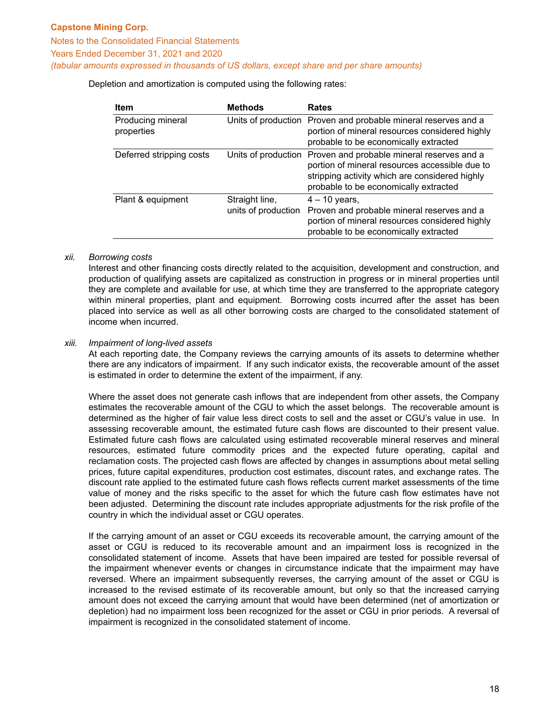Depletion and amortization is computed using the following rates:

| <b>Item</b>                     | <b>Methods</b>                        | Rates                                                                                                                                                                                                       |
|---------------------------------|---------------------------------------|-------------------------------------------------------------------------------------------------------------------------------------------------------------------------------------------------------------|
| Producing mineral<br>properties |                                       | Units of production Proven and probable mineral reserves and a<br>portion of mineral resources considered highly<br>probable to be economically extracted                                                   |
| Deferred stripping costs        |                                       | Units of production Proven and probable mineral reserves and a<br>portion of mineral resources accessible due to<br>stripping activity which are considered highly<br>probable to be economically extracted |
| Plant & equipment               | Straight line,<br>units of production | $4 - 10$ years,<br>Proven and probable mineral reserves and a<br>portion of mineral resources considered highly<br>probable to be economically extracted                                                    |

#### *xii. Borrowing costs*

Interest and other financing costs directly related to the acquisition, development and construction, and production of qualifying assets are capitalized as construction in progress or in mineral properties until they are complete and available for use, at which time they are transferred to the appropriate category within mineral properties, plant and equipment. Borrowing costs incurred after the asset has been placed into service as well as all other borrowing costs are charged to the consolidated statement of income when incurred.

#### *xiii. Impairment of long-lived assets*

At each reporting date, the Company reviews the carrying amounts of its assets to determine whether there are any indicators of impairment. If any such indicator exists, the recoverable amount of the asset is estimated in order to determine the extent of the impairment, if any.

Where the asset does not generate cash inflows that are independent from other assets, the Company estimates the recoverable amount of the CGU to which the asset belongs. The recoverable amount is determined as the higher of fair value less direct costs to sell and the asset or CGU's value in use. In assessing recoverable amount, the estimated future cash flows are discounted to their present value. Estimated future cash flows are calculated using estimated recoverable mineral reserves and mineral resources, estimated future commodity prices and the expected future operating, capital and reclamation costs. The projected cash flows are affected by changes in assumptions about metal selling prices, future capital expenditures, production cost estimates, discount rates, and exchange rates. The discount rate applied to the estimated future cash flows reflects current market assessments of the time value of money and the risks specific to the asset for which the future cash flow estimates have not been adjusted. Determining the discount rate includes appropriate adjustments for the risk profile of the country in which the individual asset or CGU operates.

If the carrying amount of an asset or CGU exceeds its recoverable amount, the carrying amount of the asset or CGU is reduced to its recoverable amount and an impairment loss is recognized in the consolidated statement of income. Assets that have been impaired are tested for possible reversal of the impairment whenever events or changes in circumstance indicate that the impairment may have reversed. Where an impairment subsequently reverses, the carrying amount of the asset or CGU is increased to the revised estimate of its recoverable amount, but only so that the increased carrying amount does not exceed the carrying amount that would have been determined (net of amortization or depletion) had no impairment loss been recognized for the asset or CGU in prior periods. A reversal of impairment is recognized in the consolidated statement of income.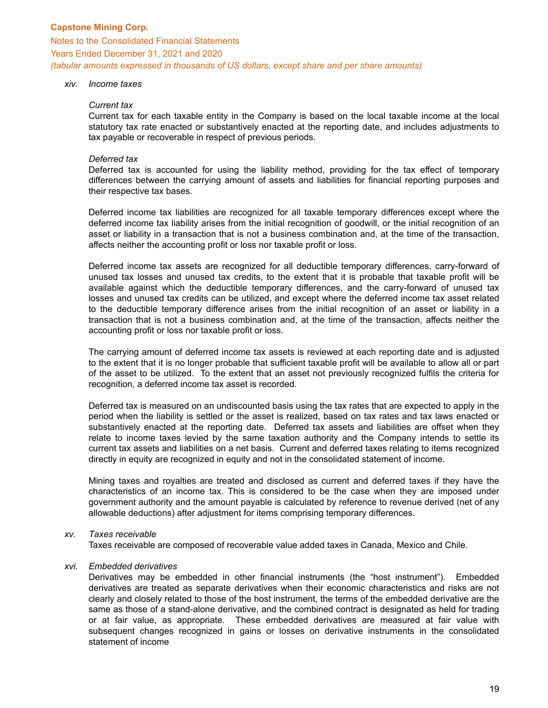Notes to the Consolidated Financial Statements Years Ended December 31, 2021 and 2020 *(tabular amounts expressed in thousands of US dollars, except share and per share amounts)*

#### *xiv. Income taxes*

#### *Current tax*

Current tax for each taxable entity in the Company is based on the local taxable income at the local statutory tax rate enacted or substantively enacted at the reporting date, and includes adjustments to tax payable or recoverable in respect of previous periods.

#### *Deferred tax*

Deferred tax is accounted for using the liability method, providing for the tax effect of temporary differences between the carrying amount of assets and liabilities for financial reporting purposes and their respective tax bases.

Deferred income tax liabilities are recognized for all taxable temporary differences except where the deferred income tax liability arises from the initial recognition of goodwill, or the initial recognition of an asset or liability in a transaction that is not a business combination and, at the time of the transaction, affects neither the accounting profit or loss nor taxable profit or loss.

Deferred income tax assets are recognized for all deductible temporary differences, carry-forward of unused tax losses and unused tax credits, to the extent that it is probable that taxable profit will be available against which the deductible temporary differences, and the carry-forward of unused tax losses and unused tax credits can be utilized, and except where the deferred income tax asset related to the deductible temporary difference arises from the initial recognition of an asset or liability in a transaction that is not a business combination and, at the time of the transaction, affects neither the accounting profit or loss nor taxable profit or loss.

The carrying amount of deferred income tax assets is reviewed at each reporting date and is adjusted to the extent that it is no longer probable that sufficient taxable profit will be available to allow all or part of the asset to be utilized. To the extent that an asset not previously recognized fulfils the criteria for recognition, a deferred income tax asset is recorded.

Deferred tax is measured on an undiscounted basis using the tax rates that are expected to apply in the period when the liability is settled or the asset is realized, based on tax rates and tax laws enacted or substantively enacted at the reporting date. Deferred tax assets and liabilities are offset when they relate to income taxes levied by the same taxation authority and the Company intends to settle its current tax assets and liabilities on a net basis. Current and deferred taxes relating to items recognized directly in equity are recognized in equity and not in the consolidated statement of income.

Mining taxes and royalties are treated and disclosed as current and deferred taxes if they have the characteristics of an income tax. This is considered to be the case when they are imposed under government authority and the amount payable is calculated by reference to revenue derived (net of any allowable deductions) after adjustment for items comprising temporary differences.

#### *xv. Taxes receivable*

Taxes receivable are composed of recoverable value added taxes in Canada, Mexico and Chile.

#### *xvi. Embedded derivatives*

Derivatives may be embedded in other financial instruments (the "host instrument"). Embedded derivatives are treated as separate derivatives when their economic characteristics and risks are not clearly and closely related to those of the host instrument, the terms of the embedded derivative are the same as those of a stand-alone derivative, and the combined contract is designated as held for trading or at fair value, as appropriate. These embedded derivatives are measured at fair value with subsequent changes recognized in gains or losses on derivative instruments in the consolidated statement of income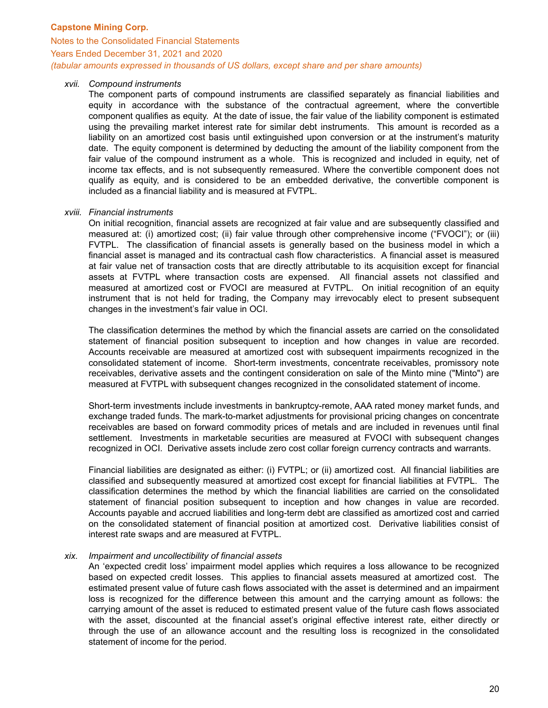## Notes to the Consolidated Financial Statements Years Ended December 31, 2021 and 2020 *(tabular amounts expressed in thousands of US dollars, except share and per share amounts)*

#### *xvii. Compound instruments*

The component parts of compound instruments are classified separately as financial liabilities and equity in accordance with the substance of the contractual agreement, where the convertible component qualifies as equity. At the date of issue, the fair value of the liability component is estimated using the prevailing market interest rate for similar debt instruments. This amount is recorded as a liability on an amortized cost basis until extinguished upon conversion or at the instrument's maturity date. The equity component is determined by deducting the amount of the liability component from the fair value of the compound instrument as a whole. This is recognized and included in equity, net of income tax effects, and is not subsequently remeasured. Where the convertible component does not qualify as equity, and is considered to be an embedded derivative, the convertible component is included as a financial liability and is measured at FVTPL.

#### *xviii. Financial instruments*

On initial recognition, financial assets are recognized at fair value and are subsequently classified and measured at: (i) amortized cost; (ii) fair value through other comprehensive income ("FVOCI"); or (iii) FVTPL. The classification of financial assets is generally based on the business model in which a financial asset is managed and its contractual cash flow characteristics. A financial asset is measured at fair value net of transaction costs that are directly attributable to its acquisition except for financial assets at FVTPL where transaction costs are expensed. All financial assets not classified and measured at amortized cost or FVOCI are measured at FVTPL. On initial recognition of an equity instrument that is not held for trading, the Company may irrevocably elect to present subsequent changes in the investment's fair value in OCI.

The classification determines the method by which the financial assets are carried on the consolidated statement of financial position subsequent to inception and how changes in value are recorded. Accounts receivable are measured at amortized cost with subsequent impairments recognized in the consolidated statement of income. Short-term investments, concentrate receivables, promissory note receivables, derivative assets and the contingent consideration on sale of the Minto mine ("Minto") are measured at FVTPL with subsequent changes recognized in the consolidated statement of income.

Short-term investments include investments in bankruptcy-remote, AAA rated money market funds, and exchange traded funds. The mark-to-market adjustments for provisional pricing changes on concentrate receivables are based on forward commodity prices of metals and are included in revenues until final settlement. Investments in marketable securities are measured at FVOCI with subsequent changes recognized in OCI. Derivative assets include zero cost collar foreign currency contracts and warrants.

Financial liabilities are designated as either: (i) FVTPL; or (ii) amortized cost. All financial liabilities are classified and subsequently measured at amortized cost except for financial liabilities at FVTPL. The classification determines the method by which the financial liabilities are carried on the consolidated statement of financial position subsequent to inception and how changes in value are recorded. Accounts payable and accrued liabilities and long-term debt are classified as amortized cost and carried on the consolidated statement of financial position at amortized cost. Derivative liabilities consist of interest rate swaps and are measured at FVTPL.

#### *xix. Impairment and uncollectibility of financial assets*

An 'expected credit loss' impairment model applies which requires a loss allowance to be recognized based on expected credit losses. This applies to financial assets measured at amortized cost. The estimated present value of future cash flows associated with the asset is determined and an impairment loss is recognized for the difference between this amount and the carrying amount as follows: the carrying amount of the asset is reduced to estimated present value of the future cash flows associated with the asset, discounted at the financial asset's original effective interest rate, either directly or through the use of an allowance account and the resulting loss is recognized in the consolidated statement of income for the period.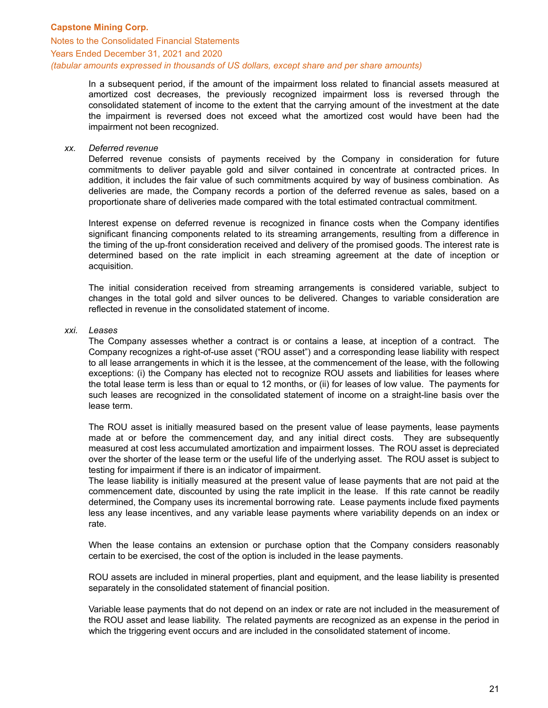#### Notes to the Consolidated Financial Statements Years Ended December 31, 2021 and 2020

*(tabular amounts expressed in thousands of US dollars, except share and per share amounts)*

In a subsequent period, if the amount of the impairment loss related to financial assets measured at amortized cost decreases, the previously recognized impairment loss is reversed through the consolidated statement of income to the extent that the carrying amount of the investment at the date the impairment is reversed does not exceed what the amortized cost would have been had the impairment not been recognized.

#### *xx. Deferred revenue*

Deferred revenue consists of payments received by the Company in consideration for future commitments to deliver payable gold and silver contained in concentrate at contracted prices. In addition, it includes the fair value of such commitments acquired by way of business combination. As deliveries are made, the Company records a portion of the deferred revenue as sales, based on a proportionate share of deliveries made compared with the total estimated contractual commitment.

Interest expense on deferred revenue is recognized in finance costs when the Company identifies significant financing components related to its streaming arrangements, resulting from a difference in the timing of the up-front consideration received and delivery of the promised goods. The interest rate is determined based on the rate implicit in each streaming agreement at the date of inception or acquisition.

The initial consideration received from streaming arrangements is considered variable, subject to changes in the total gold and silver ounces to be delivered. Changes to variable consideration are reflected in revenue in the consolidated statement of income.

#### *xxi. Leases*

The Company assesses whether a contract is or contains a lease, at inception of a contract. The Company recognizes a right-of-use asset ("ROU asset") and a corresponding lease liability with respect to all lease arrangements in which it is the lessee, at the commencement of the lease, with the following exceptions: (i) the Company has elected not to recognize ROU assets and liabilities for leases where the total lease term is less than or equal to 12 months, or (ii) for leases of low value. The payments for such leases are recognized in the consolidated statement of income on a straight-line basis over the lease term.

The ROU asset is initially measured based on the present value of lease payments, lease payments made at or before the commencement day, and any initial direct costs. They are subsequently measured at cost less accumulated amortization and impairment losses. The ROU asset is depreciated over the shorter of the lease term or the useful life of the underlying asset. The ROU asset is subject to testing for impairment if there is an indicator of impairment.

The lease liability is initially measured at the present value of lease payments that are not paid at the commencement date, discounted by using the rate implicit in the lease. If this rate cannot be readily determined, the Company uses its incremental borrowing rate. Lease payments include fixed payments less any lease incentives, and any variable lease payments where variability depends on an index or rate.

When the lease contains an extension or purchase option that the Company considers reasonably certain to be exercised, the cost of the option is included in the lease payments.

ROU assets are included in mineral properties, plant and equipment, and the lease liability is presented separately in the consolidated statement of financial position.

Variable lease payments that do not depend on an index or rate are not included in the measurement of the ROU asset and lease liability. The related payments are recognized as an expense in the period in which the triggering event occurs and are included in the consolidated statement of income.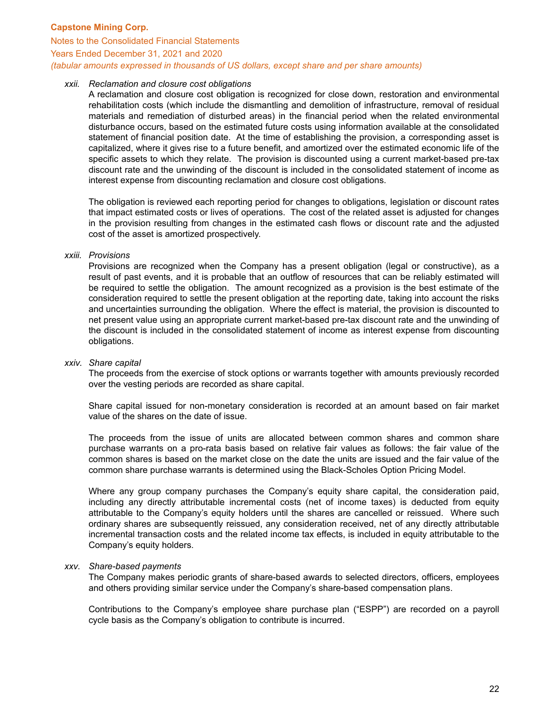## Notes to the Consolidated Financial Statements Years Ended December 31, 2021 and 2020 *(tabular amounts expressed in thousands of US dollars, except share and per share amounts)*

#### *xxii. Reclamation and closure cost obligations*

A reclamation and closure cost obligation is recognized for close down, restoration and environmental rehabilitation costs (which include the dismantling and demolition of infrastructure, removal of residual materials and remediation of disturbed areas) in the financial period when the related environmental disturbance occurs, based on the estimated future costs using information available at the consolidated statement of financial position date. At the time of establishing the provision, a corresponding asset is capitalized, where it gives rise to a future benefit, and amortized over the estimated economic life of the specific assets to which they relate. The provision is discounted using a current market-based pre-tax discount rate and the unwinding of the discount is included in the consolidated statement of income as interest expense from discounting reclamation and closure cost obligations.

The obligation is reviewed each reporting period for changes to obligations, legislation or discount rates that impact estimated costs or lives of operations. The cost of the related asset is adjusted for changes in the provision resulting from changes in the estimated cash flows or discount rate and the adjusted cost of the asset is amortized prospectively.

#### *xxiii. Provisions*

Provisions are recognized when the Company has a present obligation (legal or constructive), as a result of past events, and it is probable that an outflow of resources that can be reliably estimated will be required to settle the obligation. The amount recognized as a provision is the best estimate of the consideration required to settle the present obligation at the reporting date, taking into account the risks and uncertainties surrounding the obligation. Where the effect is material, the provision is discounted to net present value using an appropriate current market-based pre-tax discount rate and the unwinding of the discount is included in the consolidated statement of income as interest expense from discounting obligations.

#### *xxiv. Share capital*

The proceeds from the exercise of stock options or warrants together with amounts previously recorded over the vesting periods are recorded as share capital.

Share capital issued for non-monetary consideration is recorded at an amount based on fair market value of the shares on the date of issue.

The proceeds from the issue of units are allocated between common shares and common share purchase warrants on a pro-rata basis based on relative fair values as follows: the fair value of the common shares is based on the market close on the date the units are issued and the fair value of the common share purchase warrants is determined using the Black-Scholes Option Pricing Model.

Where any group company purchases the Company's equity share capital, the consideration paid, including any directly attributable incremental costs (net of income taxes) is deducted from equity attributable to the Company's equity holders until the shares are cancelled or reissued. Where such ordinary shares are subsequently reissued, any consideration received, net of any directly attributable incremental transaction costs and the related income tax effects, is included in equity attributable to the Company's equity holders.

#### *xxv. Share-based payments*

The Company makes periodic grants of share-based awards to selected directors, officers, employees and others providing similar service under the Company's share-based compensation plans.

Contributions to the Company's employee share purchase plan ("ESPP") are recorded on a payroll cycle basis as the Company's obligation to contribute is incurred.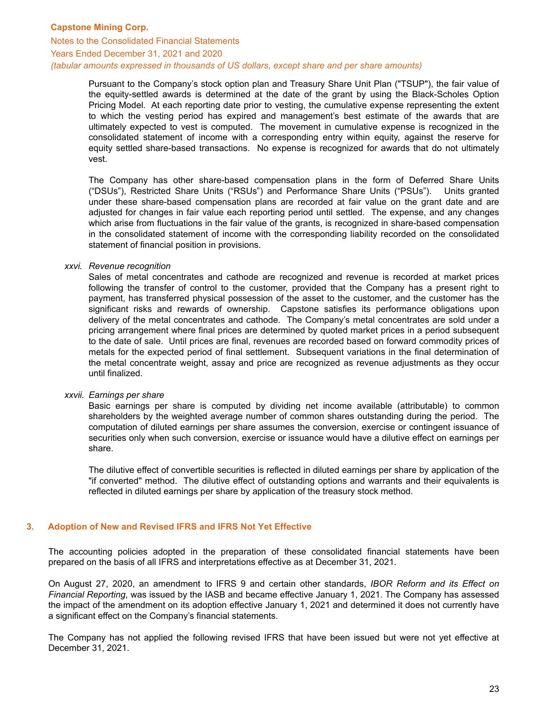## Notes to the Consolidated Financial Statements Years Ended December 31, 2021 and 2020 *(tabular amounts expressed in thousands of US dollars, except share and per share amounts)*

Pursuant to the Company's stock option plan and Treasury Share Unit Plan ("TSUP"), the fair value of the equity-settled awards is determined at the date of the grant by using the Black-Scholes Option Pricing Model. At each reporting date prior to vesting, the cumulative expense representing the extent to which the vesting period has expired and management's best estimate of the awards that are ultimately expected to vest is computed. The movement in cumulative expense is recognized in the consolidated statement of income with a corresponding entry within equity, against the reserve for equity settled share-based transactions. No expense is recognized for awards that do not ultimately vest.

The Company has other share-based compensation plans in the form of Deferred Share Units ("DSUs"), Restricted Share Units ("RSUs") and Performance Share Units ("PSUs"). Units granted under these share-based compensation plans are recorded at fair value on the grant date and are adjusted for changes in fair value each reporting period until settled. The expense, and any changes which arise from fluctuations in the fair value of the grants, is recognized in share-based compensation in the consolidated statement of income with the corresponding liability recorded on the consolidated statement of financial position in provisions.

#### *xxvi. Revenue recognition*

Sales of metal concentrates and cathode are recognized and revenue is recorded at market prices following the transfer of control to the customer, provided that the Company has a present right to payment, has transferred physical possession of the asset to the customer, and the customer has the significant risks and rewards of ownership. Capstone satisfies its performance obligations upon delivery of the metal concentrates and cathode. The Company's metal concentrates are sold under a pricing arrangement where final prices are determined by quoted market prices in a period subsequent to the date of sale. Until prices are final, revenues are recorded based on forward commodity prices of metals for the expected period of final settlement. Subsequent variations in the final determination of the metal concentrate weight, assay and price are recognized as revenue adjustments as they occur until finalized.

#### *xxvii. Earnings per share*

Basic earnings per share is computed by dividing net income available (attributable) to common shareholders by the weighted average number of common shares outstanding during the period. The computation of diluted earnings per share assumes the conversion, exercise or contingent issuance of securities only when such conversion, exercise or issuance would have a dilutive effect on earnings per share.

The dilutive effect of convertible securities is reflected in diluted earnings per share by application of the "if converted" method. The dilutive effect of outstanding options and warrants and their equivalents is reflected in diluted earnings per share by application of the treasury stock method.

#### **3. Adoption of New and Revised IFRS and IFRS Not Yet Effective**

The accounting policies adopted in the preparation of these consolidated financial statements have been prepared on the basis of all IFRS and interpretations effective as at December 31, 2021.

On August 27, 2020, an amendment to IFRS 9 and certain other standards, *IBOR Reform and its Effect on Financial Reporting*, was issued by the IASB and became effective January 1, 2021. The Company has assessed the impact of the amendment on its adoption effective January 1, 2021 and determined it does not currently have a significant effect on the Company's financial statements.

The Company has not applied the following revised IFRS that have been issued but were not yet effective at December 31, 2021.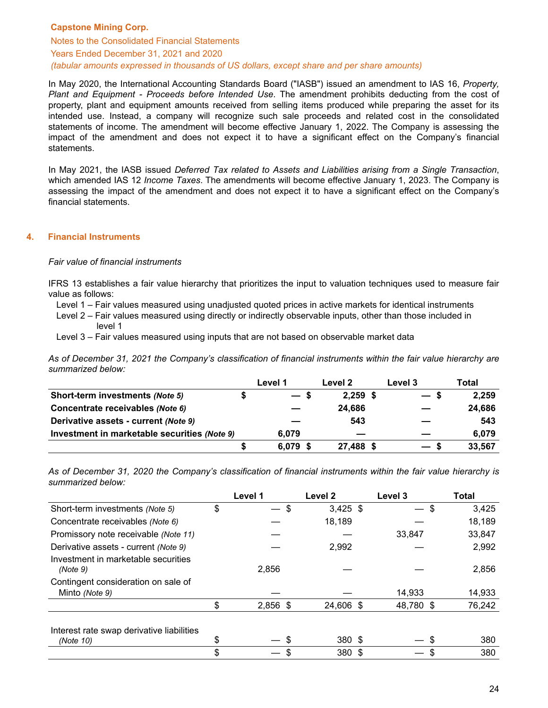## Notes to the Consolidated Financial Statements Years Ended December 31, 2021 and 2020 *(tabular amounts expressed in thousands of US dollars, except share and per share amounts)*

In May 2020, the International Accounting Standards Board ("IASB") issued an amendment to IAS 16, *Property, Plant and Equipment - Proceeds before Intended Use*. The amendment prohibits deducting from the cost of property, plant and equipment amounts received from selling items produced while preparing the asset for its intended use. Instead, a company will recognize such sale proceeds and related cost in the consolidated statements of income. The amendment will become effective January 1, 2022. The Company is assessing the impact of the amendment and does not expect it to have a significant effect on the Company's financial statements.

In May 2021, the IASB issued *Deferred Tax related to Assets and Liabilities arising from a Single Transaction*, which amended IAS 12 *Income Taxes*. The amendments will become effective January 1, 2023. The Company is assessing the impact of the amendment and does not expect it to have a significant effect on the Company's financial statements.

#### **4. Financial Instruments**

#### *Fair value of financial instruments*

IFRS 13 establishes a fair value hierarchy that prioritizes the input to valuation techniques used to measure fair value as follows:

- Level 1 Fair values measured using unadjusted quoted prices in active markets for identical instruments
- Level 2 Fair values measured using directly or indirectly observable inputs, other than those included in level 1
- Level 3 Fair values measured using inputs that are not based on observable market data

*As of December 31, 2021 the Company's classification of financial instruments within the fair value hierarchy are summarized below:*

|                                              |   | Level 1 | Level 2    | Level 3                  | Total  |
|----------------------------------------------|---|---------|------------|--------------------------|--------|
| Short-term investments (Note 5)              | S | $-s$    | $2,259$ \$ | — \$                     | 2,259  |
| Concentrate receivables (Note 6)             |   |         | 24,686     |                          | 24,686 |
| Derivative assets - current (Note 9)         |   |         | 543        |                          | 543    |
| Investment in marketable securities (Note 9) |   | 6.079   |            |                          | 6.079  |
|                                              | S | 6,079   | 27,488 \$  | $\overline{\phantom{0}}$ | 33,567 |

*As of December 31, 2020 the Company's classification of financial instruments within the fair value hierarchy is summarized below:*

|                                                        | Level 1          | Level <sub>2</sub> | Level 3   | <b>Total</b> |
|--------------------------------------------------------|------------------|--------------------|-----------|--------------|
| Short-term investments (Note 5)                        | \$               | \$<br>$3,425$ \$   |           | 3,425        |
| Concentrate receivables (Note 6)                       |                  | 18,189             |           | 18,189       |
| Promissory note receivable (Note 11)                   |                  |                    | 33,847    | 33,847       |
| Derivative assets - current (Note 9)                   |                  | 2,992              |           | 2,992        |
| Investment in marketable securities<br>(Note 9)        | 2,856            |                    |           | 2,856        |
| Contingent consideration on sale of<br>Minto (Note 9)  |                  |                    | 14,933    | 14,933       |
|                                                        | \$<br>$2,856$ \$ | 24,606 \$          | 48,780 \$ | 76,242       |
| Interest rate swap derivative liabilities<br>(Note 10) | \$               | 380 \$             |           | 380          |
|                                                        |                  | 380 \$             |           | 380          |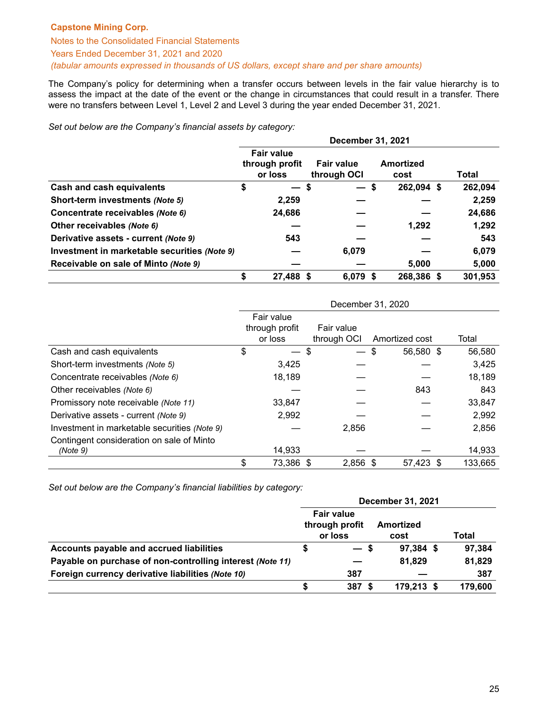The Company's policy for determining when a transfer occurs between levels in the fair value hierarchy is to assess the impact at the date of the event or the change in circumstances that could result in a transfer. There were no transfers between Level 1, Level 2 and Level 3 during the year ended December 31, 2021.

|                                              | <b>December 31, 2021</b> |                                                |                                  |    |                   |  |         |
|----------------------------------------------|--------------------------|------------------------------------------------|----------------------------------|----|-------------------|--|---------|
|                                              |                          | <b>Fair value</b><br>through profit<br>or loss | <b>Fair value</b><br>through OCI |    | Amortized<br>cost |  | Total   |
| Cash and cash equivalents                    | \$                       | $\overline{\phantom{0}}$                       | -\$                              | \$ | 262,094 \$        |  | 262,094 |
| Short-term investments (Note 5)              |                          | 2,259                                          |                                  |    |                   |  | 2,259   |
| Concentrate receivables (Note 6)             |                          | 24,686                                         |                                  |    |                   |  | 24,686  |
| Other receivables (Note 6)                   |                          |                                                |                                  |    | 1,292             |  | 1,292   |
| Derivative assets - current (Note 9)         |                          | 543                                            |                                  |    |                   |  | 543     |
| Investment in marketable securities (Note 9) |                          |                                                | 6,079                            |    |                   |  | 6,079   |
| Receivable on sale of Minto (Note 9)         |                          |                                                |                                  |    | 5,000             |  | 5,000   |
|                                              | \$                       | 27,488                                         | $6,079$ \$<br>- 56               |    | 268,386 \$        |  | 301,953 |

*Set out below are the Company's financial assets by category:* 

|                                                       | December 31, 2020 |                                         |    |                           |    |                |  |         |
|-------------------------------------------------------|-------------------|-----------------------------------------|----|---------------------------|----|----------------|--|---------|
|                                                       |                   | Fair value<br>through profit<br>or loss |    | Fair value<br>through OCI |    | Amortized cost |  | Total   |
| Cash and cash equivalents                             | \$                |                                         | \$ |                           | \$ | 56,580 \$      |  | 56,580  |
| Short-term investments (Note 5)                       |                   | 3,425                                   |    |                           |    |                |  | 3,425   |
| Concentrate receivables (Note 6)                      |                   | 18,189                                  |    |                           |    |                |  | 18,189  |
| Other receivables (Note 6)                            |                   |                                         |    |                           |    | 843            |  | 843     |
| Promissory note receivable (Note 11)                  |                   | 33,847                                  |    |                           |    |                |  | 33,847  |
| Derivative assets - current (Note 9)                  |                   | 2,992                                   |    |                           |    |                |  | 2,992   |
| Investment in marketable securities (Note 9)          |                   |                                         |    | 2,856                     |    |                |  | 2,856   |
| Contingent consideration on sale of Minto<br>(Note 9) |                   | 14,933                                  |    |                           |    |                |  | 14,933  |
|                                                       | \$                | 73,386 \$                               |    | 2,856 \$                  |    | 57,423 \$      |  | 133,665 |

*Set out below are the Company's financial liabilities by category:* 

|                                                           | <b>December 31, 2021</b> |                                                |                   |  |         |  |  |
|-----------------------------------------------------------|--------------------------|------------------------------------------------|-------------------|--|---------|--|--|
|                                                           |                          | <b>Fair value</b><br>through profit<br>or loss | Amortized<br>cost |  | Total   |  |  |
| Accounts payable and accrued liabilities                  |                          | — s                                            | 97,384 \$         |  | 97,384  |  |  |
| Payable on purchase of non-controlling interest (Note 11) |                          |                                                | 81,829            |  | 81,829  |  |  |
| Foreign currency derivative liabilities (Note 10)         |                          | 387                                            |                   |  | 387     |  |  |
|                                                           |                          | 387                                            | 179,213 \$        |  | 179,600 |  |  |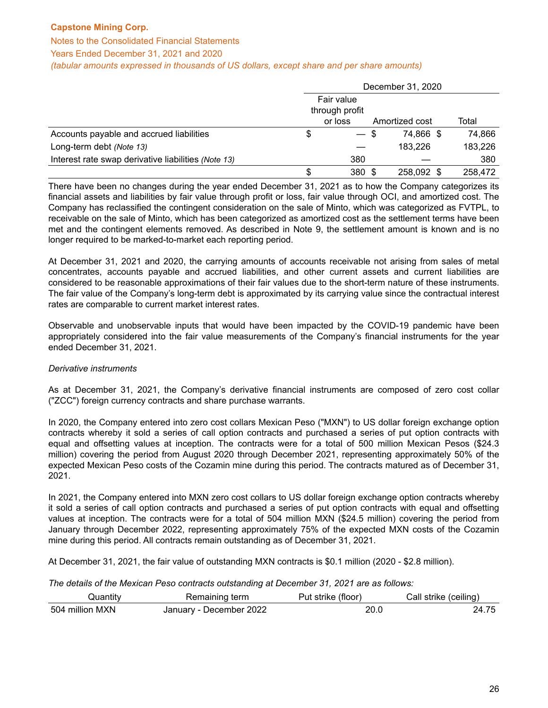#### Notes to the Consolidated Financial Statements

### Years Ended December 31, 2021 and 2020

*(tabular amounts expressed in thousands of US dollars, except share and per share amounts)*

|                                                     |                | December 31, 2020 |                |         |  |  |  |
|-----------------------------------------------------|----------------|-------------------|----------------|---------|--|--|--|
|                                                     |                | Fair value        |                |         |  |  |  |
|                                                     | through profit |                   |                |         |  |  |  |
|                                                     |                | or loss           | Amortized cost | Total   |  |  |  |
| Accounts payable and accrued liabilities            | S              | S                 | 74.866 \$      | 74,866  |  |  |  |
| Long-term debt (Note 13)                            |                |                   | 183.226        | 183,226 |  |  |  |
| Interest rate swap derivative liabilities (Note 13) |                | 380               |                | 380     |  |  |  |
|                                                     | S              | 380 \$            | 258.092 \$     | 258,472 |  |  |  |

There have been no changes during the year ended December 31, 2021 as to how the Company categorizes its financial assets and liabilities by fair value through profit or loss, fair value through OCI, and amortized cost. The Company has reclassified the contingent consideration on the sale of Minto, which was categorized as FVTPL, to receivable on the sale of Minto, which has been categorized as amortized cost as the settlement terms have been met and the contingent elements removed. As described in Note 9, the settlement amount is known and is no longer required to be marked-to-market each reporting period.

At December 31, 2021 and 2020, the carrying amounts of accounts receivable not arising from sales of metal concentrates, accounts payable and accrued liabilities, and other current assets and current liabilities are considered to be reasonable approximations of their fair values due to the short-term nature of these instruments. The fair value of the Company's long-term debt is approximated by its carrying value since the contractual interest rates are comparable to current market interest rates.

Observable and unobservable inputs that would have been impacted by the COVID-19 pandemic have been appropriately considered into the fair value measurements of the Company's financial instruments for the year ended December 31, 2021.

#### *Derivative instruments*

As at December 31, 2021, the Company's derivative financial instruments are composed of zero cost collar ("ZCC") foreign currency contracts and share purchase warrants.

In 2020, the Company entered into zero cost collars Mexican Peso ("MXN") to US dollar foreign exchange option contracts whereby it sold a series of call option contracts and purchased a series of put option contracts with equal and offsetting values at inception. The contracts were for a total of 500 million Mexican Pesos (\$24.3 million) covering the period from August 2020 through December 2021, representing approximately 50% of the expected Mexican Peso costs of the Cozamin mine during this period. The contracts matured as of December 31, 2021.

In 2021, the Company entered into MXN zero cost collars to US dollar foreign exchange option contracts whereby it sold a series of call option contracts and purchased a series of put option contracts with equal and offsetting values at inception. The contracts were for a total of 504 million MXN (\$24.5 million) covering the period from January through December 2022, representing approximately 75% of the expected MXN costs of the Cozamin mine during this period. All contracts remain outstanding as of December 31, 2021.

At December 31, 2021, the fair value of outstanding MXN contracts is \$0.1 million (2020 - \$2.8 million).

*The details of the Mexican Peso contracts outstanding at December 31, 2021 are as follows:*

| שuantit∨        | Remaining term          | Put strike (floor) | Call strike (ceiling) |
|-----------------|-------------------------|--------------------|-----------------------|
| 504 million MXN | January - December 2022 | 20.0               | 24.75                 |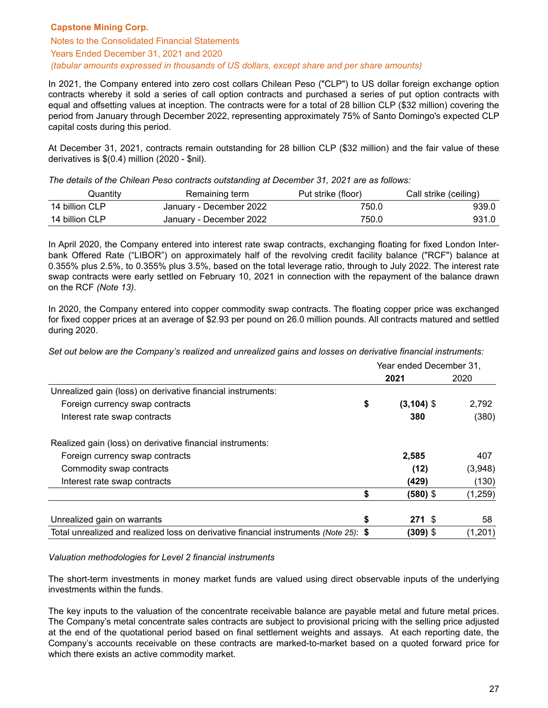### Notes to the Consolidated Financial Statements Years Ended December 31, 2021 and 2020 *(tabular amounts expressed in thousands of US dollars, except share and per share amounts)*

In 2021, the Company entered into zero cost collars Chilean Peso ("CLP") to US dollar foreign exchange option contracts whereby it sold a series of call option contracts and purchased a series of put option contracts with equal and offsetting values at inception. The contracts were for a total of 28 billion CLP (\$32 million) covering the period from January through December 2022, representing approximately 75% of Santo Domingo's expected CLP capital costs during this period.

At December 31, 2021, contracts remain outstanding for 28 billion CLP (\$32 million) and the fair value of these derivatives is \$(0.4) million (2020 - \$nil).

*The details of the Chilean Peso contracts outstanding at December 31, 2021 are as follows:*

| Quantity       | Remaining term          | Put strike (floor) | Call strike (ceiling) |
|----------------|-------------------------|--------------------|-----------------------|
| 14 billion CLP | January - December 2022 | 750.0              | 939.0                 |
| 14 billion CLP | January - December 2022 | 750.0              | 931.0                 |

In April 2020, the Company entered into interest rate swap contracts, exchanging floating for fixed London Interbank Offered Rate ("LIBOR") on approximately half of the revolving credit facility balance ("RCF") balance at 0.355% plus 2.5%, to 0.355% plus 3.5%, based on the total leverage ratio, through to July 2022. The interest rate swap contracts were early settled on February 10, 2021 in connection with the repayment of the balance drawn on the RCF *(Note 13)*.

In 2020, the Company entered into copper commodity swap contracts. The floating copper price was exchanged for fixed copper prices at an average of \$2.93 per pound on 26.0 million pounds. All contracts matured and settled during 2020.

*Set out below are the Company's realized and unrealized gains and losses on derivative financial instruments:* 

|                                                                                      | Year ended December 31, |               |          |
|--------------------------------------------------------------------------------------|-------------------------|---------------|----------|
|                                                                                      |                         | 2021          | 2020     |
| Unrealized gain (loss) on derivative financial instruments:                          |                         |               |          |
| Foreign currency swap contracts                                                      | \$                      | $(3, 104)$ \$ | 2,792    |
| Interest rate swap contracts                                                         |                         | 380           | (380)    |
| Realized gain (loss) on derivative financial instruments:                            |                         |               |          |
| Foreign currency swap contracts                                                      |                         | 2,585         | 407      |
| Commodity swap contracts                                                             |                         | (12)          | (3,948)  |
| Interest rate swap contracts                                                         |                         | (429)         | (130)    |
|                                                                                      | \$                      | (580) \$      | (1,259)  |
| Unrealized gain on warrants                                                          | \$                      | 271S          | 58       |
| Total unrealized and realized loss on derivative financial instruments (Note 25): \$ |                         | $(309)$ \$    | (1, 201) |

#### *Valuation methodologies for Level 2 financial instruments*

The short-term investments in money market funds are valued using direct observable inputs of the underlying investments within the funds.

The key inputs to the valuation of the concentrate receivable balance are payable metal and future metal prices. The Company's metal concentrate sales contracts are subject to provisional pricing with the selling price adjusted at the end of the quotational period based on final settlement weights and assays. At each reporting date, the Company's accounts receivable on these contracts are marked-to-market based on a quoted forward price for which there exists an active commodity market.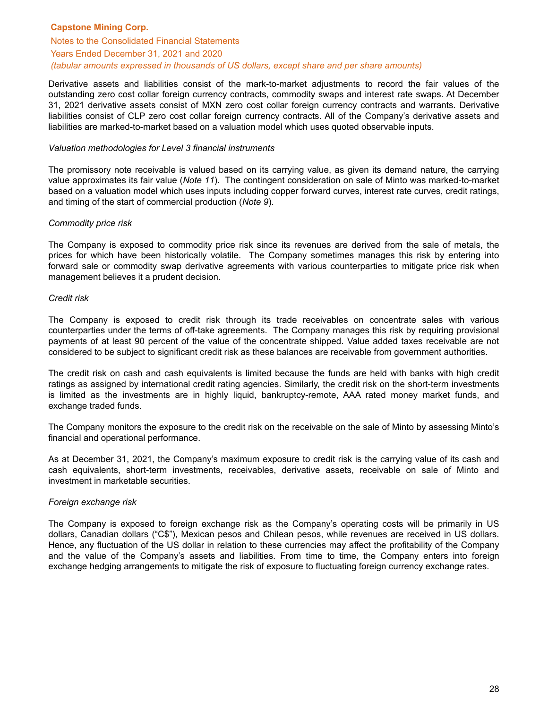Derivative assets and liabilities consist of the mark-to-market adjustments to record the fair values of the outstanding zero cost collar foreign currency contracts, commodity swaps and interest rate swaps. At December 31, 2021 derivative assets consist of MXN zero cost collar foreign currency contracts and warrants. Derivative liabilities consist of CLP zero cost collar foreign currency contracts. All of the Company's derivative assets and liabilities are marked-to-market based on a valuation model which uses quoted observable inputs.

#### *Valuation methodologies for Level 3 financial instruments*

The promissory note receivable is valued based on its carrying value, as given its demand nature, the carrying value approximates its fair value (*Note 11*). The contingent consideration on sale of Minto was marked-to-market based on a valuation model which uses inputs including copper forward curves, interest rate curves, credit ratings, and timing of the start of commercial production (*Note 9*).

#### *Commodity price risk*

The Company is exposed to commodity price risk since its revenues are derived from the sale of metals, the prices for which have been historically volatile. The Company sometimes manages this risk by entering into forward sale or commodity swap derivative agreements with various counterparties to mitigate price risk when management believes it a prudent decision.

#### *Credit risk*

The Company is exposed to credit risk through its trade receivables on concentrate sales with various counterparties under the terms of off-take agreements. The Company manages this risk by requiring provisional payments of at least 90 percent of the value of the concentrate shipped. Value added taxes receivable are not considered to be subject to significant credit risk as these balances are receivable from government authorities.

The credit risk on cash and cash equivalents is limited because the funds are held with banks with high credit ratings as assigned by international credit rating agencies. Similarly, the credit risk on the short-term investments is limited as the investments are in highly liquid, bankruptcy-remote, AAA rated money market funds, and exchange traded funds.

The Company monitors the exposure to the credit risk on the receivable on the sale of Minto by assessing Minto's financial and operational performance.

As at December 31, 2021, the Company's maximum exposure to credit risk is the carrying value of its cash and cash equivalents, short-term investments, receivables, derivative assets, receivable on sale of Minto and investment in marketable securities.

### *Foreign exchange risk*

The Company is exposed to foreign exchange risk as the Company's operating costs will be primarily in US dollars, Canadian dollars ("C\$"), Mexican pesos and Chilean pesos, while revenues are received in US dollars. Hence, any fluctuation of the US dollar in relation to these currencies may affect the profitability of the Company and the value of the Company's assets and liabilities. From time to time, the Company enters into foreign exchange hedging arrangements to mitigate the risk of exposure to fluctuating foreign currency exchange rates.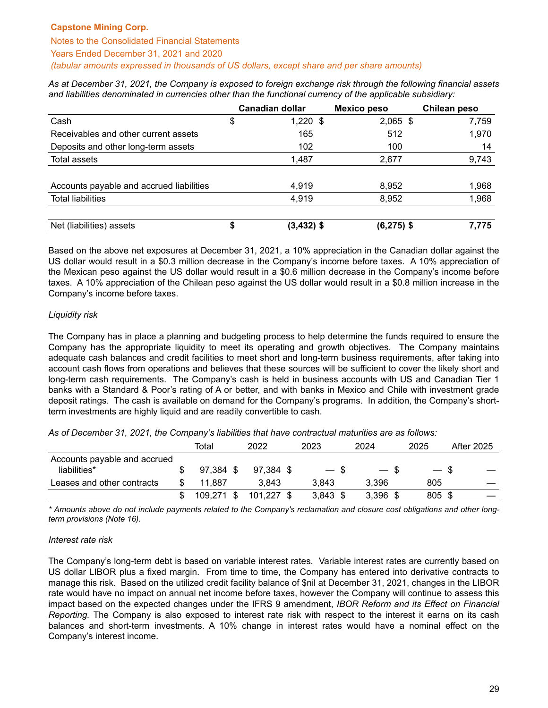## Notes to the Consolidated Financial Statements Years Ended December 31, 2021 and 2020 *(tabular amounts expressed in thousands of US dollars, except share and per share amounts)*

*As at December 31, 2021, the Company is exposed to foreign exchange risk through the following financial assets and liabilities denominated in currencies other than the functional currency of the applicable subsidiary:* 

|                                          | Canadian dollar     | <b>Mexico peso</b> | Chilean peso |
|------------------------------------------|---------------------|--------------------|--------------|
| Cash                                     | \$<br>$1,220$ \$    | $2,065$ \$         | 7,759        |
| Receivables and other current assets     | 165                 | 512                | 1,970        |
| Deposits and other long-term assets      | 102                 | 100                | 14           |
| Total assets                             | 1,487               | 2,677              | 9,743        |
|                                          |                     |                    |              |
| Accounts payable and accrued liabilities | 4,919               | 8,952              | 1,968        |
| Total liabilities                        | 4,919               | 8,952              | 1,968        |
|                                          |                     |                    |              |
| Net (liabilities) assets                 | \$<br>$(3, 432)$ \$ | $(6,275)$ \$       | 7,775        |

Based on the above net exposures at December 31, 2021, a 10% appreciation in the Canadian dollar against the US dollar would result in a \$0.3 million decrease in the Company's income before taxes. A 10% appreciation of the Mexican peso against the US dollar would result in a \$0.6 million decrease in the Company's income before taxes. A 10% appreciation of the Chilean peso against the US dollar would result in a \$0.8 million increase in the Company's income before taxes.

#### *Liquidity risk*

The Company has in place a planning and budgeting process to help determine the funds required to ensure the Company has the appropriate liquidity to meet its operating and growth objectives. The Company maintains adequate cash balances and credit facilities to meet short and long-term business requirements, after taking into account cash flows from operations and believes that these sources will be sufficient to cover the likely short and long-term cash requirements. The Company's cash is held in business accounts with US and Canadian Tier 1 banks with a Standard & Poor's rating of A or better, and with banks in Mexico and Chile with investment grade deposit ratings. The cash is available on demand for the Company's programs. In addition, the Company's shortterm investments are highly liquid and are readily convertible to cash.

*As of December 31, 2021, the Company's liabilities that have contractual maturities are as follows:*

|                              | Total          | 2022       | 2023       | 2024       | 2025   | <b>After 2025</b> |
|------------------------------|----------------|------------|------------|------------|--------|-------------------|
| Accounts payable and accrued |                |            |            |            |        |                   |
| liabilities*                 | 97,384<br>- \$ | 97.384 \$  | $-$ \$     | $-$ \$     | $-$ \$ |                   |
| Leases and other contracts   | 11.887         | 3.843      | 3.843      | 3.396      | 805    |                   |
|                              | 109,271 \$     | 101,227 \$ | $3,843$ \$ | $3,396$ \$ | 805 \$ |                   |

*\* Amounts above do not include payments related to the Company's reclamation and closure cost obligations and other longterm provisions (Note 16).*

#### *Interest rate risk*

The Company's long-term debt is based on variable interest rates. Variable interest rates are currently based on US dollar LIBOR plus a fixed margin. From time to time, the Company has entered into derivative contracts to manage this risk. Based on the utilized credit facility balance of \$nil at December 31, 2021, changes in the LIBOR rate would have no impact on annual net income before taxes, however the Company will continue to assess this impact based on the expected changes under the IFRS 9 amendment, *IBOR Reform and its Effect on Financial Reporting.* The Company is also exposed to interest rate risk with respect to the interest it earns on its cash balances and short-term investments. A 10% change in interest rates would have a nominal effect on the Company's interest income.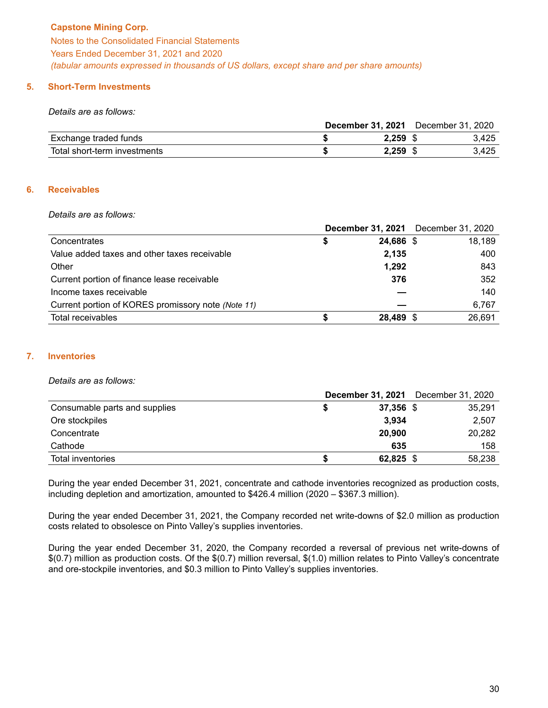#### **5. Short-Term Investments**

*Details are as follows:*

|                              |            | <b>December 31, 2021</b> December 31, 2020 |
|------------------------------|------------|--------------------------------------------|
| Exchange traded funds        | $2.259$ \$ | 3.425                                      |
| Total short-term investments | $2.259$ \$ | 3.425                                      |

### **6. Receivables**

*Details are as follows:*

|                                                    |                 | <b>December 31, 2021</b> December 31, 2020 |
|----------------------------------------------------|-----------------|--------------------------------------------|
| Concentrates                                       | \$<br>24,686 \$ | 18,189                                     |
| Value added taxes and other taxes receivable       | 2,135           | 400                                        |
| Other                                              | 1.292           | 843                                        |
| Current portion of finance lease receivable        | 376             | 352                                        |
| Income taxes receivable                            |                 | 140                                        |
| Current portion of KORES promissory note (Note 11) |                 | 6,767                                      |
| Total receivables                                  | 28,489 \$       | 26,691                                     |

### **7. Inventories**

*Details are as follows:*

|                               |    |             | <b>December 31, 2021</b> December 31, 2020 |
|-------------------------------|----|-------------|--------------------------------------------|
| Consumable parts and supplies | S  | $37,356$ \$ | 35,291                                     |
| Ore stockpiles                |    | 3.934       | 2,507                                      |
| Concentrate                   |    | 20,900      | 20,282                                     |
| Cathode                       |    | 635         | 158                                        |
| Total inventories             | ъ. | 62,825 \$   | 58,238                                     |

During the year ended December 31, 2021, concentrate and cathode inventories recognized as production costs, including depletion and amortization, amounted to \$426.4 million (2020 – \$367.3 million).

During the year ended December 31, 2021, the Company recorded net write-downs of \$2.0 million as production costs related to obsolesce on Pinto Valley's supplies inventories.

During the year ended December 31, 2020, the Company recorded a reversal of previous net write-downs of \$(0.7) million as production costs. Of the \$(0.7) million reversal, \$(1.0) million relates to Pinto Valley's concentrate and ore-stockpile inventories, and \$0.3 million to Pinto Valley's supplies inventories.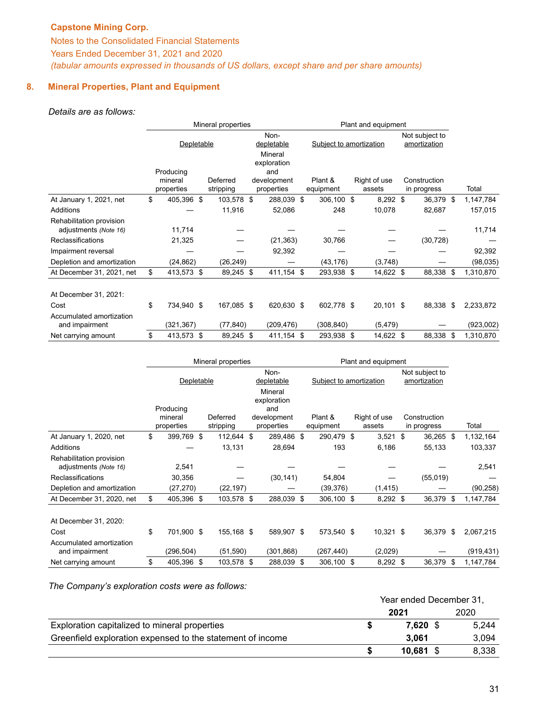Notes to the Consolidated Financial Statements Years Ended December 31, 2021 and 2020 *(tabular amounts expressed in thousands of US dollars, except share and per share amounts)*

## **8. Mineral Properties, Plant and Equipment**

#### *Details are as follows:*

|                                                   | Mineral properties |            |  |            |  | Plant and equipment |                         |  |              |  |                |           |
|---------------------------------------------------|--------------------|------------|--|------------|--|---------------------|-------------------------|--|--------------|--|----------------|-----------|
|                                                   |                    |            |  |            |  | Non-                |                         |  |              |  | Not subject to |           |
|                                                   |                    | Depletable |  |            |  | depletable          | Subject to amortization |  |              |  | amortization   |           |
|                                                   |                    |            |  |            |  | Mineral             |                         |  |              |  |                |           |
|                                                   |                    | Producing  |  |            |  | exploration<br>and  |                         |  |              |  |                |           |
|                                                   |                    | mineral    |  | Deferred   |  | development         | Plant &                 |  | Right of use |  | Construction   |           |
|                                                   |                    | properties |  | stripping  |  | properties          | equipment               |  | assets       |  | in progress    | Total     |
| At January 1, 2021, net                           | \$                 | 405,396 \$ |  | 103,578 \$ |  | 288,039 \$          | 306,100 \$              |  | 8,292 \$     |  | 36,379 \$      | 1,147,784 |
| Additions                                         |                    |            |  | 11,916     |  | 52,086              | 248                     |  | 10,078       |  | 82,687         | 157,015   |
| Rehabilitation provision<br>adjustments (Note 16) |                    | 11,714     |  |            |  |                     |                         |  |              |  |                | 11,714    |
| Reclassifications                                 |                    | 21,325     |  |            |  | (21, 363)           | 30,766                  |  |              |  | (30, 728)      |           |
| Impairment reversal                               |                    |            |  |            |  | 92,392              |                         |  |              |  |                | 92,392    |
| Depletion and amortization                        |                    | (24, 862)  |  | (26, 249)  |  |                     | (43, 176)               |  | (3,748)      |  |                | (98, 035) |
| At December 31, 2021, net                         | \$                 | 413,573 \$ |  | 89,245 \$  |  | 411,154 \$          | 293,938 \$              |  | 14,622 \$    |  | 88,338 \$      | 1,310,870 |
|                                                   |                    |            |  |            |  |                     |                         |  |              |  |                |           |
| At December 31, 2021:                             |                    |            |  |            |  |                     |                         |  |              |  |                |           |
| Cost                                              | \$                 | 734,940 \$ |  | 167,085 \$ |  | 620,630 \$          | 602,778 \$              |  | 20,101 \$    |  | 88,338 \$      | 2,233,872 |
| Accumulated amortization<br>and impairment        |                    | (321, 367) |  | (77, 840)  |  | (209, 476)          | (308, 840)              |  | (5, 479)     |  |                | (923,002) |
| Net carrying amount                               | \$                 | 413,573 \$ |  | 89,245 \$  |  | 411,154 \$          | 293,938 \$              |  | 14,622 \$    |  | 88,338 \$      | 1,310,870 |

|                                                   | Mineral properties |                       |    |                       |                           | Plant and equipment |                         |  |                        |    |                                |     |            |
|---------------------------------------------------|--------------------|-----------------------|----|-----------------------|---------------------------|---------------------|-------------------------|--|------------------------|----|--------------------------------|-----|------------|
|                                                   |                    | Depletable            |    |                       | Non-<br>depletable        |                     | Subject to amortization |  |                        |    | Not subject to<br>amortization |     |            |
|                                                   |                    |                       |    |                       | Mineral                   |                     |                         |  |                        |    |                                |     |            |
|                                                   |                    |                       |    |                       | exploration               |                     |                         |  |                        |    |                                |     |            |
|                                                   |                    | Producing             |    |                       | and                       |                     |                         |  |                        |    |                                |     |            |
|                                                   |                    | mineral<br>properties |    | Deferred<br>stripping | development<br>properties |                     | Plant &<br>equipment    |  | Right of use<br>assets |    | Construction<br>in progress    |     | Total      |
| At January 1, 2020, net                           | \$                 | 399,769               | \$ | 112,644 \$            | 289,486                   | -\$                 | 290,479 \$              |  | 3,521                  | \$ | $36,265$ \$                    |     | 1,132,164  |
| Additions                                         |                    |                       |    | 13,131                | 28,694                    |                     | 193                     |  | 6,186                  |    | 55,133                         |     | 103,337    |
| Rehabilitation provision<br>adjustments (Note 16) |                    | 2,541                 |    |                       |                           |                     |                         |  |                        |    |                                |     | 2,541      |
| Reclassifications                                 |                    | 30,356                |    |                       | (30, 141)                 |                     | 54,804                  |  |                        |    | (55,019)                       |     |            |
| Depletion and amortization                        |                    | (27, 270)             |    | (22, 197)             |                           |                     | (39,376)                |  | (1, 415)               |    |                                |     | (90, 258)  |
| At December 31, 2020, net                         | \$                 | 405,396               | \$ | 103,578 \$            | 288,039 \$                |                     | 306,100 \$              |  | 8,292 \$               |    | 36,379                         | -\$ | 1,147,784  |
|                                                   |                    |                       |    |                       |                           |                     |                         |  |                        |    |                                |     |            |
| At December 31, 2020:                             |                    |                       |    |                       |                           |                     |                         |  |                        |    |                                |     |            |
| Cost                                              | \$                 | 701,900 \$            |    | 155,168 \$            | 589,907 \$                |                     | 573,540 \$              |  | $10,321$ \$            |    | 36,379 \$                      |     | 2,067,215  |
| Accumulated amortization<br>and impairment        |                    | (296,504)             |    | (51, 590)             | (301,868)                 |                     | (267, 440)              |  | (2,029)                |    |                                |     | (919, 431) |
| Net carrying amount                               | \$                 | 405,396 \$            |    | 103,578 \$            | 288,039 \$                |                     | 306,100 \$              |  | $8,292$ \$             |    | 36,379 \$                      |     | 1,147,784  |

#### *The Company's exploration costs were as follows:*

# Year ended December 31,

|                                                            | 2021        | 2020  |
|------------------------------------------------------------|-------------|-------|
| Exploration capitalized to mineral properties              | 7.620 S     | 5.244 |
| Greenfield exploration expensed to the statement of income | 3.061       | 3.094 |
|                                                            | $10.681$ \$ | 8.338 |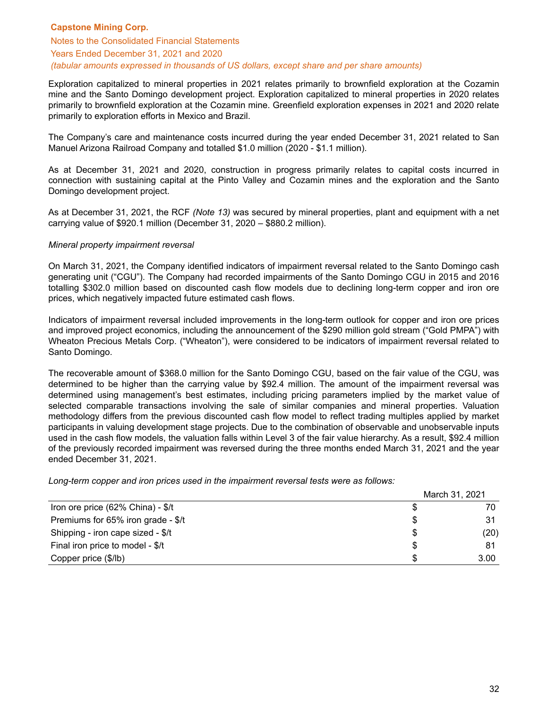Exploration capitalized to mineral properties in 2021 relates primarily to brownfield exploration at the Cozamin mine and the Santo Domingo development project. Exploration capitalized to mineral properties in 2020 relates primarily to brownfield exploration at the Cozamin mine. Greenfield exploration expenses in 2021 and 2020 relate primarily to exploration efforts in Mexico and Brazil.

The Company's care and maintenance costs incurred during the year ended December 31, 2021 related to San Manuel Arizona Railroad Company and totalled \$1.0 million (2020 - \$1.1 million).

As at December 31, 2021 and 2020, construction in progress primarily relates to capital costs incurred in connection with sustaining capital at the Pinto Valley and Cozamin mines and the exploration and the Santo Domingo development project.

As at December 31, 2021, the RCF *(Note 13)* was secured by mineral properties, plant and equipment with a net carrying value of \$920.1 million (December 31, 2020 – \$880.2 million).

#### *Mineral property impairment reversal*

On March 31, 2021, the Company identified indicators of impairment reversal related to the Santo Domingo cash generating unit ("CGU"). The Company had recorded impairments of the Santo Domingo CGU in 2015 and 2016 totalling \$302.0 million based on discounted cash flow models due to declining long-term copper and iron ore prices, which negatively impacted future estimated cash flows.

Indicators of impairment reversal included improvements in the long-term outlook for copper and iron ore prices and improved project economics, including the announcement of the \$290 million gold stream ("Gold PMPA") with Wheaton Precious Metals Corp. ("Wheaton"), were considered to be indicators of impairment reversal related to Santo Domingo.

The recoverable amount of \$368.0 million for the Santo Domingo CGU, based on the fair value of the CGU, was determined to be higher than the carrying value by \$92.4 million. The amount of the impairment reversal was determined using management's best estimates, including pricing parameters implied by the market value of selected comparable transactions involving the sale of similar companies and mineral properties. Valuation methodology differs from the previous discounted cash flow model to reflect trading multiples applied by market participants in valuing development stage projects. Due to the combination of observable and unobservable inputs used in the cash flow models, the valuation falls within Level 3 of the fair value hierarchy. As a result, \$92.4 million of the previously recorded impairment was reversed during the three months ended March 31, 2021 and the year ended December 31, 2021.

*Long-term copper and iron prices used in the impairment reversal tests were as follows:*

|                                    | March 31, 2021 |
|------------------------------------|----------------|
| Iron ore price (62% China) - \$/t  |                |
| Premiums for 65% iron grade - \$/t | 31             |
| Shipping - iron cape sized - \$/t  | (20)           |
| Final iron price to model - \$/t   | -81            |
| Copper price (\$/lb)               | 3.00           |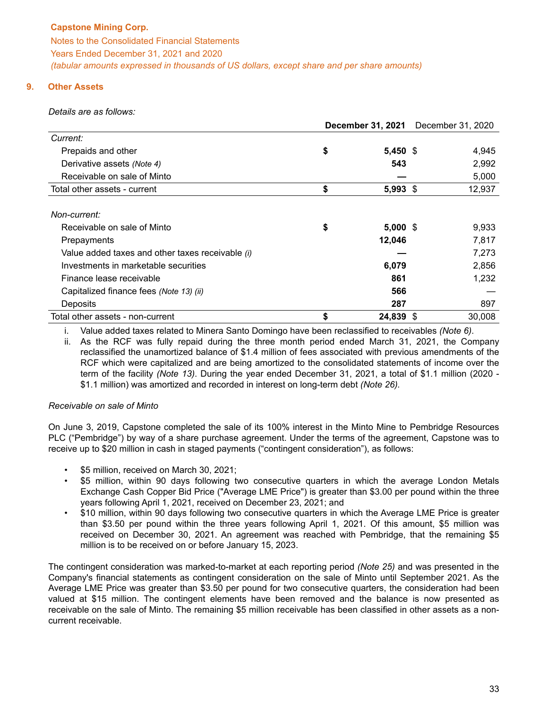Notes to the Consolidated Financial Statements Years Ended December 31, 2021 and 2020 *(tabular amounts expressed in thousands of US dollars, except share and per share amounts)*

### **9. Other Assets**

*Details are as follows:*

|                                                  | <b>December 31, 2021</b> December 31, 2020 |        |
|--------------------------------------------------|--------------------------------------------|--------|
| Current:                                         |                                            |        |
| Prepaids and other                               | \$<br>$5,450$ \$                           | 4,945  |
| Derivative assets (Note 4)                       | 543                                        | 2,992  |
| Receivable on sale of Minto                      |                                            | 5,000  |
| Total other assets - current                     | \$<br>$5,993$ \$                           | 12,937 |
|                                                  |                                            |        |
| Non-current:                                     |                                            |        |
| Receivable on sale of Minto                      | \$<br>$5,000$ \$                           | 9,933  |
| Prepayments                                      | 12,046                                     | 7.817  |
| Value added taxes and other taxes receivable (i) |                                            | 7,273  |
| Investments in marketable securities             | 6,079                                      | 2,856  |
| Finance lease receivable                         | 861                                        | 1,232  |
| Capitalized finance fees (Note 13) (ii)          | 566                                        |        |
| Deposits                                         | 287                                        | 897    |
| Total other assets - non-current                 | \$<br>24,839 \$                            | 30,008 |

i. Value added taxes related to Minera Santo Domingo have been reclassified to receivables *(Note 6)*.

ii. As the RCF was fully repaid during the three month period ended March 31, 2021, the Company reclassified the unamortized balance of \$1.4 million of fees associated with previous amendments of the RCF which were capitalized and are being amortized to the consolidated statements of income over the term of the facility *(Note 13)*. During the year ended December 31, 2021, a total of \$1.1 million (2020 - \$1.1 million) was amortized and recorded in interest on long-term debt *(Note 26).*

### *Receivable on sale of Minto*

On June 3, 2019, Capstone completed the sale of its 100% interest in the Minto Mine to Pembridge Resources PLC ("Pembridge") by way of a share purchase agreement. Under the terms of the agreement, Capstone was to receive up to \$20 million in cash in staged payments ("contingent consideration"), as follows:

- \$5 million, received on March 30, 2021;
- \$5 million, within 90 days following two consecutive quarters in which the average London Metals Exchange Cash Copper Bid Price ("Average LME Price") is greater than \$3.00 per pound within the three years following April 1, 2021, received on December 23, 2021; and
- \$10 million, within 90 days following two consecutive quarters in which the Average LME Price is greater than \$3.50 per pound within the three years following April 1, 2021. Of this amount, \$5 million was received on December 30, 2021. An agreement was reached with Pembridge, that the remaining \$5 million is to be received on or before January 15, 2023.

The contingent consideration was marked-to-market at each reporting period *(Note 25)* and was presented in the Company's financial statements as contingent consideration on the sale of Minto until September 2021. As the Average LME Price was greater than \$3.50 per pound for two consecutive quarters, the consideration had been valued at \$15 million. The contingent elements have been removed and the balance is now presented as receivable on the sale of Minto. The remaining \$5 million receivable has been classified in other assets as a noncurrent receivable.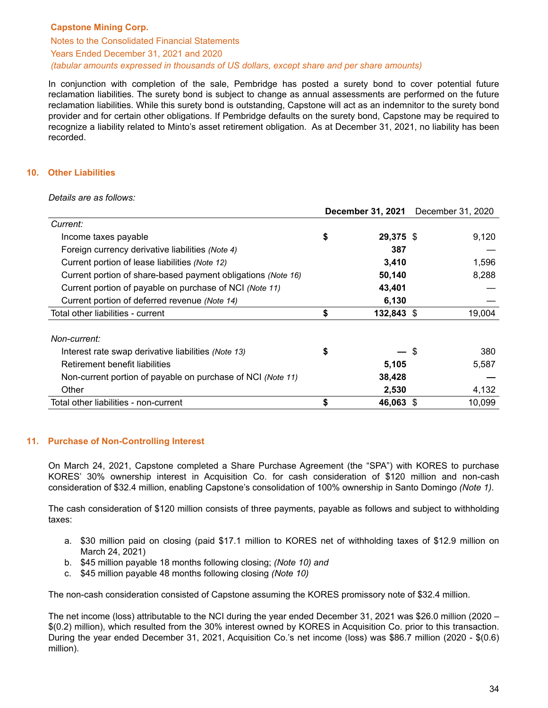Notes to the Consolidated Financial Statements Years Ended December 31, 2021 and 2020

*(tabular amounts expressed in thousands of US dollars, except share and per share amounts)*

In conjunction with completion of the sale, Pembridge has posted a surety bond to cover potential future reclamation liabilities. The surety bond is subject to change as annual assessments are performed on the future reclamation liabilities. While this surety bond is outstanding, Capstone will act as an indemnitor to the surety bond provider and for certain other obligations. If Pembridge defaults on the surety bond, Capstone may be required to recognize a liability related to Minto's asset retirement obligation. As at December 31, 2021, no liability has been recorded.

#### **10. Other Liabilities**

*Details are as follows:*

|                                                              | <b>December 31, 2021</b> | December 31, 2020 |
|--------------------------------------------------------------|--------------------------|-------------------|
| Current:                                                     |                          |                   |
| Income taxes payable                                         | \$<br>29,375 \$          | 9,120             |
| Foreign currency derivative liabilities (Note 4)             | 387                      |                   |
| Current portion of lease liabilities (Note 12)               | 3,410                    | 1,596             |
| Current portion of share-based payment obligations (Note 16) | 50,140                   | 8,288             |
| Current portion of payable on purchase of NCI (Note 11)      | 43,401                   |                   |
| Current portion of deferred revenue (Note 14)                | 6,130                    |                   |
| Total other liabilities - current                            | \$<br>132,843 \$         | 19,004            |
| Non-current:                                                 |                          |                   |
| Interest rate swap derivative liabilities (Note 13)          | \$<br>— \$               | 380               |
| Retirement benefit liabilities                               | 5,105                    | 5,587             |
| Non-current portion of payable on purchase of NCI (Note 11)  | 38,428                   |                   |
| Other                                                        | 2,530                    | 4,132             |
| Total other liabilities - non-current                        | \$<br>46,063 \$          | 10,099            |

#### **11. Purchase of Non-Controlling Interest**

On March 24, 2021, Capstone completed a Share Purchase Agreement (the "SPA") with KORES to purchase KORES' 30% ownership interest in Acquisition Co. for cash consideration of \$120 million and non-cash consideration of \$32.4 million, enabling Capstone's consolidation of 100% ownership in Santo Domingo *(Note 1)*.

The cash consideration of \$120 million consists of three payments, payable as follows and subject to withholding taxes:

- a. \$30 million paid on closing (paid \$17.1 million to KORES net of withholding taxes of \$12.9 million on March 24, 2021)
- b. \$45 million payable 18 months following closing; *(Note 10) and*
- c. \$45 million payable 48 months following closing *(Note 10)*

The non-cash consideration consisted of Capstone assuming the KORES promissory note of \$32.4 million.

The net income (loss) attributable to the NCI during the year ended December 31, 2021 was \$26.0 million (2020 – \$(0.2) million), which resulted from the 30% interest owned by KORES in Acquisition Co. prior to this transaction. During the year ended December 31, 2021, Acquisition Co.'s net income (loss) was \$86.7 million (2020 - \$(0.6) million).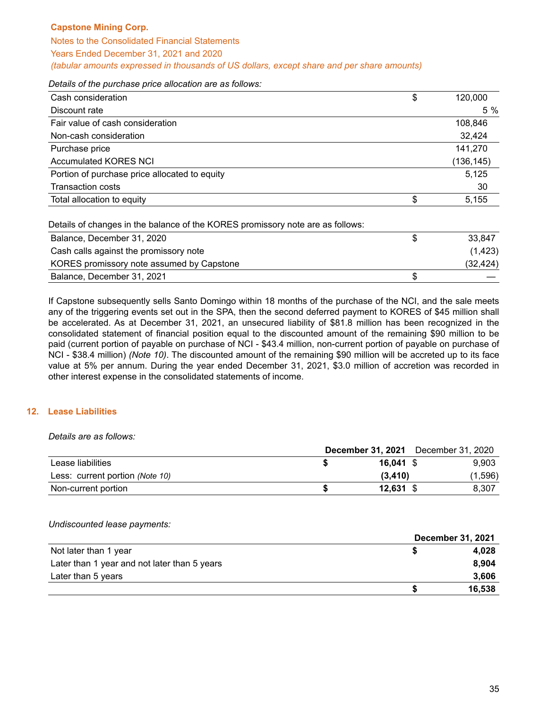#### *Details of the purchase price allocation are as follows:*

| Cash consideration                            | \$<br>120,000 |
|-----------------------------------------------|---------------|
| Discount rate                                 | 5 %           |
| Fair value of cash consideration              | 108,846       |
| Non-cash consideration                        | 32,424        |
| Purchase price                                | 141,270       |
| <b>Accumulated KORES NCI</b>                  | (136, 145)    |
| Portion of purchase price allocated to equity | 5,125         |
| Transaction costs                             | 30            |
| Total allocation to equity                    | \$<br>5,155   |
|                                               |               |

Details of changes in the balance of the KORES promissory note are as follows:

| Balance, December 31, 2020                | 33.847    |
|-------------------------------------------|-----------|
| Cash calls against the promissory note    | (1.423)   |
| KORES promissory note assumed by Capstone | (32, 424) |
| Balance, December 31, 2021                |           |

If Capstone subsequently sells Santo Domingo within 18 months of the purchase of the NCI, and the sale meets any of the triggering events set out in the SPA, then the second deferred payment to KORES of \$45 million shall be accelerated. As at December 31, 2021, an unsecured liability of \$81.8 million has been recognized in the consolidated statement of financial position equal to the discounted amount of the remaining \$90 million to be paid (current portion of payable on purchase of NCI - \$43.4 million, non-current portion of payable on purchase of NCI - \$38.4 million) *(Note 10)*. The discounted amount of the remaining \$90 million will be accreted up to its face value at 5% per annum. During the year ended December 31, 2021, \$3.0 million of accretion was recorded in other interest expense in the consolidated statements of income.

### **12. Lease Liabilities**

*Details are as follows:*

|                                        |             | <b>December 31, 2021</b> December 31, 2020 |
|----------------------------------------|-------------|--------------------------------------------|
| Lease liabilities                      | $16.041$ \$ | 9.903                                      |
| Less: current portion <i>(Note 10)</i> | (3.410)     | (1,596)                                    |
| Non-current portion                    | $12,631$ \$ | 8.307                                      |

### *Undiscounted lease payments:*

|                                              | <b>December 31, 2021</b> |        |
|----------------------------------------------|--------------------------|--------|
| Not later than 1 year                        |                          | 4.028  |
| Later than 1 year and not later than 5 years |                          | 8.904  |
| Later than 5 years                           |                          | 3,606  |
|                                              |                          | 16.538 |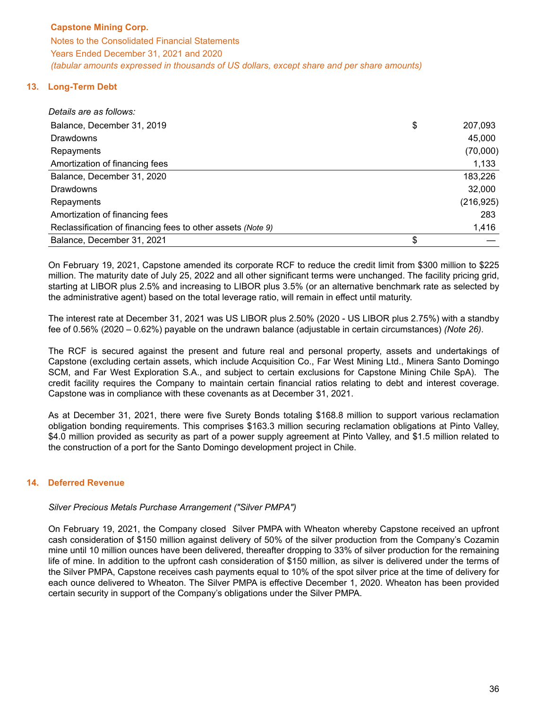### **13. Long-Term Debt**

| Details are as follows:                                     |               |
|-------------------------------------------------------------|---------------|
| Balance, December 31, 2019                                  | \$<br>207,093 |
| Drawdowns                                                   | 45,000        |
| Repayments                                                  | (70,000)      |
| Amortization of financing fees                              | 1,133         |
| Balance, December 31, 2020                                  | 183,226       |
| Drawdowns                                                   | 32,000        |
| Repayments                                                  | (216, 925)    |
| Amortization of financing fees                              | 283           |
| Reclassification of financing fees to other assets (Note 9) | 1,416         |
| Balance, December 31, 2021                                  | \$            |

On February 19, 2021, Capstone amended its corporate RCF to reduce the credit limit from \$300 million to \$225 million. The maturity date of July 25, 2022 and all other significant terms were unchanged. The facility pricing grid, starting at LIBOR plus 2.5% and increasing to LIBOR plus 3.5% (or an alternative benchmark rate as selected by the administrative agent) based on the total leverage ratio, will remain in effect until maturity.

The interest rate at December 31, 2021 was US LIBOR plus 2.50% (2020 - US LIBOR plus 2.75%) with a standby fee of 0.56% (2020 – 0.62%) payable on the undrawn balance (adjustable in certain circumstances) *(Note 26)*.

The RCF is secured against the present and future real and personal property, assets and undertakings of Capstone (excluding certain assets, which include Acquisition Co., Far West Mining Ltd., Minera Santo Domingo SCM, and Far West Exploration S.A., and subject to certain exclusions for Capstone Mining Chile SpA). The credit facility requires the Company to maintain certain financial ratios relating to debt and interest coverage. Capstone was in compliance with these covenants as at December 31, 2021.

As at December 31, 2021, there were five Surety Bonds totaling \$168.8 million to support various reclamation obligation bonding requirements. This comprises \$163.3 million securing reclamation obligations at Pinto Valley, \$4.0 million provided as security as part of a power supply agreement at Pinto Valley, and \$1.5 million related to the construction of a port for the Santo Domingo development project in Chile.

### **14. Deferred Revenue**

### *Silver Precious Metals Purchase Arrangement ("Silver PMPA")*

On February 19, 2021, the Company closed Silver PMPA with Wheaton whereby Capstone received an upfront cash consideration of \$150 million against delivery of 50% of the silver production from the Company's Cozamin mine until 10 million ounces have been delivered, thereafter dropping to 33% of silver production for the remaining life of mine. In addition to the upfront cash consideration of \$150 million, as silver is delivered under the terms of the Silver PMPA, Capstone receives cash payments equal to 10% of the spot silver price at the time of delivery for each ounce delivered to Wheaton. The Silver PMPA is effective December 1, 2020. Wheaton has been provided certain security in support of the Company's obligations under the Silver PMPA.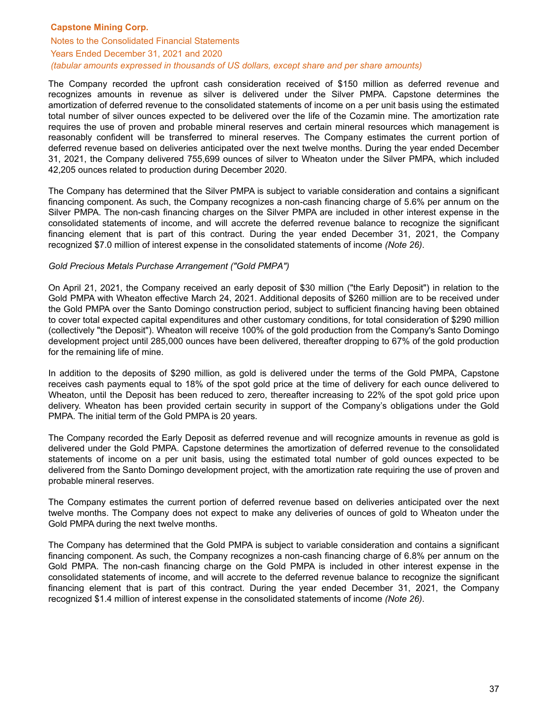## Notes to the Consolidated Financial Statements Years Ended December 31, 2021 and 2020 *(tabular amounts expressed in thousands of US dollars, except share and per share amounts)*

The Company recorded the upfront cash consideration received of \$150 million as deferred revenue and recognizes amounts in revenue as silver is delivered under the Silver PMPA. Capstone determines the amortization of deferred revenue to the consolidated statements of income on a per unit basis using the estimated total number of silver ounces expected to be delivered over the life of the Cozamin mine. The amortization rate requires the use of proven and probable mineral reserves and certain mineral resources which management is reasonably confident will be transferred to mineral reserves. The Company estimates the current portion of deferred revenue based on deliveries anticipated over the next twelve months. During the year ended December 31, 2021, the Company delivered 755,699 ounces of silver to Wheaton under the Silver PMPA, which included 42,205 ounces related to production during December 2020.

The Company has determined that the Silver PMPA is subject to variable consideration and contains a significant financing component. As such, the Company recognizes a non-cash financing charge of 5.6% per annum on the Silver PMPA. The non-cash financing charges on the Silver PMPA are included in other interest expense in the consolidated statements of income, and will accrete the deferred revenue balance to recognize the significant financing element that is part of this contract. During the year ended December 31, 2021, the Company recognized \$7.0 million of interest expense in the consolidated statements of income *(Note 26)*.

#### *Gold Precious Metals Purchase Arrangement ("Gold PMPA")*

On April 21, 2021, the Company received an early deposit of \$30 million ("the Early Deposit") in relation to the Gold PMPA with Wheaton effective March 24, 2021. Additional deposits of \$260 million are to be received under the Gold PMPA over the Santo Domingo construction period, subject to sufficient financing having been obtained to cover total expected capital expenditures and other customary conditions, for total consideration of \$290 million (collectively "the Deposit"). Wheaton will receive 100% of the gold production from the Company's Santo Domingo development project until 285,000 ounces have been delivered, thereafter dropping to 67% of the gold production for the remaining life of mine.

In addition to the deposits of \$290 million, as gold is delivered under the terms of the Gold PMPA, Capstone receives cash payments equal to 18% of the spot gold price at the time of delivery for each ounce delivered to Wheaton, until the Deposit has been reduced to zero, thereafter increasing to 22% of the spot gold price upon delivery. Wheaton has been provided certain security in support of the Company's obligations under the Gold PMPA. The initial term of the Gold PMPA is 20 years.

The Company recorded the Early Deposit as deferred revenue and will recognize amounts in revenue as gold is delivered under the Gold PMPA. Capstone determines the amortization of deferred revenue to the consolidated statements of income on a per unit basis, using the estimated total number of gold ounces expected to be delivered from the Santo Domingo development project, with the amortization rate requiring the use of proven and probable mineral reserves.

The Company estimates the current portion of deferred revenue based on deliveries anticipated over the next twelve months. The Company does not expect to make any deliveries of ounces of gold to Wheaton under the Gold PMPA during the next twelve months.

The Company has determined that the Gold PMPA is subject to variable consideration and contains a significant financing component. As such, the Company recognizes a non-cash financing charge of 6.8% per annum on the Gold PMPA. The non-cash financing charge on the Gold PMPA is included in other interest expense in the consolidated statements of income, and will accrete to the deferred revenue balance to recognize the significant financing element that is part of this contract. During the year ended December 31, 2021, the Company recognized \$1.4 million of interest expense in the consolidated statements of income *(Note 26)*.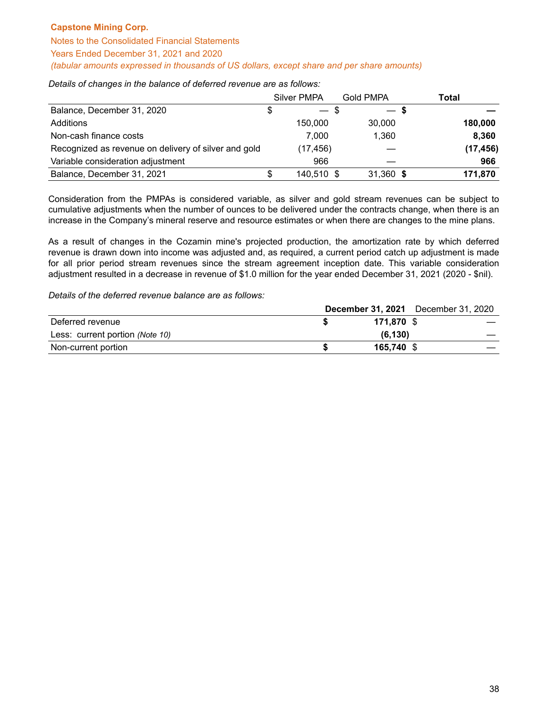## Notes to the Consolidated Financial Statements Years Ended December 31, 2021 and 2020 *(tabular amounts expressed in thousands of US dollars, except share and per share amounts)*

#### *Details of changes in the balance of deferred revenue are as follows:*

|                                                      |    | Silver PMPA | Gold PMPA | Total     |
|------------------------------------------------------|----|-------------|-----------|-----------|
| Balance, December 31, 2020                           | \$ | $-$ \$      | — S       |           |
| Additions                                            |    | 150,000     | 30,000    | 180,000   |
| Non-cash finance costs                               |    | 7.000       | 1.360     | 8.360     |
| Recognized as revenue on delivery of silver and gold |    | (17, 456)   |           | (17, 456) |
| Variable consideration adjustment                    |    | 966         |           | 966       |
| Balance, December 31, 2021                           | S  | 140,510 \$  | 31,360 \$ | 171,870   |

Consideration from the PMPAs is considered variable, as silver and gold stream revenues can be subject to cumulative adjustments when the number of ounces to be delivered under the contracts change, when there is an increase in the Company's mineral reserve and resource estimates or when there are changes to the mine plans.

As a result of changes in the Cozamin mine's projected production, the amortization rate by which deferred revenue is drawn down into income was adjusted and, as required, a current period catch up adjustment is made for all prior period stream revenues since the stream agreement inception date. This variable consideration adjustment resulted in a decrease in revenue of \$1.0 million for the year ended December 31, 2021 (2020 - \$nil).

*Details of the deferred revenue balance are as follows:*

|                                 |            | <b>December 31, 2021</b> December 31, 2020 |
|---------------------------------|------------|--------------------------------------------|
| Deferred revenue                | 171,870 \$ |                                            |
| Less: current portion (Note 10) | (6.130)    |                                            |
| Non-current portion             | 165,740 \$ |                                            |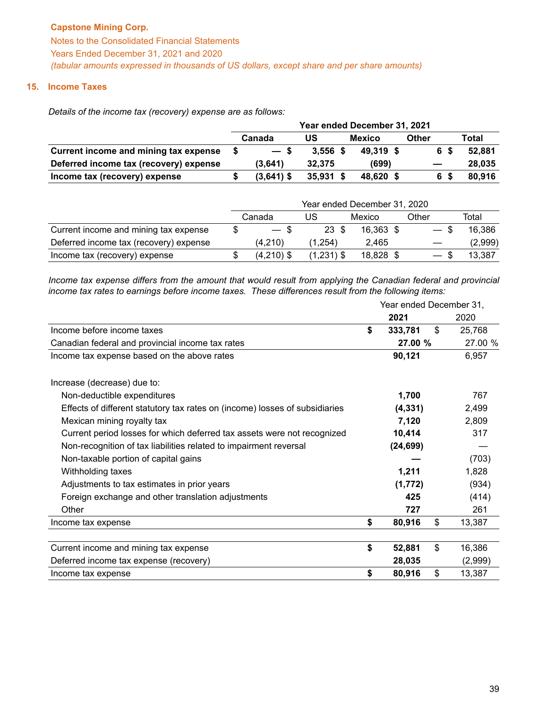### **15. Income Taxes**

*Details of the income tax (recovery) expense are as follows:*

|                                        | Year ended December 31, 2021 |              |             |               |           |       |      |  |        |  |
|----------------------------------------|------------------------------|--------------|-------------|---------------|-----------|-------|------|--|--------|--|
|                                        | Canada                       |              | US          | <b>Mexico</b> |           | Other |      |  | Total  |  |
| Current income and mining tax expense  |                              | $-s$         | $3.556$ \$  |               | 49,319 \$ |       | 6 \$ |  | 52,881 |  |
| Deferred income tax (recovery) expense |                              | (3.641)      | 32.375      |               | (699)     |       |      |  | 28,035 |  |
| Income tax (recovery) expense          |                              | $(3,641)$ \$ | $35,931$ \$ |               | 48,620 \$ |       | 6 \$ |  | 80,916 |  |

|                                        | Year ended December 31, 2020 |              |              |      |           |        |         |  |
|----------------------------------------|------------------------------|--------------|--------------|------|-----------|--------|---------|--|
|                                        |                              | Canada       | US           |      | Mexico    | Other  | Total   |  |
| Current income and mining tax expense  |                              | $-$ \$       |              | 23 S | 16,363 \$ | $-$ \$ | 16,386  |  |
| Deferred income tax (recovery) expense |                              | (4.210)      | (1.254)      |      | 2.465     |        | (2,999) |  |
| Income tax (recovery) expense          |                              | $(4,210)$ \$ | $(1,231)$ \$ |      | 18,828 \$ | $-$ \$ | 13.387  |  |

*Income tax expense differs from the amount that would result from applying the Canadian federal and provincial income tax rates to earnings before income taxes. These differences result from the following items:*

|                                                                             |    | Year ended December 31, |    |         |
|-----------------------------------------------------------------------------|----|-------------------------|----|---------|
|                                                                             |    | 2021                    |    | 2020    |
| Income before income taxes                                                  | \$ | 333,781                 | \$ | 25,768  |
| Canadian federal and provincial income tax rates                            |    | 27.00 %                 |    | 27.00 % |
| Income tax expense based on the above rates                                 |    | 90,121                  |    | 6,957   |
| Increase (decrease) due to:                                                 |    |                         |    |         |
| Non-deductible expenditures                                                 |    | 1,700                   |    | 767     |
| Effects of different statutory tax rates on (income) losses of subsidiaries |    | (4, 331)                |    | 2,499   |
| Mexican mining royalty tax                                                  |    | 7,120                   |    | 2,809   |
| Current period losses for which deferred tax assets were not recognized     |    | 10,414                  |    | 317     |
| Non-recognition of tax liabilities related to impairment reversal           |    | (24, 699)               |    |         |
| Non-taxable portion of capital gains                                        |    |                         |    | (703)   |
| Withholding taxes                                                           |    | 1,211                   |    | 1,828   |
| Adjustments to tax estimates in prior years                                 |    | (1, 772)                |    | (934)   |
| Foreign exchange and other translation adjustments                          |    | 425                     |    | (414)   |
| Other                                                                       |    | 727                     |    | 261     |
| Income tax expense                                                          | \$ | 80,916                  | \$ | 13,387  |
| Current income and mining tax expense                                       | \$ | 52,881                  | \$ | 16,386  |
| Deferred income tax expense (recovery)                                      |    | 28,035                  |    | (2,999) |
| Income tax expense                                                          | \$ | 80,916                  | \$ | 13,387  |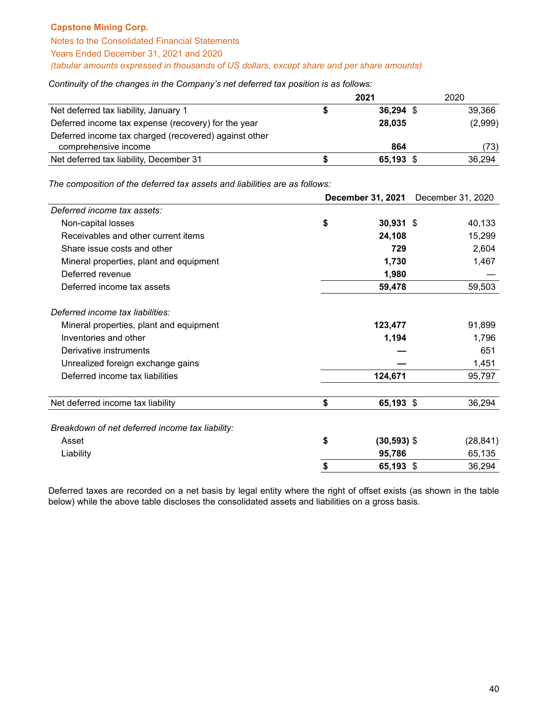*Continuity of the changes in the Company's net deferred tax position is as follows:*

|                                                       | 2021        | 2020    |
|-------------------------------------------------------|-------------|---------|
| Net deferred tax liability, January 1                 | $36,294$ \$ | 39.366  |
| Deferred income tax expense (recovery) for the year   | 28,035      | (2,999) |
| Deferred income tax charged (recovered) against other |             |         |
| comprehensive income                                  | 864         | (73)    |
| Net deferred tax liability, December 31               | 65,193 \$   | 36,294  |

*The composition of the deferred tax assets and liabilities are as follows:*

|                                                 | <b>December 31, 2021</b> |               | December 31, 2020 |
|-------------------------------------------------|--------------------------|---------------|-------------------|
| Deferred income tax assets:                     |                          |               |                   |
| Non-capital losses                              | \$                       | $30,931$ \$   | 40,133            |
| Receivables and other current items             |                          | 24,108        | 15,299            |
| Share issue costs and other                     |                          | 729           | 2,604             |
| Mineral properties, plant and equipment         |                          | 1,730         | 1,467             |
| Deferred revenue                                |                          | 1,980         |                   |
| Deferred income tax assets                      |                          | 59,478        | 59,503            |
| Deferred income tax liabilities:                |                          |               |                   |
| Mineral properties, plant and equipment         |                          | 123,477       | 91,899            |
| Inventories and other                           |                          | 1,194         | 1,796             |
| Derivative instruments                          |                          |               | 651               |
| Unrealized foreign exchange gains               |                          |               | 1,451             |
| Deferred income tax liabilities                 |                          | 124,671       | 95,797            |
| Net deferred income tax liability               | \$                       | 65,193 \$     | 36,294            |
| Breakdown of net deferred income tax liability: |                          |               |                   |
| Asset                                           | \$                       | $(30,593)$ \$ | (28, 841)         |
| Liability                                       |                          | 95,786        | 65,135            |
|                                                 | \$                       | 65,193 \$     | 36,294            |

Deferred taxes are recorded on a net basis by legal entity where the right of offset exists (as shown in the table below) while the above table discloses the consolidated assets and liabilities on a gross basis.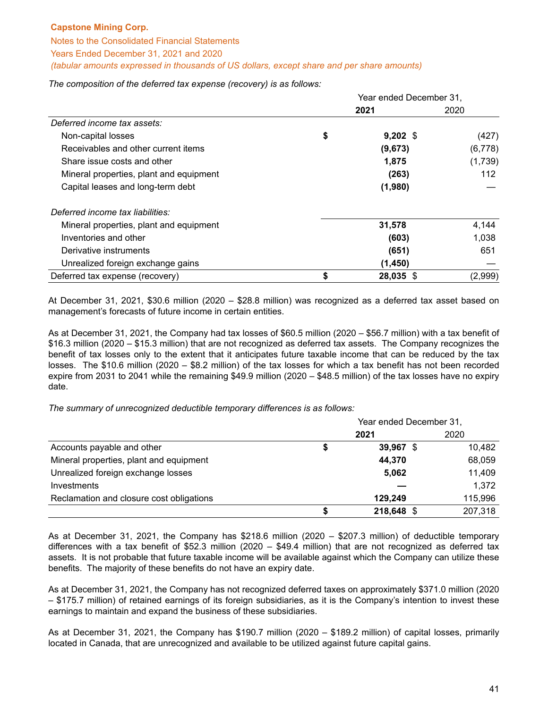*The composition of the deferred tax expense (recovery) is as follows:*

|                                         | Year ended December 31. |            |         |  |
|-----------------------------------------|-------------------------|------------|---------|--|
|                                         |                         | 2020       |         |  |
| Deferred income tax assets:             |                         |            |         |  |
| Non-capital losses                      | \$                      | $9,202$ \$ | (427)   |  |
| Receivables and other current items     |                         | (9,673)    | (6,778) |  |
| Share issue costs and other             |                         | 1.875      | (1,739) |  |
| Mineral properties, plant and equipment |                         | (263)      | 112     |  |
| Capital leases and long-term debt       |                         | (1,980)    |         |  |
| Deferred income tax liabilities:        |                         |            |         |  |
| Mineral properties, plant and equipment |                         | 31,578     | 4,144   |  |
| Inventories and other                   |                         | (603)      | 1,038   |  |
| Derivative instruments                  |                         | (651)      | 651     |  |
| Unrealized foreign exchange gains       |                         | (1,450)    |         |  |
| Deferred tax expense (recovery)         | \$                      | 28,035 \$  | (2,999) |  |

At December 31, 2021, \$30.6 million (2020 – \$28.8 million) was recognized as a deferred tax asset based on management's forecasts of future income in certain entities.

As at December 31, 2021, the Company had tax losses of \$60.5 million (2020 – \$56.7 million) with a tax benefit of \$16.3 million (2020 – \$15.3 million) that are not recognized as deferred tax assets. The Company recognizes the benefit of tax losses only to the extent that it anticipates future taxable income that can be reduced by the tax losses. The \$10.6 million (2020 – \$8.2 million) of the tax losses for which a tax benefit has not been recorded expire from 2031 to 2041 while the remaining \$49.9 million (2020 – \$48.5 million) of the tax losses have no expiry date.

*The summary of unrecognized deductible temporary differences is as follows:*

|                                          | Year ended December 31, |            |         |  |
|------------------------------------------|-------------------------|------------|---------|--|
|                                          |                         | 2021       | 2020    |  |
| Accounts payable and other               | S                       | 39,967 \$  | 10,482  |  |
| Mineral properties, plant and equipment  |                         | 44,370     | 68,059  |  |
| Unrealized foreign exchange losses       |                         | 5,062      | 11,409  |  |
| Investments                              |                         |            | 1,372   |  |
| Reclamation and closure cost obligations |                         | 129,249    | 115,996 |  |
|                                          |                         | 218,648 \$ | 207,318 |  |

As at December 31, 2021, the Company has \$218.6 million (2020 – \$207.3 million) of deductible temporary differences with a tax benefit of \$52.3 million (2020 – \$49.4 million) that are not recognized as deferred tax assets. It is not probable that future taxable income will be available against which the Company can utilize these benefits. The majority of these benefits do not have an expiry date.

As at December 31, 2021, the Company has not recognized deferred taxes on approximately \$371.0 million (2020 – \$175.7 million) of retained earnings of its foreign subsidiaries, as it is the Company's intention to invest these earnings to maintain and expand the business of these subsidiaries.

As at December 31, 2021, the Company has \$190.7 million (2020 – \$189.2 million) of capital losses, primarily located in Canada, that are unrecognized and available to be utilized against future capital gains.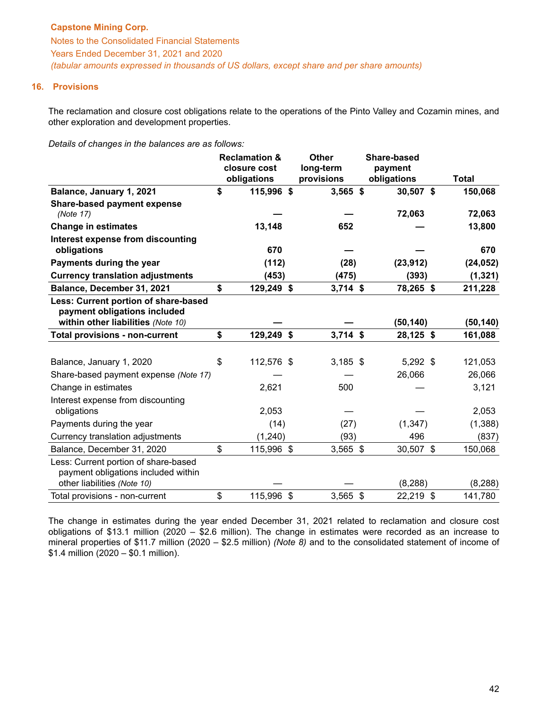Notes to the Consolidated Financial Statements Years Ended December 31, 2021 and 2020 *(tabular amounts expressed in thousands of US dollars, except share and per share amounts)*

#### **16. Provisions**

The reclamation and closure cost obligations relate to the operations of the Pinto Valley and Cozamin mines, and other exploration and development properties.

*Details of changes in the balances are as follows:*

|                                                                             | <b>Reclamation &amp;</b> |                             | <b>Other</b> |                         | <b>Share-based</b> |                        |              |
|-----------------------------------------------------------------------------|--------------------------|-----------------------------|--------------|-------------------------|--------------------|------------------------|--------------|
|                                                                             |                          | closure cost<br>obligations |              | long-term<br>provisions |                    | payment<br>obligations | <b>Total</b> |
| Balance, January 1, 2021                                                    | \$                       | 115,996 \$                  |              | $3,565$ \$              |                    | 30,507 \$              | 150,068      |
| <b>Share-based payment expense</b><br>(Note 17)                             |                          |                             |              |                         |                    | 72,063                 | 72,063       |
| <b>Change in estimates</b>                                                  |                          | 13,148                      |              | 652                     |                    |                        | 13,800       |
| Interest expense from discounting<br>obligations                            |                          | 670                         |              |                         |                    |                        | 670          |
| Payments during the year                                                    |                          | (112)                       |              | (28)                    |                    | (23, 912)              | (24, 052)    |
| <b>Currency translation adjustments</b>                                     |                          | (453)                       |              | (475)                   |                    | (393)                  | (1, 321)     |
| Balance, December 31, 2021                                                  | \$                       | 129,249 \$                  |              | $3,714$ \$              |                    | 78,265 \$              | 211,228      |
| Less: Current portion of share-based<br>payment obligations included        |                          |                             |              |                         |                    |                        |              |
| within other liabilities (Note 10)                                          |                          |                             |              |                         |                    | (50, 140)              | (50, 140)    |
| <b>Total provisions - non-current</b>                                       | \$                       | 129,249 \$                  |              | $3,714$ \$              |                    | 28,125 \$              | 161,088      |
|                                                                             |                          |                             |              |                         |                    |                        |              |
| Balance, January 1, 2020                                                    | \$                       | 112,576 \$                  |              | $3,185$ \$              |                    | $5,292$ \$             | 121,053      |
| Share-based payment expense (Note 17)                                       |                          |                             |              |                         |                    | 26,066                 | 26,066       |
| Change in estimates                                                         |                          | 2,621                       |              | 500                     |                    |                        | 3,121        |
| Interest expense from discounting<br>obligations                            |                          | 2,053                       |              |                         |                    |                        | 2,053        |
| Payments during the year                                                    |                          | (14)                        |              | (27)                    |                    | (1, 347)               | (1, 388)     |
| Currency translation adjustments                                            |                          | (1, 240)                    |              | (93)                    |                    | 496                    | (837)        |
| Balance, December 31, 2020                                                  | \$                       | 115,996 \$                  |              | 3,565 \$                |                    | 30,507 \$              | 150,068      |
| Less: Current portion of share-based<br>payment obligations included within |                          |                             |              |                         |                    |                        |              |
| other liabilities (Note 10)                                                 |                          |                             |              |                         |                    | (8, 288)               | (8, 288)     |
| Total provisions - non-current                                              | \$                       | 115,996 \$                  |              | 3,565 \$                |                    | 22,219 \$              | 141,780      |

The change in estimates during the year ended December 31, 2021 related to reclamation and closure cost obligations of \$13.1 million (2020 – \$2.6 million). The change in estimates were recorded as an increase to mineral properties of \$11.7 million (2020 – \$2.5 million) *(Note 8)* and to the consolidated statement of income of \$1.4 million (2020 – \$0.1 million).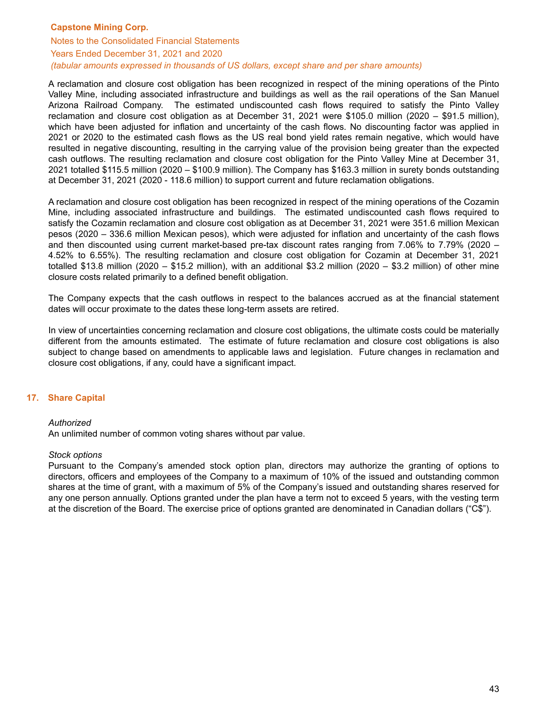## Notes to the Consolidated Financial Statements Years Ended December 31, 2021 and 2020 *(tabular amounts expressed in thousands of US dollars, except share and per share amounts)*

A reclamation and closure cost obligation has been recognized in respect of the mining operations of the Pinto Valley Mine, including associated infrastructure and buildings as well as the rail operations of the San Manuel Arizona Railroad Company. The estimated undiscounted cash flows required to satisfy the Pinto Valley reclamation and closure cost obligation as at December 31, 2021 were \$105.0 million (2020 – \$91.5 million), which have been adjusted for inflation and uncertainty of the cash flows. No discounting factor was applied in 2021 or 2020 to the estimated cash flows as the US real bond yield rates remain negative, which would have resulted in negative discounting, resulting in the carrying value of the provision being greater than the expected cash outflows. The resulting reclamation and closure cost obligation for the Pinto Valley Mine at December 31, 2021 totalled \$115.5 million (2020 – \$100.9 million). The Company has \$163.3 million in surety bonds outstanding at December 31, 2021 (2020 - 118.6 million) to support current and future reclamation obligations.

A reclamation and closure cost obligation has been recognized in respect of the mining operations of the Cozamin Mine, including associated infrastructure and buildings. The estimated undiscounted cash flows required to satisfy the Cozamin reclamation and closure cost obligation as at December 31, 2021 were 351.6 million Mexican pesos (2020 – 336.6 million Mexican pesos), which were adjusted for inflation and uncertainty of the cash flows and then discounted using current market-based pre-tax discount rates ranging from 7.06% to 7.79% (2020 – 4.52% to 6.55%). The resulting reclamation and closure cost obligation for Cozamin at December 31, 2021 totalled \$13.8 million (2020 – \$15.2 million), with an additional \$3.2 million (2020 – \$3.2 million) of other mine closure costs related primarily to a defined benefit obligation.

The Company expects that the cash outflows in respect to the balances accrued as at the financial statement dates will occur proximate to the dates these long-term assets are retired.

In view of uncertainties concerning reclamation and closure cost obligations, the ultimate costs could be materially different from the amounts estimated. The estimate of future reclamation and closure cost obligations is also subject to change based on amendments to applicable laws and legislation. Future changes in reclamation and closure cost obligations, if any, could have a significant impact.

### **17. Share Capital**

#### *Authorized*

An unlimited number of common voting shares without par value.

#### *Stock options*

Pursuant to the Company's amended stock option plan, directors may authorize the granting of options to directors, officers and employees of the Company to a maximum of 10% of the issued and outstanding common shares at the time of grant, with a maximum of 5% of the Company's issued and outstanding shares reserved for any one person annually. Options granted under the plan have a term not to exceed 5 years, with the vesting term at the discretion of the Board. The exercise price of options granted are denominated in Canadian dollars ("C\$").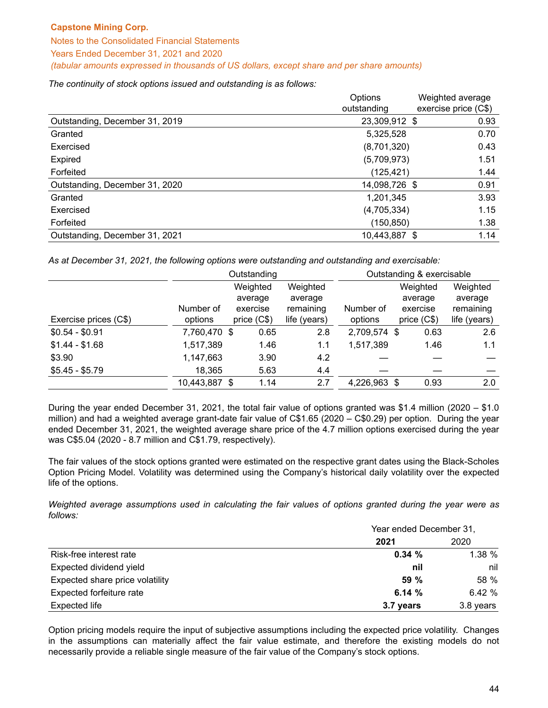*The continuity of stock options issued and outstanding is as follows:*

|                                | Options       | Weighted average      |
|--------------------------------|---------------|-----------------------|
|                                | outstanding   | exercise price $(C$)$ |
| Outstanding, December 31, 2019 | 23,309,912 \$ | 0.93                  |
| Granted                        | 5,325,528     | 0.70                  |
| Exercised                      | (8,701,320)   | 0.43                  |
| Expired                        | (5,709,973)   | 1.51                  |
| Forfeited                      | (125, 421)    | 1.44                  |
| Outstanding, December 31, 2020 | 14,098,726 \$ | 0.91                  |
| Granted                        | 1,201,345     | 3.93                  |
| Exercised                      | (4,705,334)   | 1.15                  |
| Forfeited                      | (150, 850)    | 1.38                  |
| Outstanding, December 31, 2021 | 10,443,887 \$ | 1.14                  |

*As at December 31, 2021, the following options were outstanding and outstanding and exercisable:*

|                       |               |             | Outstanding & exercisable |              |  |             |              |
|-----------------------|---------------|-------------|---------------------------|--------------|--|-------------|--------------|
|                       |               | Weighted    | Weighted                  |              |  | Weighted    | Weighted     |
|                       |               | average     | average                   |              |  | average     | average      |
|                       | Number of     | exercise    | remaining                 | Number of    |  | exercise    | remaining    |
| Exercise prices (C\$) | options       | price (C\$) | life (years)              | options      |  | price (C\$) | life (years) |
| $$0.54 - $0.91$       | 7,760,470 \$  | 0.65        | 2.8                       | 2,709,574 \$ |  | 0.63        | 2.6          |
| $$1.44 - $1.68$       | 1,517,389     | 1.46        | 1.1                       | 1,517,389    |  | 1.46        | 1.1          |
| \$3.90                | 1,147,663     | 3.90        | 4.2                       |              |  |             |              |
| $$5.45 - $5.79$       | 18,365        | 5.63        | 4.4                       |              |  |             |              |
|                       | 10,443,887 \$ | 1.14        | 2.7                       | 4,226,963 \$ |  | 0.93        | 2.0          |

During the year ended December 31, 2021, the total fair value of options granted was \$1.4 million (2020 – \$1.0 million) and had a weighted average grant-date fair value of C\$1.65 (2020 – C\$0.29) per option. During the year ended December 31, 2021, the weighted average share price of the 4.7 million options exercised during the year was C\$5.04 (2020 - 8.7 million and C\$1.79, respectively).

The fair values of the stock options granted were estimated on the respective grant dates using the Black-Scholes Option Pricing Model. Volatility was determined using the Company's historical daily volatility over the expected life of the options.

*Weighted average assumptions used in calculating the fair values of options granted during the year were as follows:*

|                                 | Year ended December 31, |           |  |  |
|---------------------------------|-------------------------|-----------|--|--|
|                                 | 2021                    | 2020      |  |  |
| Risk-free interest rate         | 0.34%                   | 1.38%     |  |  |
| Expected dividend yield         | nil                     | nil       |  |  |
| Expected share price volatility | <b>59 %</b>             | 58 %      |  |  |
| Expected forfeiture rate        | 6.14%                   | 6.42%     |  |  |
| Expected life                   | 3.7 years               | 3.8 years |  |  |

Option pricing models require the input of subjective assumptions including the expected price volatility. Changes in the assumptions can materially affect the fair value estimate, and therefore the existing models do not necessarily provide a reliable single measure of the fair value of the Company's stock options.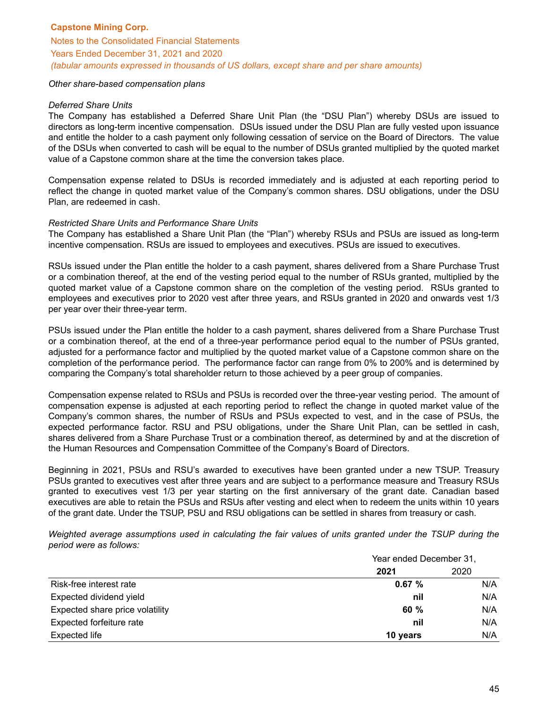#### *Other share-based compensation plans*

#### *Deferred Share Units*

The Company has established a Deferred Share Unit Plan (the "DSU Plan") whereby DSUs are issued to directors as long-term incentive compensation. DSUs issued under the DSU Plan are fully vested upon issuance and entitle the holder to a cash payment only following cessation of service on the Board of Directors. The value of the DSUs when converted to cash will be equal to the number of DSUs granted multiplied by the quoted market value of a Capstone common share at the time the conversion takes place.

Compensation expense related to DSUs is recorded immediately and is adjusted at each reporting period to reflect the change in quoted market value of the Company's common shares. DSU obligations, under the DSU Plan, are redeemed in cash.

#### *Restricted Share Units and Performance Share Units*

The Company has established a Share Unit Plan (the "Plan") whereby RSUs and PSUs are issued as long-term incentive compensation. RSUs are issued to employees and executives. PSUs are issued to executives.

RSUs issued under the Plan entitle the holder to a cash payment, shares delivered from a Share Purchase Trust or a combination thereof, at the end of the vesting period equal to the number of RSUs granted, multiplied by the quoted market value of a Capstone common share on the completion of the vesting period. RSUs granted to employees and executives prior to 2020 vest after three years, and RSUs granted in 2020 and onwards vest 1/3 per year over their three-year term.

PSUs issued under the Plan entitle the holder to a cash payment, shares delivered from a Share Purchase Trust or a combination thereof, at the end of a three-year performance period equal to the number of PSUs granted, adjusted for a performance factor and multiplied by the quoted market value of a Capstone common share on the completion of the performance period. The performance factor can range from 0% to 200% and is determined by comparing the Company's total shareholder return to those achieved by a peer group of companies.

Compensation expense related to RSUs and PSUs is recorded over the three-year vesting period. The amount of compensation expense is adjusted at each reporting period to reflect the change in quoted market value of the Company's common shares, the number of RSUs and PSUs expected to vest, and in the case of PSUs, the expected performance factor. RSU and PSU obligations, under the Share Unit Plan, can be settled in cash, shares delivered from a Share Purchase Trust or a combination thereof, as determined by and at the discretion of the Human Resources and Compensation Committee of the Company's Board of Directors.

Beginning in 2021, PSUs and RSU's awarded to executives have been granted under a new TSUP. Treasury PSUs granted to executives vest after three years and are subject to a performance measure and Treasury RSUs granted to executives vest 1/3 per year starting on the first anniversary of the grant date. Canadian based executives are able to retain the PSUs and RSUs after vesting and elect when to redeem the units within 10 years of the grant date. Under the TSUP, PSU and RSU obligations can be settled in shares from treasury or cash.

*Weighted average assumptions used in calculating the fair values of units granted under the TSUP during the period were as follows:*

|                                 | Year ended December 31, |      |  |  |  |
|---------------------------------|-------------------------|------|--|--|--|
|                                 | 2021                    | 2020 |  |  |  |
| Risk-free interest rate         | 0.67%                   | N/A  |  |  |  |
| Expected dividend yield         | nil                     | N/A  |  |  |  |
| Expected share price volatility | 60 %                    | N/A  |  |  |  |
| Expected forfeiture rate        | nil                     | N/A  |  |  |  |
| <b>Expected life</b>            | 10 years                | N/A  |  |  |  |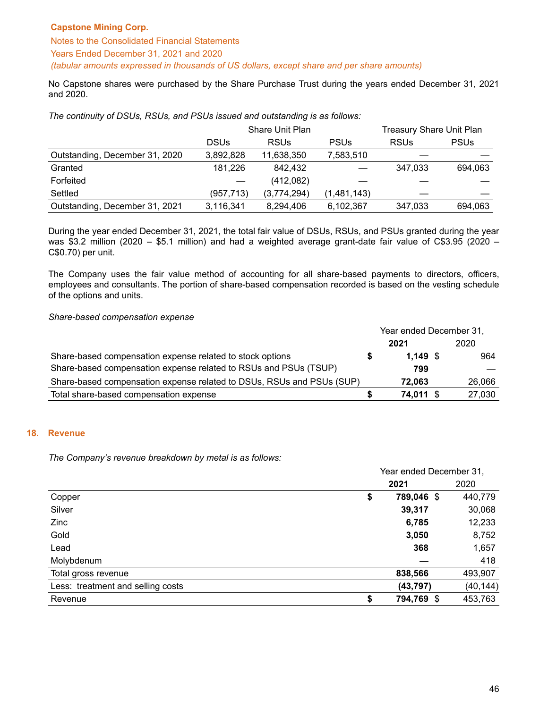# **Capstone Mining Corp.**  Notes to the Consolidated Financial Statements Years Ended December 31, 2021 and 2020

*(tabular amounts expressed in thousands of US dollars, except share and per share amounts)*

No Capstone shares were purchased by the Share Purchase Trust during the years ended December 31, 2021 and 2020.

*The continuity of DSUs, RSUs, and PSUs issued and outstanding is as follows:*

|                                | <b>Share Unit Plan</b> |             |             | <b>Treasury Share Unit Plan</b> |             |  |
|--------------------------------|------------------------|-------------|-------------|---------------------------------|-------------|--|
|                                | <b>DSUs</b>            | <b>RSUs</b> | <b>PSUs</b> | <b>RSUs</b>                     | <b>PSUs</b> |  |
| Outstanding, December 31, 2020 | 3,892,828              | 11,638,350  | 7,583,510   |                                 |             |  |
| Granted                        | 181,226                | 842.432     |             | 347,033                         | 694,063     |  |
| Forfeited                      |                        | (412,082)   |             |                                 |             |  |
| Settled                        | (957,713)              | (3,774,294) | (1,481,143) |                                 |             |  |
| Outstanding, December 31, 2021 | 3,116,341              | 8,294,406   | 6,102,367   | 347.033                         | 694.063     |  |

During the year ended December 31, 2021, the total fair value of DSUs, RSUs, and PSUs granted during the year was \$3.2 million (2020 – \$5.1 million) and had a weighted average grant-date fair value of C\$3.95 (2020 – C\$0.70) per unit.

The Company uses the fair value method of accounting for all share-based payments to directors, officers, employees and consultants. The portion of share-based compensation recorded is based on the vesting schedule of the options and units.

*Share-based compensation expense*

|                                                                       | Year ended December 31, |  |        |  |
|-----------------------------------------------------------------------|-------------------------|--|--------|--|
|                                                                       | 2021                    |  | 2020   |  |
| Share-based compensation expense related to stock options             | $1.149$ \$              |  | 964    |  |
| Share-based compensation expense related to RSUs and PSUs (TSUP)      | 799                     |  |        |  |
| Share-based compensation expense related to DSUs, RSUs and PSUs (SUP) | 72,063                  |  | 26,066 |  |
| Total share-based compensation expense                                | 74,011 \$               |  | 27,030 |  |

### **18. Revenue**

*The Company's revenue breakdown by metal is as follows:*

|                                   | Year ended December 31, |            |  |           |
|-----------------------------------|-------------------------|------------|--|-----------|
|                                   | 2021                    |            |  | 2020      |
| Copper                            | \$                      | 789,046 \$ |  | 440,779   |
| Silver                            |                         | 39,317     |  | 30,068    |
| Zinc                              |                         | 6,785      |  | 12,233    |
| Gold                              |                         | 3,050      |  | 8,752     |
| Lead                              |                         | 368        |  | 1,657     |
| Molybdenum                        |                         |            |  | 418       |
| Total gross revenue               |                         | 838,566    |  | 493,907   |
| Less: treatment and selling costs |                         | (43, 797)  |  | (40, 144) |
| Revenue                           | S                       | 794,769 \$ |  | 453,763   |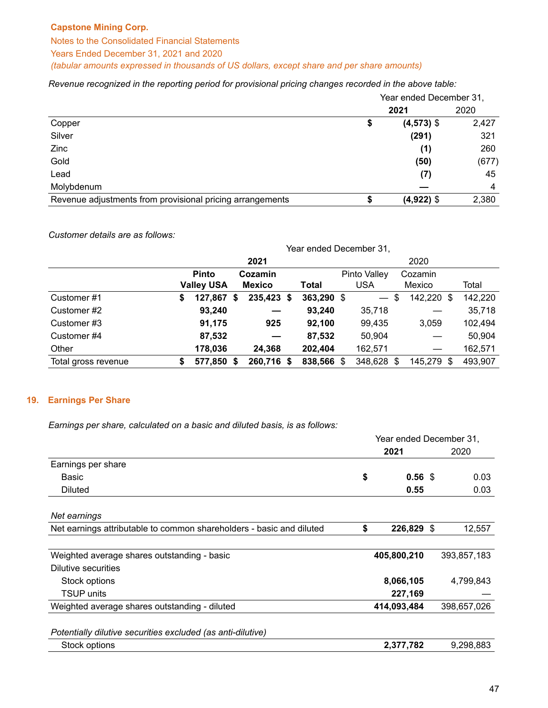Notes to the Consolidated Financial Statements Years Ended December 31, 2021 and 2020 *(tabular amounts expressed in thousands of US dollars, except share and per share amounts)*

## *Revenue recognized in the reporting period for provisional pricing changes recorded in the above table:*

|                                                           | Year ended December 31, |              |       |  |
|-----------------------------------------------------------|-------------------------|--------------|-------|--|
|                                                           |                         | 2021         | 2020  |  |
| Copper                                                    |                         | $(4,573)$ \$ | 2,427 |  |
| Silver                                                    |                         | (291)        | 321   |  |
| Zinc                                                      |                         | (1)          | 260   |  |
| Gold                                                      |                         | (50)         | (677) |  |
| Lead                                                      |                         | (7)          | 45    |  |
| Molybdenum                                                |                         |              | 4     |  |
| Revenue adjustments from provisional pricing arrangements |                         | $(4,922)$ \$ | 2,380 |  |

*Customer details are as follows:*

|                     | Year ended December 31, |                   |    |                         |  |            |  |                   |      |            |         |
|---------------------|-------------------------|-------------------|----|-------------------------|--|------------|--|-------------------|------|------------|---------|
|                     | 2021                    |                   |    |                         |  |            |  |                   | 2020 |            |         |
|                     | Cozamin<br><b>Pinto</b> |                   |    | Pinto Valley<br>Cozamin |  |            |  |                   |      |            |         |
|                     |                         | <b>Valley USA</b> |    | <b>Mexico</b>           |  | Total      |  | USA               |      | Mexico     | Total   |
| Customer#1          | \$                      | 127,867           | S  | 235,423 \$              |  | 363,290 \$ |  | $\qquad \qquad -$ | S    | 142,220 \$ | 142,220 |
| Customer#2          |                         | 93,240            |    |                         |  | 93,240     |  | 35,718            |      |            | 35,718  |
| Customer#3          |                         | 91,175            |    | 925                     |  | 92,100     |  | 99,435            |      | 3.059      | 102,494 |
| Customer#4          |                         | 87,532            |    |                         |  | 87,532     |  | 50,904            |      |            | 50,904  |
| Other               |                         | 178,036           |    | 24,368                  |  | 202,404    |  | 162,571           |      | __         | 162,571 |
| Total gross revenue | \$                      | 577,850           | S. | 260,716 \$              |  | 838,566 \$ |  | 348,628 \$        |      | 145,279 \$ | 493,907 |

### **19. Earnings Per Share**

*Earnings per share, calculated on a basic and diluted basis, is as follows:*

|                                                                      | Year ended December 31, |     |             |
|----------------------------------------------------------------------|-------------------------|-----|-------------|
|                                                                      | 2021                    |     | 2020        |
| Earnings per share                                                   |                         |     |             |
| Basic                                                                | \$<br>0.56~\$           |     | 0.03        |
| <b>Diluted</b>                                                       | 0.55                    |     | 0.03        |
| Net earnings                                                         |                         |     |             |
| Net earnings attributable to common shareholders - basic and diluted | \$<br>226,829           | -\$ | 12,557      |
|                                                                      |                         |     |             |
| Weighted average shares outstanding - basic                          | 405,800,210             |     | 393,857,183 |
| Dilutive securities                                                  |                         |     |             |
| Stock options                                                        | 8,066,105               |     | 4,799,843   |
| <b>TSUP</b> units                                                    | 227,169                 |     |             |
| Weighted average shares outstanding - diluted                        | 414,093,484             |     | 398,657,026 |
| Potentially dilutive securities excluded (as anti-dilutive)          |                         |     |             |
| Stock options                                                        | 2,377,782               |     | 9,298,883   |
|                                                                      |                         |     |             |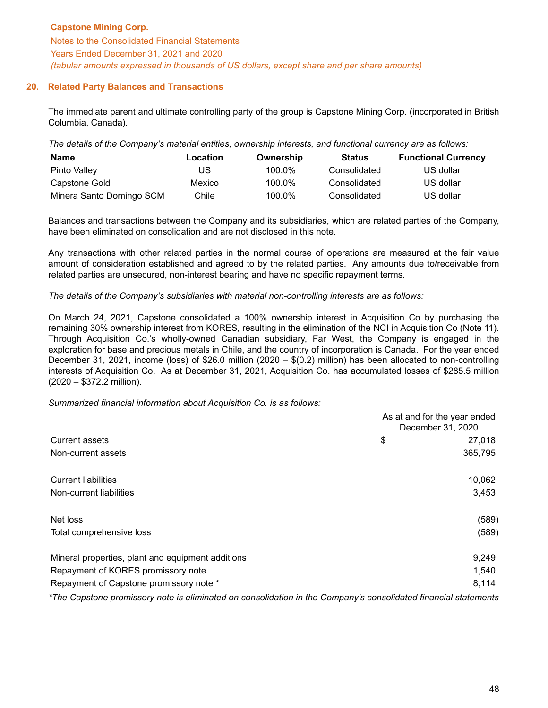### **20. Related Party Balances and Transactions**

The immediate parent and ultimate controlling party of the group is Capstone Mining Corp. (incorporated in British Columbia, Canada).

*The details of the Company's material entities, ownership interests, and functional currency are as follows:* 

| <b>Name</b>              | Location | Ownership | <b>Status</b> | <b>Functional Currency</b> |
|--------------------------|----------|-----------|---------------|----------------------------|
| Pinto Valley             | US       | $100.0\%$ | Consolidated  | US dollar                  |
| Capstone Gold            | Mexico   | $100.0\%$ | Consolidated  | US dollar                  |
| Minera Santo Domingo SCM | Chile    | 100.0%    | Consolidated  | US dollar                  |

Balances and transactions between the Company and its subsidiaries, which are related parties of the Company, have been eliminated on consolidation and are not disclosed in this note.

Any transactions with other related parties in the normal course of operations are measured at the fair value amount of consideration established and agreed to by the related parties. Any amounts due to/receivable from related parties are unsecured, non-interest bearing and have no specific repayment terms.

#### *The details of the Company's subsidiaries with material non-controlling interests are as follows:*

On March 24, 2021, Capstone consolidated a 100% ownership interest in Acquisition Co by purchasing the remaining 30% ownership interest from KORES, resulting in the elimination of the NCI in Acquisition Co (Note 11). Through Acquisition Co.'s wholly-owned Canadian subsidiary, Far West, the Company is engaged in the exploration for base and precious metals in Chile, and the country of incorporation is Canada. For the year ended December 31, 2021, income (loss) of \$26.0 million (2020 – \$(0.2) million) has been allocated to non-controlling interests of Acquisition Co. As at December 31, 2021, Acquisition Co. has accumulated losses of \$285.5 million (2020 – \$372.2 million).

*Summarized financial information about Acquisition Co. is as follows:*

|                                                   | As at and for the year ended<br>December 31, 2020 |         |  |  |
|---------------------------------------------------|---------------------------------------------------|---------|--|--|
| <b>Current assets</b>                             | \$                                                | 27,018  |  |  |
| Non-current assets                                |                                                   | 365,795 |  |  |
| <b>Current liabilities</b>                        |                                                   | 10,062  |  |  |
| Non-current liabilities                           |                                                   | 3,453   |  |  |
| Net loss                                          |                                                   | (589)   |  |  |
| Total comprehensive loss                          |                                                   | (589)   |  |  |
| Mineral properties, plant and equipment additions |                                                   | 9,249   |  |  |
| Repayment of KORES promissory note                |                                                   | 1,540   |  |  |
| Repayment of Capstone promissory note *           |                                                   | 8,114   |  |  |

*\*The Capstone promissory note is eliminated on consolidation in the Company's consolidated financial statements*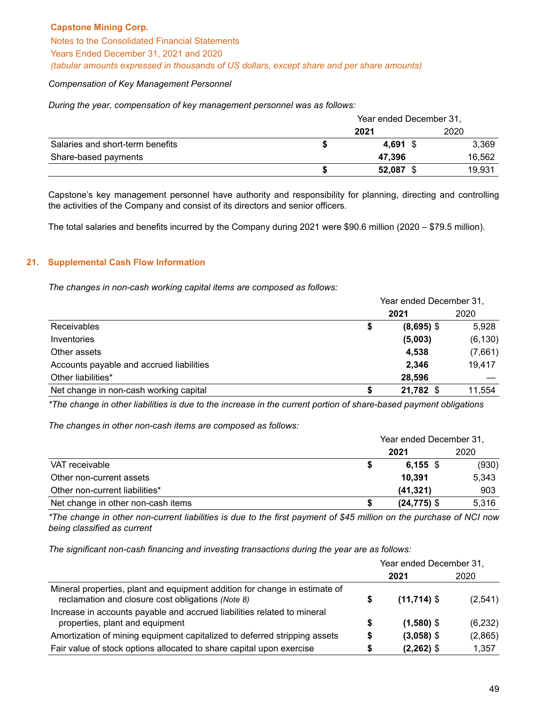Notes to the Consolidated Financial Statements Years Ended December 31, 2021 and 2020 *(tabular amounts expressed in thousands of US dollars, except share and per share amounts)*

#### *Compensation of Key Management Personnel*

*During the year, compensation of key management personnel was as follows:*

|                                  | Year ended December 31, |             |        |  |  |
|----------------------------------|-------------------------|-------------|--------|--|--|
|                                  |                         | 2021        | 2020   |  |  |
| Salaries and short-term benefits |                         | 4.691 \$    | 3.369  |  |  |
| Share-based payments             |                         | 47.396      | 16.562 |  |  |
|                                  |                         | $52,087$ \$ | 19.931 |  |  |

Capstone's key management personnel have authority and responsibility for planning, directing and controlling the activities of the Company and consist of its directors and senior officers.

The total salaries and benefits incurred by the Company during 2021 were \$90.6 million (2020 – \$79.5 million).

#### **21. Supplemental Cash Flow Information**

*The changes in non-cash working capital items are composed as follows:*

|                                          | Year ended December 31, |              |          |  |  |
|------------------------------------------|-------------------------|--------------|----------|--|--|
|                                          |                         | 2021         | 2020     |  |  |
| <b>Receivables</b>                       | \$                      | $(8,695)$ \$ | 5,928    |  |  |
| Inventories                              |                         | (5,003)      | (6, 130) |  |  |
| Other assets                             |                         | 4,538        | (7,661)  |  |  |
| Accounts payable and accrued liabilities |                         | 2.346        | 19,417   |  |  |
| Other liabilities*                       |                         | 28,596       |          |  |  |
| Net change in non-cash working capital   |                         | 21,782 \$    | 11,554   |  |  |

*\*The change in other liabilities is due to the increase in the current portion of share-based payment obligations*

*The changes in other non-cash items are composed as follows:*

|                                    | Year ended December 31, |       |  |  |
|------------------------------------|-------------------------|-------|--|--|
|                                    | 2021                    | 2020  |  |  |
| VAT receivable                     | 6,155 $$$               | (930) |  |  |
| Other non-current assets           | 10,391                  | 5,343 |  |  |
| Other non-current liabilities*     | (41, 321)               | 903   |  |  |
| Net change in other non-cash items | $(24, 775)$ \$          | 5,316 |  |  |

*\*The change in other non-current liabilities is due to the first payment of \$45 million on the purchase of NCI now being classified as current*

*The significant non-cash financing and investing transactions during the year are as follows:*

|                                                                                                                                 |  | Year ended December 31, |          |  |  |
|---------------------------------------------------------------------------------------------------------------------------------|--|-------------------------|----------|--|--|
|                                                                                                                                 |  | 2021                    | 2020     |  |  |
| Mineral properties, plant and equipment addition for change in estimate of<br>reclamation and closure cost obligations (Note 8) |  | $(11,714)$ \$           | (2,541)  |  |  |
| Increase in accounts payable and accrued liabilities related to mineral<br>properties, plant and equipment                      |  | $(1,580)$ \$            | (6, 232) |  |  |
| Amortization of mining equipment capitalized to deferred stripping assets                                                       |  | $(3,058)$ \$            | (2,865)  |  |  |
| Fair value of stock options allocated to share capital upon exercise                                                            |  | $(2,262)$ \$            | 1,357    |  |  |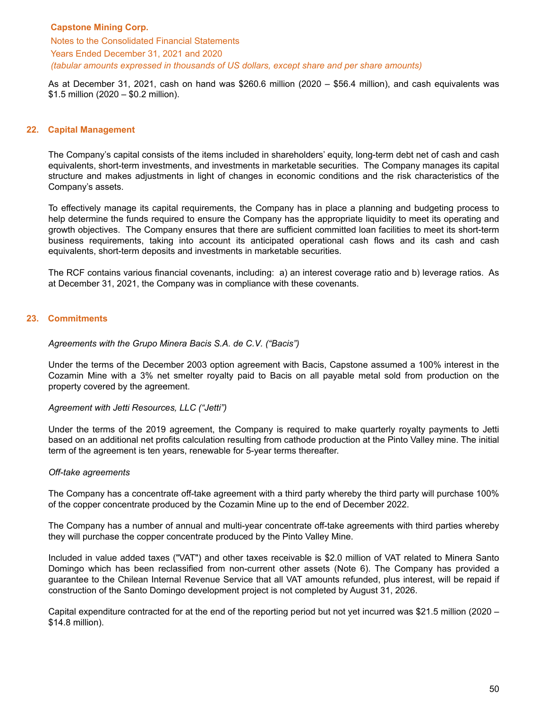Notes to the Consolidated Financial Statements Years Ended December 31, 2021 and 2020 *(tabular amounts expressed in thousands of US dollars, except share and per share amounts)*

As at December 31, 2021, cash on hand was \$260.6 million (2020 – \$56.4 million), and cash equivalents was \$1.5 million (2020 – \$0.2 million).

#### **22. Capital Management**

The Company's capital consists of the items included in shareholders' equity, long-term debt net of cash and cash equivalents, short-term investments, and investments in marketable securities. The Company manages its capital structure and makes adjustments in light of changes in economic conditions and the risk characteristics of the Company's assets.

To effectively manage its capital requirements, the Company has in place a planning and budgeting process to help determine the funds required to ensure the Company has the appropriate liquidity to meet its operating and growth objectives. The Company ensures that there are sufficient committed loan facilities to meet its short-term business requirements, taking into account its anticipated operational cash flows and its cash and cash equivalents, short-term deposits and investments in marketable securities.

The RCF contains various financial covenants, including: a) an interest coverage ratio and b) leverage ratios. As at December 31, 2021, the Company was in compliance with these covenants.

#### **23. Commitments**

#### *Agreements with the Grupo Minera Bacis S.A. de C.V. ("Bacis")*

Under the terms of the December 2003 option agreement with Bacis, Capstone assumed a 100% interest in the Cozamin Mine with a 3% net smelter royalty paid to Bacis on all payable metal sold from production on the property covered by the agreement.

#### *Agreement with Jetti Resources, LLC ("Jetti")*

Under the terms of the 2019 agreement, the Company is required to make quarterly royalty payments to Jetti based on an additional net profits calculation resulting from cathode production at the Pinto Valley mine. The initial term of the agreement is ten years, renewable for 5-year terms thereafter.

#### *Off-take agreements*

The Company has a concentrate off-take agreement with a third party whereby the third party will purchase 100% of the copper concentrate produced by the Cozamin Mine up to the end of December 2022.

The Company has a number of annual and multi-year concentrate off-take agreements with third parties whereby they will purchase the copper concentrate produced by the Pinto Valley Mine.

Included in value added taxes ("VAT") and other taxes receivable is \$2.0 million of VAT related to Minera Santo Domingo which has been reclassified from non-current other assets (Note 6). The Company has provided a guarantee to the Chilean Internal Revenue Service that all VAT amounts refunded, plus interest, will be repaid if construction of the Santo Domingo development project is not completed by August 31, 2026.

Capital expenditure contracted for at the end of the reporting period but not yet incurred was \$21.5 million (2020 – \$14.8 million).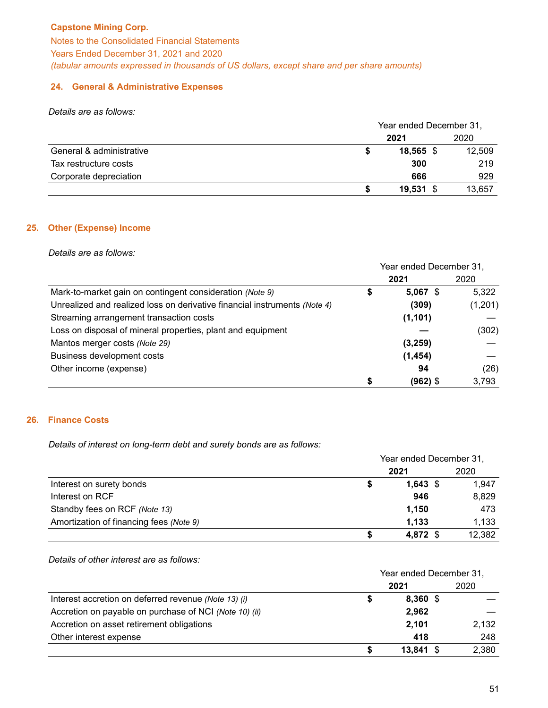Notes to the Consolidated Financial Statements Years Ended December 31, 2021 and 2020 *(tabular amounts expressed in thousands of US dollars, except share and per share amounts)*

### **24. General & Administrative Expenses**

*Details are as follows:*

|                          | Year ended December 31, |        |  |  |  |
|--------------------------|-------------------------|--------|--|--|--|
|                          | 2021                    | 2020   |  |  |  |
| General & administrative | 18,565 \$               | 12,509 |  |  |  |
| Tax restructure costs    | 300                     | 219    |  |  |  |
| Corporate depreciation   | 666                     | 929    |  |  |  |
|                          | $19,531$ \$             | 13,657 |  |  |  |

#### **25. Other (Expense) Income**

*Details are as follows:*

|                                                                           |  | Year ended December 31, |         |  |
|---------------------------------------------------------------------------|--|-------------------------|---------|--|
|                                                                           |  | 2021                    | 2020    |  |
| Mark-to-market gain on contingent consideration (Note 9)                  |  | $5,067$ \$              | 5,322   |  |
| Unrealized and realized loss on derivative financial instruments (Note 4) |  | (309)                   | (1,201) |  |
| Streaming arrangement transaction costs                                   |  | (1, 101)                |         |  |
| Loss on disposal of mineral properties, plant and equipment               |  |                         | (302)   |  |
| Mantos merger costs (Note 29)                                             |  | (3,259)                 |         |  |
| Business development costs                                                |  | (1, 454)                |         |  |
| Other income (expense)                                                    |  | 94                      | (26)    |  |
|                                                                           |  | (962) \$                | 3,793   |  |

### **26. Finance Costs**

*Details of interest on long-term debt and surety bonds are as follows:*

|                                         | Year ended December 31, |            |        |  |  |
|-----------------------------------------|-------------------------|------------|--------|--|--|
|                                         |                         | 2021       | 2020   |  |  |
| Interest on surety bonds                |                         | $1,643$ \$ | 1,947  |  |  |
| Interest on RCF                         |                         | 946        | 8,829  |  |  |
| Standby fees on RCF (Note 13)           |                         | 1,150      | 473    |  |  |
| Amortization of financing fees (Note 9) |                         | 1,133      | 1,133  |  |  |
|                                         |                         | 4,872 \$   | 12,382 |  |  |

*Details of other interest are as follows:*

|                                                        | Year ended December 31, |             |       |  |  |
|--------------------------------------------------------|-------------------------|-------------|-------|--|--|
|                                                        |                         | 2021        | 2020  |  |  |
| Interest accretion on deferred revenue (Note 13) (i)   |                         | $8,360$ \$  |       |  |  |
| Accretion on payable on purchase of NCI (Note 10) (ii) |                         | 2.962       |       |  |  |
| Accretion on asset retirement obligations              |                         | 2,101       | 2,132 |  |  |
| Other interest expense                                 |                         | 418         | 248   |  |  |
|                                                        |                         | $13.841$ \$ | 2,380 |  |  |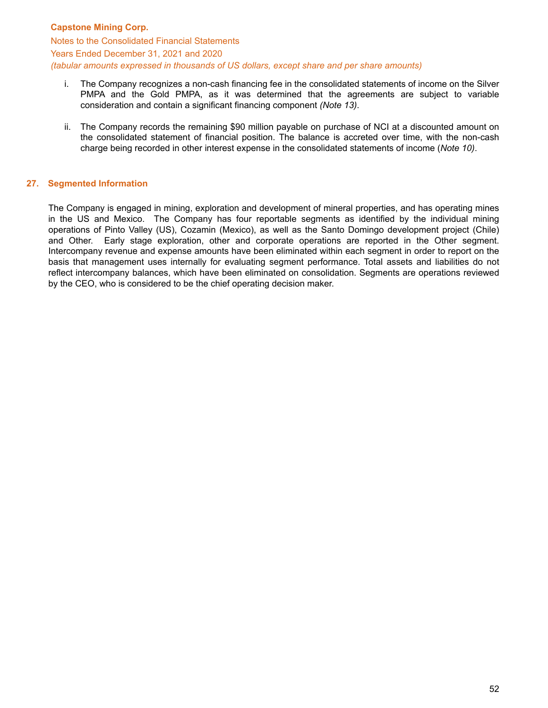# Notes to the Consolidated Financial Statements

Years Ended December 31, 2021 and 2020

*(tabular amounts expressed in thousands of US dollars, except share and per share amounts)*

- i. The Company recognizes a non-cash financing fee in the consolidated statements of income on the Silver PMPA and the Gold PMPA, as it was determined that the agreements are subject to variable consideration and contain a significant financing component *(Note 13)*.
- ii. The Company records the remaining \$90 million payable on purchase of NCI at a discounted amount on the consolidated statement of financial position. The balance is accreted over time, with the non-cash charge being recorded in other interest expense in the consolidated statements of income (*Note 10)*.

#### **27. Segmented Information**

The Company is engaged in mining, exploration and development of mineral properties, and has operating mines in the US and Mexico. The Company has four reportable segments as identified by the individual mining operations of Pinto Valley (US), Cozamin (Mexico), as well as the Santo Domingo development project (Chile) and Other. Early stage exploration, other and corporate operations are reported in the Other segment. Intercompany revenue and expense amounts have been eliminated within each segment in order to report on the basis that management uses internally for evaluating segment performance. Total assets and liabilities do not reflect intercompany balances, which have been eliminated on consolidation. Segments are operations reviewed by the CEO, who is considered to be the chief operating decision maker.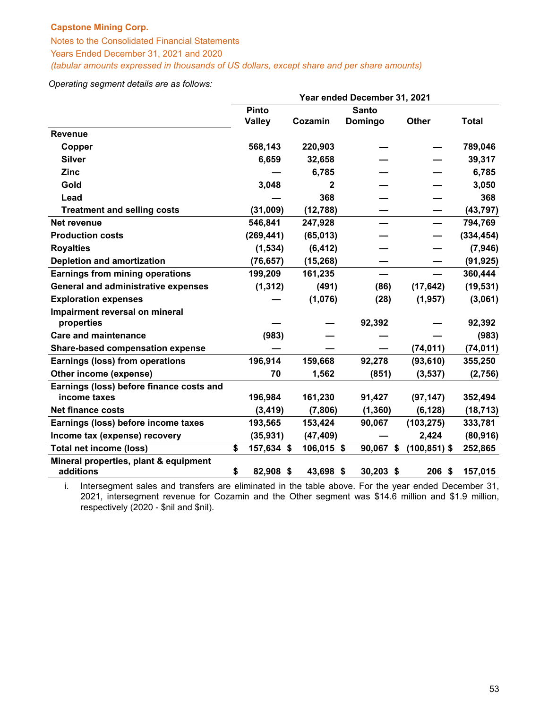#### Notes to the Consolidated Financial Statements

Years Ended December 31, 2021 and 2020

*(tabular amounts expressed in thousands of US dollars, except share and per share amounts)*

## *Operating segment details are as follows:*

|                                            | Year ended December 31, 2021 |               |            |              |                 |              |  |  |  |
|--------------------------------------------|------------------------------|---------------|------------|--------------|-----------------|--------------|--|--|--|
|                                            |                              | <b>Pinto</b>  |            | <b>Santo</b> |                 |              |  |  |  |
|                                            |                              | <b>Valley</b> | Cozamin    | Domingo      | <b>Other</b>    | <b>Total</b> |  |  |  |
| <b>Revenue</b>                             |                              |               |            |              |                 |              |  |  |  |
| Copper                                     |                              | 568,143       | 220,903    |              |                 | 789,046      |  |  |  |
| <b>Silver</b>                              |                              | 6,659         | 32,658     |              |                 | 39,317       |  |  |  |
| <b>Zinc</b>                                |                              |               | 6,785      |              |                 | 6,785        |  |  |  |
| Gold                                       |                              | 3,048         | 2          |              |                 | 3,050        |  |  |  |
| Lead                                       |                              |               | 368        |              |                 | 368          |  |  |  |
| <b>Treatment and selling costs</b>         |                              | (31,009)      | (12, 788)  |              |                 | (43, 797)    |  |  |  |
| <b>Net revenue</b>                         |                              | 546,841       | 247,928    |              |                 | 794,769      |  |  |  |
| <b>Production costs</b>                    |                              | (269, 441)    | (65, 013)  |              |                 | (334, 454)   |  |  |  |
| <b>Royalties</b>                           |                              | (1, 534)      | (6, 412)   |              |                 | (7, 946)     |  |  |  |
| <b>Depletion and amortization</b>          |                              | (76, 657)     | (15, 268)  |              |                 | (91, 925)    |  |  |  |
| <b>Earnings from mining operations</b>     |                              | 199,209       | 161,235    |              |                 | 360,444      |  |  |  |
| <b>General and administrative expenses</b> |                              | (1, 312)      | (491)      | (86)         | (17, 642)       | (19, 531)    |  |  |  |
| <b>Exploration expenses</b>                |                              |               | (1,076)    | (28)         | (1, 957)        | (3,061)      |  |  |  |
| Impairment reversal on mineral             |                              |               |            |              |                 |              |  |  |  |
| properties                                 |                              |               |            | 92,392       |                 | 92,392       |  |  |  |
| <b>Care and maintenance</b>                |                              | (983)         |            |              |                 | (983)        |  |  |  |
| <b>Share-based compensation expense</b>    |                              |               |            |              | (74, 011)       | (74, 011)    |  |  |  |
| <b>Earnings (loss) from operations</b>     |                              | 196,914       | 159,668    | 92,278       | (93, 610)       | 355,250      |  |  |  |
| Other income (expense)                     |                              | 70            | 1,562      | (851)        | (3, 537)        | (2,756)      |  |  |  |
| Earnings (loss) before finance costs and   |                              |               |            |              |                 |              |  |  |  |
| income taxes                               |                              | 196,984       | 161,230    | 91,427       | (97, 147)       | 352,494      |  |  |  |
| <b>Net finance costs</b>                   |                              | (3, 419)      | (7,806)    | (1, 360)     | (6, 128)        | (18, 713)    |  |  |  |
| Earnings (loss) before income taxes        |                              | 193,565       | 153,424    | 90,067       | (103, 275)      | 333,781      |  |  |  |
| Income tax (expense) recovery              |                              | (35, 931)     | (47, 409)  |              | 2,424           | (80, 916)    |  |  |  |
| <b>Total net income (loss)</b>             | \$                           | 157,634 \$    | 106,015 \$ | 90,067 \$    | $(100, 851)$ \$ | 252,865      |  |  |  |
| Mineral properties, plant & equipment      |                              |               |            |              |                 |              |  |  |  |
| additions                                  | \$                           | 82,908 \$     | 43,698 \$  | $30,203$ \$  | 206 \$          | 157,015      |  |  |  |

i. Intersegment sales and transfers are eliminated in the table above. For the year ended December 31, 2021, intersegment revenue for Cozamin and the Other segment was \$14.6 million and \$1.9 million, respectively (2020 - \$nil and \$nil).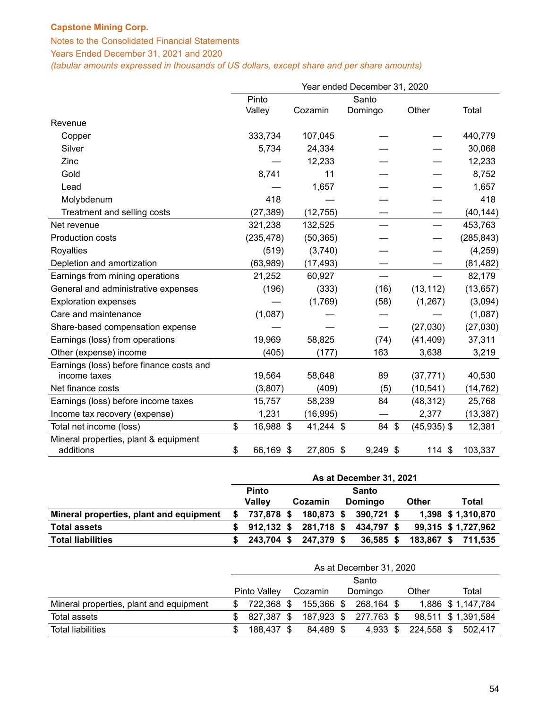### Notes to the Consolidated Financial Statements

Years Ended December 31, 2021 and 2020

*(tabular amounts expressed in thousands of US dollars, except share and per share amounts)*

|                                                    | Year ended December 31, 2020 |            |           |            |                |            |  |  |  |
|----------------------------------------------------|------------------------------|------------|-----------|------------|----------------|------------|--|--|--|
|                                                    |                              | Pinto      |           | Santo      |                |            |  |  |  |
|                                                    |                              | Valley     | Cozamin   | Domingo    | Other          | Total      |  |  |  |
| Revenue                                            |                              |            |           |            |                |            |  |  |  |
| Copper                                             |                              | 333,734    | 107,045   |            |                | 440,779    |  |  |  |
| Silver                                             |                              | 5,734      | 24,334    |            |                | 30,068     |  |  |  |
| Zinc                                               |                              |            | 12,233    |            |                | 12,233     |  |  |  |
| Gold                                               |                              | 8,741      | 11        |            |                | 8,752      |  |  |  |
| Lead                                               |                              |            | 1,657     |            |                | 1,657      |  |  |  |
| Molybdenum                                         |                              | 418        |           |            |                | 418        |  |  |  |
| Treatment and selling costs                        |                              | (27, 389)  | (12, 755) |            |                | (40, 144)  |  |  |  |
| Net revenue                                        |                              | 321,238    | 132,525   |            |                | 453,763    |  |  |  |
| Production costs                                   |                              | (235, 478) | (50, 365) |            |                | (285, 843) |  |  |  |
| Royalties                                          |                              | (519)      | (3,740)   |            |                | (4,259)    |  |  |  |
| Depletion and amortization                         |                              | (63,989)   | (17, 493) |            |                | (81, 482)  |  |  |  |
| Earnings from mining operations                    |                              | 21,252     | 60,927    |            |                | 82,179     |  |  |  |
| General and administrative expenses                |                              | (196)      | (333)     | (16)       | (13, 112)      | (13, 657)  |  |  |  |
| <b>Exploration expenses</b>                        |                              |            | (1,769)   | (58)       | (1, 267)       | (3,094)    |  |  |  |
| Care and maintenance                               |                              | (1,087)    |           |            |                | (1,087)    |  |  |  |
| Share-based compensation expense                   |                              |            |           |            | (27,030)       | (27,030)   |  |  |  |
| Earnings (loss) from operations                    |                              | 19,969     | 58,825    | (74)       | (41, 409)      | 37,311     |  |  |  |
| Other (expense) income                             |                              | (405)      | (177)     | 163        | 3,638          | 3,219      |  |  |  |
| Earnings (loss) before finance costs and           |                              |            |           |            |                |            |  |  |  |
| income taxes                                       |                              | 19,564     | 58,648    | 89         | (37, 771)      | 40,530     |  |  |  |
| Net finance costs                                  |                              | (3,807)    | (409)     | (5)        | (10, 541)      | (14, 762)  |  |  |  |
| Earnings (loss) before income taxes                |                              | 15,757     | 58,239    | 84         | (48, 312)      | 25,768     |  |  |  |
| Income tax recovery (expense)                      |                              | 1,231      | (16, 995) |            | 2,377          | (13, 387)  |  |  |  |
| Total net income (loss)                            | \$                           | 16,988 \$  | 41,244 \$ | 84 \$      | $(45, 935)$ \$ | 12,381     |  |  |  |
| Mineral properties, plant & equipment<br>additions | \$                           | 66,169 \$  | 27,805 \$ | $9,249$ \$ | $114$ \$       | 103,337    |  |  |  |

|                                         | As at December 31, 2021 |                         |  |                       |  |            |  |            |  |                     |
|-----------------------------------------|-------------------------|-------------------------|--|-----------------------|--|------------|--|------------|--|---------------------|
|                                         |                         | <b>Pinto</b>            |  |                       |  | Santo      |  |            |  |                     |
|                                         |                         | <b>Valley</b>           |  | Cozamin               |  | Domingo    |  | Other      |  | Total               |
| Mineral properties, plant and equipment |                         | $$737,878$ \$180,873 \$ |  |                       |  | 390,721 \$ |  |            |  | 1,398 \$1,310,870   |
| <b>Total assets</b>                     |                         | 912,132 \$ 281,718 \$   |  |                       |  | 434,797 \$ |  |            |  | 99,315 \$ 1,727,962 |
| <b>Total liabilities</b>                |                         |                         |  | 243,704 \$ 247,379 \$ |  | 36,585 \$  |  | 183,867 \$ |  | 711.535             |

|                                         | As at December 31, 2020 |               |  |            |  |                       |  |            |  |                     |
|-----------------------------------------|-------------------------|---------------|--|------------|--|-----------------------|--|------------|--|---------------------|
|                                         | Santo                   |               |  |            |  |                       |  |            |  |                     |
|                                         |                         | Pinto Valley  |  | Cozamin    |  | Domingo               |  | Other      |  | Total               |
| Mineral properties, plant and equipment |                         | $$722,368$ \$ |  | 155,366 \$ |  | 268,164 \$            |  |            |  | 1,886 \$1,147,784   |
| Total assets                            |                         | 827,387 \$    |  |            |  | 187,923 \$ 277,763 \$ |  |            |  | 98,511 \$ 1,391,584 |
| <b>Total liabilities</b>                |                         | 188,437 \$    |  | 84.489 \$  |  | 4,933 \$              |  | 224,558 \$ |  | 502.417             |